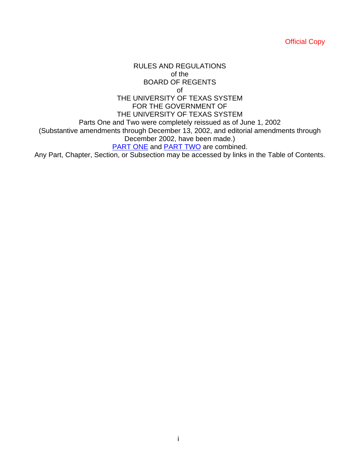RULES AND REGULATIONS of the BOARD OF REGENTS of THE UNIVERSITY OF TEXAS SYSTEM FOR THE GOVERNMENT OF THE UNIVERSITY OF TEXAS SYSTEM Parts One and Two were completely reissued as of June 1, 2002 (Substantive amendments through December 13, 2002, and editorial amendments through December 2002, have been made.) PART ONE and PART TWO are combined. Any Part, Chapter, Section, or Subsection may be accessed by links in the Table of Contents.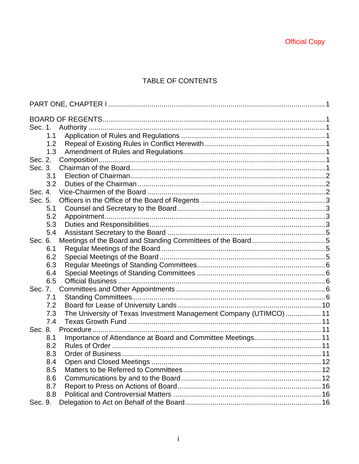# TABLE OF CONTENTS

| Sec. 1. |                                                                    |  |
|---------|--------------------------------------------------------------------|--|
| 1.1     |                                                                    |  |
| 1.2     |                                                                    |  |
| 1.3     |                                                                    |  |
| Sec. 2. |                                                                    |  |
| Sec. 3. |                                                                    |  |
| 3.1     |                                                                    |  |
| 3.2     |                                                                    |  |
| Sec. 4. |                                                                    |  |
| Sec. 5. |                                                                    |  |
| 5.1     |                                                                    |  |
| 5.2     |                                                                    |  |
| 5.3     |                                                                    |  |
| 5.4     |                                                                    |  |
| Sec. 6. | Meetings of the Board and Standing Committees of the Board5        |  |
| 6.1     |                                                                    |  |
| 6.2     |                                                                    |  |
| 6.3     |                                                                    |  |
| 6.4     |                                                                    |  |
| 6.5     |                                                                    |  |
| Sec. 7. |                                                                    |  |
| 7.1     |                                                                    |  |
| 7.2     |                                                                    |  |
| 7.3     | The University of Texas Investment Management Company (UTIMCO)  11 |  |
| 7.4     |                                                                    |  |
| Sec. 8. |                                                                    |  |
| 8.1     | Importance of Attendance at Board and Committee Meetings 11        |  |
| 8.2     |                                                                    |  |
| 8.3     |                                                                    |  |
| 8.4     |                                                                    |  |
| 8.5     |                                                                    |  |
| 8.6     |                                                                    |  |
| 8.7     |                                                                    |  |
| 8.8     |                                                                    |  |
| Sec. 9. |                                                                    |  |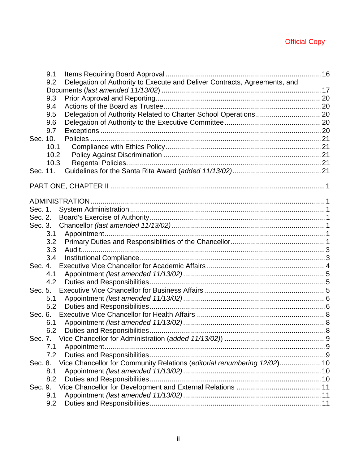| 9.1                                                                                 |  |
|-------------------------------------------------------------------------------------|--|
| Delegation of Authority to Execute and Deliver Contracts, Agreements, and<br>9.2    |  |
|                                                                                     |  |
| 9.3                                                                                 |  |
| 9.4                                                                                 |  |
| 9.5                                                                                 |  |
| 9.6                                                                                 |  |
| 9.7                                                                                 |  |
| Sec. 10.                                                                            |  |
| 10.1                                                                                |  |
| 10.2                                                                                |  |
| 10.3                                                                                |  |
| Sec. 11.                                                                            |  |
|                                                                                     |  |
|                                                                                     |  |
|                                                                                     |  |
|                                                                                     |  |
| Sec. 1.                                                                             |  |
| Sec. 2.                                                                             |  |
| Sec. 3.                                                                             |  |
| 3.1                                                                                 |  |
| 3.2                                                                                 |  |
| 3.3                                                                                 |  |
| 3.4                                                                                 |  |
| Sec. 4.                                                                             |  |
| 4.1                                                                                 |  |
| 4.2                                                                                 |  |
| Sec. 5.                                                                             |  |
| 5.1                                                                                 |  |
| 5.2                                                                                 |  |
| Sec. 6.                                                                             |  |
| 6.1                                                                                 |  |
| 6.2                                                                                 |  |
| Sec. 7.                                                                             |  |
| 7.1                                                                                 |  |
| 7.2                                                                                 |  |
| Vice Chancellor for Community Relations (editorial renumbering 12/02) 10<br>Sec. 8. |  |
| 8.1                                                                                 |  |
| 8.2                                                                                 |  |
| Sec. 9.                                                                             |  |
| 9.1                                                                                 |  |
| 9.2                                                                                 |  |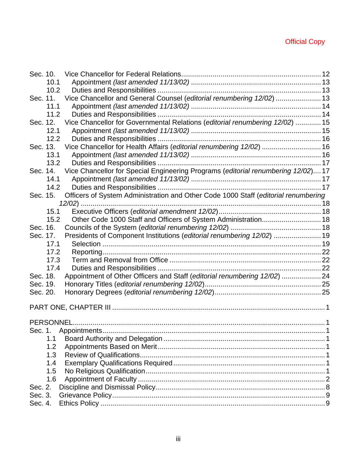| Sec. 10. |                                                                                    |  |
|----------|------------------------------------------------------------------------------------|--|
| 10.1     |                                                                                    |  |
| 10.2     |                                                                                    |  |
| Sec. 11. | Vice Chancellor and General Counsel (editorial renumbering 12/02)  13              |  |
| 11.1     |                                                                                    |  |
| 11.2     |                                                                                    |  |
| Sec. 12. | Vice Chancellor for Governmental Relations (editorial renumbering 12/02)  15       |  |
| 12.1     |                                                                                    |  |
| 12.2     |                                                                                    |  |
| Sec. 13. | Vice Chancellor for Health Affairs (editorial renumbering 12/02)  16               |  |
| 13.1     |                                                                                    |  |
| 13.2     |                                                                                    |  |
| Sec. 14. | Vice Chancellor for Special Engineering Programs (editorial renumbering 12/02) 17  |  |
| 14.1     |                                                                                    |  |
| 14.2     |                                                                                    |  |
| Sec. 15. | Officers of System Administration and Other Code 1000 Staff (editorial renumbering |  |
|          |                                                                                    |  |
| 15.1     |                                                                                    |  |
| 15.2     | Other Code 1000 Staff and Officers of System Administration 18                     |  |
| Sec. 16. |                                                                                    |  |
| Sec. 17. | Presidents of Component Institutions (editorial renumbering 12/02)  19             |  |
| 17.1     |                                                                                    |  |
| 17.2     |                                                                                    |  |
| 17.3     |                                                                                    |  |
| 17.4     |                                                                                    |  |
| Sec. 18. | Appointment of Other Officers and Staff (editorial renumbering 12/02) 24           |  |
| Sec. 19. |                                                                                    |  |
| Sec. 20. |                                                                                    |  |
|          |                                                                                    |  |
|          |                                                                                    |  |
|          |                                                                                    |  |
|          |                                                                                    |  |
| 1.1      |                                                                                    |  |
| 1.2      |                                                                                    |  |
| 1.3      |                                                                                    |  |
| 1.4      |                                                                                    |  |
| 1.5      |                                                                                    |  |
| 1.6      |                                                                                    |  |
| Sec. 2.  |                                                                                    |  |
| Sec. 3.  |                                                                                    |  |
| Sec. 4.  |                                                                                    |  |
|          |                                                                                    |  |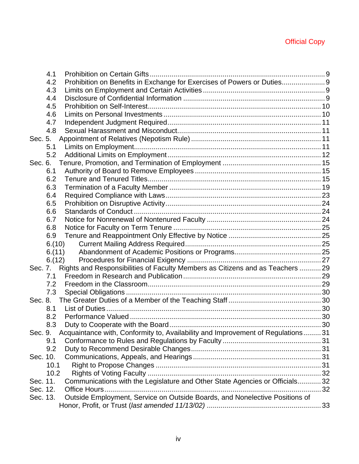| 4.1                                                                                        |  |
|--------------------------------------------------------------------------------------------|--|
| Prohibition on Benefits in Exchange for Exercises of Powers or Duties<br>4.2               |  |
| 4.3                                                                                        |  |
| 4.4                                                                                        |  |
| 4.5                                                                                        |  |
| 4.6                                                                                        |  |
| 4.7                                                                                        |  |
| 4.8                                                                                        |  |
| Sec. 5.                                                                                    |  |
| 5.1                                                                                        |  |
| 5.2                                                                                        |  |
| Sec. 6.                                                                                    |  |
| 6.1                                                                                        |  |
| 6.2                                                                                        |  |
| 6.3                                                                                        |  |
| 6.4                                                                                        |  |
| 6.5                                                                                        |  |
| 6.6                                                                                        |  |
| 6.7                                                                                        |  |
| 6.8                                                                                        |  |
| 6.9                                                                                        |  |
| 6.(10)                                                                                     |  |
| 6.(11)                                                                                     |  |
| 6.(12)                                                                                     |  |
| Rights and Responsibilities of Faculty Members as Citizens and as Teachers  29<br>Sec. 7.  |  |
| 7.1                                                                                        |  |
| 7.2                                                                                        |  |
| 7.3                                                                                        |  |
| Sec. 8.                                                                                    |  |
| 8.1                                                                                        |  |
| 8.2                                                                                        |  |
| 8.3                                                                                        |  |
| Acquaintance with, Conformity to, Availability and Improvement of Regulations31<br>Sec. 9. |  |
| 9.1                                                                                        |  |
| 9.2                                                                                        |  |
| Sec. 10.                                                                                   |  |
| 10.1                                                                                       |  |
| 10.2                                                                                       |  |
| Communications with the Legislature and Other State Agencies or Officials32<br>Sec. 11.    |  |
| Sec. 12.                                                                                   |  |
| Outside Employment, Service on Outside Boards, and Nonelective Positions of<br>Sec. 13.    |  |
|                                                                                            |  |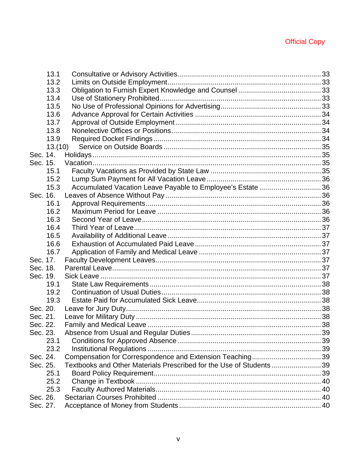|          | 13.1    |                                                                     |  |
|----------|---------|---------------------------------------------------------------------|--|
|          | 13.2    |                                                                     |  |
|          | 13.3    |                                                                     |  |
|          | 13.4    |                                                                     |  |
|          | 13.5    |                                                                     |  |
|          | 13.6    |                                                                     |  |
|          | 13.7    |                                                                     |  |
|          | 13.8    |                                                                     |  |
|          | 13.9    |                                                                     |  |
|          | 13.(10) |                                                                     |  |
| Sec. 14. |         |                                                                     |  |
| Sec. 15. |         |                                                                     |  |
|          | 15.1    |                                                                     |  |
|          | 15.2    |                                                                     |  |
|          | 15.3    | Accumulated Vacation Leave Payable to Employee's Estate 36          |  |
| Sec. 16. |         |                                                                     |  |
|          | 16.1    |                                                                     |  |
|          | 16.2    |                                                                     |  |
|          | 16.3    |                                                                     |  |
|          | 16.4    |                                                                     |  |
|          | 16.5    |                                                                     |  |
|          | 16.6    |                                                                     |  |
|          | 16.7    |                                                                     |  |
| Sec. 17. |         |                                                                     |  |
| Sec. 18. |         |                                                                     |  |
| Sec. 19. |         |                                                                     |  |
|          | 19.1    |                                                                     |  |
|          | 19.2    |                                                                     |  |
|          | 19.3    |                                                                     |  |
| Sec. 20. |         |                                                                     |  |
| Sec. 21. |         |                                                                     |  |
| Sec. 22. |         |                                                                     |  |
| Sec. 23. |         |                                                                     |  |
|          | 23.1    |                                                                     |  |
|          | 23.2    |                                                                     |  |
| Sec. 24. |         |                                                                     |  |
| Sec. 25. |         | Textbooks and Other Materials Prescribed for the Use of Students 39 |  |
|          | 25.1    |                                                                     |  |
|          | 25.2    |                                                                     |  |
|          | 25.3    |                                                                     |  |
| Sec. 26. |         |                                                                     |  |
| Sec. 27. |         |                                                                     |  |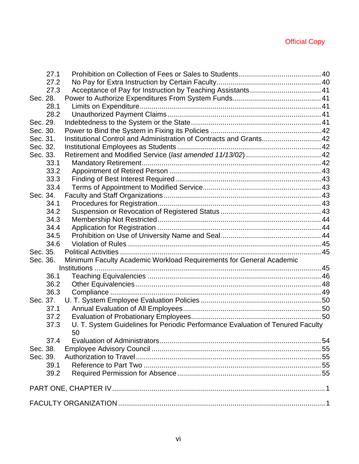|          | 27.1 |                                                                                |  |
|----------|------|--------------------------------------------------------------------------------|--|
|          | 27.2 |                                                                                |  |
|          | 27.3 |                                                                                |  |
| Sec. 28. |      |                                                                                |  |
|          | 28.1 |                                                                                |  |
|          | 28.2 |                                                                                |  |
| Sec. 29. |      |                                                                                |  |
| Sec. 30. |      |                                                                                |  |
| Sec. 31. |      | Institutional Control and Administration of Contracts and Grants 42            |  |
| Sec. 32. |      |                                                                                |  |
| Sec. 33. |      |                                                                                |  |
|          | 33.1 |                                                                                |  |
|          | 33.2 |                                                                                |  |
|          | 33.3 |                                                                                |  |
|          | 33.4 |                                                                                |  |
| Sec. 34. |      |                                                                                |  |
|          | 34.1 |                                                                                |  |
|          | 34.2 |                                                                                |  |
|          | 34.3 |                                                                                |  |
|          | 34.4 |                                                                                |  |
|          | 34.5 |                                                                                |  |
|          | 34.6 |                                                                                |  |
| Sec. 35. |      |                                                                                |  |
| Sec. 36. |      | Minimum Faculty Academic Workload Requirements for General Academic            |  |
|          |      |                                                                                |  |
|          | 36.1 |                                                                                |  |
|          | 36.2 |                                                                                |  |
|          | 36.3 |                                                                                |  |
| Sec. 37. |      |                                                                                |  |
|          | 37.1 |                                                                                |  |
|          | 37.2 |                                                                                |  |
|          | 37.3 | U. T. System Guidelines for Periodic Performance Evaluation of Tenured Faculty |  |
|          |      | 50                                                                             |  |
|          | 37.4 |                                                                                |  |
| Sec. 38. |      |                                                                                |  |
| Sec. 39. |      |                                                                                |  |
|          | 39.1 |                                                                                |  |
|          | 39.2 |                                                                                |  |
|          |      |                                                                                |  |
|          |      |                                                                                |  |
|          |      |                                                                                |  |
|          |      |                                                                                |  |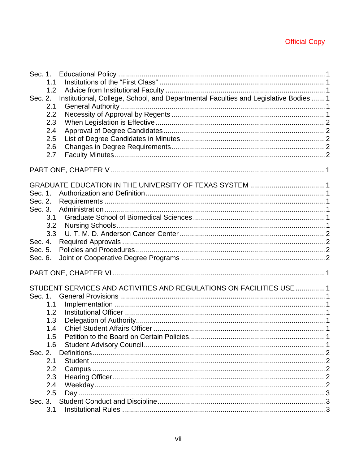| 1.1                                                                                             |  |
|-------------------------------------------------------------------------------------------------|--|
| 1.2                                                                                             |  |
| Institutional, College, School, and Departmental Faculties and Legislative Bodies  1<br>Sec. 2. |  |
| 2.1                                                                                             |  |
| 2.2                                                                                             |  |
| 2.3                                                                                             |  |
| 2.4                                                                                             |  |
| 2.5                                                                                             |  |
| 2.6                                                                                             |  |
| 2.7                                                                                             |  |
|                                                                                                 |  |
|                                                                                                 |  |
| GRADUATE EDUCATION IN THE UNIVERSITY OF TEXAS SYSTEM  1                                         |  |
| Sec. 1.                                                                                         |  |
| Sec. 2.                                                                                         |  |
| Sec. 3.                                                                                         |  |
| 3.1                                                                                             |  |
| 3.2                                                                                             |  |
| 3.3                                                                                             |  |
| Sec. 4.                                                                                         |  |
| Sec. 5.                                                                                         |  |
| Sec. 6.                                                                                         |  |
|                                                                                                 |  |
|                                                                                                 |  |
|                                                                                                 |  |
| STUDENT SERVICES AND ACTIVITIES AND REGULATIONS ON FACILITIES USE 1                             |  |
| Sec. 1.                                                                                         |  |
| 1.1                                                                                             |  |
| 1.2                                                                                             |  |
| 1.3                                                                                             |  |
| 1.4<br>1.5                                                                                      |  |
|                                                                                                 |  |
| 1.6<br>Sec. 2.                                                                                  |  |
|                                                                                                 |  |
| 2.1<br>2.2                                                                                      |  |
| 2.3                                                                                             |  |
| 2.4                                                                                             |  |
| 2.5                                                                                             |  |
| Sec. 3.                                                                                         |  |
| 3.1                                                                                             |  |
|                                                                                                 |  |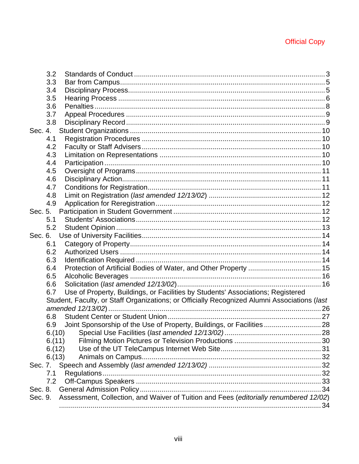| 3.2     |                                                                                              |  |
|---------|----------------------------------------------------------------------------------------------|--|
| 3.3     |                                                                                              |  |
| 3.4     |                                                                                              |  |
| 3.5     |                                                                                              |  |
| 3.6     |                                                                                              |  |
| 3.7     |                                                                                              |  |
| 3.8     |                                                                                              |  |
| Sec. 4. |                                                                                              |  |
| 4.1     |                                                                                              |  |
| 4.2     |                                                                                              |  |
| 4.3     |                                                                                              |  |
| 4.4     |                                                                                              |  |
| 4.5     |                                                                                              |  |
| 4.6     |                                                                                              |  |
| 4.7     |                                                                                              |  |
| 4.8     |                                                                                              |  |
| 4.9     |                                                                                              |  |
| Sec. 5. |                                                                                              |  |
| 5.1     |                                                                                              |  |
| 5.2     |                                                                                              |  |
| Sec. 6. |                                                                                              |  |
| 6.1     |                                                                                              |  |
| 6.2     |                                                                                              |  |
| 6.3     |                                                                                              |  |
| 6.4     |                                                                                              |  |
|         |                                                                                              |  |
| 6.5     |                                                                                              |  |
| 6.6     |                                                                                              |  |
| 6.7     | Use of Property, Buildings, or Facilities by Students' Associations; Registered              |  |
|         | Student, Faculty, or Staff Organizations; or Officially Recognized Alumni Associations (last |  |
|         |                                                                                              |  |
| 6.8     |                                                                                              |  |
| 6.9     | Joint Sponsorship of the Use of Property, Buildings, or Facilities 28                        |  |
|         | 6.(10)                                                                                       |  |
|         | 6.(11)                                                                                       |  |
|         | 6.(12)                                                                                       |  |
|         | 6.(13)                                                                                       |  |
| Sec. 7. |                                                                                              |  |
| 7.1     |                                                                                              |  |
| 7.2     |                                                                                              |  |
| Sec. 8. |                                                                                              |  |
| Sec. 9. | Assessment, Collection, and Waiver of Tuition and Fees (editorially renumbered 12/02)        |  |
|         |                                                                                              |  |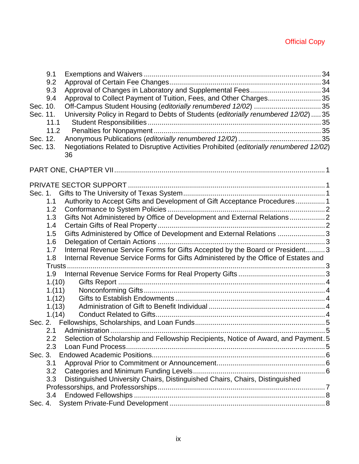|          | 9.1    |                                                                                         |  |
|----------|--------|-----------------------------------------------------------------------------------------|--|
|          | 9.2    |                                                                                         |  |
|          | 9.3    |                                                                                         |  |
|          | 9.4    | Approval to Collect Payment of Tuition, Fees, and Other Charges35                       |  |
| Sec. 10. |        | Off-Campus Student Housing (editorially renumbered 12/02) 35                            |  |
| Sec. 11. |        | University Policy in Regard to Debts of Students (editorially renumbered 12/02)  35     |  |
|          | 11.1   |                                                                                         |  |
|          | 11.2   |                                                                                         |  |
| Sec. 12. |        |                                                                                         |  |
| Sec. 13. |        | Negotiations Related to Disruptive Activities Prohibited (editorially renumbered 12/02) |  |
|          |        | 36                                                                                      |  |
|          |        |                                                                                         |  |
|          |        |                                                                                         |  |
| Sec. 1.  |        |                                                                                         |  |
|          | 1.1    | Authority to Accept Gifts and Development of Gift Acceptance Procedures 1               |  |
|          | 1.2    |                                                                                         |  |
|          | 1.3    | Gifts Not Administered by Office of Development and External Relations2                 |  |
|          | 1.4    |                                                                                         |  |
|          | 1.5    | Gifts Administered by Office of Development and External Relations 3                    |  |
|          | 1.6    |                                                                                         |  |
|          | 1.7    | Internal Revenue Service Forms for Gifts Accepted by the Board or President3            |  |
|          | 1.8    | Internal Revenue Service Forms for Gifts Administered by the Office of Estates and      |  |
|          |        | Trusts                                                                                  |  |
|          | 1.9    |                                                                                         |  |
|          | 1.(10) |                                                                                         |  |
|          | 1.(11) |                                                                                         |  |
|          | 1.(12) |                                                                                         |  |
|          | 1.(13) |                                                                                         |  |
|          | 1.(14) |                                                                                         |  |
|          |        |                                                                                         |  |
|          | 2.1    |                                                                                         |  |
|          | 2.2    | Selection of Scholarship and Fellowship Recipients, Notice of Award, and Payment. 5     |  |
|          | 2.3    |                                                                                         |  |
| Sec. 3.  |        |                                                                                         |  |
|          | 3.1    |                                                                                         |  |
|          | 3.2    |                                                                                         |  |
|          | 3.3    | Distinguished University Chairs, Distinguished Chairs, Chairs, Distinguished            |  |
|          |        |                                                                                         |  |
|          | 3.4    |                                                                                         |  |
| Sec. 4.  |        |                                                                                         |  |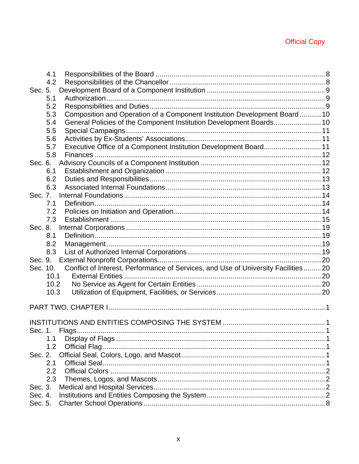| 4.1                                                                                           |  |
|-----------------------------------------------------------------------------------------------|--|
| 4.2                                                                                           |  |
| Sec. 5.                                                                                       |  |
| 5.1                                                                                           |  |
| 5.2                                                                                           |  |
| Composition and Operation of a Component Institution Development Board 10<br>5.3              |  |
| General Policies of the Component Institution Development Boards 10<br>5.4                    |  |
| 5.5                                                                                           |  |
| 5.6                                                                                           |  |
| Executive Office of a Component Institution Development Board 11<br>5.7                       |  |
| 5.8                                                                                           |  |
| Sec. 6.                                                                                       |  |
| 6.1                                                                                           |  |
| 6.2                                                                                           |  |
| 6.3                                                                                           |  |
| Sec. 7.                                                                                       |  |
| 7.1                                                                                           |  |
| 7.2                                                                                           |  |
| 7.3                                                                                           |  |
| Sec. 8.                                                                                       |  |
| 8.1                                                                                           |  |
| 8.2                                                                                           |  |
| 8.3                                                                                           |  |
| Sec. 9.                                                                                       |  |
| Conflict of Interest, Performance of Services, and Use of University Facilities20<br>Sec. 10. |  |
| 10.1                                                                                          |  |
| 10.2                                                                                          |  |
| 10.3                                                                                          |  |
|                                                                                               |  |
|                                                                                               |  |
|                                                                                               |  |
|                                                                                               |  |
| Sec. 1. Flags.                                                                                |  |
| 1.1                                                                                           |  |
| 1.2                                                                                           |  |
| Sec. 2.                                                                                       |  |
| 2.1                                                                                           |  |
| 2.2                                                                                           |  |
| 2.3                                                                                           |  |
| Sec. 3.                                                                                       |  |
| Sec. 4.                                                                                       |  |
| Sec. 5.                                                                                       |  |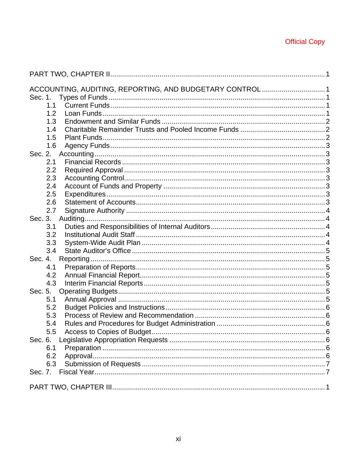| ACCOUNTING, AUDITING, REPORTING, AND BUDGETARY CONTROL 1<br>Sec. 1. |  |
|---------------------------------------------------------------------|--|
| 1.1                                                                 |  |
| 1.2<br>1.3                                                          |  |
| 1.4                                                                 |  |
| 1.5                                                                 |  |
| 1.6                                                                 |  |
| Sec. 2.                                                             |  |
| 2.1                                                                 |  |
| 2.2                                                                 |  |
| 2.3                                                                 |  |
| 2.4                                                                 |  |
| 2.5                                                                 |  |
| 2.6                                                                 |  |
| 2.7                                                                 |  |
| Sec. 3.                                                             |  |
| 3.1                                                                 |  |
| 3.2                                                                 |  |
| 3.3                                                                 |  |
| 3.4                                                                 |  |
| Sec. 4.                                                             |  |
| 4.1<br>4.2                                                          |  |
| 4.3                                                                 |  |
| Sec. 5.                                                             |  |
| 5.1                                                                 |  |
| 5.2                                                                 |  |
| 5.3                                                                 |  |
| 5.4                                                                 |  |
| 5.5<br>Access to Copies of Budget                                   |  |
| Sec. 6.                                                             |  |
| 6.1                                                                 |  |
| 6.2                                                                 |  |
| 6.3                                                                 |  |
| Sec. 7.                                                             |  |
|                                                                     |  |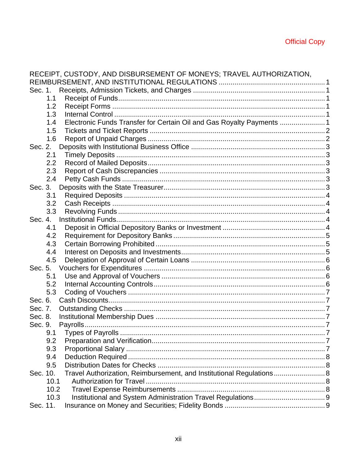| RECEIPT, CUSTODY, AND DISBURSEMENT OF MONEYS; TRAVEL AUTHORIZATION,              |  |
|----------------------------------------------------------------------------------|--|
|                                                                                  |  |
| Sec. 1.                                                                          |  |
| 1.1                                                                              |  |
| 1.2                                                                              |  |
| 1.3                                                                              |  |
| Electronic Funds Transfer for Certain Oil and Gas Royalty Payments  1<br>1.4     |  |
| 1.5                                                                              |  |
| 1.6                                                                              |  |
| Sec. 2.                                                                          |  |
| 2.1                                                                              |  |
| 2.2                                                                              |  |
| 2.3                                                                              |  |
| 2.4                                                                              |  |
| Sec. 3.                                                                          |  |
| 3.1                                                                              |  |
| 3.2                                                                              |  |
| 3.3                                                                              |  |
| Sec. 4.                                                                          |  |
| 4.1                                                                              |  |
| 4.2                                                                              |  |
| 4.3                                                                              |  |
| 4.4                                                                              |  |
| 4.5                                                                              |  |
| Sec. 5.                                                                          |  |
| 5.1                                                                              |  |
| 5.2                                                                              |  |
| 5.3                                                                              |  |
| Sec. 6.                                                                          |  |
| Sec. 7.                                                                          |  |
| Sec. 8.                                                                          |  |
| Sec. 9.                                                                          |  |
|                                                                                  |  |
| 9.2                                                                              |  |
| 9.3                                                                              |  |
| 9.4                                                                              |  |
| 9.5                                                                              |  |
| Travel Authorization, Reimbursement, and Institutional Regulations 8<br>Sec. 10. |  |
| 10.1                                                                             |  |
| 10.2                                                                             |  |
| 10.3                                                                             |  |
| Sec. 11.                                                                         |  |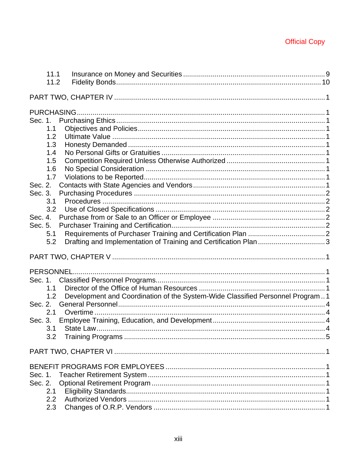|         | 11.1       |                                                                               |  |
|---------|------------|-------------------------------------------------------------------------------|--|
|         | 11.2       |                                                                               |  |
|         |            |                                                                               |  |
|         |            |                                                                               |  |
|         |            |                                                                               |  |
| Sec. 1. |            |                                                                               |  |
|         | 1.1        |                                                                               |  |
|         | 1.2        |                                                                               |  |
|         | 1.3        |                                                                               |  |
|         | 1.4        |                                                                               |  |
|         | 1.5        |                                                                               |  |
|         | 1.6        |                                                                               |  |
|         | 1.7        |                                                                               |  |
| Sec. 2. |            |                                                                               |  |
| Sec. 3. |            |                                                                               |  |
|         | 3.1<br>3.2 |                                                                               |  |
| Sec. 4. |            |                                                                               |  |
| Sec. 5. |            |                                                                               |  |
|         | 5.1        |                                                                               |  |
|         | 5.2        | Drafting and Implementation of Training and Certification Plan 3              |  |
|         |            |                                                                               |  |
|         |            |                                                                               |  |
|         |            |                                                                               |  |
|         |            |                                                                               |  |
|         |            |                                                                               |  |
|         | 1.1        |                                                                               |  |
|         | 1.2        | Development and Coordination of the System-Wide Classified Personnel Program1 |  |
| Sec. 2. | 2.1        |                                                                               |  |
| Sec. 3. |            |                                                                               |  |
|         | 3.1        |                                                                               |  |
|         | 3.2        |                                                                               |  |
|         |            |                                                                               |  |
|         |            |                                                                               |  |
|         |            |                                                                               |  |
|         |            |                                                                               |  |
| Sec. 1. |            |                                                                               |  |
| Sec. 2. |            |                                                                               |  |
|         | 2.1<br>2.2 |                                                                               |  |
|         | 2.3        |                                                                               |  |
|         |            |                                                                               |  |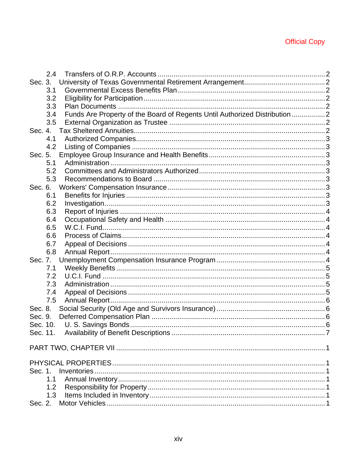| 2.4                                                                              |  |
|----------------------------------------------------------------------------------|--|
| Sec. 3.                                                                          |  |
| 3.1                                                                              |  |
| 3.2                                                                              |  |
| 3.3                                                                              |  |
| Funds Are Property of the Board of Regents Until Authorized Distribution2<br>3.4 |  |
| 3.5                                                                              |  |
| Sec. 4.                                                                          |  |
| 4.1                                                                              |  |
| 4.2                                                                              |  |
| Sec. 5.                                                                          |  |
| 5.1                                                                              |  |
| 5.2                                                                              |  |
| 5.3                                                                              |  |
| Sec. 6.                                                                          |  |
| 6.1                                                                              |  |
| 6.2                                                                              |  |
| 6.3                                                                              |  |
| 6.4                                                                              |  |
| 6.5                                                                              |  |
| 6.6                                                                              |  |
| 6.7                                                                              |  |
| 6.8                                                                              |  |
| Sec. 7.                                                                          |  |
| 7.1                                                                              |  |
| 7.2                                                                              |  |
| 7.3                                                                              |  |
| 7.4                                                                              |  |
| 7.5                                                                              |  |
| Sec. 8.                                                                          |  |
| Sec. 9.                                                                          |  |
| Sec. 10.                                                                         |  |
| Sec. 11.                                                                         |  |
|                                                                                  |  |
|                                                                                  |  |
|                                                                                  |  |
|                                                                                  |  |
| Sec. 1.                                                                          |  |
| 1.1                                                                              |  |
| 1.2                                                                              |  |
| 1.3                                                                              |  |
|                                                                                  |  |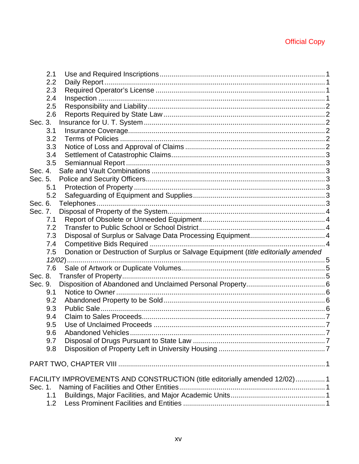|         | 2.1 |                                                                                    |  |
|---------|-----|------------------------------------------------------------------------------------|--|
|         | 2.2 |                                                                                    |  |
|         | 2.3 |                                                                                    |  |
|         | 2.4 |                                                                                    |  |
|         | 2.5 |                                                                                    |  |
|         |     |                                                                                    |  |
|         | 2.6 |                                                                                    |  |
| Sec. 3. |     |                                                                                    |  |
|         | 3.1 |                                                                                    |  |
|         | 3.2 |                                                                                    |  |
|         | 3.3 |                                                                                    |  |
|         | 3.4 |                                                                                    |  |
|         | 3.5 |                                                                                    |  |
| Sec. 4. |     |                                                                                    |  |
| Sec. 5. |     |                                                                                    |  |
|         | 5.1 |                                                                                    |  |
|         | 5.2 |                                                                                    |  |
| Sec. 6. |     |                                                                                    |  |
| Sec. 7. |     |                                                                                    |  |
|         | 7.1 |                                                                                    |  |
|         | 7.2 |                                                                                    |  |
|         | 7.3 |                                                                                    |  |
|         | 7.4 |                                                                                    |  |
|         | 7.5 | Donation or Destruction of Surplus or Salvage Equipment (title editorially amended |  |
|         |     |                                                                                    |  |
|         | 7.6 |                                                                                    |  |
| Sec. 8. |     |                                                                                    |  |
| Sec. 9. |     |                                                                                    |  |
|         | 9.1 |                                                                                    |  |
|         | 9.2 |                                                                                    |  |
|         |     |                                                                                    |  |
|         | 9.3 |                                                                                    |  |
|         | 9.4 |                                                                                    |  |
|         | 9.5 |                                                                                    |  |
|         | 9.6 |                                                                                    |  |
|         | 9.7 |                                                                                    |  |
|         | 9.8 |                                                                                    |  |
|         |     |                                                                                    |  |
|         |     |                                                                                    |  |
|         |     |                                                                                    |  |
|         |     | FACILITY IMPROVEMENTS AND CONSTRUCTION (title editorially amended 12/02) 1         |  |
| Sec. 1. |     |                                                                                    |  |
|         | 1.1 |                                                                                    |  |
|         | 1.2 |                                                                                    |  |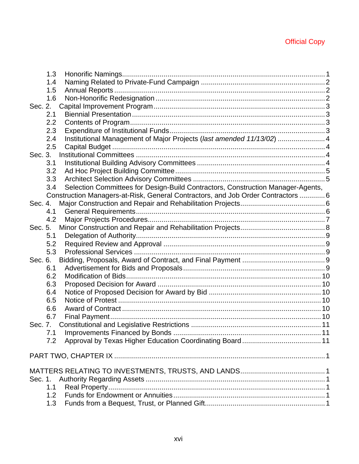| 1.3                                                                                    |  |
|----------------------------------------------------------------------------------------|--|
| 1.4                                                                                    |  |
| 1.5                                                                                    |  |
| 1.6                                                                                    |  |
| Sec. 2.                                                                                |  |
| 2.1                                                                                    |  |
| 2.2                                                                                    |  |
| 2.3                                                                                    |  |
| Institutional Management of Major Projects (last amended 11/13/02)  4<br>2.4           |  |
| 2.5                                                                                    |  |
| Sec. 3.                                                                                |  |
| 3.1                                                                                    |  |
| 3.2                                                                                    |  |
| 3.3                                                                                    |  |
| Selection Committees for Design-Build Contractors, Construction Manager-Agents,<br>3.4 |  |
|                                                                                        |  |
| Construction Managers-at-Risk, General Contractors, and Job Order Contractors  6       |  |
| Sec. 4.                                                                                |  |
| 4.1                                                                                    |  |
| 4.2                                                                                    |  |
| Sec. 5.                                                                                |  |
| 5.1                                                                                    |  |
| 5.2                                                                                    |  |
| 5.3                                                                                    |  |
| Sec. 6.                                                                                |  |
| 6.1                                                                                    |  |
| 6.2                                                                                    |  |
| 6.3                                                                                    |  |
| 6.4                                                                                    |  |
| 6.5                                                                                    |  |
| 6.6                                                                                    |  |
| 6.7                                                                                    |  |
| Sec. 7.                                                                                |  |
| 7.1                                                                                    |  |
| 7.2                                                                                    |  |
|                                                                                        |  |
|                                                                                        |  |
|                                                                                        |  |
| Sec. 1.                                                                                |  |
| 1.1                                                                                    |  |
| 1.2                                                                                    |  |
| 1.3                                                                                    |  |
|                                                                                        |  |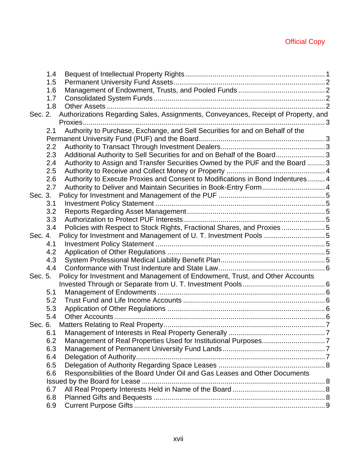|         | 1.4 |                                                                                    |  |
|---------|-----|------------------------------------------------------------------------------------|--|
|         | 1.5 |                                                                                    |  |
|         | 1.6 |                                                                                    |  |
|         | 1.7 |                                                                                    |  |
|         | 1.8 |                                                                                    |  |
| Sec. 2. |     | Authorizations Regarding Sales, Assignments, Conveyances, Receipt of Property, and |  |
|         |     |                                                                                    |  |
|         | 2.1 | Authority to Purchase, Exchange, and Sell Securities for and on Behalf of the      |  |
|         |     |                                                                                    |  |
|         | 2.2 |                                                                                    |  |
|         | 2.3 | Additional Authority to Sell Securities for and on Behalf of the Board3            |  |
|         | 2.4 | Authority to Assign and Transfer Securities Owned by the PUF and the Board  3      |  |
|         | 2.5 |                                                                                    |  |
|         | 2.6 | Authority to Execute Proxies and Consent to Modifications in Bond Indentures 4     |  |
|         | 2.7 | Authority to Deliver and Maintain Securities in Book-Entry Form 4                  |  |
| Sec. 3. |     |                                                                                    |  |
|         | 3.1 |                                                                                    |  |
|         | 3.2 |                                                                                    |  |
|         | 3.3 |                                                                                    |  |
|         | 3.4 | Policies with Respect to Stock Rights, Fractional Shares, and Proxies5             |  |
| Sec. 4. |     | Policy for Investment and Management of U. T. Investment Pools 5                   |  |
|         | 4.1 |                                                                                    |  |
|         | 4.2 |                                                                                    |  |
|         | 4.3 |                                                                                    |  |
|         | 4.4 |                                                                                    |  |
| Sec. 5. |     | Policy for Investment and Management of Endowment, Trust, and Other Accounts       |  |
|         |     |                                                                                    |  |
|         | 5.1 |                                                                                    |  |
|         | 5.2 |                                                                                    |  |
|         | 5.3 |                                                                                    |  |
|         | 5.4 |                                                                                    |  |
| Sec. 6. |     |                                                                                    |  |
|         | 6.1 |                                                                                    |  |
|         | 6.2 |                                                                                    |  |
|         | 6.3 |                                                                                    |  |
|         | 6.4 |                                                                                    |  |
|         | 6.5 |                                                                                    |  |
|         | 6.6 | Responsibilities of the Board Under Oil and Gas Leases and Other Documents         |  |
|         |     |                                                                                    |  |
|         | 6.7 |                                                                                    |  |
|         | 6.8 |                                                                                    |  |
|         | 6.9 |                                                                                    |  |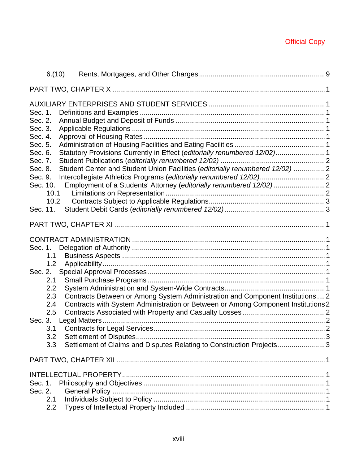| 6.(10)                                                                                                                                  |                                                                                                                                                                                                                                             |  |
|-----------------------------------------------------------------------------------------------------------------------------------------|---------------------------------------------------------------------------------------------------------------------------------------------------------------------------------------------------------------------------------------------|--|
|                                                                                                                                         |                                                                                                                                                                                                                                             |  |
| Sec. 1.<br>Sec. 2.<br>Sec. 3.<br>Sec. 4.<br>Sec. 5.<br>Sec. 6.<br>Sec. 7.<br>Sec. 8.<br>Sec. 9.<br>Sec. 10.<br>10.1<br>10.2<br>Sec. 11. | Statutory Provisions Currently in Effect (editorially renumbered 12/02) 1<br>Student Center and Student Union Facilities (editorially renumbered 12/02) 2<br>Employment of a Students' Attorney (editorially renumbered 12/02) 2            |  |
|                                                                                                                                         |                                                                                                                                                                                                                                             |  |
| Sec. 1.<br>1.1<br>1.2<br>Sec. 2.<br>2.1<br>2.2<br>2.3<br>2.4<br>2.5<br>Sec. 3.<br>3.1<br>3.2<br>3.3                                     | Contracts Between or Among System Administration and Component Institutions  2<br>Contracts with System Administration or Between or Among Component Institutions 2<br>Settlement of Claims and Disputes Relating to Construction Projects3 |  |
|                                                                                                                                         |                                                                                                                                                                                                                                             |  |
| Sec. 1.<br>Sec. 2.<br>2.1<br>2.2                                                                                                        |                                                                                                                                                                                                                                             |  |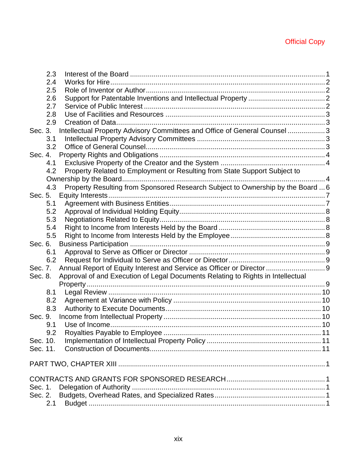| 2.3                                                                                        |  |
|--------------------------------------------------------------------------------------------|--|
| 2.4                                                                                        |  |
| 2.5                                                                                        |  |
| 2.6                                                                                        |  |
| 2.7                                                                                        |  |
| 2.8                                                                                        |  |
| 2.9                                                                                        |  |
| Intellectual Property Advisory Committees and Office of General Counsel3<br>Sec. 3.        |  |
| 3.1                                                                                        |  |
| 3.2                                                                                        |  |
| Sec. 4.                                                                                    |  |
| 4.1                                                                                        |  |
| 4.2<br>Property Related to Employment or Resulting from State Support Subject to           |  |
|                                                                                            |  |
| Property Resulting from Sponsored Research Subject to Ownership by the Board  6<br>4.3     |  |
| Sec. 5.                                                                                    |  |
| 5.1                                                                                        |  |
| 5.2                                                                                        |  |
| 5.3                                                                                        |  |
| 5.4                                                                                        |  |
| 5.5                                                                                        |  |
| Sec. 6.                                                                                    |  |
| 6.1                                                                                        |  |
| 6.2                                                                                        |  |
| Annual Report of Equity Interest and Service as Officer or Director  9<br>Sec. 7.          |  |
| Approval of and Execution of Legal Documents Relating to Rights in Intellectual<br>Sec. 8. |  |
|                                                                                            |  |
|                                                                                            |  |
| 8.1                                                                                        |  |
| 8.2                                                                                        |  |
| 8.3                                                                                        |  |
| Sec. 9.                                                                                    |  |
| 9.1                                                                                        |  |
| 9.2                                                                                        |  |
| Sec. 10.                                                                                   |  |
| Sec. 11.                                                                                   |  |
|                                                                                            |  |
|                                                                                            |  |
|                                                                                            |  |
| Sec. 1.                                                                                    |  |
| Sec. 2.                                                                                    |  |
| 2.1                                                                                        |  |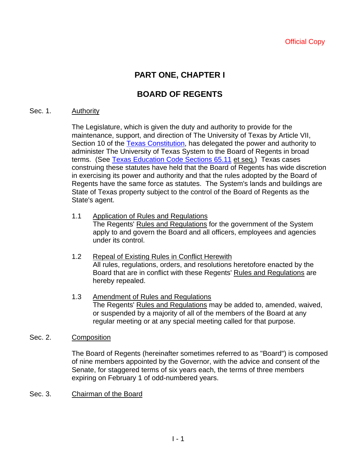# **PART ONE, CHAPTER I**

# **BOARD OF REGENTS**

### Sec. 1. Authority

The Legislature, which is given the duty and authority to provide for the maintenance, support, and direction of The University of Texas by Article VII, Section 10 of the Texas Constitution, has delegated the power and authority to administer The University of Texas System to the Board of Regents in broad terms. (See Texas Education Code Sections 65.11 et seq.) Texas cases construing these statutes have held that the Board of Regents has wide discretion in exercising its power and authority and that the rules adopted by the Board of Regents have the same force as statutes. The System's lands and buildings are State of Texas property subject to the control of the Board of Regents as the State's agent.

- 1.1 Application of Rules and Regulations The Regents' Rules and Regulations for the government of the System apply to and govern the Board and all officers, employees and agencies under its control.
- 1.2 Repeal of Existing Rules in Conflict Herewith All rules, regulations, orders, and resolutions heretofore enacted by the Board that are in conflict with these Regents' Rules and Regulations are hereby repealed.
- 1.3 Amendment of Rules and Regulations The Regents' Rules and Regulations may be added to, amended, waived, or suspended by a majority of all of the members of the Board at any regular meeting or at any special meeting called for that purpose.

# Sec. 2. Composition

The Board of Regents (hereinafter sometimes referred to as "Board") is composed of nine members appointed by the Governor, with the advice and consent of the Senate, for staggered terms of six years each, the terms of three members expiring on February 1 of odd-numbered years.

# Sec. 3. Chairman of the Board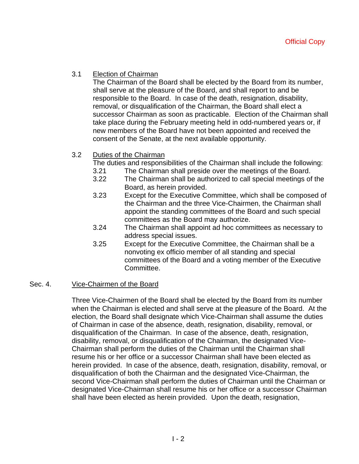# 3.1 Election of Chairman

The Chairman of the Board shall be elected by the Board from its number, shall serve at the pleasure of the Board, and shall report to and be responsible to the Board. In case of the death, resignation, disability, removal, or disqualification of the Chairman, the Board shall elect a successor Chairman as soon as practicable. Election of the Chairman shall take place during the February meeting held in odd-numbered years or, if new members of the Board have not been appointed and received the consent of the Senate, at the next available opportunity.

# 3.2 Duties of the Chairman

The duties and responsibilities of the Chairman shall include the following:

- 3.21 The Chairman shall preside over the meetings of the Board.
- 3.22 The Chairman shall be authorized to call special meetings of the Board, as herein provided.
- 3.23 Except for the Executive Committee, which shall be composed of the Chairman and the three Vice-Chairmen, the Chairman shall appoint the standing committees of the Board and such special committees as the Board may authorize.
- 3.24 The Chairman shall appoint ad hoc committees as necessary to address special issues.
- 3.25 Except for the Executive Committee, the Chairman shall be a nonvoting ex officio member of all standing and special committees of the Board and a voting member of the Executive Committee.

# Sec. 4. Vice-Chairmen of the Board

Three Vice-Chairmen of the Board shall be elected by the Board from its number when the Chairman is elected and shall serve at the pleasure of the Board. At the election, the Board shall designate which Vice-Chairman shall assume the duties of Chairman in case of the absence, death, resignation, disability, removal, or disqualification of the Chairman. In case of the absence, death, resignation, disability, removal, or disqualification of the Chairman, the designated Vice-Chairman shall perform the duties of the Chairman until the Chairman shall resume his or her office or a successor Chairman shall have been elected as herein provided. In case of the absence, death, resignation, disability, removal, or disqualification of both the Chairman and the designated Vice-Chairman, the second Vice-Chairman shall perform the duties of Chairman until the Chairman or designated Vice-Chairman shall resume his or her office or a successor Chairman shall have been elected as herein provided. Upon the death, resignation,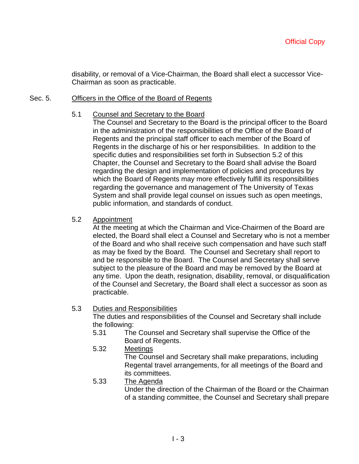disability, or removal of a Vice-Chairman, the Board shall elect a successor Vice-Chairman as soon as practicable.

#### Sec. 5. Officers in the Office of the Board of Regents

### 5.1 Counsel and Secretary to the Board

The Counsel and Secretary to the Board is the principal officer to the Board in the administration of the responsibilities of the Office of the Board of Regents and the principal staff officer to each member of the Board of Regents in the discharge of his or her responsibilities. In addition to the specific duties and responsibilities set forth in Subsection 5.2 of this Chapter, the Counsel and Secretary to the Board shall advise the Board regarding the design and implementation of policies and procedures by which the Board of Regents may more effectively fulfill its responsibilities regarding the governance and management of The University of Texas System and shall provide legal counsel on issues such as open meetings, public information, and standards of conduct.

# 5.2 Appointment

At the meeting at which the Chairman and Vice-Chairmen of the Board are elected, the Board shall elect a Counsel and Secretary who is not a member of the Board and who shall receive such compensation and have such staff as may be fixed by the Board. The Counsel and Secretary shall report to and be responsible to the Board. The Counsel and Secretary shall serve subject to the pleasure of the Board and may be removed by the Board at any time. Upon the death, resignation, disability, removal, or disqualification of the Counsel and Secretary, the Board shall elect a successor as soon as practicable.

#### 5.3 Duties and Responsibilities

The duties and responsibilities of the Counsel and Secretary shall include the following:

- 5.31 The Counsel and Secretary shall supervise the Office of the Board of Regents.
- 5.32 Meetings The Counsel and Secretary shall make preparations, including Regental travel arrangements, for all meetings of the Board and its committees.
- 5.33 The Agenda Under the direction of the Chairman of the Board or the Chairman of a standing committee, the Counsel and Secretary shall prepare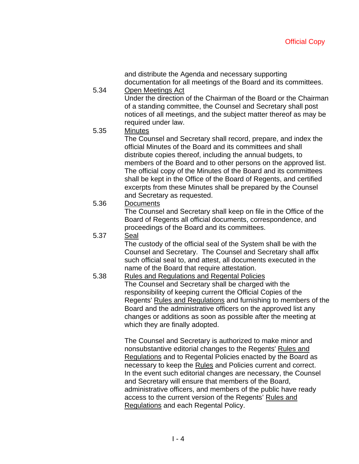and distribute the Agenda and necessary supporting documentation for all meetings of the Board and its committees.

- 5.34 Open Meetings Act Under the direction of the Chairman of the Board or the Chairman of a standing committee, the Counsel and Secretary shall post notices of all meetings, and the subject matter thereof as may be required under law.
- 5.35 Minutes

The Counsel and Secretary shall record, prepare, and index the official Minutes of the Board and its committees and shall distribute copies thereof, including the annual budgets, to members of the Board and to other persons on the approved list. The official copy of the Minutes of the Board and its committees shall be kept in the Office of the Board of Regents, and certified excerpts from these Minutes shall be prepared by the Counsel and Secretary as requested.

5.36 Documents

The Counsel and Secretary shall keep on file in the Office of the Board of Regents all official documents, correspondence, and proceedings of the Board and its committees.

5.37 Seal

The custody of the official seal of the System shall be with the Counsel and Secretary. The Counsel and Secretary shall affix such official seal to, and attest, all documents executed in the name of the Board that require attestation.

5.38 Rules and Regulations and Regental Policies

The Counsel and Secretary shall be charged with the responsibility of keeping current the Official Copies of the Regents' Rules and Regulations and furnishing to members of the Board and the administrative officers on the approved list any changes or additions as soon as possible after the meeting at which they are finally adopted.

The Counsel and Secretary is authorized to make minor and nonsubstantive editorial changes to the Regents' Rules and Regulations and to Regental Policies enacted by the Board as necessary to keep the Rules and Policies current and correct. In the event such editorial changes are necessary, the Counsel and Secretary will ensure that members of the Board, administrative officers, and members of the public have ready access to the current version of the Regents' Rules and Regulations and each Regental Policy.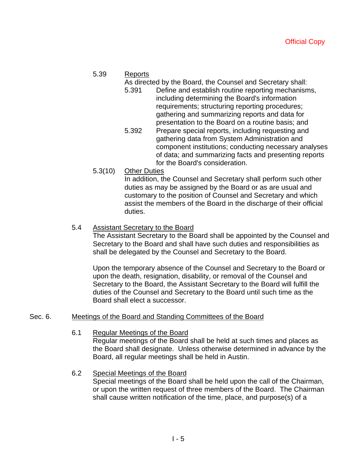### 5.39 Reports

As directed by the Board, the Counsel and Secretary shall:

- 5.391 Define and establish routine reporting mechanisms, including determining the Board's information requirements; structuring reporting procedures; gathering and summarizing reports and data for presentation to the Board on a routine basis; and
- 5.392 Prepare special reports, including requesting and gathering data from System Administration and component institutions; conducting necessary analyses of data; and summarizing facts and presenting reports for the Board's consideration.
- 5.3(10) Other Duties

In addition, the Counsel and Secretary shall perform such other duties as may be assigned by the Board or as are usual and customary to the position of Counsel and Secretary and which assist the members of the Board in the discharge of their official duties.

#### 5.4 Assistant Secretary to the Board

The Assistant Secretary to the Board shall be appointed by the Counsel and Secretary to the Board and shall have such duties and responsibilities as shall be delegated by the Counsel and Secretary to the Board.

Upon the temporary absence of the Counsel and Secretary to the Board or upon the death, resignation, disability, or removal of the Counsel and Secretary to the Board, the Assistant Secretary to the Board will fulfill the duties of the Counsel and Secretary to the Board until such time as the Board shall elect a successor.

# Sec. 6. Meetings of the Board and Standing Committees of the Board

# 6.1 Regular Meetings of the Board

Regular meetings of the Board shall be held at such times and places as the Board shall designate. Unless otherwise determined in advance by the Board, all regular meetings shall be held in Austin.

# 6.2 Special Meetings of the Board

Special meetings of the Board shall be held upon the call of the Chairman, or upon the written request of three members of the Board. The Chairman shall cause written notification of the time, place, and purpose(s) of a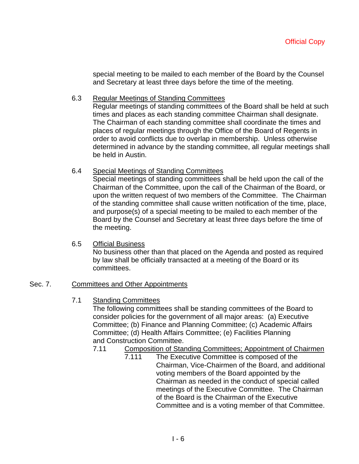special meeting to be mailed to each member of the Board by the Counsel and Secretary at least three days before the time of the meeting.

### 6.3 Regular Meetings of Standing Committees

Regular meetings of standing committees of the Board shall be held at such times and places as each standing committee Chairman shall designate. The Chairman of each standing committee shall coordinate the times and places of regular meetings through the Office of the Board of Regents in order to avoid conflicts due to overlap in membership. Unless otherwise determined in advance by the standing committee, all regular meetings shall be held in Austin.

#### 6.4 Special Meetings of Standing Committees

Special meetings of standing committees shall be held upon the call of the Chairman of the Committee, upon the call of the Chairman of the Board, or upon the written request of two members of the Committee. The Chairman of the standing committee shall cause written notification of the time, place, and purpose(s) of a special meeting to be mailed to each member of the Board by the Counsel and Secretary at least three days before the time of the meeting.

#### 6.5 Official Business

No business other than that placed on the Agenda and posted as required by law shall be officially transacted at a meeting of the Board or its committees.

### Sec. 7. Committees and Other Appointments

7.1 Standing Committees

The following committees shall be standing committees of the Board to consider policies for the government of all major areas: (a) Executive Committee; (b) Finance and Planning Committee; (c) Academic Affairs Committee; (d) Health Affairs Committee; (e) Facilities Planning and Construction Committee.

- 7.11 Composition of Standing Committees; Appointment of Chairmen
	- 7.111 The Executive Committee is composed of the Chairman, Vice-Chairmen of the Board, and additional voting members of the Board appointed by the Chairman as needed in the conduct of special called meetings of the Executive Committee. The Chairman of the Board is the Chairman of the Executive Committee and is a voting member of that Committee.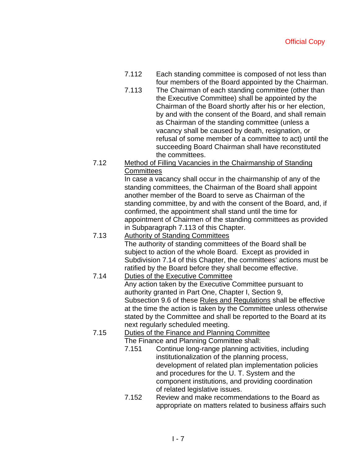- 7.112 Each standing committee is composed of not less than four members of the Board appointed by the Chairman.
- 7.113 The Chairman of each standing committee (other than the Executive Committee) shall be appointed by the Chairman of the Board shortly after his or her election, by and with the consent of the Board, and shall remain as Chairman of the standing committee (unless a vacancy shall be caused by death, resignation, or refusal of some member of a committee to act) until the succeeding Board Chairman shall have reconstituted the committees.
- 7.12 Method of Filling Vacancies in the Chairmanship of Standing **Committees**

In case a vacancy shall occur in the chairmanship of any of the standing committees, the Chairman of the Board shall appoint another member of the Board to serve as Chairman of the standing committee, by and with the consent of the Board, and, if confirmed, the appointment shall stand until the time for appointment of Chairmen of the standing committees as provided in Subparagraph 7.113 of this Chapter.

7.13 Authority of Standing Committees

The authority of standing committees of the Board shall be subject to action of the whole Board. Except as provided in Subdivision 7.14 of this Chapter, the committees' actions must be ratified by the Board before they shall become effective.

# 7.14 Duties of the Executive Committee

Any action taken by the Executive Committee pursuant to authority granted in Part One, Chapter I, Section 9, Subsection 9.6 of these Rules and Regulations shall be effective at the time the action is taken by the Committee unless otherwise stated by the Committee and shall be reported to the Board at its next regularly scheduled meeting.

# 7.15 Duties of the Finance and Planning Committee

- The Finance and Planning Committee shall:
	- 7.151 Continue long-range planning activities, including institutionalization of the planning process, development of related plan implementation policies and procedures for the U. T. System and the component institutions, and providing coordination of related legislative issues.
	- 7.152 Review and make recommendations to the Board as appropriate on matters related to business affairs such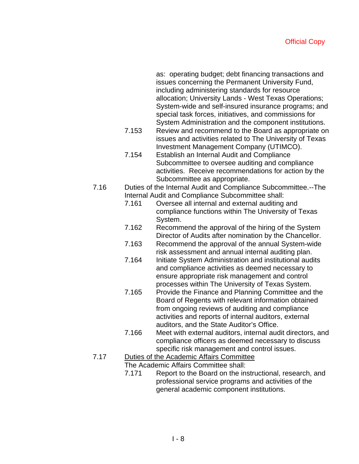as: operating budget; debt financing transactions and issues concerning the Permanent University Fund, including administering standards for resource allocation; University Lands - West Texas Operations; System-wide and self-insured insurance programs; and special task forces, initiatives, and commissions for System Administration and the component institutions.

- 7.153 Review and recommend to the Board as appropriate on issues and activities related to The University of Texas Investment Management Company (UTIMCO).
- 7.154 Establish an Internal Audit and Compliance Subcommittee to oversee auditing and compliance activities. Receive recommendations for action by the Subcommittee as appropriate.
- 7.16 Duties of the Internal Audit and Compliance Subcommittee.--The Internal Audit and Compliance Subcommittee shall:
	- 7.161 Oversee all internal and external auditing and compliance functions within The University of Texas System.
	- 7.162 Recommend the approval of the hiring of the System Director of Audits after nomination by the Chancellor.
	- 7.163 Recommend the approval of the annual System-wide risk assessment and annual internal auditing plan.
	- 7.164 Initiate System Administration and institutional audits and compliance activities as deemed necessary to ensure appropriate risk management and control processes within The University of Texas System.
	- 7.165 Provide the Finance and Planning Committee and the Board of Regents with relevant information obtained from ongoing reviews of auditing and compliance activities and reports of internal auditors, external auditors, and the State Auditor's Office.
	- 7.166 Meet with external auditors, internal audit directors, and compliance officers as deemed necessary to discuss specific risk management and control issues.

# 7.17 Duties of the Academic Affairs Committee

- The Academic Affairs Committee shall:
	- 7.171 Report to the Board on the instructional, research, and professional service programs and activities of the general academic component institutions.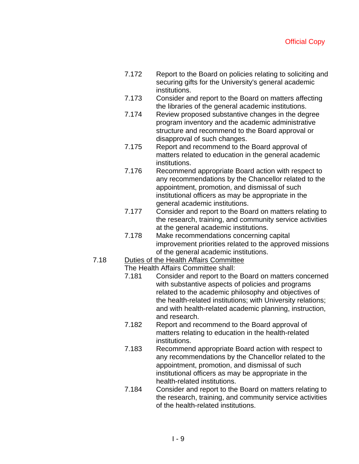- 7.172 Report to the Board on policies relating to soliciting and securing gifts for the University's general academic institutions.
- 7.173 Consider and report to the Board on matters affecting the libraries of the general academic institutions.
- 7.174 Review proposed substantive changes in the degree program inventory and the academic administrative structure and recommend to the Board approval or disapproval of such changes.
- 7.175 Report and recommend to the Board approval of matters related to education in the general academic institutions.
- 7.176 Recommend appropriate Board action with respect to any recommendations by the Chancellor related to the appointment, promotion, and dismissal of such institutional officers as may be appropriate in the general academic institutions.
- 7.177 Consider and report to the Board on matters relating to the research, training, and community service activities at the general academic institutions.
- 7.178 Make recommendations concerning capital improvement priorities related to the approved missions of the general academic institutions.
- 7.18 Duties of the Health Affairs Committee
	- The Health Affairs Committee shall:
		- 7.181 Consider and report to the Board on matters concerned with substantive aspects of policies and programs related to the academic philosophy and objectives of the health-related institutions; with University relations; and with health-related academic planning, instruction, and research.
		- 7.182 Report and recommend to the Board approval of matters relating to education in the health-related institutions.
		- 7.183 Recommend appropriate Board action with respect to any recommendations by the Chancellor related to the appointment, promotion, and dismissal of such institutional officers as may be appropriate in the health-related institutions.
		- 7.184 Consider and report to the Board on matters relating to the research, training, and community service activities of the health-related institutions.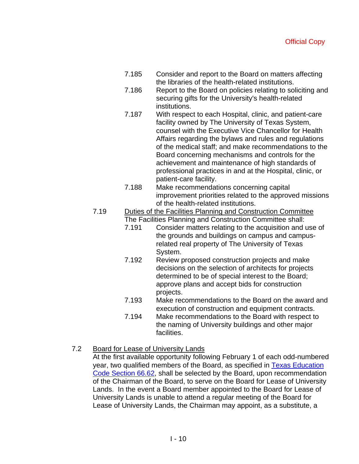- 7.185 Consider and report to the Board on matters affecting the libraries of the health-related institutions.
- 7.186 Report to the Board on policies relating to soliciting and securing gifts for the University's health-related institutions.
- 7.187 With respect to each Hospital, clinic, and patient-care facility owned by The University of Texas System, counsel with the Executive Vice Chancellor for Health Affairs regarding the bylaws and rules and regulations of the medical staff; and make recommendations to the Board concerning mechanisms and controls for the achievement and maintenance of high standards of professional practices in and at the Hospital, clinic, or patient-care facility.
- 7.188 Make recommendations concerning capital improvement priorities related to the approved missions of the health-related institutions.
- 7.19 Duties of the Facilities Planning and Construction Committee The Facilities Planning and Construction Committee shall:
	- 7.191 Consider matters relating to the acquisition and use of the grounds and buildings on campus and campusrelated real property of The University of Texas System.
	- 7.192 Review proposed construction projects and make decisions on the selection of architects for projects determined to be of special interest to the Board; approve plans and accept bids for construction projects.
	- 7.193 Make recommendations to the Board on the award and execution of construction and equipment contracts.
	- 7.194 Make recommendations to the Board with respect to the naming of University buildings and other major facilities.

# 7.2 Board for Lease of University Lands

At the first available opportunity following February 1 of each odd-numbered year, two qualified members of the Board, as specified in Texas Education Code Section 66.62, shall be selected by the Board, upon recommendation of the Chairman of the Board, to serve on the Board for Lease of University Lands. In the event a Board member appointed to the Board for Lease of University Lands is unable to attend a regular meeting of the Board for Lease of University Lands, the Chairman may appoint, as a substitute, a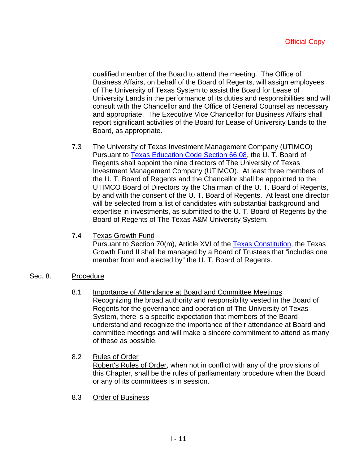qualified member of the Board to attend the meeting. The Office of Business Affairs, on behalf of the Board of Regents, will assign employees of The University of Texas System to assist the Board for Lease of University Lands in the performance of its duties and responsibilities and will consult with the Chancellor and the Office of General Counsel as necessary and appropriate. The Executive Vice Chancellor for Business Affairs shall report significant activities of the Board for Lease of University Lands to the Board, as appropriate.

- 7.3 The University of Texas Investment Management Company (UTIMCO) Pursuant to Texas Education Code Section 66.08, the U. T. Board of Regents shall appoint the nine directors of The University of Texas Investment Management Company (UTIMCO). At least three members of the U. T. Board of Regents and the Chancellor shall be appointed to the UTIMCO Board of Directors by the Chairman of the U. T. Board of Regents, by and with the consent of the U. T. Board of Regents. At least one director will be selected from a list of candidates with substantial background and expertise in investments, as submitted to the U. T. Board of Regents by the Board of Regents of The Texas A&M University System.
- 7.4 Texas Growth Fund

Pursuant to Section 70(m), Article XVI of the Texas Constitution, the Texas Growth Fund II shall be managed by a Board of Trustees that "includes one member from and elected by" the U. T. Board of Regents.

#### Sec. 8. Procedure

- 8.1 Importance of Attendance at Board and Committee Meetings Recognizing the broad authority and responsibility vested in the Board of Regents for the governance and operation of The University of Texas System, there is a specific expectation that members of the Board understand and recognize the importance of their attendance at Board and committee meetings and will make a sincere commitment to attend as many of these as possible.
- 8.2 Rules of Order

Robert's Rules of Order, when not in conflict with any of the provisions of this Chapter, shall be the rules of parliamentary procedure when the Board or any of its committees is in session.

8.3 Order of Business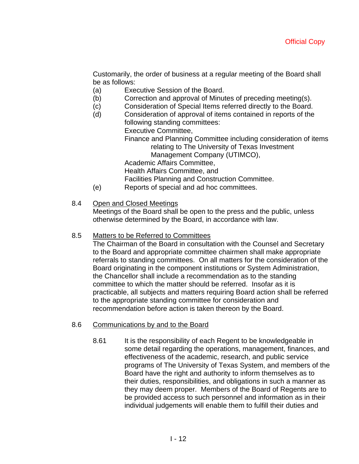Customarily, the order of business at a regular meeting of the Board shall be as follows:

- (a) Executive Session of the Board.
- (b) Correction and approval of Minutes of preceding meeting(s).
- (c) Consideration of Special Items referred directly to the Board.
- (d) Consideration of approval of items contained in reports of the following standing committees:

Executive Committee,

Finance and Planning Committee including consideration of items relating to The University of Texas Investment

Management Company (UTIMCO),

Academic Affairs Committee,

Health Affairs Committee, and

Facilities Planning and Construction Committee.

(e) Reports of special and ad hoc committees.

# 8.4 Open and Closed Meetings

Meetings of the Board shall be open to the press and the public, unless otherwise determined by the Board, in accordance with law.

### 8.5 Matters to be Referred to Committees

The Chairman of the Board in consultation with the Counsel and Secretary to the Board and appropriate committee chairmen shall make appropriate referrals to standing committees. On all matters for the consideration of the Board originating in the component institutions or System Administration, the Chancellor shall include a recommendation as to the standing committee to which the matter should be referred. Insofar as it is practicable, all subjects and matters requiring Board action shall be referred to the appropriate standing committee for consideration and recommendation before action is taken thereon by the Board.

# 8.6 Communications by and to the Board

8.61 It is the responsibility of each Regent to be knowledgeable in some detail regarding the operations, management, finances, and effectiveness of the academic, research, and public service programs of The University of Texas System, and members of the Board have the right and authority to inform themselves as to their duties, responsibilities, and obligations in such a manner as they may deem proper. Members of the Board of Regents are to be provided access to such personnel and information as in their individual judgements will enable them to fulfill their duties and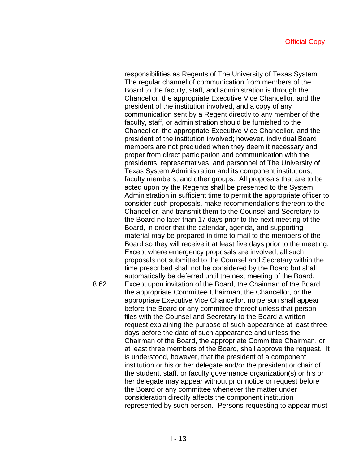responsibilities as Regents of The University of Texas System. The regular channel of communication from members of the Board to the faculty, staff, and administration is through the Chancellor, the appropriate Executive Vice Chancellor, and the president of the institution involved, and a copy of any communication sent by a Regent directly to any member of the faculty, staff, or administration should be furnished to the Chancellor, the appropriate Executive Vice Chancellor, and the president of the institution involved; however, individual Board members are not precluded when they deem it necessary and proper from direct participation and communication with the presidents, representatives, and personnel of The University of Texas System Administration and its component institutions, faculty members, and other groups. All proposals that are to be acted upon by the Regents shall be presented to the System Administration in sufficient time to permit the appropriate officer to consider such proposals, make recommendations thereon to the Chancellor, and transmit them to the Counsel and Secretary to the Board no later than 17 days prior to the next meeting of the Board, in order that the calendar, agenda, and supporting material may be prepared in time to mail to the members of the Board so they will receive it at least five days prior to the meeting. Except where emergency proposals are involved, all such proposals not submitted to the Counsel and Secretary within the time prescribed shall not be considered by the Board but shall automatically be deferred until the next meeting of the Board. 8.62 Except upon invitation of the Board, the Chairman of the Board, the appropriate Committee Chairman, the Chancellor, or the appropriate Executive Vice Chancellor, no person shall appear before the Board or any committee thereof unless that person files with the Counsel and Secretary to the Board a written request explaining the purpose of such appearance at least three days before the date of such appearance and unless the Chairman of the Board, the appropriate Committee Chairman, or at least three members of the Board, shall approve the request. It is understood, however, that the president of a component institution or his or her delegate and/or the president or chair of the student, staff, or faculty governance organization(s) or his or her delegate may appear without prior notice or request before the Board or any committee whenever the matter under consideration directly affects the component institution represented by such person. Persons requesting to appear must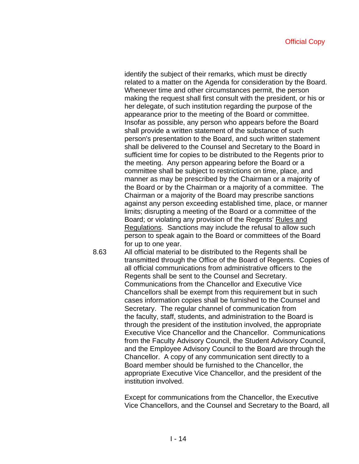identify the subject of their remarks, which must be directly related to a matter on the Agenda for consideration by the Board. Whenever time and other circumstances permit, the person making the request shall first consult with the president, or his or her delegate, of such institution regarding the purpose of the appearance prior to the meeting of the Board or committee. Insofar as possible, any person who appears before the Board shall provide a written statement of the substance of such person's presentation to the Board, and such written statement shall be delivered to the Counsel and Secretary to the Board in sufficient time for copies to be distributed to the Regents prior to the meeting. Any person appearing before the Board or a committee shall be subject to restrictions on time, place, and manner as may be prescribed by the Chairman or a majority of the Board or by the Chairman or a majority of a committee. The Chairman or a majority of the Board may prescribe sanctions against any person exceeding established time, place, or manner limits; disrupting a meeting of the Board or a committee of the Board; or violating any provision of the Regents' Rules and Regulations. Sanctions may include the refusal to allow such person to speak again to the Board or committees of the Board for up to one year.

8.63 All official material to be distributed to the Regents shall be transmitted through the Office of the Board of Regents. Copies of all official communications from administrative officers to the Regents shall be sent to the Counsel and Secretary. Communications from the Chancellor and Executive Vice Chancellors shall be exempt from this requirement but in such cases information copies shall be furnished to the Counsel and Secretary. The regular channel of communication from the faculty, staff, students, and administration to the Board is through the president of the institution involved, the appropriate Executive Vice Chancellor and the Chancellor. Communications from the Faculty Advisory Council, the Student Advisory Council, and the Employee Advisory Council to the Board are through the Chancellor. A copy of any communication sent directly to a Board member should be furnished to the Chancellor, the appropriate Executive Vice Chancellor, and the president of the institution involved.

> Except for communications from the Chancellor, the Executive Vice Chancellors, and the Counsel and Secretary to the Board, all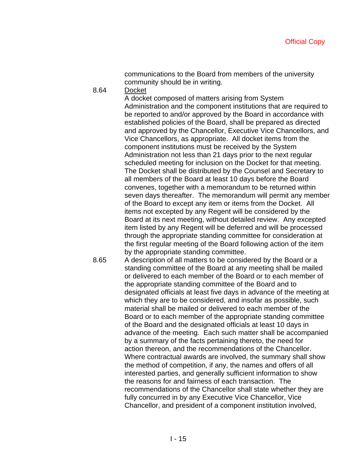communications to the Board from members of the university community should be in writing.

8.64 Docket

A docket composed of matters arising from System Administration and the component institutions that are required to be reported to and/or approved by the Board in accordance with established policies of the Board, shall be prepared as directed and approved by the Chancellor, Executive Vice Chancellors, and Vice Chancellors, as appropriate. All docket items from the component institutions must be received by the System Administration not less than 21 days prior to the next regular scheduled meeting for inclusion on the Docket for that meeting. The Docket shall be distributed by the Counsel and Secretary to all members of the Board at least 10 days before the Board convenes, together with a memorandum to be returned within seven days thereafter. The memorandum will permit any member of the Board to except any item or items from the Docket. All items not excepted by any Regent will be considered by the Board at its next meeting, without detailed review. Any excepted item listed by any Regent will be deferred and will be processed through the appropriate standing committee for consideration at the first regular meeting of the Board following action of the item by the appropriate standing committee.

8.65 A description of all matters to be considered by the Board or a standing committee of the Board at any meeting shall be mailed or delivered to each member of the Board or to each member of the appropriate standing committee of the Board and to designated officials at least five days in advance of the meeting at which they are to be considered, and insofar as possible, such material shall be mailed or delivered to each member of the Board or to each member of the appropriate standing committee of the Board and the designated officials at least 10 days in advance of the meeting. Each such matter shall be accompanied by a summary of the facts pertaining thereto, the need for action thereon, and the recommendations of the Chancellor. Where contractual awards are involved, the summary shall show the method of competition, if any, the names and offers of all interested parties, and generally sufficient information to show the reasons for and fairness of each transaction. The recommendations of the Chancellor shall state whether they are fully concurred in by any Executive Vice Chancellor, Vice Chancellor, and president of a component institution involved,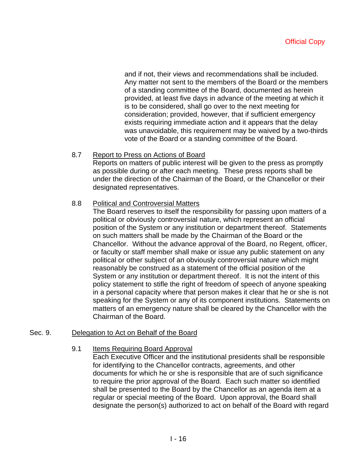and if not, their views and recommendations shall be included. Any matter not sent to the members of the Board or the members of a standing committee of the Board, documented as herein provided, at least five days in advance of the meeting at which it is to be considered, shall go over to the next meeting for consideration; provided, however, that if sufficient emergency exists requiring immediate action and it appears that the delay was unavoidable, this requirement may be waived by a two-thirds vote of the Board or a standing committee of the Board.

## 8.7 Report to Press on Actions of Board Reports on matters of public interest will be given to the press as promptly as possible during or after each meeting. These press reports shall be under the direction of the Chairman of the Board, or the Chancellor or their designated representatives.

# 8.8 Political and Controversial Matters

The Board reserves to itself the responsibility for passing upon matters of a political or obviously controversial nature, which represent an official position of the System or any institution or department thereof. Statements on such matters shall be made by the Chairman of the Board or the Chancellor. Without the advance approval of the Board, no Regent, officer, or faculty or staff member shall make or issue any public statement on any political or other subject of an obviously controversial nature which might reasonably be construed as a statement of the official position of the System or any institution or department thereof. It is not the intent of this policy statement to stifle the right of freedom of speech of anyone speaking in a personal capacity where that person makes it clear that he or she is not speaking for the System or any of its component institutions. Statements on matters of an emergency nature shall be cleared by the Chancellor with the Chairman of the Board.

# Sec. 9. Delegation to Act on Behalf of the Board

# 9.1 Items Requiring Board Approval

Each Executive Officer and the institutional presidents shall be responsible for identifying to the Chancellor contracts, agreements, and other documents for which he or she is responsible that are of such significance to require the prior approval of the Board. Each such matter so identified shall be presented to the Board by the Chancellor as an agenda item at a regular or special meeting of the Board. Upon approval, the Board shall designate the person(s) authorized to act on behalf of the Board with regard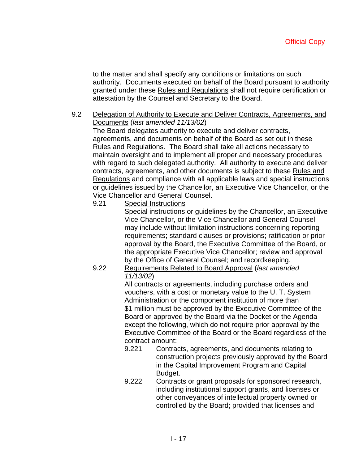to the matter and shall specify any conditions or limitations on such authority. Documents executed on behalf of the Board pursuant to authority granted under these Rules and Regulations shall not require certification or attestation by the Counsel and Secretary to the Board.

## 9.2 Delegation of Authority to Execute and Deliver Contracts, Agreements, and Documents (*last amended 11/13/02*)

The Board delegates authority to execute and deliver contracts, agreements, and documents on behalf of the Board as set out in these Rules and Regulations. The Board shall take all actions necessary to maintain oversight and to implement all proper and necessary procedures with regard to such delegated authority. All authority to execute and deliver contracts, agreements, and other documents is subject to these Rules and Regulations and compliance with all applicable laws and special instructions or guidelines issued by the Chancellor, an Executive Vice Chancellor, or the Vice Chancellor and General Counsel.

# 9.21 Special Instructions

Special instructions or guidelines by the Chancellor, an Executive Vice Chancellor, or the Vice Chancellor and General Counsel may include without limitation instructions concerning reporting requirements; standard clauses or provisions; ratification or prior approval by the Board, the Executive Committee of the Board, or the appropriate Executive Vice Chancellor; review and approval by the Office of General Counsel; and recordkeeping.

#### 9.22 Requirements Related to Board Approval (*last amended 11/13/02*)

All contracts or agreements, including purchase orders and vouchers, with a cost or monetary value to the U. T. System Administration or the component institution of more than \$1 million must be approved by the Executive Committee of the Board or approved by the Board via the Docket or the Agenda except the following, which do not require prior approval by the Executive Committee of the Board or the Board regardless of the contract amount:

- 9.221 Contracts, agreements, and documents relating to construction projects previously approved by the Board in the Capital Improvement Program and Capital Budget.
- 9.222 Contracts or grant proposals for sponsored research, including institutional support grants, and licenses or other conveyances of intellectual property owned or controlled by the Board; provided that licenses and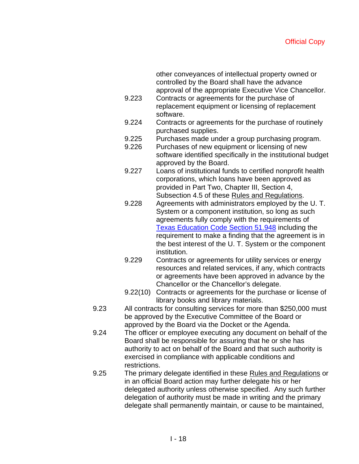other conveyances of intellectual property owned or controlled by the Board shall have the advance approval of the appropriate Executive Vice Chancellor.

- 9.223 Contracts or agreements for the purchase of replacement equipment or licensing of replacement software.
- 9.224 Contracts or agreements for the purchase of routinely purchased supplies.
- 9.225 Purchases made under a group purchasing program.
- 9.226 Purchases of new equipment or licensing of new software identified specifically in the institutional budget approved by the Board.
- 9.227 Loans of institutional funds to certified nonprofit health corporations, which loans have been approved as provided in Part Two, Chapter III, Section 4, Subsection 4.5 of these Rules and Regulations.
- 9.228 Agreements with administrators employed by the U. T. System or a component institution, so long as such agreements fully comply with the requirements of Texas Education Code Section 51.948 including the requirement to make a finding that the agreement is in the best interest of the U. T. System or the component institution.
- 9.229 Contracts or agreements for utility services or energy resources and related services, if any, which contracts or agreements have been approved in advance by the Chancellor or the Chancellor's delegate.
- 9.22(10) Contracts or agreements for the purchase or license of library books and library materials.
- 9.23 All contracts for consulting services for more than \$250,000 must be approved by the Executive Committee of the Board or approved by the Board via the Docket or the Agenda.
- 9.24 The officer or employee executing any document on behalf of the Board shall be responsible for assuring that he or she has authority to act on behalf of the Board and that such authority is exercised in compliance with applicable conditions and restrictions.
- 9.25 The primary delegate identified in these Rules and Regulations or in an official Board action may further delegate his or her delegated authority unless otherwise specified. Any such further delegation of authority must be made in writing and the primary delegate shall permanently maintain, or cause to be maintained,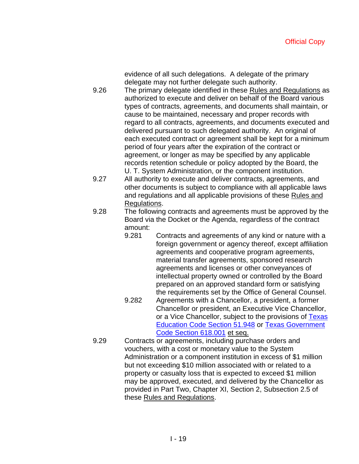evidence of all such delegations. A delegate of the primary delegate may not further delegate such authority.

- 9.26 The primary delegate identified in these Rules and Regulations as authorized to execute and deliver on behalf of the Board various types of contracts, agreements, and documents shall maintain, or cause to be maintained, necessary and proper records with regard to all contracts, agreements, and documents executed and delivered pursuant to such delegated authority. An original of each executed contract or agreement shall be kept for a minimum period of four years after the expiration of the contract or agreement, or longer as may be specified by any applicable records retention schedule or policy adopted by the Board, the U. T. System Administration, or the component institution.
- 9.27 All authority to execute and deliver contracts, agreements, and other documents is subject to compliance with all applicable laws and regulations and all applicable provisions of these Rules and Regulations.
- 9.28 The following contracts and agreements must be approved by the Board via the Docket or the Agenda, regardless of the contract amount:
	- 9.281 Contracts and agreements of any kind or nature with a foreign government or agency thereof, except affiliation agreements and cooperative program agreements, material transfer agreements, sponsored research agreements and licenses or other conveyances of intellectual property owned or controlled by the Board prepared on an approved standard form or satisfying the requirements set by the Office of General Counsel.
	- 9.282 Agreements with a Chancellor, a president, a former Chancellor or president, an Executive Vice Chancellor, or a Vice Chancellor, subject to the provisions of Texas Education Code Section 51.948 or Texas Government Code Section 618.001 et seq.
- 9.29 Contracts or agreements, including purchase orders and vouchers, with a cost or monetary value to the System Administration or a component institution in excess of \$1 million but not exceeding \$10 million associated with or related to a property or casualty loss that is expected to exceed \$1 million may be approved, executed, and delivered by the Chancellor as provided in Part Two, Chapter XI, Section 2, Subsection 2.5 of these Rules and Regulations.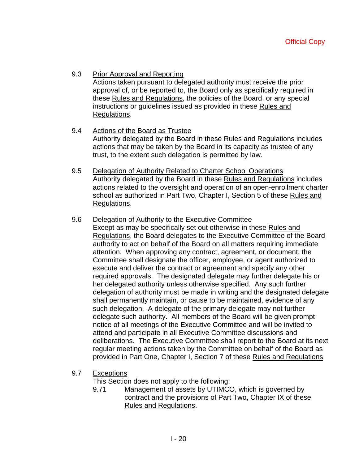# 9.3 Prior Approval and Reporting

Actions taken pursuant to delegated authority must receive the prior approval of, or be reported to, the Board only as specifically required in these Rules and Regulations, the policies of the Board, or any special instructions or guidelines issued as provided in these Rules and Regulations.

## 9.4 Actions of the Board as Trustee

Authority delegated by the Board in these Rules and Regulations includes actions that may be taken by the Board in its capacity as trustee of any trust, to the extent such delegation is permitted by law.

9.5 Delegation of Authority Related to Charter School Operations Authority delegated by the Board in these Rules and Regulations includes actions related to the oversight and operation of an open-enrollment charter school as authorized in Part Two, Chapter I, Section 5 of these Rules and Regulations.

# 9.6 Delegation of Authority to the Executive Committee

Except as may be specifically set out otherwise in these Rules and Regulations, the Board delegates to the Executive Committee of the Board authority to act on behalf of the Board on all matters requiring immediate attention. When approving any contract, agreement, or document, the Committee shall designate the officer, employee, or agent authorized to execute and deliver the contract or agreement and specify any other required approvals. The designated delegate may further delegate his or her delegated authority unless otherwise specified. Any such further delegation of authority must be made in writing and the designated delegate shall permanently maintain, or cause to be maintained, evidence of any such delegation. A delegate of the primary delegate may not further delegate such authority. All members of the Board will be given prompt notice of all meetings of the Executive Committee and will be invited to attend and participate in all Executive Committee discussions and deliberations. The Executive Committee shall report to the Board at its next regular meeting actions taken by the Committee on behalf of the Board as provided in Part One, Chapter I, Section 7 of these Rules and Regulations.

## 9.7 Exceptions

This Section does not apply to the following:

9.71 Management of assets by UTIMCO, which is governed by contract and the provisions of Part Two, Chapter IX of these Rules and Regulations.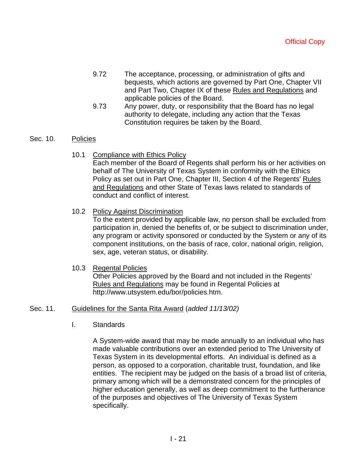- 9.72 The acceptance, processing, or administration of gifts and bequests, which actions are governed by Part One, Chapter VII and Part Two, Chapter IX of these Rules and Regulations and applicable policies of the Board.
- 9.73 Any power, duty, or responsibility that the Board has no legal authority to delegate, including any action that the Texas Constitution requires be taken by the Board.

# Sec. 10. Policies

10.1 Compliance with Ethics Policy

Each member of the Board of Regents shall perform his or her activities on behalf of The University of Texas System in conformity with the Ethics Policy as set out in Part One, Chapter III, Section 4 of the Regents' Rules and Regulations and other State of Texas laws related to standards of conduct and conflict of interest.

10.2 Policy Against Discrimination

To the extent provided by applicable law, no person shall be excluded from participation in, denied the benefits of, or be subject to discrimination under, any program or activity sponsored or conducted by the System or any of its component institutions, on the basis of race, color, national origin, religion, sex, age, veteran status, or disability.

10.3 Regental Policies

Other Policies approved by the Board and not included in the Regents' Rules and Regulations may be found in Regental Policies at http://www.utsystem.edu/bor/policies.htm.

## Sec. 11. Guidelines for the Santa Rita Award (*added 11/13/02)*

I. Standards

A System-wide award that may be made annually to an individual who has made valuable contributions over an extended period to The University of Texas System in its developmental efforts. An individual is defined as a person, as opposed to a corporation, charitable trust, foundation, and like entities. The recipient may be judged on the basis of a broad list of criteria, primary among which will be a demonstrated concern for the principles of higher education generally, as well as deep commitment to the furtherance of the purposes and objectives of The University of Texas System specifically.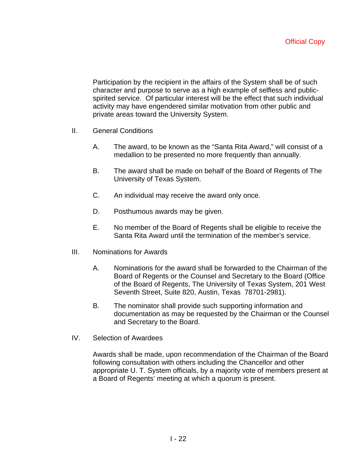Participation by the recipient in the affairs of the System shall be of such character and purpose to serve as a high example of selfless and publicspirited service. Of particular interest will be the effect that such individual activity may have engendered similar motivation from other public and private areas toward the University System.

- II. General Conditions
	- A. The award, to be known as the "Santa Rita Award," will consist of a medallion to be presented no more frequently than annually.
	- B. The award shall be made on behalf of the Board of Regents of The University of Texas System.
	- C. An individual may receive the award only once.
	- D. Posthumous awards may be given.
	- E. No member of the Board of Regents shall be eligible to receive the Santa Rita Award until the termination of the member's service.
- III. Nominations for Awards
	- A. Nominations for the award shall be forwarded to the Chairman of the Board of Regents or the Counsel and Secretary to the Board (Office of the Board of Regents, The University of Texas System, 201 West Seventh Street, Suite 820, Austin, Texas 78701-2981).
	- B. The nominator shall provide such supporting information and documentation as may be requested by the Chairman or the Counsel and Secretary to the Board.
- IV. Selection of Awardees

Awards shall be made, upon recommendation of the Chairman of the Board following consultation with others including the Chancellor and other appropriate U. T. System officials, by a majority vote of members present at a Board of Regents' meeting at which a quorum is present.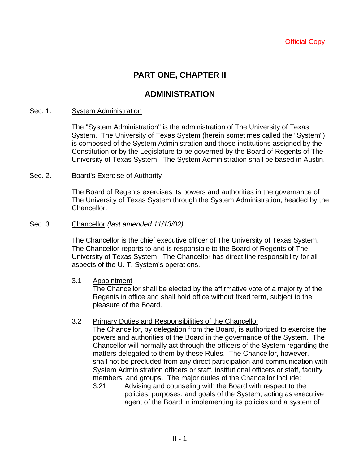# **PART ONE, CHAPTER II**

# **ADMINISTRATION**

## Sec. 1. System Administration

The "System Administration" is the administration of The University of Texas System. The University of Texas System (herein sometimes called the "System") is composed of the System Administration and those institutions assigned by the Constitution or by the Legislature to be governed by the Board of Regents of The University of Texas System. The System Administration shall be based in Austin.

## Sec. 2. Board's Exercise of Authority

The Board of Regents exercises its powers and authorities in the governance of The University of Texas System through the System Administration, headed by the Chancellor.

## Sec. 3. Chancellor *(last amended 11/13/02)*

The Chancellor is the chief executive officer of The University of Texas System. The Chancellor reports to and is responsible to the Board of Regents of The University of Texas System. The Chancellor has direct line responsibility for all aspects of the U. T. System's operations.

# 3.1 Appointment

The Chancellor shall be elected by the affirmative vote of a majority of the Regents in office and shall hold office without fixed term, subject to the pleasure of the Board.

# 3.2 Primary Duties and Responsibilities of the Chancellor

The Chancellor, by delegation from the Board, is authorized to exercise the powers and authorities of the Board in the governance of the System. The Chancellor will normally act through the officers of the System regarding the matters delegated to them by these Rules. The Chancellor, however, shall not be precluded from any direct participation and communication with System Administration officers or staff, institutional officers or staff, faculty members, and groups. The major duties of the Chancellor include:

3.21 Advising and counseling with the Board with respect to the policies, purposes, and goals of the System; acting as executive agent of the Board in implementing its policies and a system of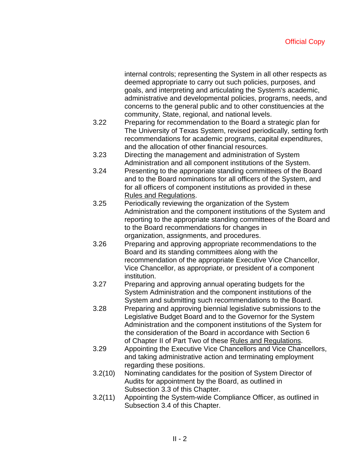internal controls; representing the System in all other respects as deemed appropriate to carry out such policies, purposes, and goals, and interpreting and articulating the System's academic, administrative and developmental policies, programs, needs, and concerns to the general public and to other constituencies at the community, State, regional, and national levels.

- 3.22 Preparing for recommendation to the Board a strategic plan for The University of Texas System, revised periodically, setting forth recommendations for academic programs, capital expenditures, and the allocation of other financial resources.
- 3.23 Directing the management and administration of System Administration and all component institutions of the System.
- 3.24 Presenting to the appropriate standing committees of the Board and to the Board nominations for all officers of the System, and for all officers of component institutions as provided in these Rules and Regulations.
- 3.25 Periodically reviewing the organization of the System Administration and the component institutions of the System and reporting to the appropriate standing committees of the Board and to the Board recommendations for changes in organization, assignments, and procedures.
- 3.26 Preparing and approving appropriate recommendations to the Board and its standing committees along with the recommendation of the appropriate Executive Vice Chancellor, Vice Chancellor, as appropriate, or president of a component institution.
- 3.27 Preparing and approving annual operating budgets for the System Administration and the component institutions of the System and submitting such recommendations to the Board.
- 3.28 Preparing and approving biennial legislative submissions to the Legislative Budget Board and to the Governor for the System Administration and the component institutions of the System for the consideration of the Board in accordance with Section 6 of Chapter II of Part Two of these Rules and Regulations.
- 3.29 Appointing the Executive Vice Chancellors and Vice Chancellors, and taking administrative action and terminating employment regarding these positions.
- 3.2(10) Nominating candidates for the position of System Director of Audits for appointment by the Board, as outlined in Subsection 3.3 of this Chapter.
- 3.2(11) Appointing the System-wide Compliance Officer, as outlined in Subsection 3.4 of this Chapter.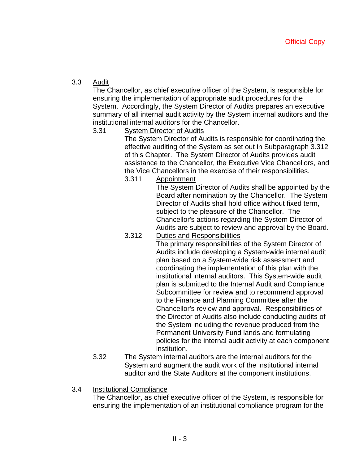# 3.3 Audit

The Chancellor, as chief executive officer of the System, is responsible for ensuring the implementation of appropriate audit procedures for the System. Accordingly, the System Director of Audits prepares an executive summary of all internal audit activity by the System internal auditors and the institutional internal auditors for the Chancellor.

3.31 System Director of Audits

The System Director of Audits is responsible for coordinating the effective auditing of the System as set out in Subparagraph 3.312 of this Chapter. The System Director of Audits provides audit assistance to the Chancellor, the Executive Vice Chancellors, and the Vice Chancellors in the exercise of their responsibilities.

3.311 Appointment

The System Director of Audits shall be appointed by the Board after nomination by the Chancellor. The System Director of Audits shall hold office without fixed term, subject to the pleasure of the Chancellor. The Chancellor's actions regarding the System Director of Audits are subject to review and approval by the Board.

- 3.312 Duties and Responsibilities The primary responsibilities of the System Director of Audits include developing a System-wide internal audit plan based on a System-wide risk assessment and coordinating the implementation of this plan with the institutional internal auditors. This System-wide audit plan is submitted to the Internal Audit and Compliance Subcommittee for review and to recommend approval to the Finance and Planning Committee after the Chancellor's review and approval. Responsibilities of the Director of Audits also include conducting audits of the System including the revenue produced from the Permanent University Fund lands and formulating policies for the internal audit activity at each component institution.
- 3.32 The System internal auditors are the internal auditors for the System and augment the audit work of the institutional internal auditor and the State Auditors at the component institutions.
- 3.4 Institutional Compliance

The Chancellor, as chief executive officer of the System, is responsible for ensuring the implementation of an institutional compliance program for the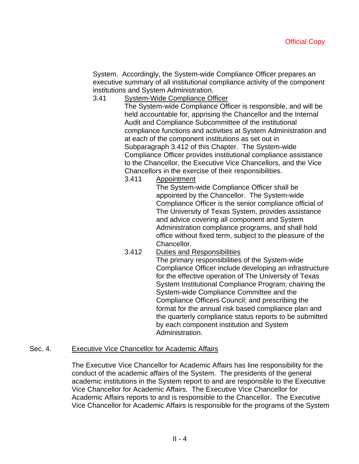System. Accordingly, the System-wide Compliance Officer prepares an executive summary of all institutional compliance activity of the component institutions and System Administration.

3.41 System-Wide Compliance Officer

The System-wide Compliance Officer is responsible, and will be held accountable for, apprising the Chancellor and the Internal Audit and Compliance Subcommittee of the institutional compliance functions and activities at System Administration and at each of the component institutions as set out in Subparagraph 3.412 of this Chapter. The System-wide Compliance Officer provides institutional compliance assistance to the Chancellor, the Executive Vice Chancellors, and the Vice Chancellors in the exercise of their responsibilities.

3.411 Appointment

The System-wide Compliance Officer shall be appointed by the Chancellor. The System-wide Compliance Officer is the senior compliance official of The University of Texas System, provides assistance and advice covering all component and System Administration compliance programs, and shall hold office without fixed term, subject to the pleasure of the Chancellor.

3.412 Duties and Responsibilities The primary responsibilities of the System-wide Compliance Officer include developing an infrastructure for the effective operation of The University of Texas System Institutional Compliance Program; chairing the System-wide Compliance Committee and the Compliance Officers Council; and prescribing the format for the annual risk based compliance plan and the quarterly compliance status reports to be submitted by each component institution and System Administration.

## Sec. 4. Executive Vice Chancellor for Academic Affairs

The Executive Vice Chancellor for Academic Affairs has line responsibility for the conduct of the academic affairs of the System. The presidents of the general academic institutions in the System report to and are responsible to the Executive Vice Chancellor for Academic Affairs. The Executive Vice Chancellor for Academic Affairs reports to and is responsible to the Chancellor. The Executive Vice Chancellor for Academic Affairs is responsible for the programs of the System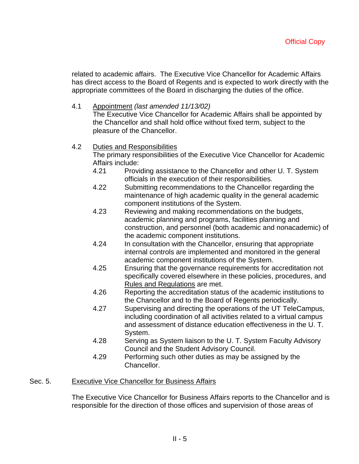related to academic affairs. The Executive Vice Chancellor for Academic Affairs has direct access to the Board of Regents and is expected to work directly with the appropriate committees of the Board in discharging the duties of the office.

4.1 Appointment *(last amended 11/13/02)*

The Executive Vice Chancellor for Academic Affairs shall be appointed by the Chancellor and shall hold office without fixed term, subject to the pleasure of the Chancellor.

# 4.2 Duties and Responsibilities

The primary responsibilities of the Executive Vice Chancellor for Academic Affairs include:

- 4.21 Providing assistance to the Chancellor and other U. T. System officials in the execution of their responsibilities.
- 4.22 Submitting recommendations to the Chancellor regarding the maintenance of high academic quality in the general academic component institutions of the System.
- 4.23 Reviewing and making recommendations on the budgets, academic planning and programs, facilities planning and construction, and personnel (both academic and nonacademic) of the academic component institutions.
- 4.24 In consultation with the Chancellor, ensuring that appropriate internal controls are implemented and monitored in the general academic component institutions of the System.
- 4.25 Ensuring that the governance requirements for accreditation not specifically covered elsewhere in these policies, procedures, and Rules and Regulations are met.
- 4.26 Reporting the accreditation status of the academic institutions to the Chancellor and to the Board of Regents periodically.
- 4.27 Supervising and directing the operations of the UT TeleCampus, including coordination of all activities related to a virtual campus and assessment of distance education effectiveness in the U. T. System.
- 4.28 Serving as System liaison to the U. T. System Faculty Advisory Council and the Student Advisory Council.
- 4.29 Performing such other duties as may be assigned by the Chancellor.

# Sec. 5. Executive Vice Chancellor for Business Affairs

The Executive Vice Chancellor for Business Affairs reports to the Chancellor and is responsible for the direction of those offices and supervision of those areas of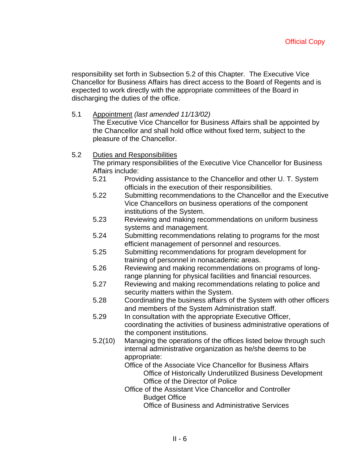responsibility set forth in Subsection 5.2 of this Chapter. The Executive Vice Chancellor for Business Affairs has direct access to the Board of Regents and is expected to work directly with the appropriate committees of the Board in discharging the duties of the office.

# 5.1 Appointment *(last amended 11/13/02)*

The Executive Vice Chancellor for Business Affairs shall be appointed by the Chancellor and shall hold office without fixed term, subject to the pleasure of the Chancellor.

## 5.2 Duties and Responsibilities

The primary responsibilities of the Executive Vice Chancellor for Business Affairs include:

- 5.21 Providing assistance to the Chancellor and other U. T. System officials in the execution of their responsibilities.
- 5.22 Submitting recommendations to the Chancellor and the Executive Vice Chancellors on business operations of the component institutions of the System.
- 5.23 Reviewing and making recommendations on uniform business systems and management.
- 5.24 Submitting recommendations relating to programs for the most efficient management of personnel and resources.
- 5.25 Submitting recommendations for program development for training of personnel in nonacademic areas.
- 5.26 Reviewing and making recommendations on programs of longrange planning for physical facilities and financial resources.
- 5.27 Reviewing and making recommendations relating to police and security matters within the System.
- 5.28 Coordinating the business affairs of the System with other officers and members of the System Administration staff.
- 5.29 In consultation with the appropriate Executive Officer, coordinating the activities of business administrative operations of the component institutions.
- 5.2(10) Managing the operations of the offices listed below through such internal administrative organization as he/she deems to be appropriate:

Office of the Associate Vice Chancellor for Business Affairs Office of Historically Underutilized Business Development Office of the Director of Police

Office of the Assistant Vice Chancellor and Controller Budget Office

Office of Business and Administrative Services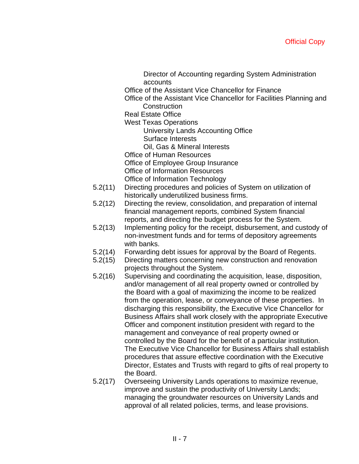Director of Accounting regarding System Administration accounts Office of the Assistant Vice Chancellor for Finance Office of the Assistant Vice Chancellor for Facilities Planning and **Construction** Real Estate Office West Texas Operations University Lands Accounting Office Surface Interests Oil, Gas & Mineral Interests Office of Human Resources Office of Employee Group Insurance Office of Information Resources Office of Information Technology 5.2(11) Directing procedures and policies of System on utilization of historically underutilized business firms. 5.2(12) Directing the review, consolidation, and preparation of internal financial management reports, combined System financial reports, and directing the budget process for the System. 5.2(13) Implementing policy for the receipt, disbursement, and custody of non-investment funds and for terms of depository agreements with banks. 5.2(14) Forwarding debt issues for approval by the Board of Regents. 5.2(15) Directing matters concerning new construction and renovation projects throughout the System. 5.2(16) Supervising and coordinating the acquisition, lease, disposition, and/or management of all real property owned or controlled by the Board with a goal of maximizing the income to be realized from the operation, lease, or conveyance of these properties. In discharging this responsibility, the Executive Vice Chancellor for Business Affairs shall work closely with the appropriate Executive Officer and component institution president with regard to the management and conveyance of real property owned or controlled by the Board for the benefit of a particular institution. The Executive Vice Chancellor for Business Affairs shall establish

- procedures that assure effective coordination with the Executive Director, Estates and Trusts with regard to gifts of real property to the Board. 5.2(17) Overseeing University Lands operations to maximize revenue,
- improve and sustain the productivity of University Lands; managing the groundwater resources on University Lands and approval of all related policies, terms, and lease provisions.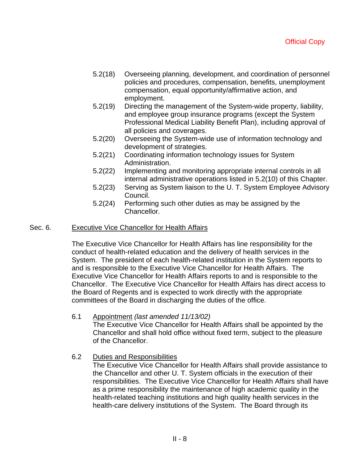- 5.2(18) Overseeing planning, development, and coordination of personnel policies and procedures, compensation, benefits, unemployment compensation, equal opportunity/affirmative action, and employment.
- 5.2(19) Directing the management of the System-wide property, liability, and employee group insurance programs (except the System Professional Medical Liability Benefit Plan), including approval of all policies and coverages.
- 5.2(20) Overseeing the System-wide use of information technology and development of strategies.
- 5.2(21) Coordinating information technology issues for System Administration.
- 5.2(22) Implementing and monitoring appropriate internal controls in all internal administrative operations listed in 5.2(10) of this Chapter.
- 5.2(23) Serving as System liaison to the U. T. System Employee Advisory Council.
- 5.2(24) Performing such other duties as may be assigned by the Chancellor.

## Sec. 6. Executive Vice Chancellor for Health Affairs

The Executive Vice Chancellor for Health Affairs has line responsibility for the conduct of health-related education and the delivery of health services in the System. The president of each health-related institution in the System reports to and is responsible to the Executive Vice Chancellor for Health Affairs. The Executive Vice Chancellor for Health Affairs reports to and is responsible to the Chancellor. The Executive Vice Chancellor for Health Affairs has direct access to the Board of Regents and is expected to work directly with the appropriate committees of the Board in discharging the duties of the office.

6.1 Appointment *(last amended 11/13/02)*

The Executive Vice Chancellor for Health Affairs shall be appointed by the Chancellor and shall hold office without fixed term, subject to the pleasure of the Chancellor.

# 6.2 Duties and Responsibilities

The Executive Vice Chancellor for Health Affairs shall provide assistance to the Chancellor and other U. T. System officials in the execution of their responsibilities. The Executive Vice Chancellor for Health Affairs shall have as a prime responsibility the maintenance of high academic quality in the health-related teaching institutions and high quality health services in the health-care delivery institutions of the System. The Board through its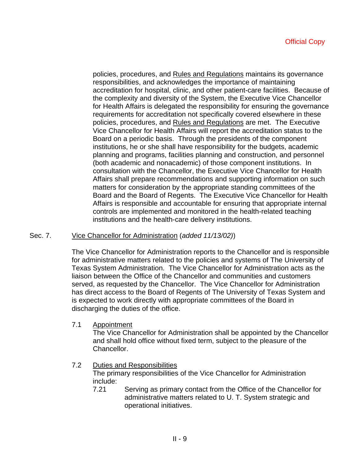policies, procedures, and Rules and Regulations maintains its governance responsibilities, and acknowledges the importance of maintaining accreditation for hospital, clinic, and other patient-care facilities. Because of the complexity and diversity of the System, the Executive Vice Chancellor for Health Affairs is delegated the responsibility for ensuring the governance requirements for accreditation not specifically covered elsewhere in these policies, procedures, and Rules and Regulations are met. The Executive Vice Chancellor for Health Affairs will report the accreditation status to the Board on a periodic basis. Through the presidents of the component institutions, he or she shall have responsibility for the budgets, academic planning and programs, facilities planning and construction, and personnel (both academic and nonacademic) of those component institutions. In consultation with the Chancellor, the Executive Vice Chancellor for Health Affairs shall prepare recommendations and supporting information on such matters for consideration by the appropriate standing committees of the Board and the Board of Regents. The Executive Vice Chancellor for Health Affairs is responsible and accountable for ensuring that appropriate internal controls are implemented and monitored in the health-related teaching institutions and the health-care delivery institutions.

# Sec. 7. Vice Chancellor for Administration (*added 11/13/02)*)

The Vice Chancellor for Administration reports to the Chancellor and is responsible for administrative matters related to the policies and systems of The University of Texas System Administration. The Vice Chancellor for Administration acts as the liaison between the Office of the Chancellor and communities and customers served, as requested by the Chancellor. The Vice Chancellor for Administration has direct access to the Board of Regents of The University of Texas System and is expected to work directly with appropriate committees of the Board in discharging the duties of the office.

7.1 Appointment

The Vice Chancellor for Administration shall be appointed by the Chancellor and shall hold office without fixed term, subject to the pleasure of the Chancellor.

# 7.2 Duties and Responsibilities

The primary responsibilities of the Vice Chancellor for Administration include:

7.21 Serving as primary contact from the Office of the Chancellor for administrative matters related to U. T. System strategic and operational initiatives.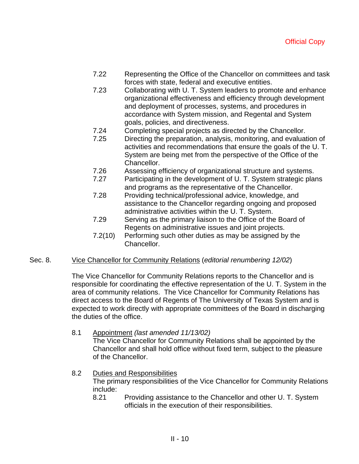- 7.22 Representing the Office of the Chancellor on committees and task forces with state, federal and executive entities.
- 7.23 Collaborating with U. T. System leaders to promote and enhance organizational effectiveness and efficiency through development and deployment of processes, systems, and procedures in accordance with System mission, and Regental and System goals, policies, and directiveness.
- 7.24 Completing special projects as directed by the Chancellor.
- 7.25 Directing the preparation, analysis, monitoring, and evaluation of activities and recommendations that ensure the goals of the U. T. System are being met from the perspective of the Office of the Chancellor.
- 7.26 Assessing efficiency of organizational structure and systems.
- 7.27 Participating in the development of U. T. System strategic plans and programs as the representative of the Chancellor.
- 7.28 Providing technical/professional advice, knowledge, and assistance to the Chancellor regarding ongoing and proposed administrative activities within the U. T. System.
- 7.29 Serving as the primary liaison to the Office of the Board of Regents on administrative issues and joint projects.
- 7.2(10) Performing such other duties as may be assigned by the Chancellor.
- Sec. 8. Vice Chancellor for Community Relations (*editorial renumbering 12/02*)

The Vice Chancellor for Community Relations reports to the Chancellor and is responsible for coordinating the effective representation of the U. T. System in the area of community relations. The Vice Chancellor for Community Relations has direct access to the Board of Regents of The University of Texas System and is expected to work directly with appropriate committees of the Board in discharging the duties of the office.

8.1 Appointment *(last amended 11/13/02)*

The Vice Chancellor for Community Relations shall be appointed by the Chancellor and shall hold office without fixed term, subject to the pleasure of the Chancellor.

8.2 Duties and Responsibilities

The primary responsibilities of the Vice Chancellor for Community Relations include:

8.21 Providing assistance to the Chancellor and other U. T. System officials in the execution of their responsibilities.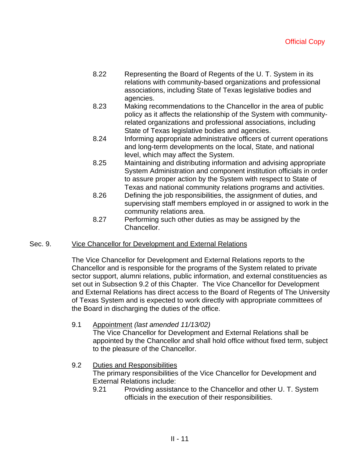- 8.22 Representing the Board of Regents of the U. T. System in its relations with community-based organizations and professional associations, including State of Texas legislative bodies and agencies.
- 8.23 Making recommendations to the Chancellor in the area of public policy as it affects the relationship of the System with communityrelated organizations and professional associations, including State of Texas legislative bodies and agencies.
- 8.24 Informing appropriate administrative officers of current operations and long-term developments on the local, State, and national level, which may affect the System.
- 8.25 Maintaining and distributing information and advising appropriate System Administration and component institution officials in order to assure proper action by the System with respect to State of Texas and national community relations programs and activities.
- 8.26 Defining the job responsibilities, the assignment of duties, and supervising staff members employed in or assigned to work in the community relations area.
- 8.27 Performing such other duties as may be assigned by the Chancellor.

# Sec. 9. Vice Chancellor for Development and External Relations

The Vice Chancellor for Development and External Relations reports to the Chancellor and is responsible for the programs of the System related to private sector support, alumni relations, public information, and external constituencies as set out in Subsection 9.2 of this Chapter. The Vice Chancellor for Development and External Relations has direct access to the Board of Regents of The University of Texas System and is expected to work directly with appropriate committees of the Board in discharging the duties of the office.

9.1 Appointment *(last amended 11/13/02)*

The Vice Chancellor for Development and External Relations shall be appointed by the Chancellor and shall hold office without fixed term, subject to the pleasure of the Chancellor.

9.2 Duties and Responsibilities

The primary responsibilities of the Vice Chancellor for Development and External Relations include:

9.21 Providing assistance to the Chancellor and other U. T. System officials in the execution of their responsibilities.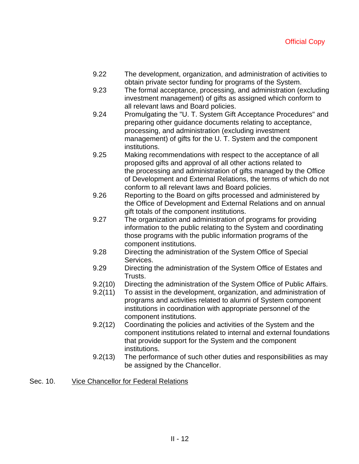- 9.22 The development, organization, and administration of activities to obtain private sector funding for programs of the System.
- 9.23 The formal acceptance, processing, and administration (excluding investment management) of gifts as assigned which conform to all relevant laws and Board policies.
- 9.24 Promulgating the "U. T. System Gift Acceptance Procedures" and preparing other guidance documents relating to acceptance, processing, and administration (excluding investment management) of gifts for the U. T. System and the component institutions.
- 9.25 Making recommendations with respect to the acceptance of all proposed gifts and approval of all other actions related to the processing and administration of gifts managed by the Office of Development and External Relations, the terms of which do not conform to all relevant laws and Board policies.
- 9.26 Reporting to the Board on gifts processed and administered by the Office of Development and External Relations and on annual gift totals of the component institutions.
- 9.27 The organization and administration of programs for providing information to the public relating to the System and coordinating those programs with the public information programs of the component institutions.
- 9.28 Directing the administration of the System Office of Special Services.
- 9.29 Directing the administration of the System Office of Estates and Trusts.
- 9.2(10) Directing the administration of the System Office of Public Affairs.
- 9.2(11) To assist in the development, organization, and administration of programs and activities related to alumni of System component institutions in coordination with appropriate personnel of the component institutions.
- 9.2(12) Coordinating the policies and activities of the System and the component institutions related to internal and external foundations that provide support for the System and the component institutions.
- 9.2(13) The performance of such other duties and responsibilities as may be assigned by the Chancellor.

# Sec. 10. Vice Chancellor for Federal Relations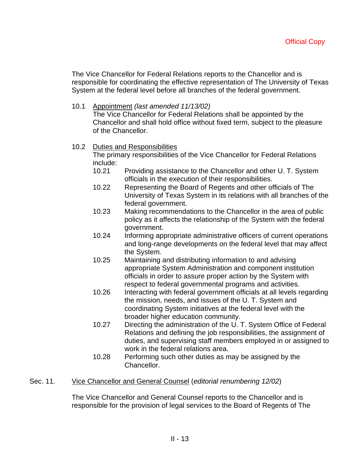The Vice Chancellor for Federal Relations reports to the Chancellor and is responsible for coordinating the effective representation of The University of Texas System at the federal level before all branches of the federal government.

10.1 Appointment *(last amended 11/13/02)*

The Vice Chancellor for Federal Relations shall be appointed by the Chancellor and shall hold office without fixed term, subject to the pleasure of the Chancellor.

# 10.2 Duties and Responsibilities

The primary responsibilities of the Vice Chancellor for Federal Relations include:

- 10.21 Providing assistance to the Chancellor and other U. T. System officials in the execution of their responsibilities.
- 10.22 Representing the Board of Regents and other officials of The University of Texas System in its relations with all branches of the federal government.
- 10.23 Making recommendations to the Chancellor in the area of public policy as it affects the relationship of the System with the federal government.
- 10.24 Informing appropriate administrative officers of current operations and long-range developments on the federal level that may affect the System.
- 10.25 Maintaining and distributing information to and advising appropriate System Administration and component institution officials in order to assure proper action by the System with respect to federal governmental programs and activities.
- 10.26 Interacting with federal government officials at all levels regarding the mission, needs, and issues of the U. T. System and coordinating System initiatives at the federal level with the broader higher education community.
- 10.27 Directing the administration of the U. T. System Office of Federal Relations and defining the job responsibilities, the assignment of duties, and supervising staff members employed in or assigned to work in the federal relations area.
- 10.28 Performing such other duties as may be assigned by the Chancellor.
- Sec. 11. Vice Chancellor and General Counsel (*editorial renumbering 12/02*)

The Vice Chancellor and General Counsel reports to the Chancellor and is responsible for the provision of legal services to the Board of Regents of The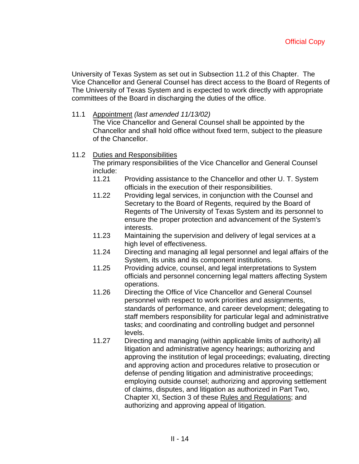University of Texas System as set out in Subsection 11.2 of this Chapter. The Vice Chancellor and General Counsel has direct access to the Board of Regents of The University of Texas System and is expected to work directly with appropriate committees of the Board in discharging the duties of the office.

## 11.1 Appointment *(last amended 11/13/02)*

The Vice Chancellor and General Counsel shall be appointed by the Chancellor and shall hold office without fixed term, subject to the pleasure of the Chancellor.

## 11.2 Duties and Responsibilities

The primary responsibilities of the Vice Chancellor and General Counsel include:

- 11.21 Providing assistance to the Chancellor and other U. T. System officials in the execution of their responsibilities.
- 11.22 Providing legal services, in conjunction with the Counsel and Secretary to the Board of Regents, required by the Board of Regents of The University of Texas System and its personnel to ensure the proper protection and advancement of the System's interests.
- 11.23 Maintaining the supervision and delivery of legal services at a high level of effectiveness.
- 11.24 Directing and managing all legal personnel and legal affairs of the System, its units and its component institutions.
- 11.25 Providing advice, counsel, and legal interpretations to System officials and personnel concerning legal matters affecting System operations.
- 11.26 Directing the Office of Vice Chancellor and General Counsel personnel with respect to work priorities and assignments, standards of performance, and career development; delegating to staff members responsibility for particular legal and administrative tasks; and coordinating and controlling budget and personnel levels.
- 11.27 Directing and managing (within applicable limits of authority) all litigation and administrative agency hearings; authorizing and approving the institution of legal proceedings; evaluating, directing and approving action and procedures relative to prosecution or defense of pending litigation and administrative proceedings; employing outside counsel; authorizing and approving settlement of claims, disputes, and litigation as authorized in Part Two, Chapter XI, Section 3 of these Rules and Regulations; and authorizing and approving appeal of litigation.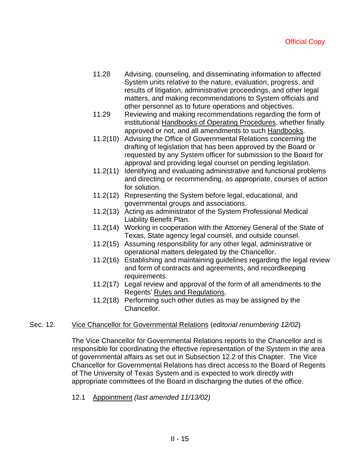- 11.28 Advising, counseling, and disseminating information to affected System units relative to the nature, evaluation, progress, and results of litigation, administrative proceedings, and other legal matters, and making recommendations to System officials and other personnel as to future operations and objectives.
- 11.29 Reviewing and making recommendations regarding the form of institutional Handbooks of Operating Procedures, whether finally approved or not, and all amendments to such Handbooks.
- 11.2(10) Advising the Office of Governmental Relations concerning the drafting of legislation that has been approved by the Board or requested by any System officer for submission to the Board for approval and providing legal counsel on pending legislation.
- 11.2(11) Identifying and evaluating administrative and functional problems and directing or recommending, as appropriate, courses of action for solution.
- 11.2(12) Representing the System before legal, educational, and governmental groups and associations.
- 11.2(13) Acting as administrator of the System Professional Medical Liability Benefit Plan.
- 11.2(14) Working in cooperation with the Attorney General of the State of Texas, State agency legal counsel, and outside counsel.
- 11.2(15) Assuming responsibility for any other legal, administrative or operational matters delegated by the Chancellor.
- 11.2(16) Establishing and maintaining guidelines regarding the legal review and form of contracts and agreements, and recordkeeping requirements.
- 11.2(17) Legal review and approval of the form of all amendments to the Regents' Rules and Regulations.
- 11.2(18) Performing such other duties as may be assigned by the Chancellor.

# Sec. 12. Vice Chancellor for Governmental Relations (*editorial renumbering 12/02*)

The Vice Chancellor for Governmental Relations reports to the Chancellor and is responsible for coordinating the effective representation of the System in the area of governmental affairs as set out in Subsection 12.2 of this Chapter. The Vice Chancellor for Governmental Relations has direct access to the Board of Regents of The University of Texas System and is expected to work directly with appropriate committees of the Board in discharging the duties of the office.

12.1 Appointment *(last amended 11/13/02)*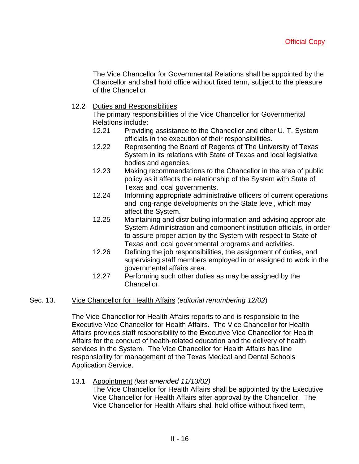The Vice Chancellor for Governmental Relations shall be appointed by the Chancellor and shall hold office without fixed term, subject to the pleasure of the Chancellor.

12.2 Duties and Responsibilities

The primary responsibilities of the Vice Chancellor for Governmental Relations include:

- 12.21 Providing assistance to the Chancellor and other U. T. System officials in the execution of their responsibilities.
- 12.22 Representing the Board of Regents of The University of Texas System in its relations with State of Texas and local legislative bodies and agencies.
- 12.23 Making recommendations to the Chancellor in the area of public policy as it affects the relationship of the System with State of Texas and local governments.
- 12.24 Informing appropriate administrative officers of current operations and long-range developments on the State level, which may affect the System.
- 12.25 Maintaining and distributing information and advising appropriate System Administration and component institution officials, in order to assure proper action by the System with respect to State of Texas and local governmental programs and activities.
- 12.26 Defining the job responsibilities, the assignment of duties, and supervising staff members employed in or assigned to work in the governmental affairs area.
- 12.27 Performing such other duties as may be assigned by the Chancellor.

# Sec. 13. Vice Chancellor for Health Affairs (*editorial renumbering 12/02*)

The Vice Chancellor for Health Affairs reports to and is responsible to the Executive Vice Chancellor for Health Affairs. The Vice Chancellor for Health Affairs provides staff responsibility to the Executive Vice Chancellor for Health Affairs for the conduct of health-related education and the delivery of health services in the System. The Vice Chancellor for Health Affairs has line responsibility for management of the Texas Medical and Dental Schools Application Service.

## 13.1 Appointment *(last amended 11/13/02)*

The Vice Chancellor for Health Affairs shall be appointed by the Executive Vice Chancellor for Health Affairs after approval by the Chancellor. The Vice Chancellor for Health Affairs shall hold office without fixed term,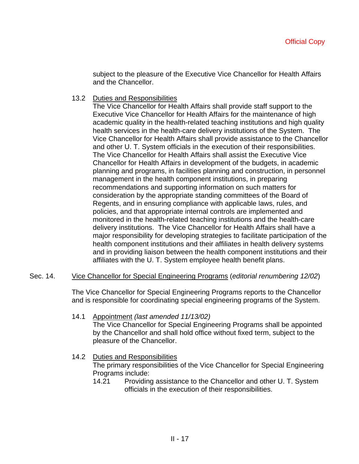subject to the pleasure of the Executive Vice Chancellor for Health Affairs and the Chancellor.

13.2 Duties and Responsibilities

The Vice Chancellor for Health Affairs shall provide staff support to the Executive Vice Chancellor for Health Affairs for the maintenance of high academic quality in the health-related teaching institutions and high quality health services in the health-care delivery institutions of the System. The Vice Chancellor for Health Affairs shall provide assistance to the Chancellor and other U. T. System officials in the execution of their responsibilities. The Vice Chancellor for Health Affairs shall assist the Executive Vice Chancellor for Health Affairs in development of the budgets, in academic planning and programs, in facilities planning and construction, in personnel management in the health component institutions, in preparing recommendations and supporting information on such matters for consideration by the appropriate standing committees of the Board of Regents, and in ensuring compliance with applicable laws, rules, and policies, and that appropriate internal controls are implemented and monitored in the health-related teaching institutions and the health-care delivery institutions. The Vice Chancellor for Health Affairs shall have a major responsibility for developing strategies to facilitate participation of the health component institutions and their affiliates in health delivery systems and in providing liaison between the health component institutions and their affiliates with the U. T. System employee health benefit plans.

## Sec. 14. Vice Chancellor for Special Engineering Programs (*editorial renumbering 12/02*)

The Vice Chancellor for Special Engineering Programs reports to the Chancellor and is responsible for coordinating special engineering programs of the System.

14.1 Appointment *(last amended 11/13/02)*

The Vice Chancellor for Special Engineering Programs shall be appointed by the Chancellor and shall hold office without fixed term, subject to the pleasure of the Chancellor.

## 14.2 Duties and Responsibilities

The primary responsibilities of the Vice Chancellor for Special Engineering Programs include:

14.21 Providing assistance to the Chancellor and other U. T. System officials in the execution of their responsibilities.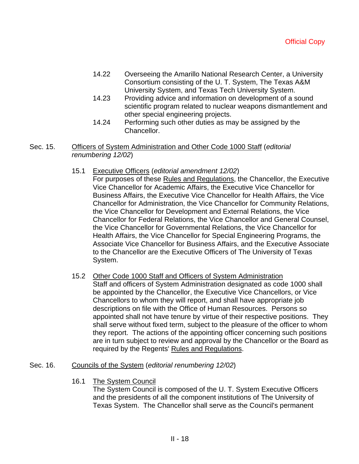- 14.22 Overseeing the Amarillo National Research Center, a University Consortium consisting of the U. T. System, The Texas A&M University System, and Texas Tech University System.
- 14.23 Providing advice and information on development of a sound scientific program related to nuclear weapons dismantlement and other special engineering projects.
- 14.24 Performing such other duties as may be assigned by the Chancellor.
- Sec. 15. Officers of System Administration and Other Code 1000 Staff (*editorial renumbering 12/02*)
	- 15.1 Executive Officers (*editorial amendment 12/02*)

For purposes of these Rules and Regulations, the Chancellor, the Executive Vice Chancellor for Academic Affairs, the Executive Vice Chancellor for Business Affairs, the Executive Vice Chancellor for Health Affairs, the Vice Chancellor for Administration, the Vice Chancellor for Community Relations, the Vice Chancellor for Development and External Relations, the Vice Chancellor for Federal Relations, the Vice Chancellor and General Counsel, the Vice Chancellor for Governmental Relations, the Vice Chancellor for Health Affairs, the Vice Chancellor for Special Engineering Programs, the Associate Vice Chancellor for Business Affairs, and the Executive Associate to the Chancellor are the Executive Officers of The University of Texas System.

- 15.2 Other Code 1000 Staff and Officers of System Administration Staff and officers of System Administration designated as code 1000 shall be appointed by the Chancellor, the Executive Vice Chancellors, or Vice Chancellors to whom they will report, and shall have appropriate job descriptions on file with the Office of Human Resources. Persons so appointed shall not have tenure by virtue of their respective positions. They shall serve without fixed term, subject to the pleasure of the officer to whom they report. The actions of the appointing officer concerning such positions are in turn subject to review and approval by the Chancellor or the Board as required by the Regents' Rules and Regulations.
- Sec. 16. Councils of the System (*editorial renumbering 12/02*)
	- 16.1 The System Council

The System Council is composed of the U. T. System Executive Officers and the presidents of all the component institutions of The University of Texas System. The Chancellor shall serve as the Council's permanent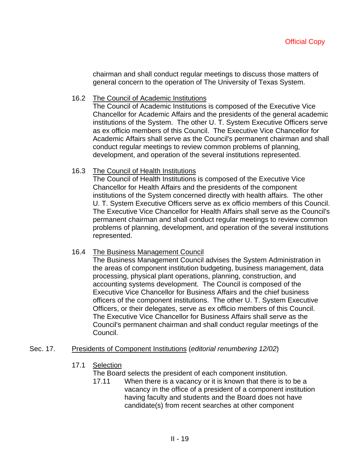chairman and shall conduct regular meetings to discuss those matters of general concern to the operation of The University of Texas System.

## 16.2 The Council of Academic Institutions

The Council of Academic Institutions is composed of the Executive Vice Chancellor for Academic Affairs and the presidents of the general academic institutions of the System. The other U. T. System Executive Officers serve as ex officio members of this Council. The Executive Vice Chancellor for Academic Affairs shall serve as the Council's permanent chairman and shall conduct regular meetings to review common problems of planning, development, and operation of the several institutions represented.

## 16.3 The Council of Health Institutions

The Council of Health Institutions is composed of the Executive Vice Chancellor for Health Affairs and the presidents of the component institutions of the System concerned directly with health affairs. The other U. T. System Executive Officers serve as ex officio members of this Council. The Executive Vice Chancellor for Health Affairs shall serve as the Council's permanent chairman and shall conduct regular meetings to review common problems of planning, development, and operation of the several institutions represented.

# 16.4 The Business Management Council

The Business Management Council advises the System Administration in the areas of component institution budgeting, business management, data processing, physical plant operations, planning, construction, and accounting systems development. The Council is composed of the Executive Vice Chancellor for Business Affairs and the chief business officers of the component institutions. The other U. T. System Executive Officers, or their delegates, serve as ex officio members of this Council. The Executive Vice Chancellor for Business Affairs shall serve as the Council's permanent chairman and shall conduct regular meetings of the Council.

# Sec. 17. Presidents of Component Institutions (*editorial renumbering 12/02*)

17.1 Selection

The Board selects the president of each component institution.

17.11 When there is a vacancy or it is known that there is to be a vacancy in the office of a president of a component institution having faculty and students and the Board does not have candidate(s) from recent searches at other component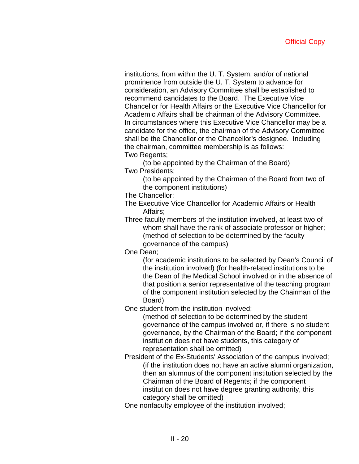institutions, from within the U. T. System, and/or of national prominence from outside the U. T. System to advance for consideration, an Advisory Committee shall be established to recommend candidates to the Board. The Executive Vice Chancellor for Health Affairs or the Executive Vice Chancellor for Academic Affairs shall be chairman of the Advisory Committee. In circumstances where this Executive Vice Chancellor may be a candidate for the office, the chairman of the Advisory Committee shall be the Chancellor or the Chancellor's designee. Including the chairman, committee membership is as follows: Two Regents;

(to be appointed by the Chairman of the Board) Two Presidents;

> (to be appointed by the Chairman of the Board from two of the component institutions)

The Chancellor;

The Executive Vice Chancellor for Academic Affairs or Health Affairs;

Three faculty members of the institution involved, at least two of whom shall have the rank of associate professor or higher; (method of selection to be determined by the faculty governance of the campus)

One Dean;

(for academic institutions to be selected by Dean's Council of the institution involved) (for health-related institutions to be the Dean of the Medical School involved or in the absence of that position a senior representative of the teaching program of the component institution selected by the Chairman of the Board)

One student from the institution involved;

(method of selection to be determined by the student governance of the campus involved or, if there is no student governance, by the Chairman of the Board; if the component institution does not have students, this category of representation shall be omitted)

President of the Ex-Students' Association of the campus involved; (if the institution does not have an active alumni organization, then an alumnus of the component institution selected by the Chairman of the Board of Regents; if the component institution does not have degree granting authority, this category shall be omitted)

One nonfaculty employee of the institution involved;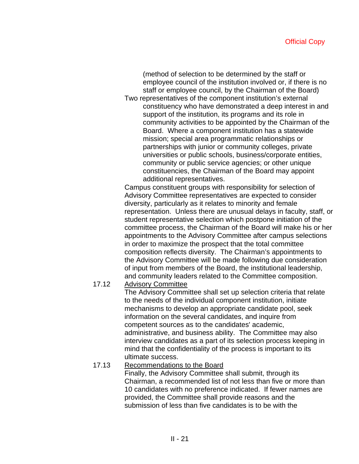(method of selection to be determined by the staff or employee council of the institution involved or, if there is no staff or employee council, by the Chairman of the Board)

Two representatives of the component institution's external constituency who have demonstrated a deep interest in and support of the institution, its programs and its role in community activities to be appointed by the Chairman of the Board. Where a component institution has a statewide mission; special area programmatic relationships or partnerships with junior or community colleges, private universities or public schools, business/corporate entities, community or public service agencies; or other unique constituencies, the Chairman of the Board may appoint additional representatives.

Campus constituent groups with responsibility for selection of Advisory Committee representatives are expected to consider diversity, particularly as it relates to minority and female representation. Unless there are unusual delays in faculty, staff, or student representative selection which postpone initiation of the committee process, the Chairman of the Board will make his or her appointments to the Advisory Committee after campus selections in order to maximize the prospect that the total committee composition reflects diversity. The Chairman's appointments to the Advisory Committee will be made following due consideration of input from members of the Board, the institutional leadership, and community leaders related to the Committee composition.

# 17.12 Advisory Committee

 The Advisory Committee shall set up selection criteria that relate to the needs of the individual component institution, initiate mechanisms to develop an appropriate candidate pool, seek information on the several candidates, and inquire from competent sources as to the candidates' academic, administrative, and business ability. The Committee may also interview candidates as a part of its selection process keeping in mind that the confidentiality of the process is important to its ultimate success.

# 17.13 Recommendations to the Board

 Finally, the Advisory Committee shall submit, through its Chairman, a recommended list of not less than five or more than 10 candidates with no preference indicated. If fewer names are provided, the Committee shall provide reasons and the submission of less than five candidates is to be with the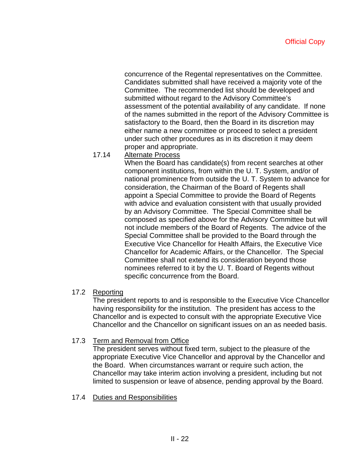concurrence of the Regental representatives on the Committee. Candidates submitted shall have received a majority vote of the Committee. The recommended list should be developed and submitted without regard to the Advisory Committee's assessment of the potential availability of any candidate. If none of the names submitted in the report of the Advisory Committee is satisfactory to the Board, then the Board in its discretion may either name a new committee or proceed to select a president under such other procedures as in its discretion it may deem proper and appropriate.

# 17.14 Alternate Process

 When the Board has candidate(s) from recent searches at other component institutions, from within the U. T. System, and/or of national prominence from outside the U. T. System to advance for consideration, the Chairman of the Board of Regents shall appoint a Special Committee to provide the Board of Regents with advice and evaluation consistent with that usually provided by an Advisory Committee. The Special Committee shall be composed as specified above for the Advisory Committee but will not include members of the Board of Regents. The advice of the Special Committee shall be provided to the Board through the Executive Vice Chancellor for Health Affairs, the Executive Vice Chancellor for Academic Affairs, or the Chancellor. The Special Committee shall not extend its consideration beyond those nominees referred to it by the U. T. Board of Regents without specific concurrence from the Board.

# 17.2 Reporting

The president reports to and is responsible to the Executive Vice Chancellor having responsibility for the institution. The president has access to the Chancellor and is expected to consult with the appropriate Executive Vice Chancellor and the Chancellor on significant issues on an as needed basis.

# 17.3 Term and Removal from Office

The president serves without fixed term, subject to the pleasure of the appropriate Executive Vice Chancellor and approval by the Chancellor and the Board. When circumstances warrant or require such action, the Chancellor may take interim action involving a president, including but not limited to suspension or leave of absence, pending approval by the Board.

## 17.4 Duties and Responsibilities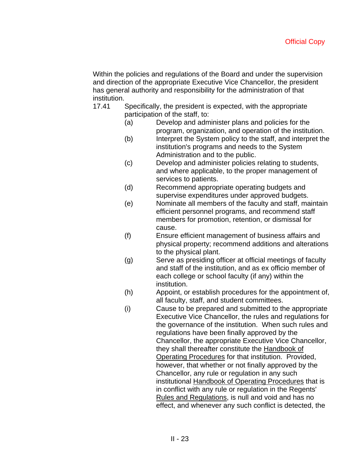Within the policies and regulations of the Board and under the supervision and direction of the appropriate Executive Vice Chancellor, the president has general authority and responsibility for the administration of that institution.

- 17.41 Specifically, the president is expected, with the appropriate participation of the staff, to:
	- (a) Develop and administer plans and policies for the program, organization, and operation of the institution.
	- (b) Interpret the System policy to the staff, and interpret the institution's programs and needs to the System Administration and to the public.
	- (c) Develop and administer policies relating to students, and where applicable, to the proper management of services to patients.
	- (d) Recommend appropriate operating budgets and supervise expenditures under approved budgets.
	- (e) Nominate all members of the faculty and staff, maintain efficient personnel programs, and recommend staff members for promotion, retention, or dismissal for cause.
	- (f) Ensure efficient management of business affairs and physical property; recommend additions and alterations to the physical plant.
	- (g) Serve as presiding officer at official meetings of faculty and staff of the institution, and as ex officio member of each college or school faculty (if any) within the institution.
	- (h) Appoint, or establish procedures for the appointment of, all faculty, staff, and student committees.
	- (i) Cause to be prepared and submitted to the appropriate Executive Vice Chancellor, the rules and regulations for the governance of the institution. When such rules and regulations have been finally approved by the Chancellor, the appropriate Executive Vice Chancellor, they shall thereafter constitute the Handbook of Operating Procedures for that institution. Provided, however, that whether or not finally approved by the Chancellor, any rule or regulation in any such institutional Handbook of Operating Procedures that is in conflict with any rule or regulation in the Regents' Rules and Regulations, is null and void and has no effect, and whenever any such conflict is detected, the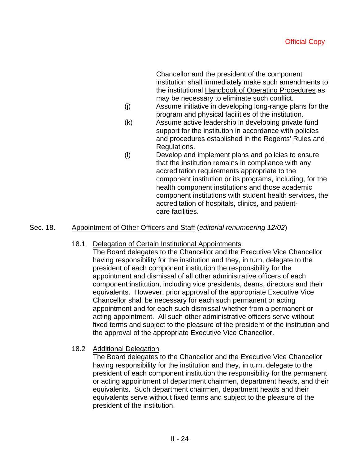Chancellor and the president of the component institution shall immediately make such amendments to the institutional Handbook of Operating Procedures as may be necessary to eliminate such conflict.

- (j) Assume initiative in developing long-range plans for the program and physical facilities of the institution.
- (k) Assume active leadership in developing private fund support for the institution in accordance with policies and procedures established in the Regents' Rules and Regulations.
- (l) Develop and implement plans and policies to ensure that the institution remains in compliance with any accreditation requirements appropriate to the component institution or its programs, including, for the health component institutions and those academic component institutions with student health services, the accreditation of hospitals, clinics, and patientcare facilities.

# Sec. 18. Appointment of Other Officers and Staff (*editorial renumbering 12/02*)

## 18.1 Delegation of Certain Institutional Appointments

The Board delegates to the Chancellor and the Executive Vice Chancellor having responsibility for the institution and they, in turn, delegate to the president of each component institution the responsibility for the appointment and dismissal of all other administrative officers of each component institution, including vice presidents, deans, directors and their equivalents. However, prior approval of the appropriate Executive Vice Chancellor shall be necessary for each such permanent or acting appointment and for each such dismissal whether from a permanent or acting appointment. All such other administrative officers serve without fixed terms and subject to the pleasure of the president of the institution and the approval of the appropriate Executive Vice Chancellor.

## 18.2 Additional Delegation

The Board delegates to the Chancellor and the Executive Vice Chancellor having responsibility for the institution and they, in turn, delegate to the president of each component institution the responsibility for the permanent or acting appointment of department chairmen, department heads, and their equivalents. Such department chairmen, department heads and their equivalents serve without fixed terms and subject to the pleasure of the president of the institution.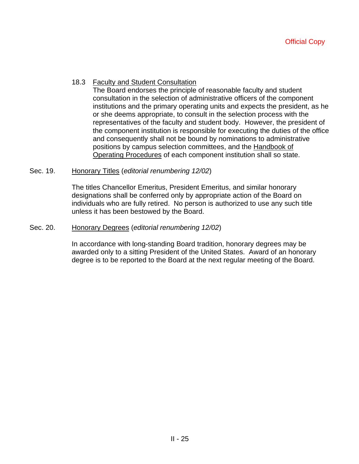## 18.3 Faculty and Student Consultation

The Board endorses the principle of reasonable faculty and student consultation in the selection of administrative officers of the component institutions and the primary operating units and expects the president, as he or she deems appropriate, to consult in the selection process with the representatives of the faculty and student body. However, the president of the component institution is responsible for executing the duties of the office and consequently shall not be bound by nominations to administrative positions by campus selection committees, and the Handbook of Operating Procedures of each component institution shall so state.

## Sec. 19. Honorary Titles (*editorial renumbering 12/02*)

The titles Chancellor Emeritus, President Emeritus, and similar honorary designations shall be conferred only by appropriate action of the Board on individuals who are fully retired. No person is authorized to use any such title unless it has been bestowed by the Board.

#### Sec. 20. Honorary Degrees (*editorial renumbering 12/02*)

In accordance with long-standing Board tradition, honorary degrees may be awarded only to a sitting President of the United States. Award of an honorary degree is to be reported to the Board at the next regular meeting of the Board.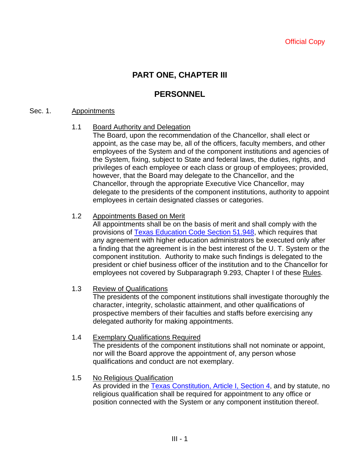# **PART ONE, CHAPTER III**

# **PERSONNEL**

## Sec. 1. Appointments

# 1.1 Board Authority and Delegation

The Board, upon the recommendation of the Chancellor, shall elect or appoint, as the case may be, all of the officers, faculty members, and other employees of the System and of the component institutions and agencies of the System, fixing, subject to State and federal laws, the duties, rights, and privileges of each employee or each class or group of employees; provided, however, that the Board may delegate to the Chancellor, and the Chancellor, through the appropriate Executive Vice Chancellor, may delegate to the presidents of the component institutions, authority to appoint employees in certain designated classes or categories.

# 1.2 Appointments Based on Merit

All appointments shall be on the basis of merit and shall comply with the provisions of Texas Education Code Section 51.948, which requires that any agreement with higher education administrators be executed only after a finding that the agreement is in the best interest of the U. T. System or the component institution. Authority to make such findings is delegated to the president or chief business officer of the institution and to the Chancellor for employees not covered by Subparagraph 9.293, Chapter I of these Rules.

# 1.3 Review of Qualifications

The presidents of the component institutions shall investigate thoroughly the character, integrity, scholastic attainment, and other qualifications of prospective members of their faculties and staffs before exercising any delegated authority for making appointments.

# 1.4 Exemplary Qualifications Required

The presidents of the component institutions shall not nominate or appoint, nor will the Board approve the appointment of, any person whose qualifications and conduct are not exemplary.

# 1.5 No Religious Qualification

As provided in the Texas Constitution, Article I, Section 4, and by statute, no religious qualification shall be required for appointment to any office or position connected with the System or any component institution thereof.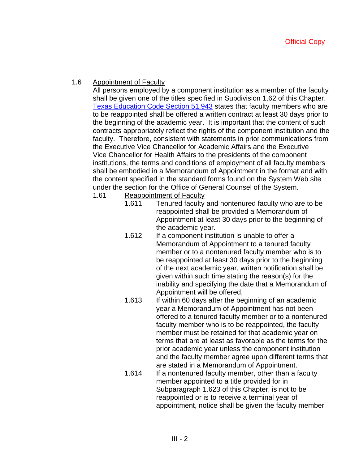# 1.6 Appointment of Faculty

All persons employed by a component institution as a member of the faculty shall be given one of the titles specified in Subdivision 1.62 of this Chapter. Texas Education Code Section 51.943 states that faculty members who are to be reappointed shall be offered a written contract at least 30 days prior to the beginning of the academic year. It is important that the content of such contracts appropriately reflect the rights of the component institution and the faculty. Therefore, consistent with statements in prior communications from the Executive Vice Chancellor for Academic Affairs and the Executive Vice Chancellor for Health Affairs to the presidents of the component institutions, the terms and conditions of employment of all faculty members shall be embodied in a Memorandum of Appointment in the format and with the content specified in the standard forms found on the System Web site under the section for the Office of General Counsel of the System.

# 1.61 Reappointment of Faculty

- 1.611 Tenured faculty and nontenured faculty who are to be reappointed shall be provided a Memorandum of Appointment at least 30 days prior to the beginning of the academic year.
- 1.612 If a component institution is unable to offer a Memorandum of Appointment to a tenured faculty member or to a nontenured faculty member who is to be reappointed at least 30 days prior to the beginning of the next academic year, written notification shall be given within such time stating the reason(s) for the inability and specifying the date that a Memorandum of Appointment will be offered.
- 1.613 If within 60 days after the beginning of an academic year a Memorandum of Appointment has not been offered to a tenured faculty member or to a nontenured faculty member who is to be reappointed, the faculty member must be retained for that academic year on terms that are at least as favorable as the terms for the prior academic year unless the component institution and the faculty member agree upon different terms that are stated in a Memorandum of Appointment.
- 1.614 If a nontenured faculty member, other than a faculty member appointed to a title provided for in Subparagraph 1.623 of this Chapter, is not to be reappointed or is to receive a terminal year of appointment, notice shall be given the faculty member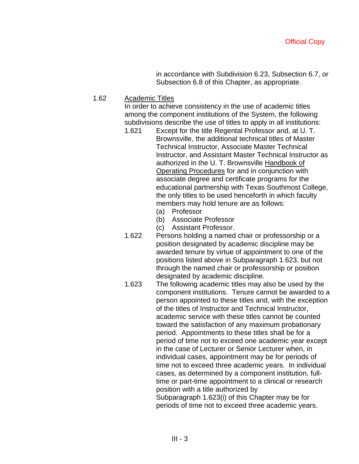in accordance with Subdivision 6.23, Subsection 6.7, or Subsection 6.8 of this Chapter, as appropriate.

1.62 Academic Titles

In order to achieve consistency in the use of academic titles among the component institutions of the System, the following subdivisions describe the use of titles to apply in all institutions:

- 1.621 Except for the title Regental Professor and, at U. T. Brownsville, the additional technical titles of Master Technical Instructor, Associate Master Technical Instructor, and Assistant Master Technical Instructor as authorized in the U. T. Brownsville Handbook of Operating Procedures for and in conjunction with associate degree and certificate programs for the educational partnership with Texas Southmost College, the only titles to be used henceforth in which faculty members may hold tenure are as follows:
	- (a) Professor
	- (b) Associate Professor
	- (c) Assistant Professor.
- 1.622 Persons holding a named chair or professorship or a position designated by academic discipline may be awarded tenure by virtue of appointment to one of the positions listed above in Subparagraph 1.623, but not through the named chair or professorship or position designated by academic discipline.
- 1.623 The following academic titles may also be used by the component institutions. Tenure cannot be awarded to a person appointed to these titles and, with the exception of the titles of Instructor and Technical Instructor, academic service with these titles cannot be counted toward the satisfaction of any maximum probationary period. Appointments to these titles shall be for a period of time not to exceed one academic year except in the case of Lecturer or Senior Lecturer when, in individual cases, appointment may be for periods of time not to exceed three academic years. In individual cases, as determined by a component institution, fulltime or part-time appointment to a clinical or research position with a title authorized by Subparagraph 1.623(i) of this Chapter may be for periods of time not to exceed three academic years.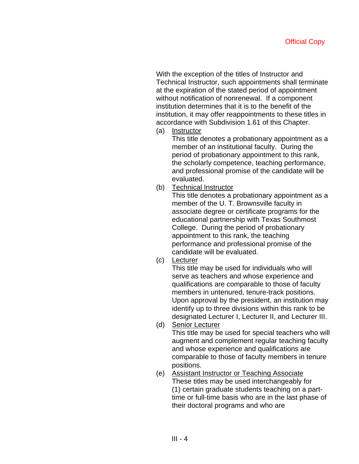With the exception of the titles of Instructor and Technical Instructor, such appointments shall terminate at the expiration of the stated period of appointment without notification of nonrenewal. If a component institution determines that it is to the benefit of the institution, it may offer reappointments to these titles in accordance with Subdivision 1.61 of this Chapter.

(a) Instructor

 This title denotes a probationary appointment as a member of an institutional faculty. During the period of probationary appointment to this rank, the scholarly competence, teaching performance, and professional promise of the candidate will be evaluated.

(b) Technical Instructor

 This title denotes a probationary appointment as a member of the U. T. Brownsville faculty in associate degree or certificate programs for the educational partnership with Texas Southmost College. During the period of probationary appointment to this rank, the teaching performance and professional promise of the candidate will be evaluated.

(c) Lecturer

 This title may be used for individuals who will serve as teachers and whose experience and qualifications are comparable to those of faculty members in untenured, tenure-track positions. Upon approval by the president, an institution may identify up to three divisions within this rank to be designated Lecturer I, Lecturer II, and Lecturer III.

- (d) Senior Lecturer This title may be used for special teachers who will augment and complement regular teaching faculty and whose experience and qualifications are comparable to those of faculty members in tenure positions.
- (e) Assistant Instructor or Teaching Associate These titles may be used interchangeably for (1) certain graduate students teaching on a parttime or full-time basis who are in the last phase of their doctoral programs and who are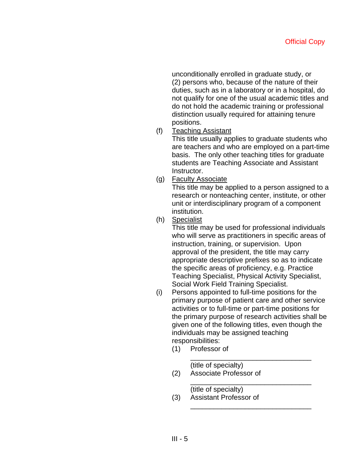unconditionally enrolled in graduate study, or (2) persons who, because of the nature of their duties, such as in a laboratory or in a hospital, do not qualify for one of the usual academic titles and do not hold the academic training or professional distinction usually required for attaining tenure positions.

(f) Teaching Assistant

 This title usually applies to graduate students who are teachers and who are employed on a part-time basis. The only other teaching titles for graduate students are Teaching Associate and Assistant Instructor.

(g) Faculty Associate

 This title may be applied to a person assigned to a research or nonteaching center, institute, or other unit or interdisciplinary program of a component institution.

(h) Specialist

 This title may be used for professional individuals who will serve as practitioners in specific areas of instruction, training, or supervision. Upon approval of the president, the title may carry appropriate descriptive prefixes so as to indicate the specific areas of proficiency, e.g. Practice Teaching Specialist, Physical Activity Specialist, Social Work Field Training Specialist.

(i) Persons appointed to full-time positions for the primary purpose of patient care and other service activities or to full-time or part-time positions for the primary purpose of research activities shall be given one of the following titles, even though the individuals may be assigned teaching responsibilities:

\_\_\_\_\_\_\_\_\_\_\_\_\_\_\_\_\_\_\_\_\_\_\_\_\_\_\_\_\_\_\_

\_\_\_\_\_\_\_\_\_\_\_\_\_\_\_\_\_\_\_\_\_\_\_\_\_\_\_\_\_\_\_

(1) Professor of

(title of specialty)

(2) Associate Professor of \_\_\_\_\_\_\_\_\_\_\_\_\_\_\_\_\_\_\_\_\_\_\_\_\_\_\_\_\_\_\_

(title of specialty)

(3) Assistant Professor of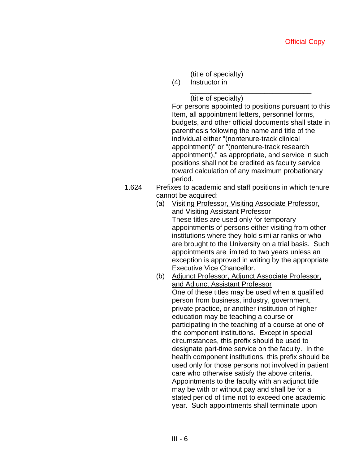(title of specialty)

(4) Instructor in \_\_\_\_\_\_\_\_\_\_\_\_\_\_\_\_\_\_\_\_\_\_\_\_\_\_\_\_\_\_\_

(title of specialty)

 For persons appointed to positions pursuant to this Item, all appointment letters, personnel forms, budgets, and other official documents shall state in parenthesis following the name and title of the individual either "(nontenure-track clinical appointment)" or "(nontenure-track research appointment)," as appropriate, and service in such positions shall not be credited as faculty service toward calculation of any maximum probationary period.

- 1.624 Prefixes to academic and staff positions in which tenure cannot be acquired:
	- (a) Visiting Professor, Visiting Associate Professor, and Visiting Assistant Professor These titles are used only for temporary appointments of persons either visiting from other institutions where they hold similar ranks or who are brought to the University on a trial basis. Such appointments are limited to two years unless an exception is approved in writing by the appropriate Executive Vice Chancellor.
	- (b) Adjunct Professor, Adjunct Associate Professor, and Adjunct Assistant Professor One of these titles may be used when a qualified person from business, industry, government, private practice, or another institution of higher education may be teaching a course or participating in the teaching of a course at one of the component institutions. Except in special circumstances, this prefix should be used to designate part-time service on the faculty. In the health component institutions, this prefix should be used only for those persons not involved in patient care who otherwise satisfy the above criteria. Appointments to the faculty with an adjunct title may be with or without pay and shall be for a stated period of time not to exceed one academic year. Such appointments shall terminate upon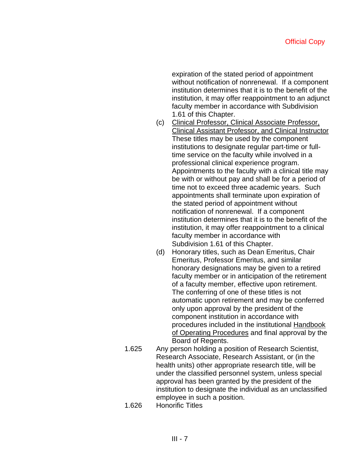expiration of the stated period of appointment without notification of nonrenewal. If a component institution determines that it is to the benefit of the institution, it may offer reappointment to an adjunct faculty member in accordance with Subdivision 1.61 of this Chapter.

- (c) Clinical Professor, Clinical Associate Professor, Clinical Assistant Professor, and Clinical Instructor These titles may be used by the component institutions to designate regular part-time or fulltime service on the faculty while involved in a professional clinical experience program. Appointments to the faculty with a clinical title may be with or without pay and shall be for a period of time not to exceed three academic years. Such appointments shall terminate upon expiration of the stated period of appointment without notification of nonrenewal. If a component institution determines that it is to the benefit of the institution, it may offer reappointment to a clinical faculty member in accordance with Subdivision 1.61 of this Chapter.
- (d) Honorary titles, such as Dean Emeritus, Chair Emeritus, Professor Emeritus, and similar honorary designations may be given to a retired faculty member or in anticipation of the retirement of a faculty member, effective upon retirement. The conferring of one of these titles is not automatic upon retirement and may be conferred only upon approval by the president of the component institution in accordance with procedures included in the institutional Handbook of Operating Procedures and final approval by the Board of Regents.
- 1.625 Any person holding a position of Research Scientist, Research Associate, Research Assistant, or (in the health units) other appropriate research title, will be under the classified personnel system, unless special approval has been granted by the president of the institution to designate the individual as an unclassified employee in such a position.
- 1.626 Honorific Titles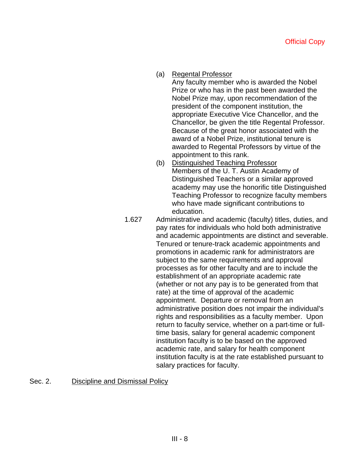(a) Regental Professor

 Any faculty member who is awarded the Nobel Prize or who has in the past been awarded the Nobel Prize may, upon recommendation of the president of the component institution, the appropriate Executive Vice Chancellor, and the Chancellor, be given the title Regental Professor. Because of the great honor associated with the award of a Nobel Prize, institutional tenure is awarded to Regental Professors by virtue of the appointment to this rank.

- (b) Distinguished Teaching Professor Members of the U. T. Austin Academy of Distinguished Teachers or a similar approved academy may use the honorific title Distinguished Teaching Professor to recognize faculty members who have made significant contributions to education.
- 1.627 Administrative and academic (faculty) titles, duties, and pay rates for individuals who hold both administrative and academic appointments are distinct and severable. Tenured or tenure-track academic appointments and promotions in academic rank for administrators are subject to the same requirements and approval processes as for other faculty and are to include the establishment of an appropriate academic rate (whether or not any pay is to be generated from that rate) at the time of approval of the academic appointment. Departure or removal from an administrative position does not impair the individual's rights and responsibilities as a faculty member. Upon return to faculty service, whether on a part-time or fulltime basis, salary for general academic component institution faculty is to be based on the approved academic rate, and salary for health component institution faculty is at the rate established pursuant to salary practices for faculty.

### Sec. 2. Discipline and Dismissal Policy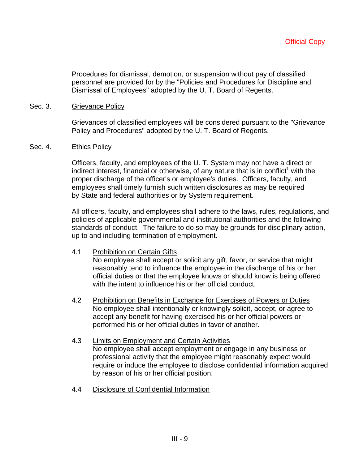Procedures for dismissal, demotion, or suspension without pay of classified personnel are provided for by the "Policies and Procedures for Discipline and Dismissal of Employees" adopted by the U. T. Board of Regents.

#### Sec. 3. Grievance Policy

Grievances of classified employees will be considered pursuant to the "Grievance Policy and Procedures" adopted by the U. T. Board of Regents.

#### Sec. 4. Ethics Policy

Officers, faculty, and employees of the U. T. System may not have a direct or indirect interest, financial or otherwise, of any nature that is in conflict<sup>1</sup> with the proper discharge of the officer's or employee's duties. Officers, faculty, and employees shall timely furnish such written disclosures as may be required by State and federal authorities or by System requirement.

All officers, faculty, and employees shall adhere to the laws, rules, regulations, and policies of applicable governmental and institutional authorities and the following standards of conduct. The failure to do so may be grounds for disciplinary action, up to and including termination of employment.

4.1 Prohibition on Certain Gifts

No employee shall accept or solicit any gift, favor, or service that might reasonably tend to influence the employee in the discharge of his or her official duties or that the employee knows or should know is being offered with the intent to influence his or her official conduct.

- 4.2 Prohibition on Benefits in Exchange for Exercises of Powers or Duties No employee shall intentionally or knowingly solicit, accept, or agree to accept any benefit for having exercised his or her official powers or performed his or her official duties in favor of another.
- 4.3 Limits on Employment and Certain Activities No employee shall accept employment or engage in any business or professional activity that the employee might reasonably expect would require or induce the employee to disclose confidential information acquired by reason of his or her official position.
- 4.4 Disclosure of Confidential Information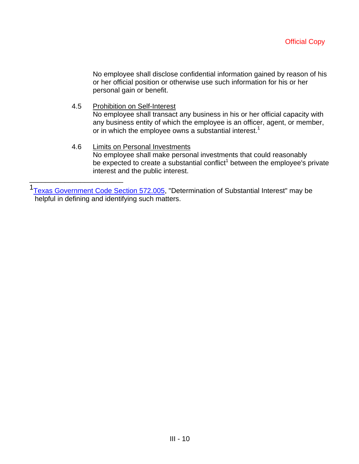No employee shall disclose confidential information gained by reason of his or her official position or otherwise use such information for his or her personal gain or benefit.

- 4.5 Prohibition on Self-Interest No employee shall transact any business in his or her official capacity with any business entity of which the employee is an officer, agent, or member, or in which the employee owns a substantial interest.<sup>1</sup>
- 4.6 Limits on Personal Investments No employee shall make personal investments that could reasonably be expected to create a substantial conflict<sup>1</sup> between the employee's private interest and the public interest.

\_\_\_\_\_\_\_\_\_\_\_\_\_\_\_\_\_\_\_\_\_\_\_\_

<sup>&</sup>lt;sup>1</sup>Texas Government Code Section 572.005, "Determination of Substantial Interest" may be helpful in defining and identifying such matters.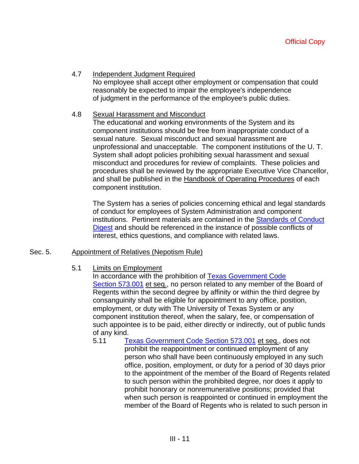# 4.7 Independent Judgment Required

No employee shall accept other employment or compensation that could reasonably be expected to impair the employee's independence of judgment in the performance of the employee's public duties.

### 4.8 Sexual Harassment and Misconduct

The educational and working environments of the System and its component institutions should be free from inappropriate conduct of a sexual nature. Sexual misconduct and sexual harassment are unprofessional and unacceptable. The component institutions of the U. T. System shall adopt policies prohibiting sexual harassment and sexual misconduct and procedures for review of complaints. These policies and procedures shall be reviewed by the appropriate Executive Vice Chancellor, and shall be published in the Handbook of Operating Procedures of each component institution.

The System has a series of policies concerning ethical and legal standards of conduct for employees of System Administration and component institutions. Pertinent materials are contained in the Standards of Conduct Digest and should be referenced in the instance of possible conflicts of interest, ethics questions, and compliance with related laws.

#### Sec. 5. Appointment of Relatives (Nepotism Rule)

# 5.1 Limits on Employment

In accordance with the prohibition of Texas Government Code Section 573.001 et seq., no person related to any member of the Board of Regents within the second degree by affinity or within the third degree by consanguinity shall be eligible for appointment to any office, position, employment, or duty with The University of Texas System or any component institution thereof, when the salary, fee, or compensation of such appointee is to be paid, either directly or indirectly, out of public funds of any kind.

5.11 Texas Government Code Section 573.001 et seq., does not prohibit the reappointment or continued employment of any person who shall have been continuously employed in any such office, position, employment, or duty for a period of 30 days prior to the appointment of the member of the Board of Regents related to such person within the prohibited degree, nor does it apply to prohibit honorary or nonremunerative positions; provided that when such person is reappointed or continued in employment the member of the Board of Regents who is related to such person in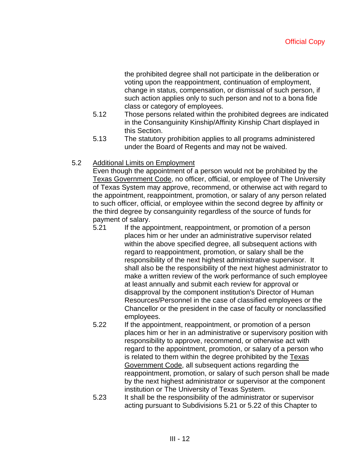the prohibited degree shall not participate in the deliberation or voting upon the reappointment, continuation of employment, change in status, compensation, or dismissal of such person, if such action applies only to such person and not to a bona fide class or category of employees.

- 5.12 Those persons related within the prohibited degrees are indicated in the Consanguinity Kinship/Affinity Kinship Chart displayed in this Section.
- 5.13 The statutory prohibition applies to all programs administered under the Board of Regents and may not be waived.

# 5.2 Additional Limits on Employment

Even though the appointment of a person would not be prohibited by the Texas Government Code, no officer, official, or employee of The University of Texas System may approve, recommend, or otherwise act with regard to the appointment, reappointment, promotion, or salary of any person related to such officer, official, or employee within the second degree by affinity or the third degree by consanguinity regardless of the source of funds for payment of salary.

- 5.21 If the appointment, reappointment, or promotion of a person places him or her under an administrative supervisor related within the above specified degree, all subsequent actions with regard to reappointment, promotion, or salary shall be the responsibility of the next highest administrative supervisor. It shall also be the responsibility of the next highest administrator to make a written review of the work performance of such employee at least annually and submit each review for approval or disapproval by the component institution's Director of Human Resources/Personnel in the case of classified employees or the Chancellor or the president in the case of faculty or nonclassified employees.
- 5.22 If the appointment, reappointment, or promotion of a person places him or her in an administrative or supervisory position with responsibility to approve, recommend, or otherwise act with regard to the appointment, promotion, or salary of a person who is related to them within the degree prohibited by the Texas Government Code, all subsequent actions regarding the reappointment, promotion, or salary of such person shall be made by the next highest administrator or supervisor at the component institution or The University of Texas System.
- 5.23 It shall be the responsibility of the administrator or supervisor acting pursuant to Subdivisions 5.21 or 5.22 of this Chapter to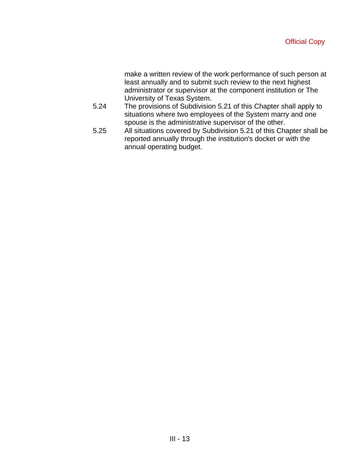make a written review of the work performance of such person at least annually and to submit such review to the next highest administrator or supervisor at the component institution or The University of Texas System.

- 5.24 The provisions of Subdivision 5.21 of this Chapter shall apply to situations where two employees of the System marry and one spouse is the administrative supervisor of the other.
- 5.25 All situations covered by Subdivision 5.21 of this Chapter shall be reported annually through the institution's docket or with the annual operating budget.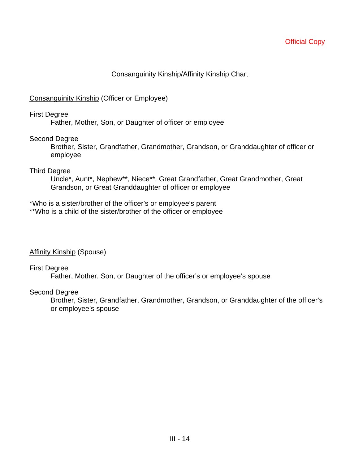# Consanguinity Kinship/Affinity Kinship Chart

### Consanguinity Kinship (Officer or Employee)

#### First Degree

Father, Mother, Son, or Daughter of officer or employee

### Second Degree

Brother, Sister, Grandfather, Grandmother, Grandson, or Granddaughter of officer or employee

### Third Degree

Uncle\*, Aunt\*, Nephew\*\*, Niece\*\*, Great Grandfather, Great Grandmother, Great Grandson, or Great Granddaughter of officer or employee

\*Who is a sister/brother of the officer's or employee's parent

\*\*Who is a child of the sister/brother of the officer or employee

Affinity Kinship (Spouse)

#### First Degree

Father, Mother, Son, or Daughter of the officer's or employee's spouse

#### Second Degree

Brother, Sister, Grandfather, Grandmother, Grandson, or Granddaughter of the officer's or employee's spouse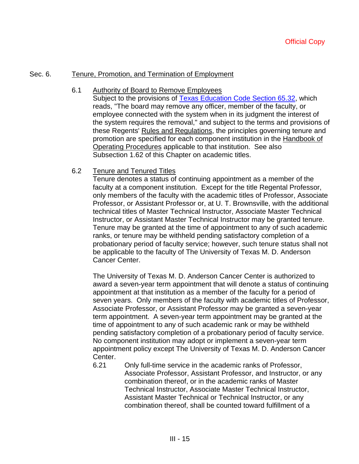### Sec. 6. Tenure, Promotion, and Termination of Employment

6.1 Authority of Board to Remove Employees

Subject to the provisions of Texas Education Code Section 65.32, which reads, "The board may remove any officer, member of the faculty, or employee connected with the system when in its judgment the interest of the system requires the removal," and subject to the terms and provisions of these Regents' Rules and Regulations, the principles governing tenure and promotion are specified for each component institution in the Handbook of Operating Procedures applicable to that institution. See also Subsection 1.62 of this Chapter on academic titles.

6.2 Tenure and Tenured Titles

Tenure denotes a status of continuing appointment as a member of the faculty at a component institution. Except for the title Regental Professor, only members of the faculty with the academic titles of Professor, Associate Professor, or Assistant Professor or, at U. T. Brownsville, with the additional technical titles of Master Technical Instructor, Associate Master Technical Instructor, or Assistant Master Technical Instructor may be granted tenure. Tenure may be granted at the time of appointment to any of such academic ranks, or tenure may be withheld pending satisfactory completion of a probationary period of faculty service; however, such tenure status shall not be applicable to the faculty of The University of Texas M. D. Anderson Cancer Center.

The University of Texas M. D. Anderson Cancer Center is authorized to award a seven-year term appointment that will denote a status of continuing appointment at that institution as a member of the faculty for a period of seven years. Only members of the faculty with academic titles of Professor, Associate Professor, or Assistant Professor may be granted a seven-year term appointment. A seven-year term appointment may be granted at the time of appointment to any of such academic rank or may be withheld pending satisfactory completion of a probationary period of faculty service. No component institution may adopt or implement a seven-year term appointment policy except The University of Texas M. D. Anderson Cancer Center.<br>6.21

Only full-time service in the academic ranks of Professor, Associate Professor, Assistant Professor, and Instructor, or any combination thereof, or in the academic ranks of Master Technical Instructor, Associate Master Technical Instructor, Assistant Master Technical or Technical Instructor, or any combination thereof, shall be counted toward fulfillment of a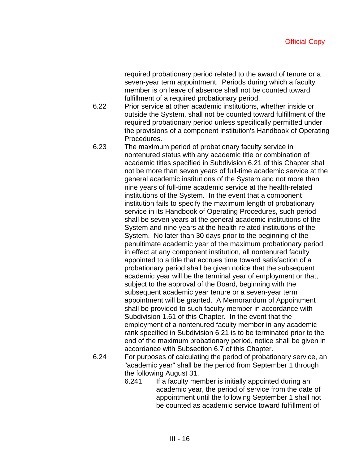required probationary period related to the award of tenure or a seven-year term appointment. Periods during which a faculty member is on leave of absence shall not be counted toward fulfillment of a required probationary period.

- 6.22 Prior service at other academic institutions, whether inside or outside the System, shall not be counted toward fulfillment of the required probationary period unless specifically permitted under the provisions of a component institution's Handbook of Operating Procedures.
- 6.23 The maximum period of probationary faculty service in nontenured status with any academic title or combination of academic titles specified in Subdivision 6.21 of this Chapter shall not be more than seven years of full-time academic service at the general academic institutions of the System and not more than nine years of full-time academic service at the health-related institutions of the System. In the event that a component institution fails to specify the maximum length of probationary service in its Handbook of Operating Procedures, such period shall be seven years at the general academic institutions of the System and nine years at the health-related institutions of the System. No later than 30 days prior to the beginning of the penultimate academic year of the maximum probationary period in effect at any component institution, all nontenured faculty appointed to a title that accrues time toward satisfaction of a probationary period shall be given notice that the subsequent academic year will be the terminal year of employment or that, subject to the approval of the Board, beginning with the subsequent academic year tenure or a seven-year term appointment will be granted. A Memorandum of Appointment shall be provided to such faculty member in accordance with Subdivision 1.61 of this Chapter. In the event that the employment of a nontenured faculty member in any academic rank specified in Subdivision 6.21 is to be terminated prior to the end of the maximum probationary period, notice shall be given in accordance with Subsection 6.7 of this Chapter.
- 

6.24 For purposes of calculating the period of probationary service, an "academic year" shall be the period from September 1 through the following August 31.

6.241 If a faculty member is initially appointed during an academic year, the period of service from the date of appointment until the following September 1 shall not be counted as academic service toward fulfillment of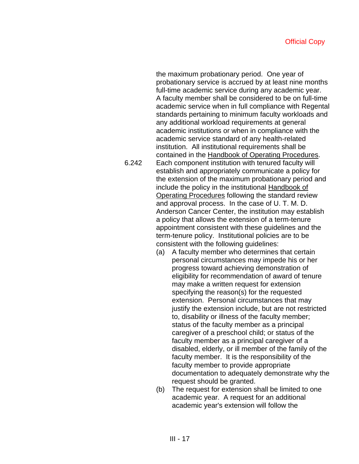the maximum probationary period. One year of probationary service is accrued by at least nine months full-time academic service during any academic year. A faculty member shall be considered to be on full-time academic service when in full compliance with Regental standards pertaining to minimum faculty workloads and any additional workload requirements at general academic institutions or when in compliance with the academic service standard of any health-related institution. All institutional requirements shall be contained in the Handbook of Operating Procedures.

- 6.242 Each component institution with tenured faculty will establish and appropriately communicate a policy for the extension of the maximum probationary period and include the policy in the institutional Handbook of Operating Procedures following the standard review and approval process. In the case of U. T. M. D. Anderson Cancer Center, the institution may establish a policy that allows the extension of a term-tenure appointment consistent with these guidelines and the term-tenure policy. Institutional policies are to be consistent with the following guidelines:
	- (a) A faculty member who determines that certain personal circumstances may impede his or her progress toward achieving demonstration of eligibility for recommendation of award of tenure may make a written request for extension specifying the reason(s) for the requested extension. Personal circumstances that may justify the extension include, but are not restricted to, disability or illness of the faculty member; status of the faculty member as a principal caregiver of a preschool child; or status of the faculty member as a principal caregiver of a disabled, elderly, or ill member of the family of the faculty member. It is the responsibility of the faculty member to provide appropriate documentation to adequately demonstrate why the request should be granted.
	- (b) The request for extension shall be limited to one academic year. A request for an additional academic year's extension will follow the
	-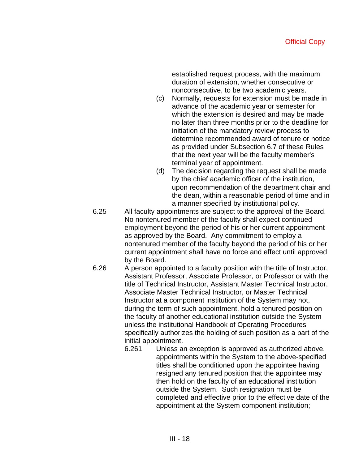established request process, with the maximum duration of extension, whether consecutive or nonconsecutive, to be two academic years.

- (c) Normally, requests for extension must be made in advance of the academic year or semester for which the extension is desired and may be made no later than three months prior to the deadline for initiation of the mandatory review process to determine recommended award of tenure or notice as provided under Subsection 6.7 of these Rules that the next year will be the faculty member's terminal year of appointment.
- (d) The decision regarding the request shall be made by the chief academic officer of the institution, upon recommendation of the department chair and the dean, within a reasonable period of time and in a manner specified by institutional policy.
- 6.25 All faculty appointments are subject to the approval of the Board. No nontenured member of the faculty shall expect continued employment beyond the period of his or her current appointment as approved by the Board. Any commitment to employ a nontenured member of the faculty beyond the period of his or her current appointment shall have no force and effect until approved by the Board.
- 6.26 A person appointed to a faculty position with the title of Instructor, Assistant Professor, Associate Professor, or Professor or with the title of Technical Instructor, Assistant Master Technical Instructor, Associate Master Technical Instructor, or Master Technical Instructor at a component institution of the System may not, during the term of such appointment, hold a tenured position on the faculty of another educational institution outside the System unless the institutional Handbook of Operating Procedures specifically authorizes the holding of such position as a part of the initial appointment.
	- 6.261 Unless an exception is approved as authorized above, appointments within the System to the above-specified titles shall be conditioned upon the appointee having resigned any tenured position that the appointee may then hold on the faculty of an educational institution outside the System. Such resignation must be completed and effective prior to the effective date of the appointment at the System component institution;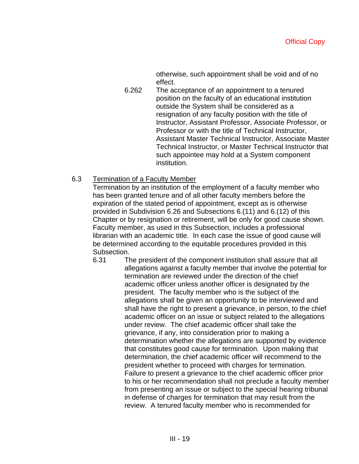otherwise, such appointment shall be void and of no effect.

6.262 The acceptance of an appointment to a tenured position on the faculty of an educational institution outside the System shall be considered as a resignation of any faculty position with the title of Instructor, Assistant Professor, Associate Professor, or Professor or with the title of Technical Instructor, Assistant Master Technical Instructor, Associate Master Technical Instructor, or Master Technical Instructor that such appointee may hold at a System component institution.

# 6.3 Termination of a Faculty Member

Termination by an institution of the employment of a faculty member who has been granted tenure and of all other faculty members before the expiration of the stated period of appointment, except as is otherwise provided in Subdivision 6.26 and Subsections 6.(11) and 6.(12) of this Chapter or by resignation or retirement, will be only for good cause shown. Faculty member, as used in this Subsection, includes a professional librarian with an academic title. In each case the issue of good cause will be determined according to the equitable procedures provided in this Subsection.

6.31 The president of the component institution shall assure that all allegations against a faculty member that involve the potential for termination are reviewed under the direction of the chief academic officer unless another officer is designated by the president. The faculty member who is the subject of the allegations shall be given an opportunity to be interviewed and shall have the right to present a grievance, in person, to the chief academic officer on an issue or subject related to the allegations under review. The chief academic officer shall take the grievance, if any, into consideration prior to making a determination whether the allegations are supported by evidence that constitutes good cause for termination. Upon making that determination, the chief academic officer will recommend to the president whether to proceed with charges for termination. Failure to present a grievance to the chief academic officer prior to his or her recommendation shall not preclude a faculty member from presenting an issue or subject to the special hearing tribunal in defense of charges for termination that may result from the review. A tenured faculty member who is recommended for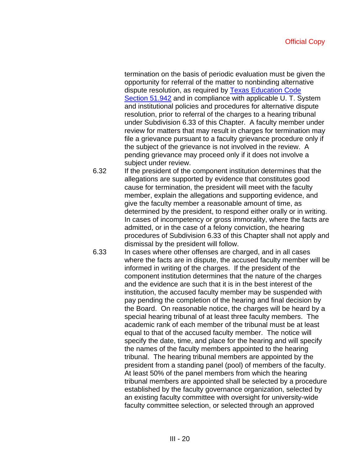termination on the basis of periodic evaluation must be given the opportunity for referral of the matter to nonbinding alternative dispute resolution, as required by Texas Education Code Section 51.942 and in compliance with applicable U. T. System and institutional policies and procedures for alternative dispute resolution, prior to referral of the charges to a hearing tribunal under Subdivision 6.33 of this Chapter. A faculty member under review for matters that may result in charges for termination may file a grievance pursuant to a faculty grievance procedure only if the subject of the grievance is not involved in the review. A pending grievance may proceed only if it does not involve a subject under review.

6.32 If the president of the component institution determines that the allegations are supported by evidence that constitutes good cause for termination, the president will meet with the faculty member, explain the allegations and supporting evidence, and give the faculty member a reasonable amount of time, as determined by the president, to respond either orally or in writing. In cases of incompetency or gross immorality, where the facts are admitted, or in the case of a felony conviction, the hearing procedures of Subdivision 6.33 of this Chapter shall not apply and dismissal by the president will follow.

6.33 In cases where other offenses are charged, and in all cases where the facts are in dispute, the accused faculty member will be informed in writing of the charges. If the president of the component institution determines that the nature of the charges and the evidence are such that it is in the best interest of the institution, the accused faculty member may be suspended with pay pending the completion of the hearing and final decision by the Board. On reasonable notice, the charges will be heard by a special hearing tribunal of at least three faculty members. The academic rank of each member of the tribunal must be at least equal to that of the accused faculty member. The notice will specify the date, time, and place for the hearing and will specify the names of the faculty members appointed to the hearing tribunal. The hearing tribunal members are appointed by the president from a standing panel (pool) of members of the faculty. At least 50% of the panel members from which the hearing tribunal members are appointed shall be selected by a procedure established by the faculty governance organization, selected by an existing faculty committee with oversight for university-wide faculty committee selection, or selected through an approved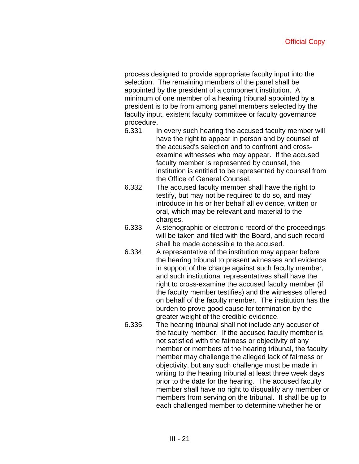process designed to provide appropriate faculty input into the selection. The remaining members of the panel shall be appointed by the president of a component institution. A minimum of one member of a hearing tribunal appointed by a president is to be from among panel members selected by the faculty input, existent faculty committee or faculty governance procedure.

- 6.331 In every such hearing the accused faculty member will have the right to appear in person and by counsel of the accused's selection and to confront and crossexamine witnesses who may appear. If the accused faculty member is represented by counsel, the institution is entitled to be represented by counsel from the Office of General Counsel.
- 6.332 The accused faculty member shall have the right to testify, but may not be required to do so, and may introduce in his or her behalf all evidence, written or oral, which may be relevant and material to the charges.
- 6.333 A stenographic or electronic record of the proceedings will be taken and filed with the Board, and such record shall be made accessible to the accused.
- 6.334 A representative of the institution may appear before the hearing tribunal to present witnesses and evidence in support of the charge against such faculty member, and such institutional representatives shall have the right to cross-examine the accused faculty member (if the faculty member testifies) and the witnesses offered on behalf of the faculty member. The institution has the burden to prove good cause for termination by the greater weight of the credible evidence.
- 6.335 The hearing tribunal shall not include any accuser of the faculty member. If the accused faculty member is not satisfied with the fairness or objectivity of any member or members of the hearing tribunal, the faculty member may challenge the alleged lack of fairness or objectivity, but any such challenge must be made in writing to the hearing tribunal at least three week days prior to the date for the hearing. The accused faculty member shall have no right to disqualify any member or members from serving on the tribunal. It shall be up to each challenged member to determine whether he or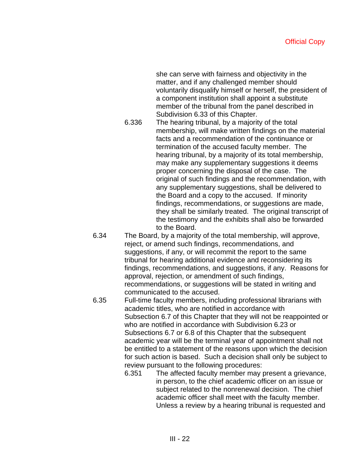she can serve with fairness and objectivity in the matter, and if any challenged member should voluntarily disqualify himself or herself, the president of a component institution shall appoint a substitute member of the tribunal from the panel described in Subdivision 6.33 of this Chapter.

- 6.336 The hearing tribunal, by a majority of the total membership, will make written findings on the material facts and a recommendation of the continuance or termination of the accused faculty member. The hearing tribunal, by a majority of its total membership, may make any supplementary suggestions it deems proper concerning the disposal of the case. The original of such findings and the recommendation, with any supplementary suggestions, shall be delivered to the Board and a copy to the accused. If minority findings, recommendations, or suggestions are made, they shall be similarly treated. The original transcript of the testimony and the exhibits shall also be forwarded to the Board.
- 6.34 The Board, by a majority of the total membership, will approve, reject, or amend such findings, recommendations, and suggestions, if any, or will recommit the report to the same tribunal for hearing additional evidence and reconsidering its findings, recommendations, and suggestions, if any. Reasons for approval, rejection, or amendment of such findings, recommendations, or suggestions will be stated in writing and communicated to the accused.
- 6.35 Full-time faculty members, including professional librarians with academic titles, who are notified in accordance with Subsection 6.7 of this Chapter that they will not be reappointed or who are notified in accordance with Subdivision 6.23 or Subsections 6.7 or 6.8 of this Chapter that the subsequent academic year will be the terminal year of appointment shall not be entitled to a statement of the reasons upon which the decision for such action is based. Such a decision shall only be subject to review pursuant to the following procedures:
	- 6.351 The affected faculty member may present a grievance, in person, to the chief academic officer on an issue or subject related to the nonrenewal decision. The chief academic officer shall meet with the faculty member. Unless a review by a hearing tribunal is requested and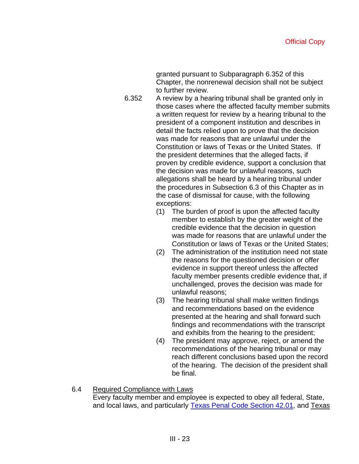granted pursuant to Subparagraph 6.352 of this Chapter, the nonrenewal decision shall not be subject to further review.

- 6.352 A review by a hearing tribunal shall be granted only in those cases where the affected faculty member submits a written request for review by a hearing tribunal to the president of a component institution and describes in detail the facts relied upon to prove that the decision was made for reasons that are unlawful under the Constitution or laws of Texas or the United States. If the president determines that the alleged facts, if proven by credible evidence, support a conclusion that the decision was made for unlawful reasons, such allegations shall be heard by a hearing tribunal under the procedures in Subsection 6.3 of this Chapter as in the case of dismissal for cause, with the following exceptions:
	- (1) The burden of proof is upon the affected faculty member to establish by the greater weight of the credible evidence that the decision in question was made for reasons that are unlawful under the Constitution or laws of Texas or the United States;
	- (2) The administration of the institution need not state the reasons for the questioned decision or offer evidence in support thereof unless the affected faculty member presents credible evidence that, if unchallenged, proves the decision was made for unlawful reasons;
	- (3) The hearing tribunal shall make written findings and recommendations based on the evidence presented at the hearing and shall forward such findings and recommendations with the transcript and exhibits from the hearing to the president;
	- (4) The president may approve, reject, or amend the recommendations of the hearing tribunal or may reach different conclusions based upon the record of the hearing. The decision of the president shall be final.

### 6.4 Required Compliance with Laws Every faculty member and employee is expected to obey all federal, State, and local laws, and particularly Texas Penal Code Section 42.01, and Texas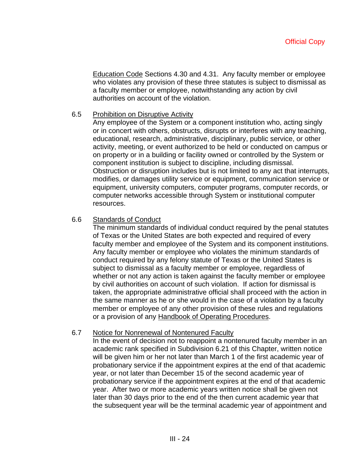Education Code Sections 4.30 and 4.31. Any faculty member or employee who violates any provision of these three statutes is subject to dismissal as a faculty member or employee, notwithstanding any action by civil authorities on account of the violation.

#### 6.5 Prohibition on Disruptive Activity

Any employee of the System or a component institution who, acting singly or in concert with others, obstructs, disrupts or interferes with any teaching, educational, research, administrative, disciplinary, public service, or other activity, meeting, or event authorized to be held or conducted on campus or on property or in a building or facility owned or controlled by the System or component institution is subject to discipline, including dismissal. Obstruction or disruption includes but is not limited to any act that interrupts, modifies, or damages utility service or equipment, communication service or equipment, university computers, computer programs, computer records, or computer networks accessible through System or institutional computer resources.

# 6.6 Standards of Conduct

The minimum standards of individual conduct required by the penal statutes of Texas or the United States are both expected and required of every faculty member and employee of the System and its component institutions. Any faculty member or employee who violates the minimum standards of conduct required by any felony statute of Texas or the United States is subject to dismissal as a faculty member or employee, regardless of whether or not any action is taken against the faculty member or employee by civil authorities on account of such violation. If action for dismissal is taken, the appropriate administrative official shall proceed with the action in the same manner as he or she would in the case of a violation by a faculty member or employee of any other provision of these rules and regulations or a provision of any Handbook of Operating Procedures.

#### 6.7 Notice for Nonrenewal of Nontenured Faculty

In the event of decision not to reappoint a nontenured faculty member in an academic rank specified in Subdivision 6.21 of this Chapter, written notice will be given him or her not later than March 1 of the first academic year of probationary service if the appointment expires at the end of that academic year, or not later than December 15 of the second academic year of probationary service if the appointment expires at the end of that academic year. After two or more academic years written notice shall be given not later than 30 days prior to the end of the then current academic year that the subsequent year will be the terminal academic year of appointment and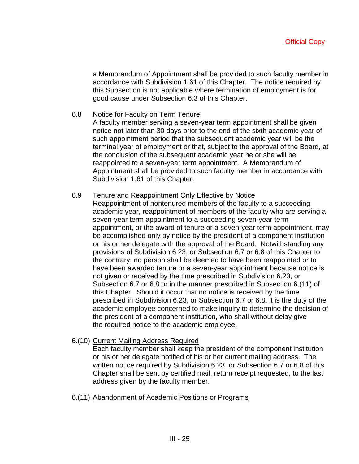a Memorandum of Appointment shall be provided to such faculty member in accordance with Subdivision 1.61 of this Chapter. The notice required by this Subsection is not applicable where termination of employment is for good cause under Subsection 6.3 of this Chapter.

### 6.8 Notice for Faculty on Term Tenure

A faculty member serving a seven-year term appointment shall be given notice not later than 30 days prior to the end of the sixth academic year of such appointment period that the subsequent academic year will be the terminal year of employment or that, subject to the approval of the Board, at the conclusion of the subsequent academic year he or she will be reappointed to a seven-year term appointment. A Memorandum of Appointment shall be provided to such faculty member in accordance with Subdivision 1.61 of this Chapter.

# 6.9 Tenure and Reappointment Only Effective by Notice

Reappointment of nontenured members of the faculty to a succeeding academic year, reappointment of members of the faculty who are serving a seven-year term appointment to a succeeding seven-year term appointment, or the award of tenure or a seven-year term appointment, may be accomplished only by notice by the president of a component institution or his or her delegate with the approval of the Board. Notwithstanding any provisions of Subdivision 6.23, or Subsection 6.7 or 6.8 of this Chapter to the contrary, no person shall be deemed to have been reappointed or to have been awarded tenure or a seven-year appointment because notice is not given or received by the time prescribed in Subdivision 6.23, or Subsection 6.7 or 6.8 or in the manner prescribed in Subsection 6.(11) of this Chapter. Should it occur that no notice is received by the time prescribed in Subdivision 6.23, or Subsection 6.7 or 6.8, it is the duty of the academic employee concerned to make inquiry to determine the decision of the president of a component institution, who shall without delay give the required notice to the academic employee.

# 6.(10) Current Mailing Address Required

Each faculty member shall keep the president of the component institution or his or her delegate notified of his or her current mailing address. The written notice required by Subdivision 6.23, or Subsection 6.7 or 6.8 of this Chapter shall be sent by certified mail, return receipt requested, to the last address given by the faculty member.

6.(11) Abandonment of Academic Positions or Programs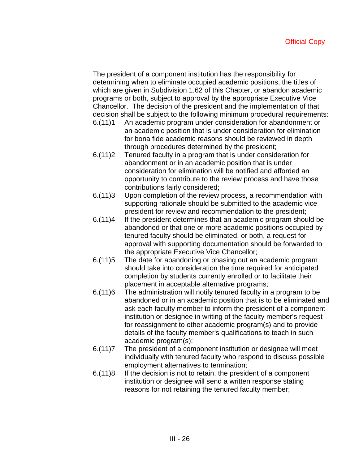The president of a component institution has the responsibility for determining when to eliminate occupied academic positions, the titles of which are given in Subdivision 1.62 of this Chapter, or abandon academic programs or both, subject to approval by the appropriate Executive Vice Chancellor. The decision of the president and the implementation of that decision shall be subject to the following minimum procedural requirements:

- 6.(11)1 An academic program under consideration for abandonment or an academic position that is under consideration for elimination for bona fide academic reasons should be reviewed in depth through procedures determined by the president;
- 6.(11)2 Tenured faculty in a program that is under consideration for abandonment or in an academic position that is under consideration for elimination will be notified and afforded an opportunity to contribute to the review process and have those contributions fairly considered;
- 6.(11)3 Upon completion of the review process, a recommendation with supporting rationale should be submitted to the academic vice president for review and recommendation to the president;
- 6.(11)4 If the president determines that an academic program should be abandoned or that one or more academic positions occupied by tenured faculty should be eliminated, or both, a request for approval with supporting documentation should be forwarded to the appropriate Executive Vice Chancellor;
- 6.(11)5 The date for abandoning or phasing out an academic program should take into consideration the time required for anticipated completion by students currently enrolled or to facilitate their placement in acceptable alternative programs;
- 6.(11)6 The administration will notify tenured faculty in a program to be abandoned or in an academic position that is to be eliminated and ask each faculty member to inform the president of a component institution or designee in writing of the faculty member's request for reassignment to other academic program(s) and to provide details of the faculty member's qualifications to teach in such academic program(s);
- 6.(11)7 The president of a component institution or designee will meet individually with tenured faculty who respond to discuss possible employment alternatives to termination;
- 6.(11)8 If the decision is not to retain, the president of a component institution or designee will send a written response stating reasons for not retaining the tenured faculty member;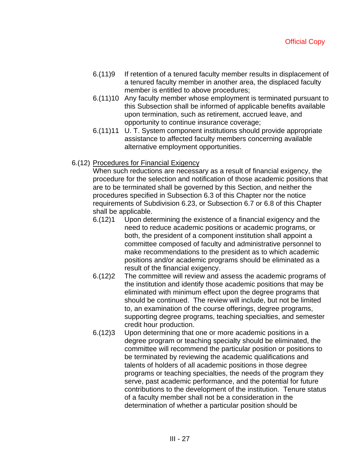- 6.(11)9 If retention of a tenured faculty member results in displacement of a tenured faculty member in another area, the displaced faculty member is entitled to above procedures;
- 6.(11)10 Any faculty member whose employment is terminated pursuant to this Subsection shall be informed of applicable benefits available upon termination, such as retirement, accrued leave, and opportunity to continue insurance coverage;
- 6.(11)11 U. T. System component institutions should provide appropriate assistance to affected faculty members concerning available alternative employment opportunities.

# 6.(12) Procedures for Financial Exigency

When such reductions are necessary as a result of financial exigency, the procedure for the selection and notification of those academic positions that are to be terminated shall be governed by this Section, and neither the procedures specified in Subsection 6.3 of this Chapter nor the notice requirements of Subdivision 6.23, or Subsection 6.7 or 6.8 of this Chapter shall be applicable.

- 6.(12)1 Upon determining the existence of a financial exigency and the need to reduce academic positions or academic programs, or both, the president of a component institution shall appoint a committee composed of faculty and administrative personnel to make recommendations to the president as to which academic positions and/or academic programs should be eliminated as a result of the financial exigency.
- 6.(12)2 The committee will review and assess the academic programs of the institution and identify those academic positions that may be eliminated with minimum effect upon the degree programs that should be continued. The review will include, but not be limited to, an examination of the course offerings, degree programs, supporting degree programs, teaching specialties, and semester credit hour production.
- 6.(12)3 Upon determining that one or more academic positions in a degree program or teaching specialty should be eliminated, the committee will recommend the particular position or positions to be terminated by reviewing the academic qualifications and talents of holders of all academic positions in those degree programs or teaching specialties, the needs of the program they serve, past academic performance, and the potential for future contributions to the development of the institution. Tenure status of a faculty member shall not be a consideration in the determination of whether a particular position should be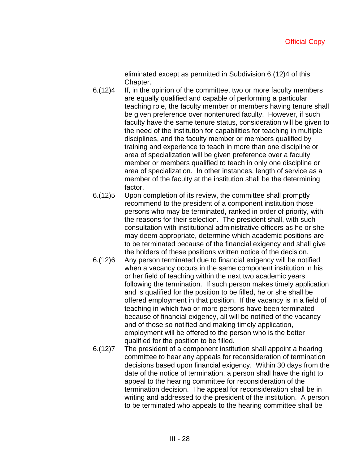eliminated except as permitted in Subdivision 6.(12)4 of this Chapter.

- 6.(12)4 If, in the opinion of the committee, two or more faculty members are equally qualified and capable of performing a particular teaching role, the faculty member or members having tenure shall be given preference over nontenured faculty. However, if such faculty have the same tenure status, consideration will be given to the need of the institution for capabilities for teaching in multiple disciplines, and the faculty member or members qualified by training and experience to teach in more than one discipline or area of specialization will be given preference over a faculty member or members qualified to teach in only one discipline or area of specialization. In other instances, length of service as a member of the faculty at the institution shall be the determining factor.
- 6.(12)5 Upon completion of its review, the committee shall promptly recommend to the president of a component institution those persons who may be terminated, ranked in order of priority, with the reasons for their selection. The president shall, with such consultation with institutional administrative officers as he or she may deem appropriate, determine which academic positions are to be terminated because of the financial exigency and shall give the holders of these positions written notice of the decision.
- 6.(12)6 Any person terminated due to financial exigency will be notified when a vacancy occurs in the same component institution in his or her field of teaching within the next two academic years following the termination. If such person makes timely application and is qualified for the position to be filled, he or she shall be offered employment in that position. If the vacancy is in a field of teaching in which two or more persons have been terminated because of financial exigency, all will be notified of the vacancy and of those so notified and making timely application, employment will be offered to the person who is the better qualified for the position to be filled.
- 6.(12)7 The president of a component institution shall appoint a hearing committee to hear any appeals for reconsideration of termination decisions based upon financial exigency. Within 30 days from the date of the notice of termination, a person shall have the right to appeal to the hearing committee for reconsideration of the termination decision. The appeal for reconsideration shall be in writing and addressed to the president of the institution. A person to be terminated who appeals to the hearing committee shall be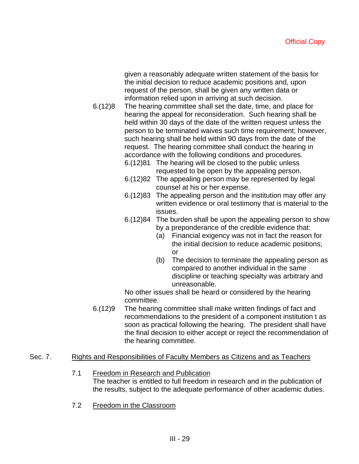given a reasonably adequate written statement of the basis for the initial decision to reduce academic positions and, upon request of the person, shall be given any written data or information relied upon in arriving at such decision.

- 6.(12)8 The hearing committee shall set the date, time, and place for hearing the appeal for reconsideration. Such hearing shall be held within 30 days of the date of the written request unless the person to be terminated waives such time requirement; however, such hearing shall be held within 90 days from the date of the request. The hearing committee shall conduct the hearing in accordance with the following conditions and procedures.
	- 6.(12)81 The hearing will be closed to the public unless requested to be open by the appealing person.
	- 6.(12)82 The appealing person may be represented by legal counsel at his or her expense.
	- 6.(12)83 The appealing person and the institution may offer any written evidence or oral testimony that is material to the issues.
	- 6.(12)84 The burden shall be upon the appealing person to show by a preponderance of the credible evidence that:
		- (a) Financial exigency was not in fact the reason for the initial decision to reduce academic positions; or
		- (b) The decision to terminate the appealing person as compared to another individual in the same discipline or teaching specialty was arbitrary and unreasonable.

No other issues shall be heard or considered by the hearing committee.

6.(12)9 The hearing committee shall make written findings of fact and recommendations to the president of a component institution t as soon as practical following the hearing. The president shall have the final decision to either accept or reject the recommendation of the hearing committee.

# Sec. 7. Rights and Responsibilities of Faculty Members as Citizens and as Teachers

- 7.1 Freedom in Research and Publication The teacher is entitled to full freedom in research and in the publication of the results, subject to the adequate performance of other academic duties.
- 7.2 Freedom in the Classroom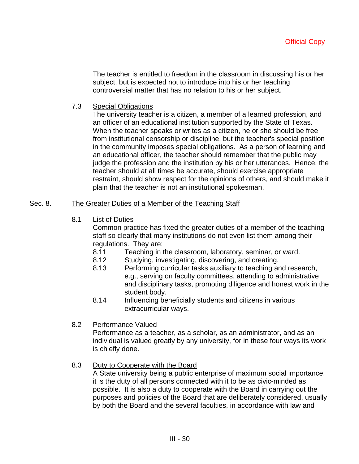The teacher is entitled to freedom in the classroom in discussing his or her subject, but is expected not to introduce into his or her teaching controversial matter that has no relation to his or her subject.

# 7.3 Special Obligations

The university teacher is a citizen, a member of a learned profession, and an officer of an educational institution supported by the State of Texas. When the teacher speaks or writes as a citizen, he or she should be free from institutional censorship or discipline, but the teacher's special position in the community imposes special obligations. As a person of learning and an educational officer, the teacher should remember that the public may judge the profession and the institution by his or her utterances. Hence, the teacher should at all times be accurate, should exercise appropriate restraint, should show respect for the opinions of others, and should make it plain that the teacher is not an institutional spokesman.

### Sec. 8. The Greater Duties of a Member of the Teaching Staff

8.1 List of Duties

Common practice has fixed the greater duties of a member of the teaching staff so clearly that many institutions do not even list them among their regulations. They are:

- 8.11 Teaching in the classroom, laboratory, seminar, or ward.
- 8.12 Studying, investigating, discovering, and creating.
- 8.13 Performing curricular tasks auxiliary to teaching and research, e.g., serving on faculty committees, attending to administrative and disciplinary tasks, promoting diligence and honest work in the student body.
- 8.14 Influencing beneficially students and citizens in various extracurricular ways.
- 8.2 Performance Valued

Performance as a teacher, as a scholar, as an administrator, and as an individual is valued greatly by any university, for in these four ways its work is chiefly done.

8.3 Duty to Cooperate with the Board

A State university being a public enterprise of maximum social importance, it is the duty of all persons connected with it to be as civic-minded as possible. It is also a duty to cooperate with the Board in carrying out the purposes and policies of the Board that are deliberately considered, usually by both the Board and the several faculties, in accordance with law and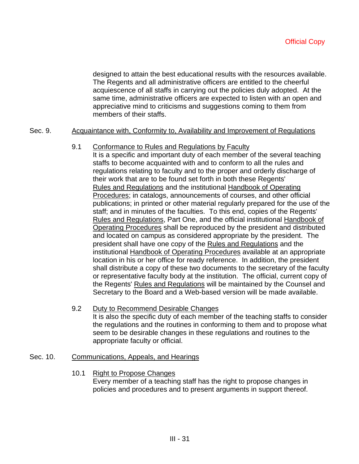designed to attain the best educational results with the resources available. The Regents and all administrative officers are entitled to the cheerful acquiescence of all staffs in carrying out the policies duly adopted. At the same time, administrative officers are expected to listen with an open and appreciative mind to criticisms and suggestions coming to them from members of their staffs.

### Sec. 9. Acquaintance with, Conformity to, Availability and Improvement of Regulations

9.1 Conformance to Rules and Regulations by Faculty

It is a specific and important duty of each member of the several teaching staffs to become acquainted with and to conform to all the rules and regulations relating to faculty and to the proper and orderly discharge of their work that are to be found set forth in both these Regents' Rules and Regulations and the institutional Handbook of Operating Procedures; in catalogs, announcements of courses, and other official publications; in printed or other material regularly prepared for the use of the staff; and in minutes of the faculties. To this end, copies of the Regents' Rules and Regulations, Part One, and the official institutional Handbook of Operating Procedures shall be reproduced by the president and distributed and located on campus as considered appropriate by the president. The president shall have one copy of the Rules and Regulations and the institutional Handbook of Operating Procedures available at an appropriate location in his or her office for ready reference. In addition, the president shall distribute a copy of these two documents to the secretary of the faculty or representative faculty body at the institution. The official, current copy of the Regents' Rules and Regulations will be maintained by the Counsel and Secretary to the Board and a Web-based version will be made available.

9.2 Duty to Recommend Desirable Changes It is also the specific duty of each member of the teaching staffs to consider the regulations and the routines in conforming to them and to propose what seem to be desirable changes in these regulations and routines to the appropriate faculty or official.

# Sec. 10. Communications, Appeals, and Hearings

10.1 Right to Propose Changes

Every member of a teaching staff has the right to propose changes in policies and procedures and to present arguments in support thereof.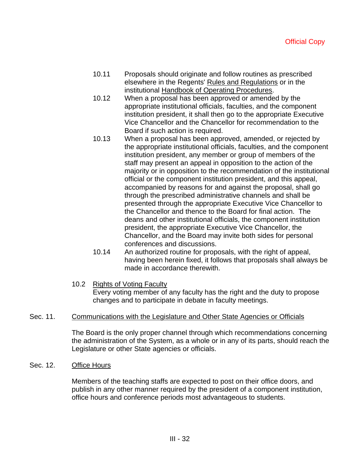- 10.11 Proposals should originate and follow routines as prescribed elsewhere in the Regents' Rules and Regulations or in the institutional Handbook of Operating Procedures.
- 10.12 When a proposal has been approved or amended by the appropriate institutional officials, faculties, and the component institution president, it shall then go to the appropriate Executive Vice Chancellor and the Chancellor for recommendation to the Board if such action is required.
- 10.13 When a proposal has been approved, amended, or rejected by the appropriate institutional officials, faculties, and the component institution president, any member or group of members of the staff may present an appeal in opposition to the action of the majority or in opposition to the recommendation of the institutional official or the component institution president, and this appeal, accompanied by reasons for and against the proposal, shall go through the prescribed administrative channels and shall be presented through the appropriate Executive Vice Chancellor to the Chancellor and thence to the Board for final action. The deans and other institutional officials, the component institution president, the appropriate Executive Vice Chancellor, the Chancellor, and the Board may invite both sides for personal conferences and discussions.
- 10.14 An authorized routine for proposals, with the right of appeal, having been herein fixed, it follows that proposals shall always be made in accordance therewith.
- 10.2 Rights of Voting Faculty

Every voting member of any faculty has the right and the duty to propose changes and to participate in debate in faculty meetings.

# Sec. 11. Communications with the Legislature and Other State Agencies or Officials

The Board is the only proper channel through which recommendations concerning the administration of the System, as a whole or in any of its parts, should reach the Legislature or other State agencies or officials.

Sec. 12. Office Hours

Members of the teaching staffs are expected to post on their office doors, and publish in any other manner required by the president of a component institution, office hours and conference periods most advantageous to students.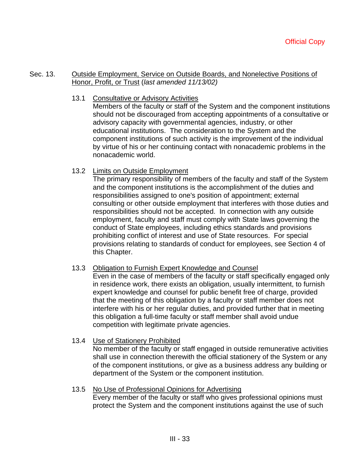### Sec. 13. Outside Employment, Service on Outside Boards, and Nonelective Positions of Honor, Profit, or Trust (*last amended 11/13/02)*

13.1 Consultative or Advisory Activities

Members of the faculty or staff of the System and the component institutions should not be discouraged from accepting appointments of a consultative or advisory capacity with governmental agencies, industry, or other educational institutions. The consideration to the System and the component institutions of such activity is the improvement of the individual by virtue of his or her continuing contact with nonacademic problems in the nonacademic world.

13.2 Limits on Outside Employment

The primary responsibility of members of the faculty and staff of the System and the component institutions is the accomplishment of the duties and responsibilities assigned to one's position of appointment; external consulting or other outside employment that interferes with those duties and responsibilities should not be accepted. In connection with any outside employment, faculty and staff must comply with State laws governing the conduct of State employees, including ethics standards and provisions prohibiting conflict of interest and use of State resources. For special provisions relating to standards of conduct for employees, see Section 4 of this Chapter.

13.3 Obligation to Furnish Expert Knowledge and Counsel

Even in the case of members of the faculty or staff specifically engaged only in residence work, there exists an obligation, usually intermittent, to furnish expert knowledge and counsel for public benefit free of charge, provided that the meeting of this obligation by a faculty or staff member does not interfere with his or her regular duties, and provided further that in meeting this obligation a full-time faculty or staff member shall avoid undue competition with legitimate private agencies.

13.4 Use of Stationery Prohibited

No member of the faculty or staff engaged in outside remunerative activities shall use in connection therewith the official stationery of the System or any of the component institutions, or give as a business address any building or department of the System or the component institution.

13.5 No Use of Professional Opinions for Advertising Every member of the faculty or staff who gives professional opinions must protect the System and the component institutions against the use of such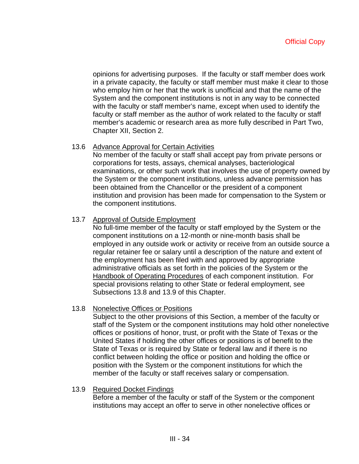opinions for advertising purposes. If the faculty or staff member does work in a private capacity, the faculty or staff member must make it clear to those who employ him or her that the work is unofficial and that the name of the System and the component institutions is not in any way to be connected with the faculty or staff member's name, except when used to identify the faculty or staff member as the author of work related to the faculty or staff member's academic or research area as more fully described in Part Two, Chapter XII, Section 2.

# 13.6 Advance Approval for Certain Activities

No member of the faculty or staff shall accept pay from private persons or corporations for tests, assays, chemical analyses, bacteriological examinations, or other such work that involves the use of property owned by the System or the component institutions, unless advance permission has been obtained from the Chancellor or the president of a component institution and provision has been made for compensation to the System or the component institutions.

# 13.7 Approval of Outside Employment

No full-time member of the faculty or staff employed by the System or the component institutions on a 12-month or nine-month basis shall be employed in any outside work or activity or receive from an outside source a regular retainer fee or salary until a description of the nature and extent of the employment has been filed with and approved by appropriate administrative officials as set forth in the policies of the System or the Handbook of Operating Procedures of each component institution. For special provisions relating to other State or federal employment, see Subsections 13.8 and 13.9 of this Chapter.

# 13.8 Nonelective Offices or Positions

Subject to the other provisions of this Section, a member of the faculty or staff of the System or the component institutions may hold other nonelective offices or positions of honor, trust, or profit with the State of Texas or the United States if holding the other offices or positions is of benefit to the State of Texas or is required by State or federal law and if there is no conflict between holding the office or position and holding the office or position with the System or the component institutions for which the member of the faculty or staff receives salary or compensation.

# 13.9 Required Docket Findings

Before a member of the faculty or staff of the System or the component institutions may accept an offer to serve in other nonelective offices or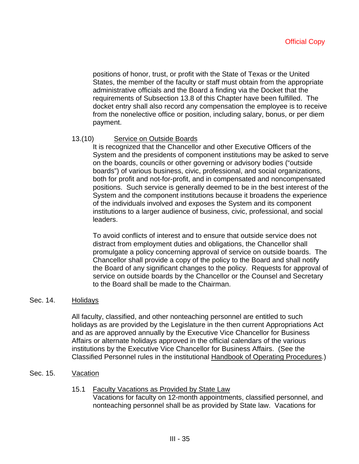positions of honor, trust, or profit with the State of Texas or the United States, the member of the faculty or staff must obtain from the appropriate administrative officials and the Board a finding via the Docket that the requirements of Subsection 13.8 of this Chapter have been fulfilled. The docket entry shall also record any compensation the employee is to receive from the nonelective office or position, including salary, bonus, or per diem payment.

### 13.(10) Service on Outside Boards

It is recognized that the Chancellor and other Executive Officers of the System and the presidents of component institutions may be asked to serve on the boards, councils or other governing or advisory bodies ("outside boards") of various business, civic, professional, and social organizations, both for profit and not-for-profit, and in compensated and noncompensated positions. Such service is generally deemed to be in the best interest of the System and the component institutions because it broadens the experience of the individuals involved and exposes the System and its component institutions to a larger audience of business, civic, professional, and social leaders.

To avoid conflicts of interest and to ensure that outside service does not distract from employment duties and obligations, the Chancellor shall promulgate a policy concerning approval of service on outside boards. The Chancellor shall provide a copy of the policy to the Board and shall notify the Board of any significant changes to the policy. Requests for approval of service on outside boards by the Chancellor or the Counsel and Secretary to the Board shall be made to the Chairman.

### Sec. 14. Holidays

All faculty, classified, and other nonteaching personnel are entitled to such holidays as are provided by the Legislature in the then current Appropriations Act and as are approved annually by the Executive Vice Chancellor for Business Affairs or alternate holidays approved in the official calendars of the various institutions by the Executive Vice Chancellor for Business Affairs. (See the Classified Personnel rules in the institutional Handbook of Operating Procedures.)

#### Sec. 15. Vacation

#### 15.1 Faculty Vacations as Provided by State Law

Vacations for faculty on 12-month appointments, classified personnel, and nonteaching personnel shall be as provided by State law. Vacations for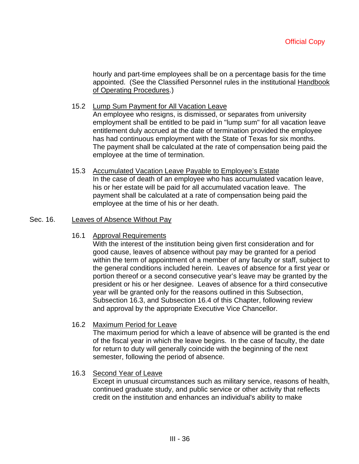hourly and part-time employees shall be on a percentage basis for the time appointed. (See the Classified Personnel rules in the institutional Handbook of Operating Procedures.)

### 15.2 Lump Sum Payment for All Vacation Leave

An employee who resigns, is dismissed, or separates from university employment shall be entitled to be paid in "lump sum" for all vacation leave entitlement duly accrued at the date of termination provided the employee has had continuous employment with the State of Texas for six months. The payment shall be calculated at the rate of compensation being paid the employee at the time of termination.

15.3 Accumulated Vacation Leave Payable to Employee's Estate In the case of death of an employee who has accumulated vacation leave, his or her estate will be paid for all accumulated vacation leave. The payment shall be calculated at a rate of compensation being paid the employee at the time of his or her death.

### Sec. 16. Leaves of Absence Without Pay

#### 16.1 Approval Requirements

With the interest of the institution being given first consideration and for good cause, leaves of absence without pay may be granted for a period within the term of appointment of a member of any faculty or staff, subject to the general conditions included herein. Leaves of absence for a first year or portion thereof or a second consecutive year's leave may be granted by the president or his or her designee. Leaves of absence for a third consecutive year will be granted only for the reasons outlined in this Subsection, Subsection 16.3, and Subsection 16.4 of this Chapter, following review and approval by the appropriate Executive Vice Chancellor.

# 16.2 Maximum Period for Leave

The maximum period for which a leave of absence will be granted is the end of the fiscal year in which the leave begins. In the case of faculty, the date for return to duty will generally coincide with the beginning of the next semester, following the period of absence.

# 16.3 Second Year of Leave

Except in unusual circumstances such as military service, reasons of health, continued graduate study, and public service or other activity that reflects credit on the institution and enhances an individual's ability to make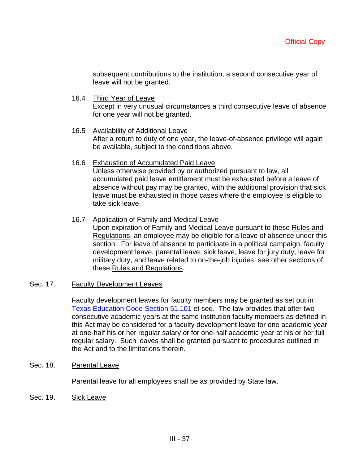subsequent contributions to the institution, a second consecutive year of leave will not be granted.

16.4 Third Year of Leave

Except in very unusual circumstances a third consecutive leave of absence for one year will not be granted.

- 16.5 Availability of Additional Leave After a return to duty of one year, the leave-of-absence privilege will again be available, subject to the conditions above.
- 16.6 Exhaustion of Accumulated Paid Leave Unless otherwise provided by or authorized pursuant to law, all accumulated paid leave entitlement must be exhausted before a leave of absence without pay may be granted, with the additional provision that sick leave must be exhausted in those cases where the employee is eligible to take sick leave.
- 16.7 Application of Family and Medical Leave

Upon expiration of Family and Medical Leave pursuant to these Rules and Regulations, an employee may be eligible for a leave of absence under this section. For leave of absence to participate in a political campaign, faculty development leave, parental leave, sick leave, leave for jury duty, leave for military duty, and leave related to on-the-job injuries, see other sections of these Rules and Regulations.

### Sec. 17. Faculty Development Leaves

Faculty development leaves for faculty members may be granted as set out in Texas Education Code Section 51.101 et seq. The law provides that after two consecutive academic years at the same institution faculty members as defined in this Act may be considered for a faculty development leave for one academic year at one-half his or her regular salary or for one-half academic year at his or her full regular salary. Such leaves shall be granted pursuant to procedures outlined in the Act and to the limitations therein.

Sec. 18. Parental Leave

Parental leave for all employees shall be as provided by State law.

Sec. 19. Sick Leave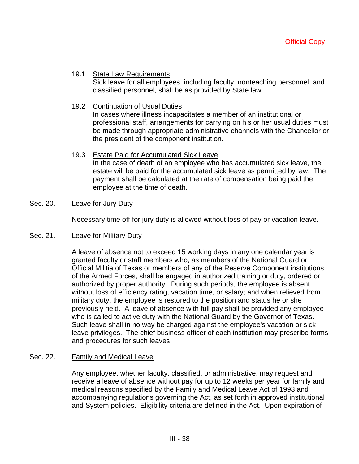### 19.1 State Law Requirements

Sick leave for all employees, including faculty, nonteaching personnel, and classified personnel, shall be as provided by State law.

### 19.2 Continuation of Usual Duties

In cases where illness incapacitates a member of an institutional or professional staff, arrangements for carrying on his or her usual duties must be made through appropriate administrative channels with the Chancellor or the president of the component institution.

19.3 Estate Paid for Accumulated Sick Leave In the case of death of an employee who has accumulated sick leave, the estate will be paid for the accumulated sick leave as permitted by law. The payment shall be calculated at the rate of compensation being paid the employee at the time of death.

### Sec. 20. Leave for Jury Duty

Necessary time off for jury duty is allowed without loss of pay or vacation leave.

#### Sec. 21. Leave for Military Duty

A leave of absence not to exceed 15 working days in any one calendar year is granted faculty or staff members who, as members of the National Guard or Official Militia of Texas or members of any of the Reserve Component institutions of the Armed Forces, shall be engaged in authorized training or duty, ordered or authorized by proper authority. During such periods, the employee is absent without loss of efficiency rating, vacation time, or salary; and when relieved from military duty, the employee is restored to the position and status he or she previously held. A leave of absence with full pay shall be provided any employee who is called to active duty with the National Guard by the Governor of Texas. Such leave shall in no way be charged against the employee's vacation or sick leave privileges. The chief business officer of each institution may prescribe forms and procedures for such leaves.

# Sec. 22. Family and Medical Leave

Any employee, whether faculty, classified, or administrative, may request and receive a leave of absence without pay for up to 12 weeks per year for family and medical reasons specified by the Family and Medical Leave Act of 1993 and accompanying regulations governing the Act, as set forth in approved institutional and System policies. Eligibility criteria are defined in the Act. Upon expiration of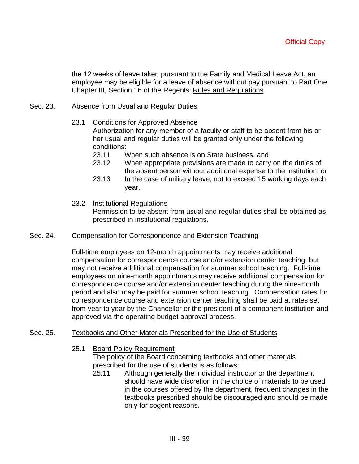the 12 weeks of leave taken pursuant to the Family and Medical Leave Act, an employee may be eligible for a leave of absence without pay pursuant to Part One, Chapter III, Section 16 of the Regents' Rules and Regulations.

### Sec. 23. Absence from Usual and Regular Duties

### 23.1 Conditions for Approved Absence

Authorization for any member of a faculty or staff to be absent from his or her usual and regular duties will be granted only under the following conditions:

- 23.11 When such absence is on State business, and
- 23.12 When appropriate provisions are made to carry on the duties of the absent person without additional expense to the institution; or
- 23.13 In the case of military leave, not to exceed 15 working days each year.
- 23.2 Institutional Regulations

Permission to be absent from usual and regular duties shall be obtained as prescribed in institutional regulations.

#### Sec. 24. Compensation for Correspondence and Extension Teaching

Full-time employees on 12-month appointments may receive additional compensation for correspondence course and/or extension center teaching, but may not receive additional compensation for summer school teaching. Full-time employees on nine-month appointments may receive additional compensation for correspondence course and/or extension center teaching during the nine-month period and also may be paid for summer school teaching. Compensation rates for correspondence course and extension center teaching shall be paid at rates set from year to year by the Chancellor or the president of a component institution and approved via the operating budget approval process.

# Sec. 25. Textbooks and Other Materials Prescribed for the Use of Students

#### 25.1 Board Policy Requirement

The policy of the Board concerning textbooks and other materials prescribed for the use of students is as follows:

25.11 Although generally the individual instructor or the department should have wide discretion in the choice of materials to be used in the courses offered by the department, frequent changes in the textbooks prescribed should be discouraged and should be made only for cogent reasons.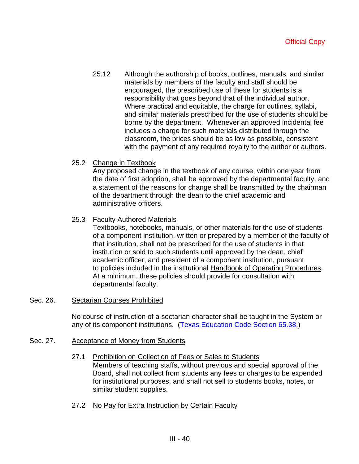- 25.12 Although the authorship of books, outlines, manuals, and similar materials by members of the faculty and staff should be encouraged, the prescribed use of these for students is a responsibility that goes beyond that of the individual author. Where practical and equitable, the charge for outlines, syllabi, and similar materials prescribed for the use of students should be borne by the department. Whenever an approved incidental fee includes a charge for such materials distributed through the classroom, the prices should be as low as possible, consistent with the payment of any required royalty to the author or authors.
- 25.2 Change in Textbook

Any proposed change in the textbook of any course, within one year from the date of first adoption, shall be approved by the departmental faculty, and a statement of the reasons for change shall be transmitted by the chairman of the department through the dean to the chief academic and administrative officers.

# 25.3 Faculty Authored Materials

Textbooks, notebooks, manuals, or other materials for the use of students of a component institution, written or prepared by a member of the faculty of that institution, shall not be prescribed for the use of students in that institution or sold to such students until approved by the dean, chief academic officer, and president of a component institution, pursuant to policies included in the institutional Handbook of Operating Procedures. At a minimum, these policies should provide for consultation with departmental faculty.

### Sec. 26. Sectarian Courses Prohibited

No course of instruction of a sectarian character shall be taught in the System or any of its component institutions. (Texas Education Code Section 65.38.)

# Sec. 27. Acceptance of Money from Students

- 27.1 Prohibition on Collection of Fees or Sales to Students Members of teaching staffs, without previous and special approval of the Board, shall not collect from students any fees or charges to be expended for institutional purposes, and shall not sell to students books, notes, or similar student supplies.
- 27.2 No Pay for Extra Instruction by Certain Faculty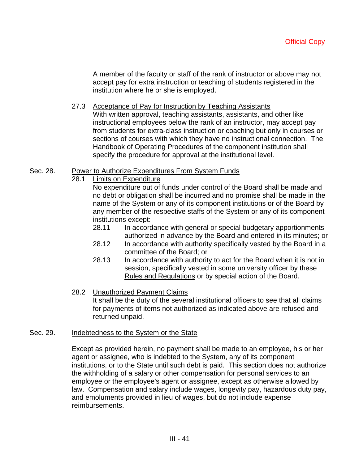A member of the faculty or staff of the rank of instructor or above may not accept pay for extra instruction or teaching of students registered in the institution where he or she is employed.

27.3 Acceptance of Pay for Instruction by Teaching Assistants

With written approval, teaching assistants, assistants, and other like instructional employees below the rank of an instructor, may accept pay from students for extra-class instruction or coaching but only in courses or sections of courses with which they have no instructional connection. The Handbook of Operating Procedures of the component institution shall specify the procedure for approval at the institutional level.

### Sec. 28. Power to Authorize Expenditures From System Funds

28.1 Limits on Expenditure

No expenditure out of funds under control of the Board shall be made and no debt or obligation shall be incurred and no promise shall be made in the name of the System or any of its component institutions or of the Board by any member of the respective staffs of the System or any of its component institutions except:

- 28.11 In accordance with general or special budgetary apportionments authorized in advance by the Board and entered in its minutes; or
- 28.12 In accordance with authority specifically vested by the Board in a committee of the Board; or
- 28.13 In accordance with authority to act for the Board when it is not in session, specifically vested in some university officer by these Rules and Regulations or by special action of the Board.
- 28.2 Unauthorized Payment Claims It shall be the duty of the several institutional officers to see that all claims for payments of items not authorized as indicated above are refused and returned unpaid.

### Sec. 29. Indebtedness to the System or the State

Except as provided herein, no payment shall be made to an employee, his or her agent or assignee, who is indebted to the System, any of its component institutions, or to the State until such debt is paid. This section does not authorize the withholding of a salary or other compensation for personal services to an employee or the employee's agent or assignee, except as otherwise allowed by law. Compensation and salary include wages, longevity pay, hazardous duty pay, and emoluments provided in lieu of wages, but do not include expense reimbursements.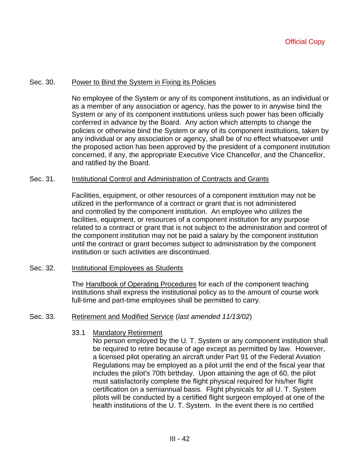### Sec. 30. Power to Bind the System in Fixing its Policies

No employee of the System or any of its component institutions, as an individual or as a member of any association or agency, has the power to in anywise bind the System or any of its component institutions unless such power has been officially conferred in advance by the Board. Any action which attempts to change the policies or otherwise bind the System or any of its component institutions, taken by any individual or any association or agency, shall be of no effect whatsoever until the proposed action has been approved by the president of a component institution concerned, if any, the appropriate Executive Vice Chancellor, and the Chancellor, and ratified by the Board.

### Sec. 31. Institutional Control and Administration of Contracts and Grants

Facilities, equipment, or other resources of a component institution may not be utilized in the performance of a contract or grant that is not administered and controlled by the component institution. An employee who utilizes the facilities, equipment, or resources of a component institution for any purpose related to a contract or grant that is not subject to the administration and control of the component institution may not be paid a salary by the component institution until the contract or grant becomes subject to administration by the component institution or such activities are discontinued.

### Sec. 32. Institutional Employees as Students

The Handbook of Operating Procedures for each of the component teaching institutions shall express the institutional policy as to the amount of course work full-time and part-time employees shall be permitted to carry.

### Sec. 33. Retirement and Modified Service (*last amended 11/13/02*)

### 33.1 Mandatory Retirement

No person employed by the U. T. System or any component institution shall be required to retire because of age except as permitted by law. However, a licensed pilot operating an aircraft under Part 91 of the Federal Aviation Regulations may be employed as a pilot until the end of the fiscal year that includes the pilot's 70th birthday. Upon attaining the age of 60, the pilot must satisfactorily complete the flight physical required for his/her flight certification on a semiannual basis. Flight physicals for all U. T. System pilots will be conducted by a certified flight surgeon employed at one of the health institutions of the U. T. System. In the event there is no certified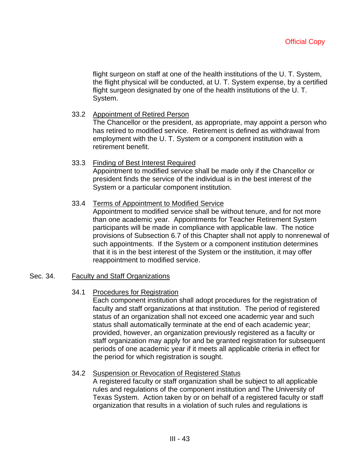flight surgeon on staff at one of the health institutions of the U. T. System, the flight physical will be conducted, at U. T. System expense, by a certified flight surgeon designated by one of the health institutions of the U. T. System.

- 33.2 Appointment of Retired Person The Chancellor or the president, as appropriate, may appoint a person who has retired to modified service. Retirement is defined as withdrawal from employment with the U. T. System or a component institution with a retirement benefit.
- 33.3 Finding of Best Interest Required Appointment to modified service shall be made only if the Chancellor or president finds the service of the individual is in the best interest of the System or a particular component institution.
- 33.4 Terms of Appointment to Modified Service

Appointment to modified service shall be without tenure, and for not more than one academic year. Appointments for Teacher Retirement System participants will be made in compliance with applicable law. The notice provisions of Subsection 6.7 of this Chapter shall not apply to nonrenewal of such appointments. If the System or a component institution determines that it is in the best interest of the System or the institution, it may offer reappointment to modified service.

### Sec. 34. Faculty and Staff Organizations

### 34.1 Procedures for Registration

Each component institution shall adopt procedures for the registration of faculty and staff organizations at that institution. The period of registered status of an organization shall not exceed one academic year and such status shall automatically terminate at the end of each academic year; provided, however, an organization previously registered as a faculty or staff organization may apply for and be granted registration for subsequent periods of one academic year if it meets all applicable criteria in effect for the period for which registration is sought.

### 34.2 Suspension or Revocation of Registered Status

A registered faculty or staff organization shall be subject to all applicable rules and regulations of the component institution and The University of Texas System. Action taken by or on behalf of a registered faculty or staff organization that results in a violation of such rules and regulations is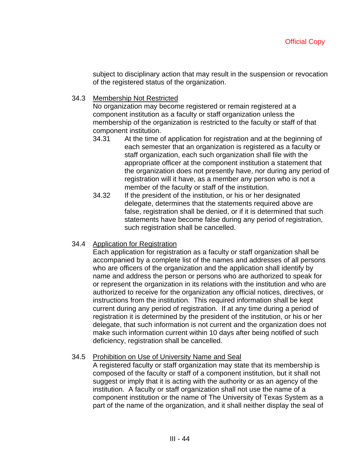subject to disciplinary action that may result in the suspension or revocation of the registered status of the organization.

34.3 Membership Not Restricted

No organization may become registered or remain registered at a component institution as a faculty or staff organization unless the membership of the organization is restricted to the faculty or staff of that component institution.

- 34.31 At the time of application for registration and at the beginning of each semester that an organization is registered as a faculty or staff organization, each such organization shall file with the appropriate officer at the component institution a statement that the organization does not presently have, nor during any period of registration will it have, as a member any person who is not a member of the faculty or staff of the institution.
- 34.32 If the president of the institution, or his or her designated delegate, determines that the statements required above are false, registration shall be denied, or if it is determined that such statements have become false during any period of registration, such registration shall be cancelled.
- 34.4 Application for Registration

Each application for registration as a faculty or staff organization shall be accompanied by a complete list of the names and addresses of all persons who are officers of the organization and the application shall identify by name and address the person or persons who are authorized to speak for or represent the organization in its relations with the institution and who are authorized to receive for the organization any official notices, directives, or instructions from the institution. This required information shall be kept current during any period of registration. If at any time during a period of registration it is determined by the president of the institution, or his or her delegate, that such information is not current and the organization does not make such information current within 10 days after being notified of such deficiency, registration shall be cancelled.

### 34.5 Prohibition on Use of University Name and Seal

A registered faculty or staff organization may state that its membership is composed of the faculty or staff of a component institution, but it shall not suggest or imply that it is acting with the authority or as an agency of the institution. A faculty or staff organization shall not use the name of a component institution or the name of The University of Texas System as a part of the name of the organization, and it shall neither display the seal of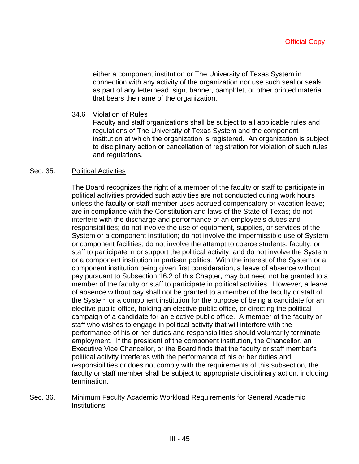either a component institution or The University of Texas System in connection with any activity of the organization nor use such seal or seals as part of any letterhead, sign, banner, pamphlet, or other printed material that bears the name of the organization.

34.6 Violation of Rules

Faculty and staff organizations shall be subject to all applicable rules and regulations of The University of Texas System and the component institution at which the organization is registered. An organization is subject to disciplinary action or cancellation of registration for violation of such rules and regulations.

#### Sec. 35. Political Activities

The Board recognizes the right of a member of the faculty or staff to participate in political activities provided such activities are not conducted during work hours unless the faculty or staff member uses accrued compensatory or vacation leave; are in compliance with the Constitution and laws of the State of Texas; do not interfere with the discharge and performance of an employee's duties and responsibilities; do not involve the use of equipment, supplies, or services of the System or a component institution; do not involve the impermissible use of System or component facilities; do not involve the attempt to coerce students, faculty, or staff to participate in or support the political activity; and do not involve the System or a component institution in partisan politics. With the interest of the System or a component institution being given first consideration, a leave of absence without pay pursuant to Subsection 16.2 of this Chapter, may but need not be granted to a member of the faculty or staff to participate in political activities. However, a leave of absence without pay shall not be granted to a member of the faculty or staff of the System or a component institution for the purpose of being a candidate for an elective public office, holding an elective public office, or directing the political campaign of a candidate for an elective public office. A member of the faculty or staff who wishes to engage in political activity that will interfere with the performance of his or her duties and responsibilities should voluntarily terminate employment. If the president of the component institution, the Chancellor, an Executive Vice Chancellor, or the Board finds that the faculty or staff member's political activity interferes with the performance of his or her duties and responsibilities or does not comply with the requirements of this subsection, the faculty or staff member shall be subject to appropriate disciplinary action, including termination.

### Sec. 36. Minimum Faculty Academic Workload Requirements for General Academic **Institutions**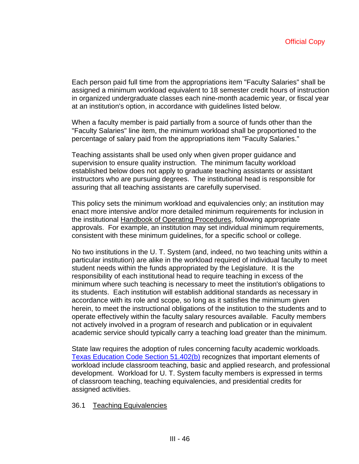Each person paid full time from the appropriations item "Faculty Salaries" shall be assigned a minimum workload equivalent to 18 semester credit hours of instruction in organized undergraduate classes each nine-month academic year, or fiscal year at an institution's option, in accordance with guidelines listed below.

When a faculty member is paid partially from a source of funds other than the "Faculty Salaries" line item, the minimum workload shall be proportioned to the percentage of salary paid from the appropriations item "Faculty Salaries."

Teaching assistants shall be used only when given proper guidance and supervision to ensure quality instruction. The minimum faculty workload established below does not apply to graduate teaching assistants or assistant instructors who are pursuing degrees. The institutional head is responsible for assuring that all teaching assistants are carefully supervised.

This policy sets the minimum workload and equivalencies only; an institution may enact more intensive and/or more detailed minimum requirements for inclusion in the institutional Handbook of Operating Procedures, following appropriate approvals. For example, an institution may set individual minimum requirements, consistent with these minimum guidelines, for a specific school or college.

No two institutions in the U. T. System (and, indeed, no two teaching units within a particular institution) are alike in the workload required of individual faculty to meet student needs within the funds appropriated by the Legislature. It is the responsibility of each institutional head to require teaching in excess of the minimum where such teaching is necessary to meet the institution's obligations to its students. Each institution will establish additional standards as necessary in accordance with its role and scope, so long as it satisfies the minimum given herein, to meet the instructional obligations of the institution to the students and to operate effectively within the faculty salary resources available. Faculty members not actively involved in a program of research and publication or in equivalent academic service should typically carry a teaching load greater than the minimum.

State law requires the adoption of rules concerning faculty academic workloads. Texas Education Code Section 51.402(b) recognizes that important elements of workload include classroom teaching, basic and applied research, and professional development. Workload for U. T. System faculty members is expressed in terms of classroom teaching, teaching equivalencies, and presidential credits for assigned activities.

### 36.1 Teaching Equivalencies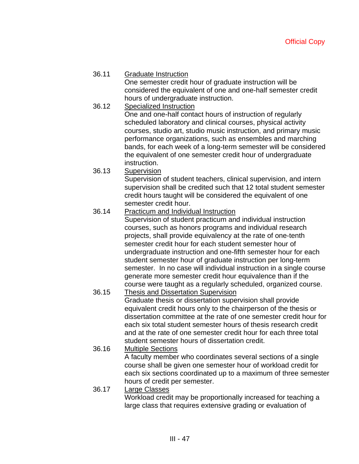# 36.11 Graduate Instruction One semester credit hour of graduate instruction will be

considered the equivalent of one and one-half semester credit hours of undergraduate instruction.

36.12 Specialized Instruction

One and one-half contact hours of instruction of regularly scheduled laboratory and clinical courses, physical activity courses, studio art, studio music instruction, and primary music performance organizations, such as ensembles and marching bands, for each week of a long-term semester will be considered the equivalent of one semester credit hour of undergraduate instruction.

36.13 Supervision

Supervision of student teachers, clinical supervision, and intern supervision shall be credited such that 12 total student semester credit hours taught will be considered the equivalent of one semester credit hour.

36.14 Practicum and Individual Instruction

Supervision of student practicum and individual instruction courses, such as honors programs and individual research projects, shall provide equivalency at the rate of one-tenth semester credit hour for each student semester hour of undergraduate instruction and one-fifth semester hour for each student semester hour of graduate instruction per long-term semester. In no case will individual instruction in a single course generate more semester credit hour equivalence than if the course were taught as a regularly scheduled, organized course.

## 36.15 Thesis and Dissertation Supervision

Graduate thesis or dissertation supervision shall provide equivalent credit hours only to the chairperson of the thesis or dissertation committee at the rate of one semester credit hour for each six total student semester hours of thesis research credit and at the rate of one semester credit hour for each three total student semester hours of dissertation credit.

36.16 Multiple Sections

A faculty member who coordinates several sections of a single course shall be given one semester hour of workload credit for each six sections coordinated up to a maximum of three semester hours of credit per semester.

36.17 Large Classes Workload credit may be proportionally increased for teaching a large class that requires extensive grading or evaluation of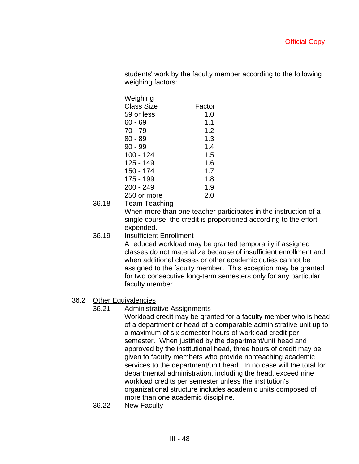students' work by the faculty member according to the following weighing factors:

| Weighing          |        |
|-------------------|--------|
| <b>Class Size</b> | Factor |
| 59 or less        | 1.0    |
| 60 - 69           | 1.1    |
| 70 - 79           | 1.2    |
| $80 - 89$         | 1.3    |
| $90 - 99$         | 1.4    |
| 100 - 124         | 1.5    |
| 125 - 149         | 1.6    |
| 150 - 174         | 1.7    |
| 175 - 199         | 1.8    |
| 200 - 249         | 1.9    |
| 250 or more       | 2.0    |
|                   |        |

36.18 Team Teaching

When more than one teacher participates in the instruction of a single course, the credit is proportioned according to the effort expended.

36.19 Insufficient Enrollment

A reduced workload may be granted temporarily if assigned classes do not materialize because of insufficient enrollment and when additional classes or other academic duties cannot be assigned to the faculty member. This exception may be granted for two consecutive long-term semesters only for any particular faculty member.

- 36.2 Other Equivalencies
	- 36.21 Administrative Assignments

Workload credit may be granted for a faculty member who is head of a department or head of a comparable administrative unit up to a maximum of six semester hours of workload credit per semester. When justified by the department/unit head and approved by the institutional head, three hours of credit may be given to faculty members who provide nonteaching academic services to the department/unit head. In no case will the total for departmental administration, including the head, exceed nine workload credits per semester unless the institution's organizational structure includes academic units composed of more than one academic discipline.

36.22 New Faculty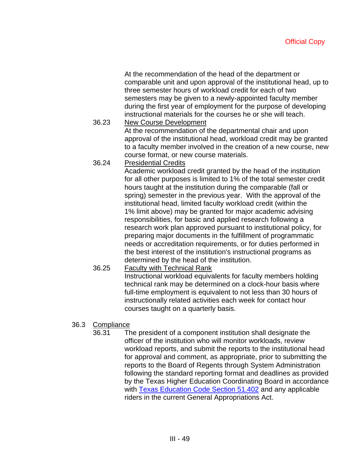|       | At the recommendation of the head of the department or<br>comparable unit and upon approval of the institutional head, up to<br>three semester hours of workload credit for each of two<br>semesters may be given to a newly-appointed faculty member<br>during the first year of employment for the purpose of developing<br>instructional materials for the courses he or she will teach.                                                                                                                                                                                                                                                                                                                                                                                                             |
|-------|---------------------------------------------------------------------------------------------------------------------------------------------------------------------------------------------------------------------------------------------------------------------------------------------------------------------------------------------------------------------------------------------------------------------------------------------------------------------------------------------------------------------------------------------------------------------------------------------------------------------------------------------------------------------------------------------------------------------------------------------------------------------------------------------------------|
| 36.23 | <b>New Course Development</b>                                                                                                                                                                                                                                                                                                                                                                                                                                                                                                                                                                                                                                                                                                                                                                           |
|       | At the recommendation of the departmental chair and upon                                                                                                                                                                                                                                                                                                                                                                                                                                                                                                                                                                                                                                                                                                                                                |
|       | approval of the institutional head, workload credit may be granted<br>to a faculty member involved in the creation of a new course, new<br>course format, or new course materials.                                                                                                                                                                                                                                                                                                                                                                                                                                                                                                                                                                                                                      |
| 36.24 | <b>Presidential Credits</b>                                                                                                                                                                                                                                                                                                                                                                                                                                                                                                                                                                                                                                                                                                                                                                             |
|       | Academic workload credit granted by the head of the institution<br>for all other purposes is limited to 1% of the total semester credit<br>hours taught at the institution during the comparable (fall or<br>spring) semester in the previous year. With the approval of the<br>institutional head, limited faculty workload credit (within the<br>1% limit above) may be granted for major academic advising<br>responsibilities, for basic and applied research following a<br>research work plan approved pursuant to institutional policy, for<br>preparing major documents in the fulfillment of programmatic<br>needs or accreditation requirements, or for duties performed in<br>the best interest of the institution's instructional programs as<br>determined by the head of the institution. |
| 36.25 | <b>Faculty with Technical Rank</b>                                                                                                                                                                                                                                                                                                                                                                                                                                                                                                                                                                                                                                                                                                                                                                      |
|       | Instructional workload equivalents for faculty members holding<br>technical rank may be determined on a clock-hour basis where<br>full-time employment is equivalent to not less than 30 hours of<br>instructionally related activities each week for contact hour                                                                                                                                                                                                                                                                                                                                                                                                                                                                                                                                      |

### 36.3 Compliance

36.31 The president of a component institution shall designate the officer of the institution who will monitor workloads, review workload reports, and submit the reports to the institutional head for approval and comment, as appropriate, prior to submitting the reports to the Board of Regents through System Administration following the standard reporting format and deadlines as provided by the Texas Higher Education Coordinating Board in accordance with Texas Education Code Section 51.402 and any applicable riders in the current General Appropriations Act.

courses taught on a quarterly basis.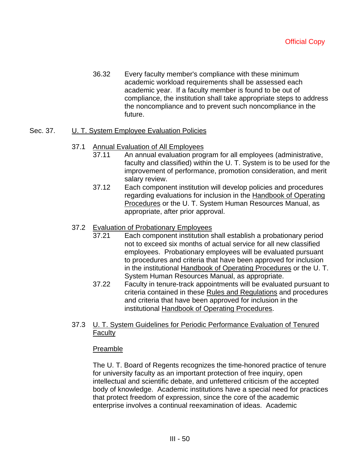36.32 Every faculty member's compliance with these minimum academic workload requirements shall be assessed each academic year. If a faculty member is found to be out of compliance, the institution shall take appropriate steps to address the noncompliance and to prevent such noncompliance in the future.

### Sec. 37. U. T. System Employee Evaluation Policies

### 37.1 Annual Evaluation of All Employees

- 37.11 An annual evaluation program for all employees (administrative, faculty and classified) within the U. T. System is to be used for the improvement of performance, promotion consideration, and merit salary review.
- 37.12 Each component institution will develop policies and procedures regarding evaluations for inclusion in the Handbook of Operating Procedures or the U. T. System Human Resources Manual, as appropriate, after prior approval.

### 37.2 Evaluation of Probationary Employees

- 37.21 Each component institution shall establish a probationary period not to exceed six months of actual service for all new classified employees. Probationary employees will be evaluated pursuant to procedures and criteria that have been approved for inclusion in the institutional Handbook of Operating Procedures or the U. T. System Human Resources Manual, as appropriate.
- 37.22 Faculty in tenure-track appointments will be evaluated pursuant to criteria contained in these Rules and Regulations and procedures and criteria that have been approved for inclusion in the institutional Handbook of Operating Procedures.
- 37.3 U. T. System Guidelines for Periodic Performance Evaluation of Tenured **Faculty**

### Preamble

The U. T. Board of Regents recognizes the time-honored practice of tenure for university faculty as an important protection of free inquiry, open intellectual and scientific debate, and unfettered criticism of the accepted body of knowledge. Academic institutions have a special need for practices that protect freedom of expression, since the core of the academic enterprise involves a continual reexamination of ideas. Academic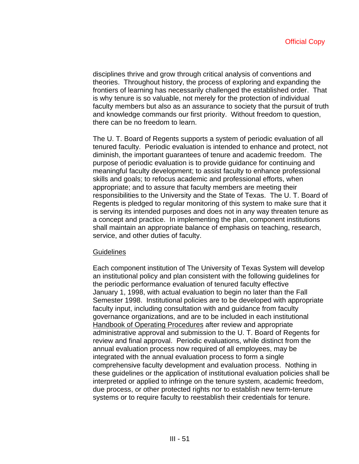disciplines thrive and grow through critical analysis of conventions and theories. Throughout history, the process of exploring and expanding the frontiers of learning has necessarily challenged the established order. That is why tenure is so valuable, not merely for the protection of individual faculty members but also as an assurance to society that the pursuit of truth and knowledge commands our first priority. Without freedom to question, there can be no freedom to learn.

The U. T. Board of Regents supports a system of periodic evaluation of all tenured faculty. Periodic evaluation is intended to enhance and protect, not diminish, the important guarantees of tenure and academic freedom. The purpose of periodic evaluation is to provide guidance for continuing and meaningful faculty development; to assist faculty to enhance professional skills and goals; to refocus academic and professional efforts, when appropriate; and to assure that faculty members are meeting their responsibilities to the University and the State of Texas. The U. T. Board of Regents is pledged to regular monitoring of this system to make sure that it is serving its intended purposes and does not in any way threaten tenure as a concept and practice. In implementing the plan, component institutions shall maintain an appropriate balance of emphasis on teaching, research, service, and other duties of faculty.

### **Guidelines**

Each component institution of The University of Texas System will develop an institutional policy and plan consistent with the following guidelines for the periodic performance evaluation of tenured faculty effective January 1, 1998, with actual evaluation to begin no later than the Fall Semester 1998. Institutional policies are to be developed with appropriate faculty input, including consultation with and guidance from faculty governance organizations, and are to be included in each institutional Handbook of Operating Procedures after review and appropriate administrative approval and submission to the U. T. Board of Regents for review and final approval. Periodic evaluations, while distinct from the annual evaluation process now required of all employees, may be integrated with the annual evaluation process to form a single comprehensive faculty development and evaluation process. Nothing in these guidelines or the application of institutional evaluation policies shall be interpreted or applied to infringe on the tenure system, academic freedom, due process, or other protected rights nor to establish new term-tenure systems or to require faculty to reestablish their credentials for tenure.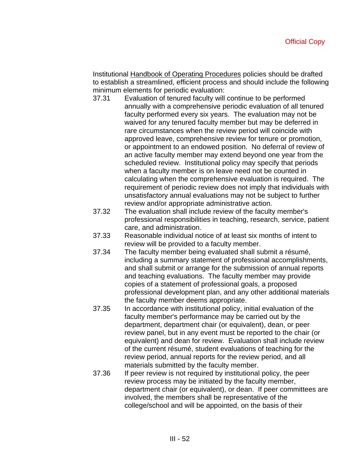Institutional Handbook of Operating Procedures policies should be drafted to establish a streamlined, efficient process and should include the following minimum elements for periodic evaluation:

- 37.31 Evaluation of tenured faculty will continue to be performed annually with a comprehensive periodic evaluation of all tenured faculty performed every six years. The evaluation may not be waived for any tenured faculty member but may be deferred in rare circumstances when the review period will coincide with approved leave, comprehensive review for tenure or promotion, or appointment to an endowed position. No deferral of review of an active faculty member may extend beyond one year from the scheduled review. Institutional policy may specify that periods when a faculty member is on leave need not be counted in calculating when the comprehensive evaluation is required. The requirement of periodic review does not imply that individuals with unsatisfactory annual evaluations may not be subject to further review and/or appropriate administrative action.
- 37.32 The evaluation shall include review of the faculty member's professional responsibilities in teaching, research, service, patient care, and administration.
- 37.33 Reasonable individual notice of at least six months of intent to review will be provided to a faculty member.
- 37.34 The faculty member being evaluated shall submit a résumé, including a summary statement of professional accomplishments, and shall submit or arrange for the submission of annual reports and teaching evaluations. The faculty member may provide copies of a statement of professional goals, a proposed professional development plan, and any other additional materials the faculty member deems appropriate.
- 37.35 In accordance with institutional policy, initial evaluation of the faculty member's performance may be carried out by the department, department chair (or equivalent), dean, or peer review panel, but in any event must be reported to the chair (or equivalent) and dean for review. Evaluation shall include review of the current résumé, student evaluations of teaching for the review period, annual reports for the review period, and all materials submitted by the faculty member.
- 37.36 If peer review is not required by institutional policy, the peer review process may be initiated by the faculty member, department chair (or equivalent), or dean. If peer committees are involved, the members shall be representative of the college/school and will be appointed, on the basis of their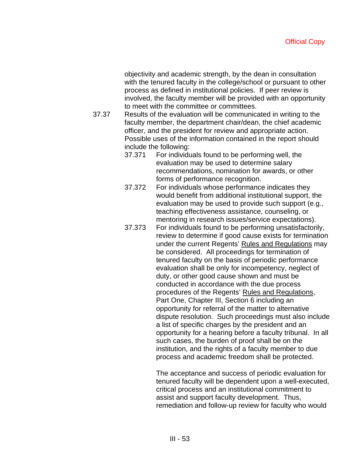objectivity and academic strength, by the dean in consultation with the tenured faculty in the college/school or pursuant to other process as defined in institutional policies. If peer review is involved, the faculty member will be provided with an opportunity to meet with the committee or committees.

37.37 Results of the evaluation will be communicated in writing to the faculty member, the department chair/dean, the chief academic officer, and the president for review and appropriate action. Possible uses of the information contained in the report should include the following:

- 37.371 For individuals found to be performing well, the evaluation may be used to determine salary recommendations, nomination for awards, or other forms of performance recognition.
- 37.372 For individuals whose performance indicates they would benefit from additional institutional support, the evaluation may be used to provide such support (e.g., teaching effectiveness assistance, counseling, or mentoring in research issues/service expectations).
- 37.373 For individuals found to be performing unsatisfactorily, review to determine if good cause exists for termination under the current Regents' Rules and Regulations may be considered. All proceedings for termination of tenured faculty on the basis of periodic performance evaluation shall be only for incompetency, neglect of duty, or other good cause shown and must be conducted in accordance with the due process procedures of the Regents' Rules and Regulations, Part One, Chapter III, Section 6 including an opportunity for referral of the matter to alternative dispute resolution. Such proceedings must also include a list of specific charges by the president and an opportunity for a hearing before a faculty tribunal. In all such cases, the burden of proof shall be on the institution, and the rights of a faculty member to due process and academic freedom shall be protected.

The acceptance and success of periodic evaluation for tenured faculty will be dependent upon a well-executed, critical process and an institutional commitment to assist and support faculty development. Thus, remediation and follow-up review for faculty who would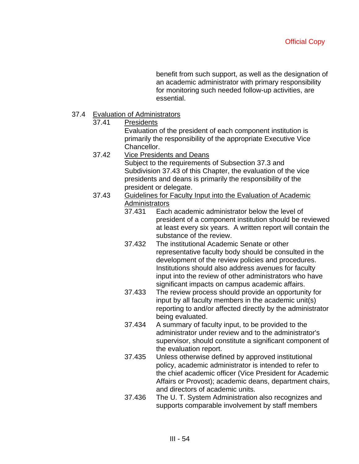benefit from such support, as well as the designation of an academic administrator with primary responsibility for monitoring such needed follow-up activities, are essential.

### 37.4 Evaluation of Administrators

37.41 Presidents

Evaluation of the president of each component institution is primarily the responsibility of the appropriate Executive Vice Chancellor.

37.42 Vice Presidents and Deans Subject to the requirements of Subsection 37.3 and

Subdivision 37.43 of this Chapter, the evaluation of the vice presidents and deans is primarily the responsibility of the president or delegate.

- 37.43 Guidelines for Faculty Input into the Evaluation of Academic **Administrators** 
	- 37.431 Each academic administrator below the level of president of a component institution should be reviewed at least every six years. A written report will contain the substance of the review.
	- 37.432 The institutional Academic Senate or other representative faculty body should be consulted in the development of the review policies and procedures. Institutions should also address avenues for faculty input into the review of other administrators who have significant impacts on campus academic affairs.
	- 37.433 The review process should provide an opportunity for input by all faculty members in the academic unit(s) reporting to and/or affected directly by the administrator being evaluated.
	- 37.434 A summary of faculty input, to be provided to the administrator under review and to the administrator's supervisor, should constitute a significant component of the evaluation report.
	- 37.435 Unless otherwise defined by approved institutional policy, academic administrator is intended to refer to the chief academic officer (Vice President for Academic Affairs or Provost); academic deans, department chairs, and directors of academic units.
	- 37.436 The U. T. System Administration also recognizes and supports comparable involvement by staff members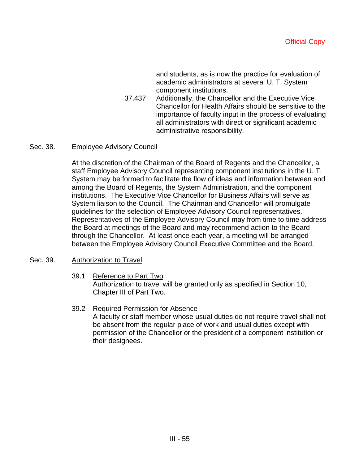and students, as is now the practice for evaluation of academic administrators at several U. T. System component institutions.

37.437 Additionally, the Chancellor and the Executive Vice Chancellor for Health Affairs should be sensitive to the importance of faculty input in the process of evaluating all administrators with direct or significant academic administrative responsibility.

### Sec. 38. Employee Advisory Council

At the discretion of the Chairman of the Board of Regents and the Chancellor, a staff Employee Advisory Council representing component institutions in the U. T. System may be formed to facilitate the flow of ideas and information between and among the Board of Regents, the System Administration, and the component institutions. The Executive Vice Chancellor for Business Affairs will serve as System liaison to the Council. The Chairman and Chancellor will promulgate guidelines for the selection of Employee Advisory Council representatives. Representatives of the Employee Advisory Council may from time to time address the Board at meetings of the Board and may recommend action to the Board through the Chancellor. At least once each year, a meeting will be arranged between the Employee Advisory Council Executive Committee and the Board.

### Sec. 39. Authorization to Travel

- 39.1 Reference to Part Two Authorization to travel will be granted only as specified in Section 10, Chapter III of Part Two.
- 39.2 Required Permission for Absence A faculty or staff member whose usual duties do not require travel shall not be absent from the regular place of work and usual duties except with permission of the Chancellor or the president of a component institution or their designees.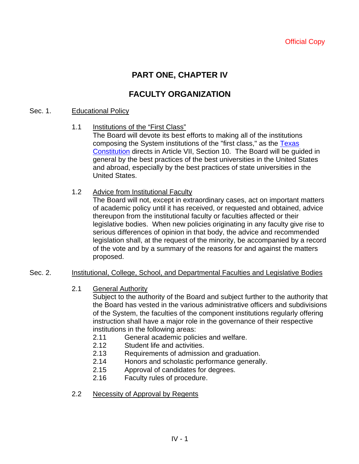# **PART ONE, CHAPTER IV**

# **FACULTY ORGANIZATION**

### Sec. 1. Educational Policy

1.1 Institutions of the "First Class"

The Board will devote its best efforts to making all of the institutions composing the System institutions of the "first class," as the Texas Constitution directs in Article VII, Section 10. The Board will be guided in general by the best practices of the best universities in the United States and abroad, especially by the best practices of state universities in the United States.

1.2 Advice from Institutional Faculty

The Board will not, except in extraordinary cases, act on important matters of academic policy until it has received, or requested and obtained, advice thereupon from the institutional faculty or faculties affected or their legislative bodies. When new policies originating in any faculty give rise to serious differences of opinion in that body, the advice and recommended legislation shall, at the request of the minority, be accompanied by a record of the vote and by a summary of the reasons for and against the matters proposed.

### Sec. 2. Institutional, College, School, and Departmental Faculties and Legislative Bodies

2.1 General Authority

Subject to the authority of the Board and subject further to the authority that the Board has vested in the various administrative officers and subdivisions of the System, the faculties of the component institutions regularly offering instruction shall have a major role in the governance of their respective institutions in the following areas:

- 2.11 General academic policies and welfare.
- 2.12 Student life and activities.
- 2.13 Requirements of admission and graduation.
- 2.14 Honors and scholastic performance generally.
- 2.15 Approval of candidates for degrees.
- 2.16 Faculty rules of procedure.
- 2.2 Necessity of Approval by Regents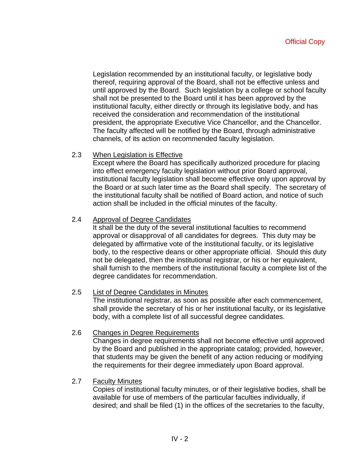Legislation recommended by an institutional faculty, or legislative body thereof, requiring approval of the Board, shall not be effective unless and until approved by the Board. Such legislation by a college or school faculty shall not be presented to the Board until it has been approved by the institutional faculty, either directly or through its legislative body, and has received the consideration and recommendation of the institutional president, the appropriate Executive Vice Chancellor, and the Chancellor. The faculty affected will be notified by the Board, through administrative channels, of its action on recommended faculty legislation.

### 2.3 When Legislation is Effective

Except where the Board has specifically authorized procedure for placing into effect emergency faculty legislation without prior Board approval, institutional faculty legislation shall become effective only upon approval by the Board or at such later time as the Board shall specify. The secretary of the institutional faculty shall be notified of Board action, and notice of such action shall be included in the official minutes of the faculty.

### 2.4 Approval of Degree Candidates

It shall be the duty of the several institutional faculties to recommend approval or disapproval of all candidates for degrees. This duty may be delegated by affirmative vote of the institutional faculty, or its legislative body, to the respective deans or other appropriate official. Should this duty not be delegated, then the institutional registrar, or his or her equivalent, shall furnish to the members of the institutional faculty a complete list of the degree candidates for recommendation.

## 2.5 List of Degree Candidates in Minutes

The institutional registrar, as soon as possible after each commencement, shall provide the secretary of his or her institutional faculty, or its legislative body, with a complete list of all successful degree candidates.

### 2.6 Changes in Degree Requirements

Changes in degree requirements shall not become effective until approved by the Board and published in the appropriate catalog; provided, however, that students may be given the benefit of any action reducing or modifying the requirements for their degree immediately upon Board approval.

### 2.7 Faculty Minutes

Copies of institutional faculty minutes, or of their legislative bodies, shall be available for use of members of the particular faculties individually, if desired; and shall be filed (1) in the offices of the secretaries to the faculty,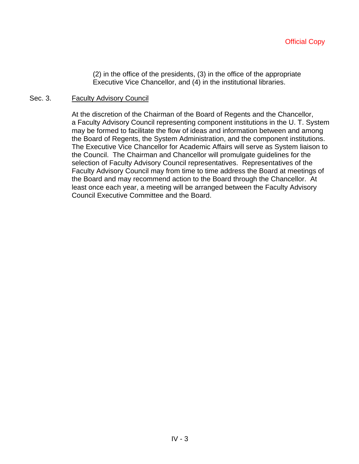(2) in the office of the presidents, (3) in the office of the appropriate Executive Vice Chancellor, and (4) in the institutional libraries.

### Sec. 3. Faculty Advisory Council

At the discretion of the Chairman of the Board of Regents and the Chancellor, a Faculty Advisory Council representing component institutions in the U. T. System may be formed to facilitate the flow of ideas and information between and among the Board of Regents, the System Administration, and the component institutions. The Executive Vice Chancellor for Academic Affairs will serve as System liaison to the Council. The Chairman and Chancellor will promulgate guidelines for the selection of Faculty Advisory Council representatives. Representatives of the Faculty Advisory Council may from time to time address the Board at meetings of the Board and may recommend action to the Board through the Chancellor. At least once each year, a meeting will be arranged between the Faculty Advisory Council Executive Committee and the Board.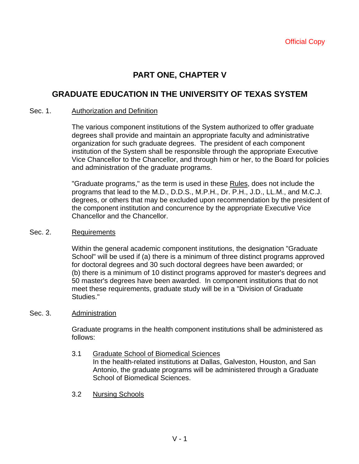# **PART ONE, CHAPTER V**

## **GRADUATE EDUCATION IN THE UNIVERSITY OF TEXAS SYSTEM**

### Sec. 1. Authorization and Definition

The various component institutions of the System authorized to offer graduate degrees shall provide and maintain an appropriate faculty and administrative organization for such graduate degrees. The president of each component institution of the System shall be responsible through the appropriate Executive Vice Chancellor to the Chancellor, and through him or her, to the Board for policies and administration of the graduate programs.

"Graduate programs," as the term is used in these Rules, does not include the programs that lead to the M.D., D.D.S., M.P.H., Dr. P.H., J.D., LL.M., and M.C.J. degrees, or others that may be excluded upon recommendation by the president of the component institution and concurrence by the appropriate Executive Vice Chancellor and the Chancellor.

### Sec. 2. Requirements

Within the general academic component institutions, the designation "Graduate School" will be used if (a) there is a minimum of three distinct programs approved for doctoral degrees and 30 such doctoral degrees have been awarded; or (b) there is a minimum of 10 distinct programs approved for master's degrees and 50 master's degrees have been awarded. In component institutions that do not meet these requirements, graduate study will be in a "Division of Graduate Studies."

#### Sec. 3. Administration

Graduate programs in the health component institutions shall be administered as follows:

- 3.1 Graduate School of Biomedical Sciences In the health-related institutions at Dallas, Galveston, Houston, and San Antonio, the graduate programs will be administered through a Graduate School of Biomedical Sciences.
- 3.2 Nursing Schools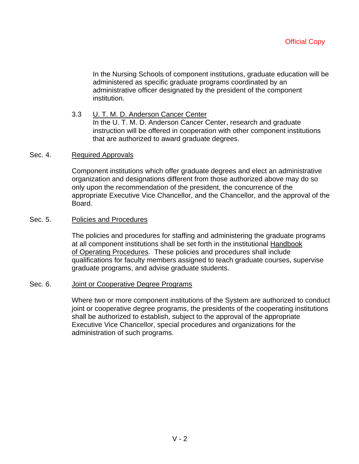In the Nursing Schools of component institutions, graduate education will be administered as specific graduate programs coordinated by an administrative officer designated by the president of the component institution.

3.3 U. T. M. D. Anderson Cancer Center In the U. T. M. D. Anderson Cancer Center, research and graduate instruction will be offered in cooperation with other component institutions that are authorized to award graduate degrees.

### Sec. 4. Required Approvals

Component institutions which offer graduate degrees and elect an administrative organization and designations different from those authorized above may do so only upon the recommendation of the president, the concurrence of the appropriate Executive Vice Chancellor, and the Chancellor, and the approval of the Board.

### Sec. 5. Policies and Procedures

The policies and procedures for staffing and administering the graduate programs at all component institutions shall be set forth in the institutional Handbook of Operating Procedures. These policies and procedures shall include qualifications for faculty members assigned to teach graduate courses, supervise graduate programs, and advise graduate students.

### Sec. 6. Joint or Cooperative Degree Programs

Where two or more component institutions of the System are authorized to conduct joint or cooperative degree programs, the presidents of the cooperating institutions shall be authorized to establish, subject to the approval of the appropriate Executive Vice Chancellor, special procedures and organizations for the administration of such programs.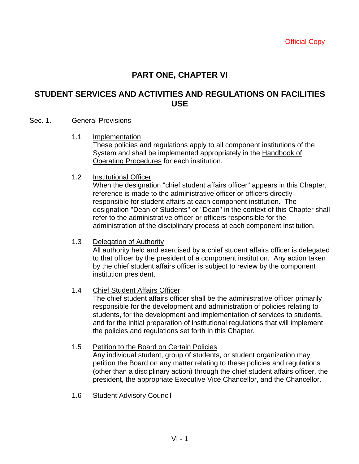# **PART ONE, CHAPTER VI**

## **STUDENT SERVICES AND ACTIVITIES AND REGULATIONS ON FACILITIES USE**

### Sec. 1. General Provisions

1.1 Implementation

These policies and regulations apply to all component institutions of the System and shall be implemented appropriately in the Handbook of Operating Procedures for each institution.

1.2 Institutional Officer

When the designation "chief student affairs officer" appears in this Chapter, reference is made to the administrative officer or officers directly responsible for student affairs at each component institution. The designation "Dean of Students" or "Dean" in the context of this Chapter shall refer to the administrative officer or officers responsible for the administration of the disciplinary process at each component institution.

1.3 Delegation of Authority

All authority held and exercised by a chief student affairs officer is delegated to that officer by the president of a component institution. Any action taken by the chief student affairs officer is subject to review by the component institution president.

1.4 Chief Student Affairs Officer

The chief student affairs officer shall be the administrative officer primarily responsible for the development and administration of policies relating to students, for the development and implementation of services to students, and for the initial preparation of institutional regulations that will implement the policies and regulations set forth in this Chapter.

- 1.5 Petition to the Board on Certain Policies Any individual student, group of students, or student organization may petition the Board on any matter relating to these policies and regulations (other than a disciplinary action) through the chief student affairs officer, the president, the appropriate Executive Vice Chancellor, and the Chancellor.
- 1.6 Student Advisory Council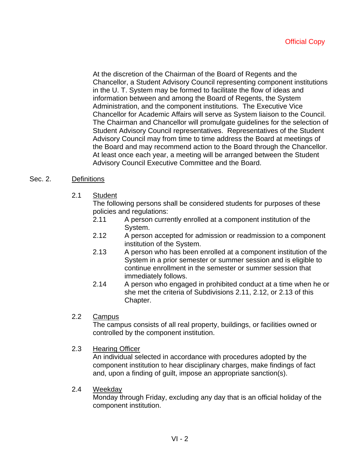At the discretion of the Chairman of the Board of Regents and the Chancellor, a Student Advisory Council representing component institutions in the U. T. System may be formed to facilitate the flow of ideas and information between and among the Board of Regents, the System Administration, and the component institutions. The Executive Vice Chancellor for Academic Affairs will serve as System liaison to the Council. The Chairman and Chancellor will promulgate guidelines for the selection of Student Advisory Council representatives. Representatives of the Student Advisory Council may from time to time address the Board at meetings of the Board and may recommend action to the Board through the Chancellor. At least once each year, a meeting will be arranged between the Student Advisory Council Executive Committee and the Board.

### Sec. 2. Definitions

### 2.1 Student

The following persons shall be considered students for purposes of these policies and regulations:

- 2.11 A person currently enrolled at a component institution of the System.
- 2.12 A person accepted for admission or readmission to a component institution of the System.
- 2.13 A person who has been enrolled at a component institution of the System in a prior semester or summer session and is eligible to continue enrollment in the semester or summer session that immediately follows.
- 2.14 A person who engaged in prohibited conduct at a time when he or she met the criteria of Subdivisions 2.11, 2.12, or 2.13 of this Chapter.

### 2.2 Campus

The campus consists of all real property, buildings, or facilities owned or controlled by the component institution.

### 2.3 Hearing Officer

An individual selected in accordance with procedures adopted by the component institution to hear disciplinary charges, make findings of fact and, upon a finding of guilt, impose an appropriate sanction(s).

### 2.4 Weekday

Monday through Friday, excluding any day that is an official holiday of the component institution.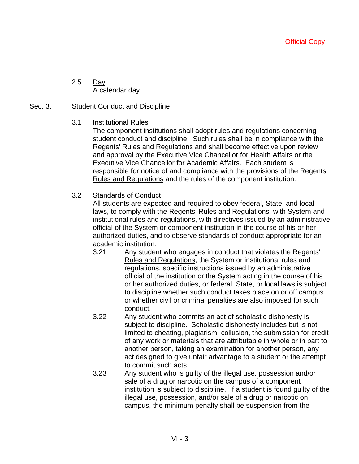2.5 Day A calendar day.

### Sec. 3. Student Conduct and Discipline

### 3.1 Institutional Rules

The component institutions shall adopt rules and regulations concerning student conduct and discipline. Such rules shall be in compliance with the Regents' Rules and Regulations and shall become effective upon review and approval by the Executive Vice Chancellor for Health Affairs or the Executive Vice Chancellor for Academic Affairs. Each student is responsible for notice of and compliance with the provisions of the Regents' Rules and Regulations and the rules of the component institution.

### 3.2 Standards of Conduct

All students are expected and required to obey federal, State, and local laws, to comply with the Regents' Rules and Regulations, with System and institutional rules and regulations, with directives issued by an administrative official of the System or component institution in the course of his or her authorized duties, and to observe standards of conduct appropriate for an academic institution.

- 3.21 Any student who engages in conduct that violates the Regents' Rules and Regulations, the System or institutional rules and regulations, specific instructions issued by an administrative official of the institution or the System acting in the course of his or her authorized duties, or federal, State, or local laws is subject to discipline whether such conduct takes place on or off campus or whether civil or criminal penalties are also imposed for such conduct.
- 3.22 Any student who commits an act of scholastic dishonesty is subject to discipline. Scholastic dishonesty includes but is not limited to cheating, plagiarism, collusion, the submission for credit of any work or materials that are attributable in whole or in part to another person, taking an examination for another person, any act designed to give unfair advantage to a student or the attempt to commit such acts.
- 3.23 Any student who is guilty of the illegal use, possession and/or sale of a drug or narcotic on the campus of a component institution is subject to discipline. If a student is found guilty of the illegal use, possession, and/or sale of a drug or narcotic on campus, the minimum penalty shall be suspension from the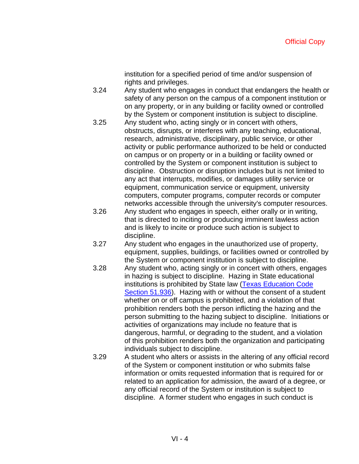institution for a specified period of time and/or suspension of rights and privileges.

- 3.24 Any student who engages in conduct that endangers the health or safety of any person on the campus of a component institution or on any property, or in any building or facility owned or controlled by the System or component institution is subject to discipline.
- 3.25 Any student who, acting singly or in concert with others, obstructs, disrupts, or interferes with any teaching, educational, research, administrative, disciplinary, public service, or other activity or public performance authorized to be held or conducted on campus or on property or in a building or facility owned or controlled by the System or component institution is subject to discipline. Obstruction or disruption includes but is not limited to any act that interrupts, modifies, or damages utility service or equipment, communication service or equipment, university computers, computer programs, computer records or computer networks accessible through the university's computer resources.
- 3.26 Any student who engages in speech, either orally or in writing, that is directed to inciting or producing imminent lawless action and is likely to incite or produce such action is subject to discipline.
- 3.27 Any student who engages in the unauthorized use of property, equipment, supplies, buildings, or facilities owned or controlled by the System or component institution is subject to discipline.
- 3.28 Any student who, acting singly or in concert with others, engages in hazing is subject to discipline. Hazing in State educational institutions is prohibited by State law (Texas Education Code Section 51.936). Hazing with or without the consent of a student whether on or off campus is prohibited, and a violation of that prohibition renders both the person inflicting the hazing and the person submitting to the hazing subject to discipline. Initiations or activities of organizations may include no feature that is dangerous, harmful, or degrading to the student, and a violation of this prohibition renders both the organization and participating individuals subject to discipline.
- 3.29 A student who alters or assists in the altering of any official record of the System or component institution or who submits false information or omits requested information that is required for or related to an application for admission, the award of a degree, or any official record of the System or institution is subject to discipline. A former student who engages in such conduct is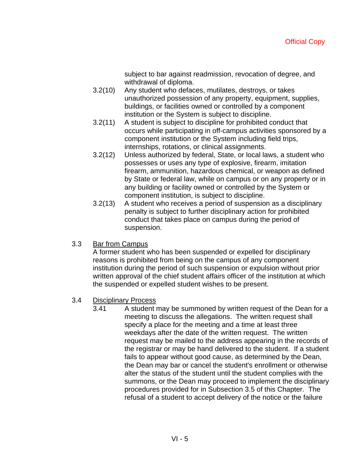subject to bar against readmission, revocation of degree, and withdrawal of diploma.

- 3.2(10) Any student who defaces, mutilates, destroys, or takes unauthorized possession of any property, equipment, supplies, buildings, or facilities owned or controlled by a component institution or the System is subject to discipline.
- 3.2(11) A student is subject to discipline for prohibited conduct that occurs while participating in off-campus activities sponsored by a component institution or the System including field trips, internships, rotations, or clinical assignments.
- 3.2(12) Unless authorized by federal, State, or local laws, a student who possesses or uses any type of explosive, firearm, imitation firearm, ammunition, hazardous chemical, or weapon as defined by State or federal law, while on campus or on any property or in any building or facility owned or controlled by the System or component institution, is subject to discipline.
- 3.2(13) A student who receives a period of suspension as a disciplinary penalty is subject to further disciplinary action for prohibited conduct that takes place on campus during the period of suspension.
- 3.3 Bar from Campus

A former student who has been suspended or expelled for disciplinary reasons is prohibited from being on the campus of any component institution during the period of such suspension or expulsion without prior written approval of the chief student affairs officer of the institution at which the suspended or expelled student wishes to be present.

- 3.4 Disciplinary Process
	- 3.41 A student may be summoned by written request of the Dean for a meeting to discuss the allegations. The written request shall specify a place for the meeting and a time at least three weekdays after the date of the written request. The written request may be mailed to the address appearing in the records of the registrar or may be hand delivered to the student. If a student fails to appear without good cause, as determined by the Dean, the Dean may bar or cancel the student's enrollment or otherwise alter the status of the student until the student complies with the summons, or the Dean may proceed to implement the disciplinary procedures provided for in Subsection 3.5 of this Chapter. The refusal of a student to accept delivery of the notice or the failure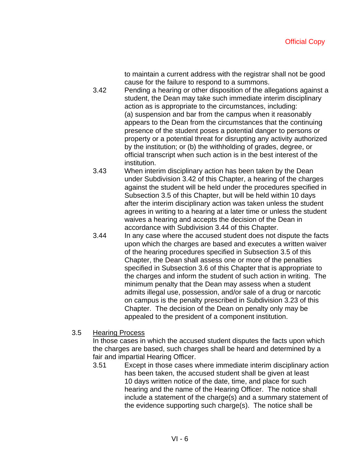to maintain a current address with the registrar shall not be good cause for the failure to respond to a summons.

- 3.42 Pending a hearing or other disposition of the allegations against a student, the Dean may take such immediate interim disciplinary action as is appropriate to the circumstances, including: (a) suspension and bar from the campus when it reasonably appears to the Dean from the circumstances that the continuing presence of the student poses a potential danger to persons or property or a potential threat for disrupting any activity authorized by the institution; or (b) the withholding of grades, degree, or official transcript when such action is in the best interest of the institution.
- 3.43 When interim disciplinary action has been taken by the Dean under Subdivision 3.42 of this Chapter, a hearing of the charges against the student will be held under the procedures specified in Subsection 3.5 of this Chapter, but will be held within 10 days after the interim disciplinary action was taken unless the student agrees in writing to a hearing at a later time or unless the student waives a hearing and accepts the decision of the Dean in accordance with Subdivision 3.44 of this Chapter.
- 3.44 In any case where the accused student does not dispute the facts upon which the charges are based and executes a written waiver of the hearing procedures specified in Subsection 3.5 of this Chapter, the Dean shall assess one or more of the penalties specified in Subsection 3.6 of this Chapter that is appropriate to the charges and inform the student of such action in writing. The minimum penalty that the Dean may assess when a student admits illegal use, possession, and/or sale of a drug or narcotic on campus is the penalty prescribed in Subdivision 3.23 of this Chapter. The decision of the Dean on penalty only may be appealed to the president of a component institution.

### 3.5 Hearing Process

In those cases in which the accused student disputes the facts upon which the charges are based, such charges shall be heard and determined by a fair and impartial Hearing Officer.

3.51 Except in those cases where immediate interim disciplinary action has been taken, the accused student shall be given at least 10 days written notice of the date, time, and place for such hearing and the name of the Hearing Officer. The notice shall include a statement of the charge(s) and a summary statement of the evidence supporting such charge(s). The notice shall be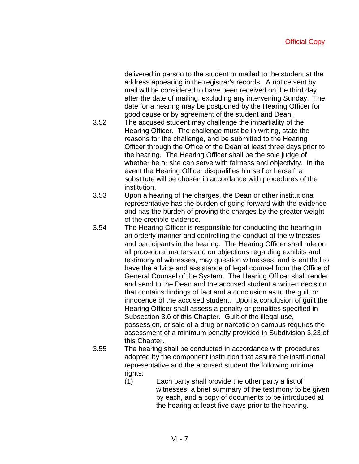delivered in person to the student or mailed to the student at the address appearing in the registrar's records. A notice sent by mail will be considered to have been received on the third day after the date of mailing, excluding any intervening Sunday. The date for a hearing may be postponed by the Hearing Officer for good cause or by agreement of the student and Dean.

- 3.52 The accused student may challenge the impartiality of the Hearing Officer. The challenge must be in writing, state the reasons for the challenge, and be submitted to the Hearing Officer through the Office of the Dean at least three days prior to the hearing. The Hearing Officer shall be the sole judge of whether he or she can serve with fairness and objectivity. In the event the Hearing Officer disqualifies himself or herself, a substitute will be chosen in accordance with procedures of the institution.
- 3.53 Upon a hearing of the charges, the Dean or other institutional representative has the burden of going forward with the evidence and has the burden of proving the charges by the greater weight of the credible evidence.
- 3.54 The Hearing Officer is responsible for conducting the hearing in an orderly manner and controlling the conduct of the witnesses and participants in the hearing. The Hearing Officer shall rule on all procedural matters and on objections regarding exhibits and testimony of witnesses, may question witnesses, and is entitled to have the advice and assistance of legal counsel from the Office of General Counsel of the System. The Hearing Officer shall render and send to the Dean and the accused student a written decision that contains findings of fact and a conclusion as to the guilt or innocence of the accused student. Upon a conclusion of guilt the Hearing Officer shall assess a penalty or penalties specified in Subsection 3.6 of this Chapter. Guilt of the illegal use, possession, or sale of a drug or narcotic on campus requires the assessment of a minimum penalty provided in Subdivision 3.23 of this Chapter.
- 3.55 The hearing shall be conducted in accordance with procedures adopted by the component institution that assure the institutional representative and the accused student the following minimal rights:
	- (1) Each party shall provide the other party a list of witnesses, a brief summary of the testimony to be given by each, and a copy of documents to be introduced at the hearing at least five days prior to the hearing.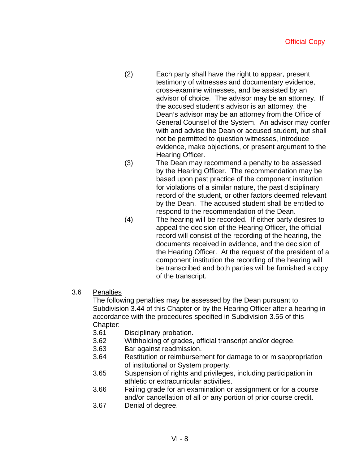- (2) Each party shall have the right to appear, present testimony of witnesses and documentary evidence, cross-examine witnesses, and be assisted by an advisor of choice. The advisor may be an attorney. If the accused student's advisor is an attorney, the Dean's advisor may be an attorney from the Office of General Counsel of the System. An advisor may confer with and advise the Dean or accused student, but shall not be permitted to question witnesses, introduce evidence, make objections, or present argument to the Hearing Officer.
- (3) The Dean may recommend a penalty to be assessed by the Hearing Officer. The recommendation may be based upon past practice of the component institution for violations of a similar nature, the past disciplinary record of the student, or other factors deemed relevant by the Dean. The accused student shall be entitled to respond to the recommendation of the Dean.
- (4) The hearing will be recorded. If either party desires to appeal the decision of the Hearing Officer, the official record will consist of the recording of the hearing, the documents received in evidence, and the decision of the Hearing Officer. At the request of the president of a component institution the recording of the hearing will be transcribed and both parties will be furnished a copy of the transcript.

### 3.6 Penalties

The following penalties may be assessed by the Dean pursuant to Subdivision 3.44 of this Chapter or by the Hearing Officer after a hearing in accordance with the procedures specified in Subdivision 3.55 of this Chapter:

- 3.61 Disciplinary probation.
- 3.62 Withholding of grades, official transcript and/or degree.
- 3.63 Bar against readmission.
- 3.64 Restitution or reimbursement for damage to or misappropriation of institutional or System property.
- 3.65 Suspension of rights and privileges, including participation in athletic or extracurricular activities.
- 3.66 Failing grade for an examination or assignment or for a course and/or cancellation of all or any portion of prior course credit.
- 3.67 Denial of degree.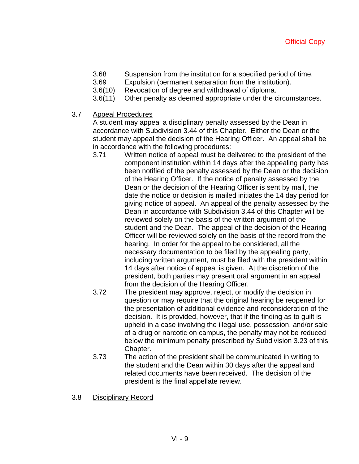- 3.68 Suspension from the institution for a specified period of time.
- 3.69 Expulsion (permanent separation from the institution).
- 3.6(10) Revocation of degree and withdrawal of diploma.
- 3.6(11) Other penalty as deemed appropriate under the circumstances.
- 3.7 Appeal Procedures

A student may appeal a disciplinary penalty assessed by the Dean in accordance with Subdivision 3.44 of this Chapter. Either the Dean or the student may appeal the decision of the Hearing Officer. An appeal shall be in accordance with the following procedures:

- 3.71 Written notice of appeal must be delivered to the president of the component institution within 14 days after the appealing party has been notified of the penalty assessed by the Dean or the decision of the Hearing Officer. If the notice of penalty assessed by the Dean or the decision of the Hearing Officer is sent by mail, the date the notice or decision is mailed initiates the 14 day period for giving notice of appeal. An appeal of the penalty assessed by the Dean in accordance with Subdivision 3.44 of this Chapter will be reviewed solely on the basis of the written argument of the student and the Dean. The appeal of the decision of the Hearing Officer will be reviewed solely on the basis of the record from the hearing. In order for the appeal to be considered, all the necessary documentation to be filed by the appealing party, including written argument, must be filed with the president within 14 days after notice of appeal is given. At the discretion of the president, both parties may present oral argument in an appeal from the decision of the Hearing Officer.
- 3.72 The president may approve, reject, or modify the decision in question or may require that the original hearing be reopened for the presentation of additional evidence and reconsideration of the decision. It is provided, however, that if the finding as to guilt is upheld in a case involving the illegal use, possession, and/or sale of a drug or narcotic on campus, the penalty may not be reduced below the minimum penalty prescribed by Subdivision 3.23 of this Chapter.
- 3.73 The action of the president shall be communicated in writing to the student and the Dean within 30 days after the appeal and related documents have been received. The decision of the president is the final appellate review.
- 3.8 Disciplinary Record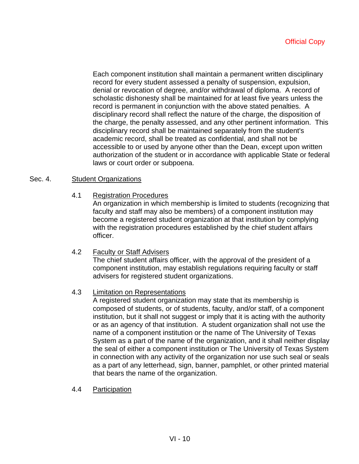Each component institution shall maintain a permanent written disciplinary record for every student assessed a penalty of suspension, expulsion, denial or revocation of degree, and/or withdrawal of diploma. A record of scholastic dishonesty shall be maintained for at least five years unless the record is permanent in conjunction with the above stated penalties. A disciplinary record shall reflect the nature of the charge, the disposition of the charge, the penalty assessed, and any other pertinent information. This disciplinary record shall be maintained separately from the student's academic record, shall be treated as confidential, and shall not be accessible to or used by anyone other than the Dean, except upon written authorization of the student or in accordance with applicable State or federal laws or court order or subpoena.

### Sec. 4. Student Organizations

4.1 Registration Procedures

An organization in which membership is limited to students (recognizing that faculty and staff may also be members) of a component institution may become a registered student organization at that institution by complying with the registration procedures established by the chief student affairs officer.

### 4.2 Faculty or Staff Advisers

The chief student affairs officer, with the approval of the president of a component institution, may establish regulations requiring faculty or staff advisers for registered student organizations.

### 4.3 Limitation on Representations

A registered student organization may state that its membership is composed of students, or of students, faculty, and/or staff, of a component institution, but it shall not suggest or imply that it is acting with the authority or as an agency of that institution. A student organization shall not use the name of a component institution or the name of The University of Texas System as a part of the name of the organization, and it shall neither display the seal of either a component institution or The University of Texas System in connection with any activity of the organization nor use such seal or seals as a part of any letterhead, sign, banner, pamphlet, or other printed material that bears the name of the organization.

4.4 Participation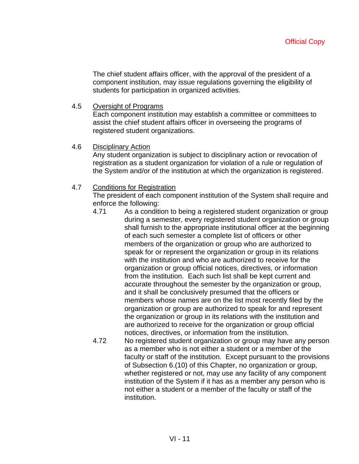The chief student affairs officer, with the approval of the president of a component institution, may issue regulations governing the eligibility of students for participation in organized activities.

4.5 Oversight of Programs

Each component institution may establish a committee or committees to assist the chief student affairs officer in overseeing the programs of registered student organizations.

4.6 Disciplinary Action

Any student organization is subject to disciplinary action or revocation of registration as a student organization for violation of a rule or regulation of the System and/or of the institution at which the organization is registered.

4.7 Conditions for Registration

The president of each component institution of the System shall require and enforce the following:

- 4.71 As a condition to being a registered student organization or group during a semester, every registered student organization or group shall furnish to the appropriate institutional officer at the beginning of each such semester a complete list of officers or other members of the organization or group who are authorized to speak for or represent the organization or group in its relations with the institution and who are authorized to receive for the organization or group official notices, directives, or information from the institution. Each such list shall be kept current and accurate throughout the semester by the organization or group, and it shall be conclusively presumed that the officers or members whose names are on the list most recently filed by the organization or group are authorized to speak for and represent the organization or group in its relations with the institution and are authorized to receive for the organization or group official notices, directives, or information from the institution.
- 4.72 No registered student organization or group may have any person as a member who is not either a student or a member of the faculty or staff of the institution. Except pursuant to the provisions of Subsection 6.(10) of this Chapter, no organization or group, whether registered or not, may use any facility of any component institution of the System if it has as a member any person who is not either a student or a member of the faculty or staff of the institution.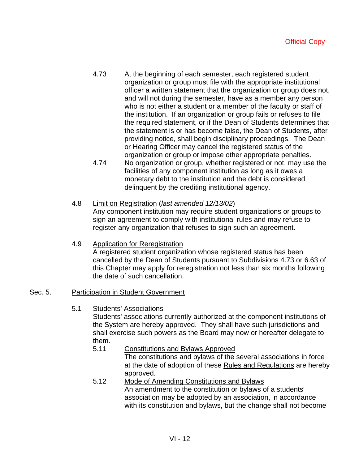- 4.73 At the beginning of each semester, each registered student organization or group must file with the appropriate institutional officer a written statement that the organization or group does not, and will not during the semester, have as a member any person who is not either a student or a member of the faculty or staff of the institution. If an organization or group fails or refuses to file the required statement, or if the Dean of Students determines that the statement is or has become false, the Dean of Students, after providing notice, shall begin disciplinary proceedings. The Dean or Hearing Officer may cancel the registered status of the organization or group or impose other appropriate penalties.
- 4.74 No organization or group, whether registered or not, may use the facilities of any component institution as long as it owes a monetary debt to the institution and the debt is considered delinquent by the crediting institutional agency.
- 4.8 Limit on Registration (*last amended 12/13/02*)

Any component institution may require student organizations or groups to sign an agreement to comply with institutional rules and may refuse to register any organization that refuses to sign such an agreement.

### 4.9 Application for Reregistration

A registered student organization whose registered status has been cancelled by the Dean of Students pursuant to Subdivisions 4.73 or 6.63 of this Chapter may apply for reregistration not less than six months following the date of such cancellation.

### Sec. 5. Participation in Student Government

5.1 Students' Associations

Students' associations currently authorized at the component institutions of the System are hereby approved. They shall have such jurisdictions and shall exercise such powers as the Board may now or hereafter delegate to them.

5.11 Constitutions and Bylaws Approved

The constitutions and bylaws of the several associations in force at the date of adoption of these Rules and Regulations are hereby approved.

## 5.12 Mode of Amending Constitutions and Bylaws

An amendment to the constitution or bylaws of a students' association may be adopted by an association, in accordance with its constitution and bylaws, but the change shall not become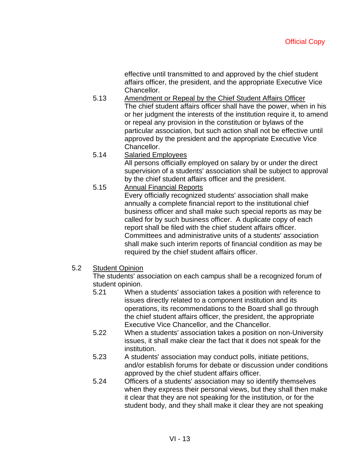effective until transmitted to and approved by the chief student affairs officer, the president, and the appropriate Executive Vice Chancellor.

- 5.13 Amendment or Repeal by the Chief Student Affairs Officer The chief student affairs officer shall have the power, when in his or her judgment the interests of the institution require it, to amend or repeal any provision in the constitution or bylaws of the particular association, but such action shall not be effective until approved by the president and the appropriate Executive Vice Chancellor.
- 5.14 Salaried Employees All persons officially employed on salary by or under the direct supervision of a students' association shall be subject to approval by the chief student affairs officer and the president.
- 5.15 Annual Financial Reports Every officially recognized students' association shall make annually a complete financial report to the institutional chief business officer and shall make such special reports as may be called for by such business officer. A duplicate copy of each report shall be filed with the chief student affairs officer. Committees and administrative units of a students' association shall make such interim reports of financial condition as may be required by the chief student affairs officer.
- 5.2 Student Opinion

The students' association on each campus shall be a recognized forum of student opinion.

- 5.21 When a students' association takes a position with reference to issues directly related to a component institution and its operations, its recommendations to the Board shall go through the chief student affairs officer, the president, the appropriate Executive Vice Chancellor, and the Chancellor.
- 5.22 When a students' association takes a position on non-University issues, it shall make clear the fact that it does not speak for the institution.
- 5.23 A students' association may conduct polls, initiate petitions, and/or establish forums for debate or discussion under conditions approved by the chief student affairs officer.
- 5.24 Officers of a students' association may so identify themselves when they express their personal views, but they shall then make it clear that they are not speaking for the institution, or for the student body, and they shall make it clear they are not speaking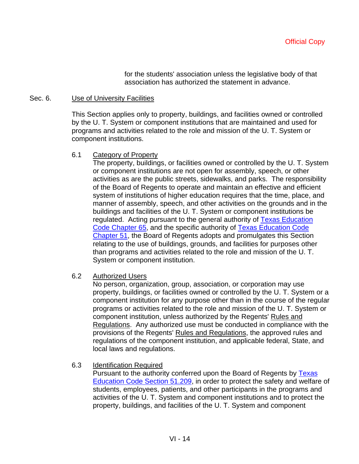for the students' association unless the legislative body of that association has authorized the statement in advance.

### Sec. 6. **Use of University Facilities**

This Section applies only to property, buildings, and facilities owned or controlled by the U. T. System or component institutions that are maintained and used for programs and activities related to the role and mission of the U. T. System or component institutions.

### 6.1 Category of Property

The property, buildings, or facilities owned or controlled by the U. T. System or component institutions are not open for assembly, speech, or other activities as are the public streets, sidewalks, and parks. The responsibility of the Board of Regents to operate and maintain an effective and efficient system of institutions of higher education requires that the time, place, and manner of assembly, speech, and other activities on the grounds and in the buildings and facilities of the U. T. System or component institutions be regulated. Acting pursuant to the general authority of Texas Education Code Chapter 65, and the specific authority of Texas Education Code Chapter 51, the Board of Regents adopts and promulgates this Section relating to the use of buildings, grounds, and facilities for purposes other than programs and activities related to the role and mission of the U. T. System or component institution.

### 6.2 Authorized Users

No person, organization, group, association, or corporation may use property, buildings, or facilities owned or controlled by the U. T. System or a component institution for any purpose other than in the course of the regular programs or activities related to the role and mission of the U. T. System or component institution, unless authorized by the Regents' Rules and Regulations. Any authorized use must be conducted in compliance with the provisions of the Regents' Rules and Regulations, the approved rules and regulations of the component institution, and applicable federal, State, and local laws and regulations.

### 6.3 Identification Required

Pursuant to the authority conferred upon the Board of Regents by Texas Education Code Section 51.209, in order to protect the safety and welfare of students, employees, patients, and other participants in the programs and activities of the U. T. System and component institutions and to protect the property, buildings, and facilities of the U. T. System and component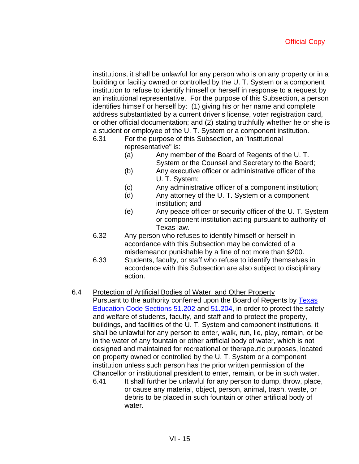institutions, it shall be unlawful for any person who is on any property or in a building or facility owned or controlled by the U. T. System or a component institution to refuse to identify himself or herself in response to a request by an institutional representative. For the purpose of this Subsection, a person identifies himself or herself by: (1) giving his or her name and complete address substantiated by a current driver's license, voter registration card, or other official documentation; and (2) stating truthfully whether he or she is a student or employee of the U. T. System or a component institution.

6.31 For the purpose of this Subsection, an "institutional representative" is:

- (a) Any member of the Board of Regents of the U. T. System or the Counsel and Secretary to the Board;
- (b) Any executive officer or administrative officer of the U. T. System;
- (c) Any administrative officer of a component institution;
- (d) Any attorney of the U. T. System or a component institution; and
- (e) Any peace officer or security officer of the U. T. System or component institution acting pursuant to authority of Texas law.
- 6.32 Any person who refuses to identify himself or herself in accordance with this Subsection may be convicted of a misdemeanor punishable by a fine of not more than \$200.
- 6.33 Students, faculty, or staff who refuse to identify themselves in accordance with this Subsection are also subject to disciplinary action.

### 6.4 Protection of Artificial Bodies of Water, and Other Property

Pursuant to the authority conferred upon the Board of Regents by Texas Education Code Sections 51.202 and 51.204, in order to protect the safety and welfare of students, faculty, and staff and to protect the property, buildings, and facilities of the U. T. System and component institutions, it shall be unlawful for any person to enter, walk, run, lie, play, remain, or be in the water of any fountain or other artificial body of water, which is not designed and maintained for recreational or therapeutic purposes, located on property owned or controlled by the U. T. System or a component institution unless such person has the prior written permission of the Chancellor or institutional president to enter, remain, or be in such water.

6.41 It shall further be unlawful for any person to dump, throw, place, or cause any material, object, person, animal, trash, waste, or debris to be placed in such fountain or other artificial body of water.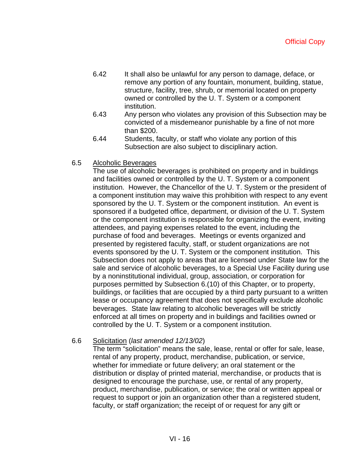- 6.42 It shall also be unlawful for any person to damage, deface, or remove any portion of any fountain, monument, building, statue, structure, facility, tree, shrub, or memorial located on property owned or controlled by the U. T. System or a component institution.
- 6.43 Any person who violates any provision of this Subsection may be convicted of a misdemeanor punishable by a fine of not more than \$200.
- 6.44 Students, faculty, or staff who violate any portion of this Subsection are also subject to disciplinary action.
- 6.5 Alcoholic Beverages

The use of alcoholic beverages is prohibited on property and in buildings and facilities owned or controlled by the U. T. System or a component institution. However, the Chancellor of the U. T. System or the president of a component institution may waive this prohibition with respect to any event sponsored by the U. T. System or the component institution. An event is sponsored if a budgeted office, department, or division of the U. T. System or the component institution is responsible for organizing the event, inviting attendees, and paying expenses related to the event, including the purchase of food and beverages. Meetings or events organized and presented by registered faculty, staff, or student organizations are not events sponsored by the U. T. System or the component institution. This Subsection does not apply to areas that are licensed under State law for the sale and service of alcoholic beverages, to a Special Use Facility during use by a noninstitutional individual, group, association, or corporation for purposes permitted by Subsection 6.(10) of this Chapter, or to property, buildings, or facilities that are occupied by a third party pursuant to a written lease or occupancy agreement that does not specifically exclude alcoholic beverages. State law relating to alcoholic beverages will be strictly enforced at all times on property and in buildings and facilities owned or controlled by the U. T. System or a component institution.

6.6 Solicitation (*last amended 12/13/02*)

The term "solicitation" means the sale, lease, rental or offer for sale, lease, rental of any property, product, merchandise, publication, or service, whether for immediate or future delivery; an oral statement or the distribution or display of printed material, merchandise, or products that is designed to encourage the purchase, use, or rental of any property, product, merchandise, publication, or service; the oral or written appeal or request to support or join an organization other than a registered student, faculty, or staff organization; the receipt of or request for any gift or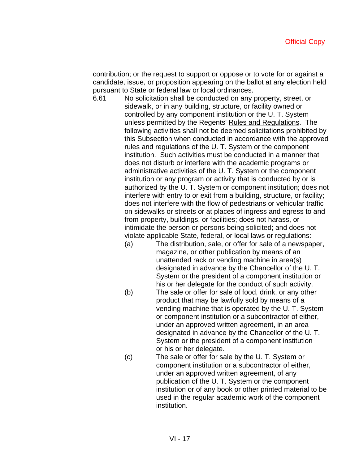contribution; or the request to support or oppose or to vote for or against a candidate, issue, or proposition appearing on the ballot at any election held pursuant to State or federal law or local ordinances.

6.61 No solicitation shall be conducted on any property, street, or sidewalk, or in any building, structure, or facility owned or controlled by any component institution or the U. T. System unless permitted by the Regents' Rules and Regulations. The following activities shall not be deemed solicitations prohibited by this Subsection when conducted in accordance with the approved rules and regulations of the U. T. System or the component institution. Such activities must be conducted in a manner that does not disturb or interfere with the academic programs or administrative activities of the U. T. System or the component institution or any program or activity that is conducted by or is authorized by the U. T. System or component institution; does not interfere with entry to or exit from a building, structure, or facility; does not interfere with the flow of pedestrians or vehicular traffic on sidewalks or streets or at places of ingress and egress to and from property, buildings, or facilities; does not harass, or intimidate the person or persons being solicited; and does not violate applicable State, federal, or local laws or regulations:

- (a) The distribution, sale, or offer for sale of a newspaper, magazine, or other publication by means of an unattended rack or vending machine in area(s) designated in advance by the Chancellor of the U. T. System or the president of a component institution or his or her delegate for the conduct of such activity.
- (b) The sale or offer for sale of food, drink, or any other product that may be lawfully sold by means of a vending machine that is operated by the U. T. System or component institution or a subcontractor of either, under an approved written agreement, in an area designated in advance by the Chancellor of the U. T. System or the president of a component institution or his or her delegate.
- (c) The sale or offer for sale by the U. T. System or component institution or a subcontractor of either, under an approved written agreement, of any publication of the U. T. System or the component institution or of any book or other printed material to be used in the regular academic work of the component institution.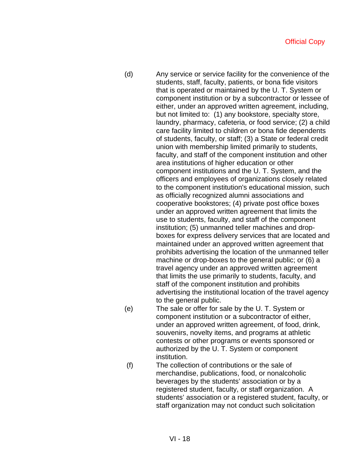- (d) Any service or service facility for the convenience of the students, staff, faculty, patients, or bona fide visitors that is operated or maintained by the U. T. System or component institution or by a subcontractor or lessee of either, under an approved written agreement, including, but not limited to: (1) any bookstore, specialty store, laundry, pharmacy, cafeteria, or food service; (2) a child care facility limited to children or bona fide dependents of students, faculty, or staff; (3) a State or federal credit union with membership limited primarily to students, faculty, and staff of the component institution and other area institutions of higher education or other component institutions and the U. T. System, and the officers and employees of organizations closely related to the component institution's educational mission, such as officially recognized alumni associations and cooperative bookstores; (4) private post office boxes under an approved written agreement that limits the use to students, faculty, and staff of the component institution; (5) unmanned teller machines and dropboxes for express delivery services that are located and maintained under an approved written agreement that prohibits advertising the location of the unmanned teller machine or drop-boxes to the general public; or (6) a travel agency under an approved written agreement that limits the use primarily to students, faculty, and staff of the component institution and prohibits advertising the institutional location of the travel agency to the general public.
- (e) The sale or offer for sale by the U. T. System or component institution or a subcontractor of either, under an approved written agreement, of food, drink, souvenirs, novelty items, and programs at athletic contests or other programs or events sponsored or authorized by the U. T. System or component institution.
- (f) The collection of contributions or the sale of merchandise, publications, food, or nonalcoholic beverages by the students' association or by a registered student, faculty, or staff organization. A students' association or a registered student, faculty, or staff organization may not conduct such solicitation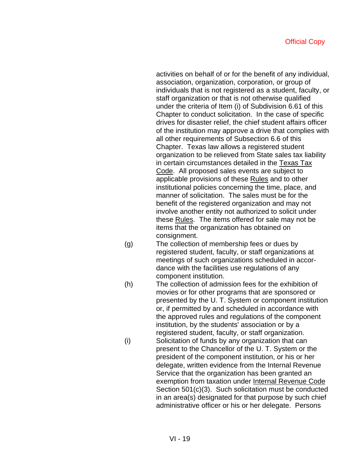activities on behalf of or for the benefit of any individual, association, organization, corporation, or group of individuals that is not registered as a student, faculty, or staff organization or that is not otherwise qualified under the criteria of Item (i) of Subdivision 6.61 of this Chapter to conduct solicitation. In the case of specific drives for disaster relief, the chief student affairs officer of the institution may approve a drive that complies with all other requirements of Subsection 6.6 of this Chapter. Texas law allows a registered student organization to be relieved from State sales tax liability in certain circumstances detailed in the Texas Tax Code. All proposed sales events are subject to applicable provisions of these Rules and to other institutional policies concerning the time, place, and manner of solicitation. The sales must be for the benefit of the registered organization and may not involve another entity not authorized to solicit under these Rules. The items offered for sale may not be items that the organization has obtained on consignment.

- (g) The collection of membership fees or dues by registered student, faculty, or staff organizations at meetings of such organizations scheduled in accordance with the facilities use regulations of any component institution.
- (h) The collection of admission fees for the exhibition of movies or for other programs that are sponsored or presented by the U. T. System or component institution or, if permitted by and scheduled in accordance with the approved rules and regulations of the component institution, by the students' association or by a registered student, faculty, or staff organization. (i) Solicitation of funds by any organization that can present to the Chancellor of the U. T. System or the president of the component institution, or his or her delegate, written evidence from the Internal Revenue Service that the organization has been granted an exemption from taxation under Internal Revenue Code Section 501(c)(3). Such solicitation must be conducted in an area(s) designated for that purpose by such chief administrative officer or his or her delegate. Persons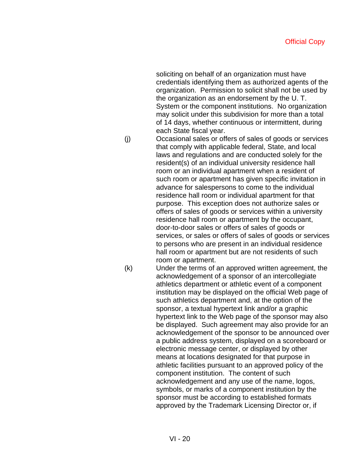soliciting on behalf of an organization must have credentials identifying them as authorized agents of the organization. Permission to solicit shall not be used by the organization as an endorsement by the U. T. System or the component institutions. No organization may solicit under this subdivision for more than a total of 14 days, whether continuous or intermittent, during each State fiscal year.

(j) Occasional sales or offers of sales of goods or services that comply with applicable federal, State, and local laws and regulations and are conducted solely for the resident(s) of an individual university residence hall room or an individual apartment when a resident of such room or apartment has given specific invitation in advance for salespersons to come to the individual residence hall room or individual apartment for that purpose. This exception does not authorize sales or offers of sales of goods or services within a university residence hall room or apartment by the occupant, door-to-door sales or offers of sales of goods or services, or sales or offers of sales of goods or services to persons who are present in an individual residence hall room or apartment but are not residents of such room or apartment.

(k) Under the terms of an approved written agreement, the acknowledgement of a sponsor of an intercollegiate athletics department or athletic event of a component institution may be displayed on the official Web page of such athletics department and, at the option of the sponsor, a textual hypertext link and/or a graphic hypertext link to the Web page of the sponsor may also be displayed. Such agreement may also provide for an acknowledgement of the sponsor to be announced over a public address system, displayed on a scoreboard or electronic message center, or displayed by other means at locations designated for that purpose in athletic facilities pursuant to an approved policy of the component institution. The content of such acknowledgement and any use of the name, logos, symbols, or marks of a component institution by the sponsor must be according to established formats approved by the Trademark Licensing Director or, if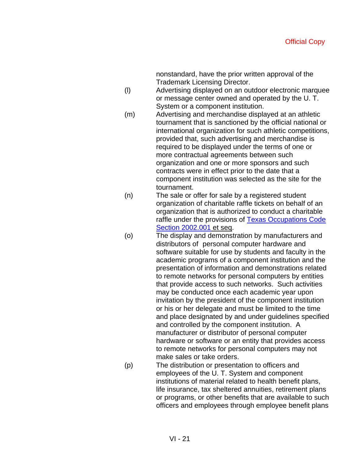nonstandard, have the prior written approval of the Trademark Licensing Director.

- (l) Advertising displayed on an outdoor electronic marquee or message center owned and operated by the U. T. System or a component institution.
- (m) Advertising and merchandise displayed at an athletic tournament that is sanctioned by the official national or international organization for such athletic competitions, provided that, such advertising and merchandise is required to be displayed under the terms of one or more contractual agreements between such organization and one or more sponsors and such contracts were in effect prior to the date that a component institution was selected as the site for the tournament.
- (n) The sale or offer for sale by a registered student organization of charitable raffle tickets on behalf of an organization that is authorized to conduct a charitable raffle under the provisions of Texas Occupations Code Section 2002.001 et seq.
- (o) The display and demonstration by manufacturers and distributors of personal computer hardware and software suitable for use by students and faculty in the academic programs of a component institution and the presentation of information and demonstrations related to remote networks for personal computers by entities that provide access to such networks. Such activities may be conducted once each academic year upon invitation by the president of the component institution or his or her delegate and must be limited to the time and place designated by and under guidelines specified and controlled by the component institution. A manufacturer or distributor of personal computer hardware or software or an entity that provides access to remote networks for personal computers may not make sales or take orders.
- (p) The distribution or presentation to officers and employees of the U. T. System and component institutions of material related to health benefit plans, life insurance, tax sheltered annuities, retirement plans or programs, or other benefits that are available to such officers and employees through employee benefit plans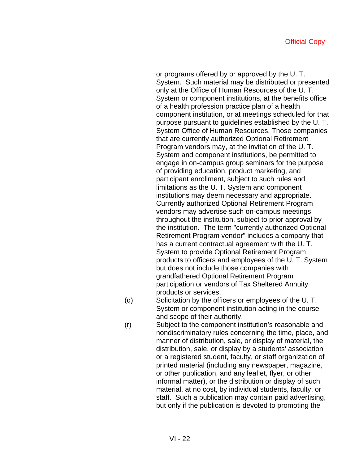or programs offered by or approved by the U. T. System. Such material may be distributed or presented only at the Office of Human Resources of the U. T. System or component institutions, at the benefits office of a health profession practice plan of a health component institution, or at meetings scheduled for that purpose pursuant to guidelines established by the U. T. System Office of Human Resources. Those companies that are currently authorized Optional Retirement Program vendors may, at the invitation of the U. T. System and component institutions, be permitted to engage in on-campus group seminars for the purpose of providing education, product marketing, and participant enrollment, subject to such rules and limitations as the U. T. System and component institutions may deem necessary and appropriate. Currently authorized Optional Retirement Program vendors may advertise such on-campus meetings throughout the institution, subject to prior approval by the institution. The term "currently authorized Optional Retirement Program vendor" includes a company that has a current contractual agreement with the U. T. System to provide Optional Retirement Program products to officers and employees of the U. T. System but does not include those companies with grandfathered Optional Retirement Program participation or vendors of Tax Sheltered Annuity products or services.

- (q) Solicitation by the officers or employees of the U. T. System or component institution acting in the course and scope of their authority.
- (r) Subject to the component institution's reasonable and nondiscriminatory rules concerning the time, place, and manner of distribution, sale, or display of material, the distribution, sale, or display by a students' association or a registered student, faculty, or staff organization of printed material (including any newspaper, magazine, or other publication, and any leaflet, flyer, or other informal matter), or the distribution or display of such material, at no cost, by individual students, faculty, or staff. Such a publication may contain paid advertising, but only if the publication is devoted to promoting the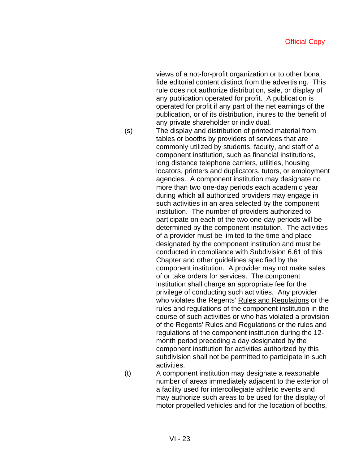views of a not-for-profit organization or to other bona fide editorial content distinct from the advertising. This rule does not authorize distribution, sale, or display of any publication operated for profit. A publication is operated for profit if any part of the net earnings of the publication, or of its distribution, inures to the benefit of any private shareholder or individual.

(s) The display and distribution of printed material from tables or booths by providers of services that are commonly utilized by students, faculty, and staff of a component institution, such as financial institutions, long distance telephone carriers, utilities, housing locators, printers and duplicators, tutors, or employment agencies. A component institution may designate no more than two one-day periods each academic year during which all authorized providers may engage in such activities in an area selected by the component institution. The number of providers authorized to participate on each of the two one-day periods will be determined by the component institution. The activities of a provider must be limited to the time and place designated by the component institution and must be conducted in compliance with Subdivision 6.61 of this Chapter and other guidelines specified by the component institution. A provider may not make sales of or take orders for services. The component institution shall charge an appropriate fee for the privilege of conducting such activities. Any provider who violates the Regents' Rules and Regulations or the rules and regulations of the component institution in the course of such activities or who has violated a provision of the Regents' Rules and Regulations or the rules and regulations of the component institution during the 12 month period preceding a day designated by the component institution for activities authorized by this subdivision shall not be permitted to participate in such activities.

(t) A component institution may designate a reasonable number of areas immediately adjacent to the exterior of a facility used for intercollegiate athletic events and may authorize such areas to be used for the display of motor propelled vehicles and for the location of booths,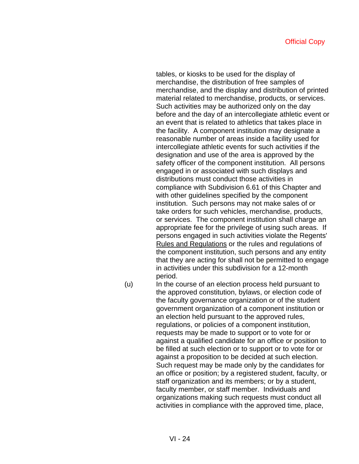tables, or kiosks to be used for the display of merchandise, the distribution of free samples of merchandise, and the display and distribution of printed material related to merchandise, products, or services. Such activities may be authorized only on the day before and the day of an intercollegiate athletic event or an event that is related to athletics that takes place in the facility. A component institution may designate a reasonable number of areas inside a facility used for intercollegiate athletic events for such activities if the designation and use of the area is approved by the safety officer of the component institution. All persons engaged in or associated with such displays and distributions must conduct those activities in compliance with Subdivision 6.61 of this Chapter and with other guidelines specified by the component institution. Such persons may not make sales of or take orders for such vehicles, merchandise, products, or services. The component institution shall charge an appropriate fee for the privilege of using such areas. If persons engaged in such activities violate the Regents' Rules and Regulations or the rules and regulations of the component institution, such persons and any entity that they are acting for shall not be permitted to engage in activities under this subdivision for a 12-month period.

(u) In the course of an election process held pursuant to the approved constitution, bylaws, or election code of the faculty governance organization or of the student government organization of a component institution or an election held pursuant to the approved rules, regulations, or policies of a component institution, requests may be made to support or to vote for or against a qualified candidate for an office or position to be filled at such election or to support or to vote for or against a proposition to be decided at such election. Such request may be made only by the candidates for an office or position; by a registered student, faculty, or staff organization and its members; or by a student, faculty member, or staff member. Individuals and organizations making such requests must conduct all activities in compliance with the approved time, place,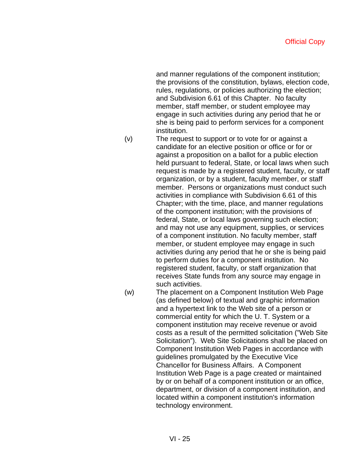and manner regulations of the component institution; the provisions of the constitution, bylaws, election code, rules, regulations, or policies authorizing the election; and Subdivision 6.61 of this Chapter. No faculty member, staff member, or student employee may engage in such activities during any period that he or she is being paid to perform services for a component institution.

(v) The request to support or to vote for or against a candidate for an elective position or office or for or against a proposition on a ballot for a public election held pursuant to federal, State, or local laws when such request is made by a registered student, faculty, or staff organization, or by a student, faculty member, or staff member. Persons or organizations must conduct such activities in compliance with Subdivision 6.61 of this Chapter; with the time, place, and manner regulations of the component institution; with the provisions of federal, State, or local laws governing such election; and may not use any equipment, supplies, or services of a component institution. No faculty member, staff member, or student employee may engage in such activities during any period that he or she is being paid to perform duties for a component institution. No registered student, faculty, or staff organization that receives State funds from any source may engage in such activities.

(w) The placement on a Component Institution Web Page (as defined below) of textual and graphic information and a hypertext link to the Web site of a person or commercial entity for which the U. T. System or a component institution may receive revenue or avoid costs as a result of the permitted solicitation ("Web Site Solicitation"). Web Site Solicitations shall be placed on Component Institution Web Pages in accordance with guidelines promulgated by the Executive Vice Chancellor for Business Affairs. A Component Institution Web Page is a page created or maintained by or on behalf of a component institution or an office, department, or division of a component institution, and located within a component institution's information technology environment.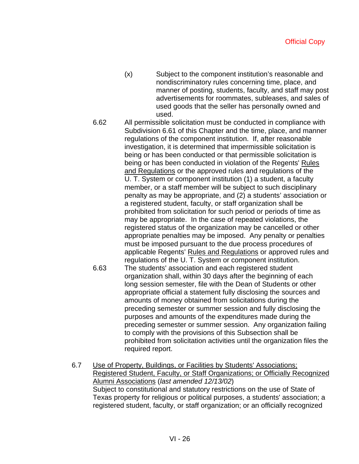- (x) Subject to the component institution's reasonable and nondiscriminatory rules concerning time, place, and manner of posting, students, faculty, and staff may post advertisements for roommates, subleases, and sales of used goods that the seller has personally owned and used.
- 6.62 All permissible solicitation must be conducted in compliance with Subdivision 6.61 of this Chapter and the time, place, and manner regulations of the component institution. If, after reasonable investigation, it is determined that impermissible solicitation is being or has been conducted or that permissible solicitation is being or has been conducted in violation of the Regents' Rules and Regulations or the approved rules and regulations of the U. T. System or component institution (1) a student, a faculty member, or a staff member will be subject to such disciplinary penalty as may be appropriate, and (2) a students' association or a registered student, faculty, or staff organization shall be prohibited from solicitation for such period or periods of time as may be appropriate. In the case of repeated violations, the registered status of the organization may be cancelled or other appropriate penalties may be imposed. Any penalty or penalties must be imposed pursuant to the due process procedures of applicable Regents' Rules and Regulations or approved rules and regulations of the U. T. System or component institution. 6.63 The students' association and each registered student organization shall, within 30 days after the beginning of each long session semester, file with the Dean of Students or other appropriate official a statement fully disclosing the sources and amounts of money obtained from solicitations during the preceding semester or summer session and fully disclosing the purposes and amounts of the expenditures made during the preceding semester or summer session. Any organization failing

to comply with the provisions of this Subsection shall be prohibited from solicitation activities until the organization files the required report.

6.7 Use of Property, Buildings, or Facilities by Students' Associations; Registered Student, Faculty, or Staff Organizations; or Officially Recognized Alumni Associations (*last amended 12/13/02*) Subject to constitutional and statutory restrictions on the use of State of Texas property for religious or political purposes, a students' association; a registered student, faculty, or staff organization; or an officially recognized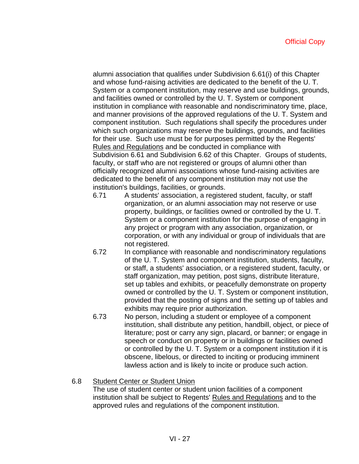alumni association that qualifies under Subdivision 6.61(i) of this Chapter and whose fund-raising activities are dedicated to the benefit of the U. T. System or a component institution, may reserve and use buildings, grounds, and facilities owned or controlled by the U. T. System or component institution in compliance with reasonable and nondiscriminatory time, place, and manner provisions of the approved regulations of the U. T. System and component institution. Such regulations shall specify the procedures under which such organizations may reserve the buildings, grounds, and facilities for their use. Such use must be for purposes permitted by the Regents' Rules and Regulations and be conducted in compliance with Subdivision 6.61 and Subdivision 6.62 of this Chapter. Groups of students, faculty, or staff who are not registered or groups of alumni other than officially recognized alumni associations whose fund-raising activities are dedicated to the benefit of any component institution may not use the institution's buildings, facilities, or grounds.

- 6.71 A students' association, a registered student, faculty, or staff organization, or an alumni association may not reserve or use property, buildings, or facilities owned or controlled by the U. T. System or a component institution for the purpose of engaging in any project or program with any association, organization, or corporation, or with any individual or group of individuals that are not registered.
- 6.72 In compliance with reasonable and nondiscriminatory regulations of the U. T. System and component institution, students, faculty, or staff, a students' association, or a registered student, faculty, or staff organization, may petition, post signs, distribute literature, set up tables and exhibits, or peacefully demonstrate on property owned or controlled by the U. T. System or component institution, provided that the posting of signs and the setting up of tables and exhibits may require prior authorization.
- 6.73 No person, including a student or employee of a component institution, shall distribute any petition, handbill, object, or piece of literature; post or carry any sign, placard, or banner; or engage in speech or conduct on property or in buildings or facilities owned or controlled by the U. T. System or a component institution if it is obscene, libelous, or directed to inciting or producing imminent lawless action and is likely to incite or produce such action.

# 6.8 Student Center or Student Union

The use of student center or student union facilities of a component institution shall be subject to Regents' Rules and Regulations and to the approved rules and regulations of the component institution.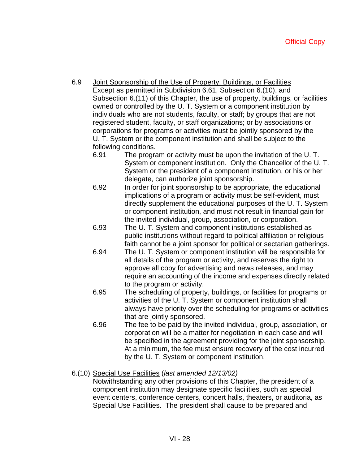- 6.9 Joint Sponsorship of the Use of Property, Buildings, or Facilities Except as permitted in Subdivision 6.61, Subsection 6.(10), and Subsection 6.(11) of this Chapter, the use of property, buildings, or facilities owned or controlled by the U. T. System or a component institution by individuals who are not students, faculty, or staff; by groups that are not registered student, faculty, or staff organizations; or by associations or corporations for programs or activities must be jointly sponsored by the U. T. System or the component institution and shall be subject to the following conditions.
	- 6.91 The program or activity must be upon the invitation of the U. T. System or component institution. Only the Chancellor of the U. T. System or the president of a component institution, or his or her delegate, can authorize joint sponsorship.
	- 6.92 In order for joint sponsorship to be appropriate, the educational implications of a program or activity must be self-evident, must directly supplement the educational purposes of the U. T. System or component institution, and must not result in financial gain for the invited individual, group, association, or corporation.
	- 6.93 The U. T. System and component institutions established as public institutions without regard to political affiliation or religious faith cannot be a joint sponsor for political or sectarian gatherings.
	- 6.94 The U. T. System or component institution will be responsible for all details of the program or activity, and reserves the right to approve all copy for advertising and news releases, and may require an accounting of the income and expenses directly related to the program or activity.
	- 6.95 The scheduling of property, buildings, or facilities for programs or activities of the U. T. System or component institution shall always have priority over the scheduling for programs or activities that are jointly sponsored.
	- 6.96 The fee to be paid by the invited individual, group, association, or corporation will be a matter for negotiation in each case and will be specified in the agreement providing for the joint sponsorship. At a minimum, the fee must ensure recovery of the cost incurred by the U. T. System or component institution.

# 6.(10) Special Use Facilities (*last amended 12/13/02)*

Notwithstanding any other provisions of this Chapter, the president of a component institution may designate specific facilities, such as special event centers, conference centers, concert halls, theaters, or auditoria, as Special Use Facilities. The president shall cause to be prepared and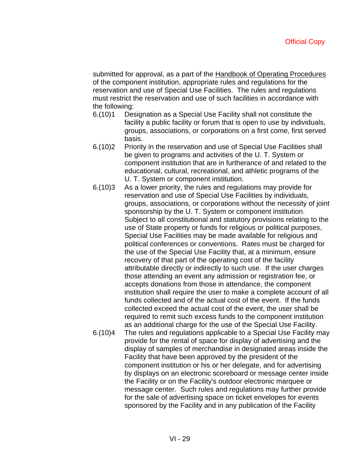submitted for approval, as a part of the Handbook of Operating Procedures of the component institution, appropriate rules and regulations for the reservation and use of Special Use Facilities. The rules and regulations must restrict the reservation and use of such facilities in accordance with the following:

- 6.(10)1 Designation as a Special Use Facility shall not constitute the facility a public facility or forum that is open to use by individuals, groups, associations, or corporations on a first come, first served basis.
- 6.(10)2 Priority in the reservation and use of Special Use Facilities shall be given to programs and activities of the U. T. System or component institution that are in furtherance of and related to the educational, cultural, recreational, and athletic programs of the U. T. System or component institution.
- 6.(10)3 As a lower priority, the rules and regulations may provide for reservation and use of Special Use Facilities by individuals, groups, associations, or corporations without the necessity of joint sponsorship by the U. T. System or component institution. Subject to all constitutional and statutory provisions relating to the use of State property or funds for religious or political purposes, Special Use Facilities may be made available for religious and political conferences or conventions. Rates must be charged for the use of the Special Use Facility that, at a minimum, ensure recovery of that part of the operating cost of the facility attributable directly or indirectly to such use. If the user charges those attending an event any admission or registration fee, or accepts donations from those in attendance, the component institution shall require the user to make a complete account of all funds collected and of the actual cost of the event. If the funds collected exceed the actual cost of the event, the user shall be required to remit such excess funds to the component institution as an additional charge for the use of the Special Use Facility.
- 6.(10)4 The rules and regulations applicable to a Special Use Facility may provide for the rental of space for display of advertising and the display of samples of merchandise in designated areas inside the Facility that have been approved by the president of the component institution or his or her delegate, and for advertising by displays on an electronic scoreboard or message center inside the Facility or on the Facility's outdoor electronic marquee or message center. Such rules and regulations may further provide for the sale of advertising space on ticket envelopes for events sponsored by the Facility and in any publication of the Facility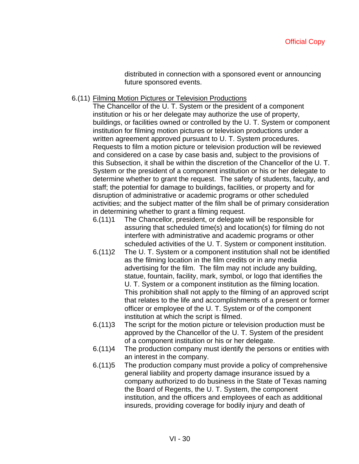distributed in connection with a sponsored event or announcing future sponsored events.

6.(11) Filming Motion Pictures or Television Productions

The Chancellor of the U. T. System or the president of a component institution or his or her delegate may authorize the use of property, buildings, or facilities owned or controlled by the U. T. System or component institution for filming motion pictures or television productions under a written agreement approved pursuant to U. T. System procedures. Requests to film a motion picture or television production will be reviewed and considered on a case by case basis and, subject to the provisions of this Subsection, it shall be within the discretion of the Chancellor of the U. T. System or the president of a component institution or his or her delegate to determine whether to grant the request. The safety of students, faculty, and staff; the potential for damage to buildings, facilities, or property and for disruption of administrative or academic programs or other scheduled activities; and the subject matter of the film shall be of primary consideration in determining whether to grant a filming request.

- 6.(11)1 The Chancellor, president, or delegate will be responsible for assuring that scheduled time(s) and location(s) for filming do not interfere with administrative and academic programs or other scheduled activities of the U. T. System or component institution.
- 6.(11)2 The U. T. System or a component institution shall not be identified as the filming location in the film credits or in any media advertising for the film. The film may not include any building, statue, fountain, facility, mark, symbol, or logo that identifies the U. T. System or a component institution as the filming location. This prohibition shall not apply to the filming of an approved script that relates to the life and accomplishments of a present or former officer or employee of the U. T. System or of the component institution at which the script is filmed.
- 6.(11)3 The script for the motion picture or television production must be approved by the Chancellor of the U. T. System of the president of a component institution or his or her delegate.
- 6.(11)4 The production company must identify the persons or entities with an interest in the company.
- 6.(11)5 The production company must provide a policy of comprehensive general liability and property damage insurance issued by a company authorized to do business in the State of Texas naming the Board of Regents, the U. T. System, the component institution, and the officers and employees of each as additional insureds, providing coverage for bodily injury and death of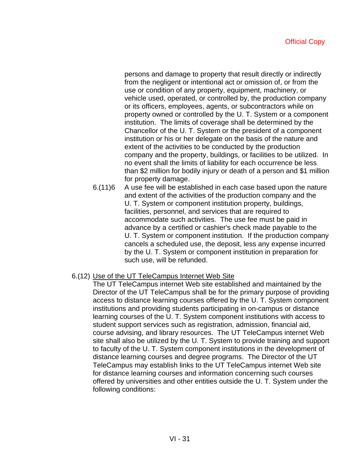persons and damage to property that result directly or indirectly from the negligent or intentional act or omission of, or from the use or condition of any property, equipment, machinery, or vehicle used, operated, or controlled by, the production company or its officers, employees, agents, or subcontractors while on property owned or controlled by the U. T. System or a component institution. The limits of coverage shall be determined by the Chancellor of the U. T. System or the president of a component institution or his or her delegate on the basis of the nature and extent of the activities to be conducted by the production company and the property, buildings, or facilities to be utilized. In no event shall the limits of liability for each occurrence be less than \$2 million for bodily injury or death of a person and \$1 million for property damage.

6.(11)6 A use fee will be established in each case based upon the nature and extent of the activities of the production company and the U. T. System or component institution property, buildings, facilities, personnel, and services that are required to accommodate such activities. The use fee must be paid in advance by a certified or cashier's check made payable to the U. T. System or component institution. If the production company cancels a scheduled use, the deposit, less any expense incurred by the U. T. System or component institution in preparation for such use, will be refunded.

# 6.(12) Use of the UT TeleCampus Internet Web Site

The UT TeleCampus internet Web site established and maintained by the Director of the UT TeleCampus shall be for the primary purpose of providing access to distance learning courses offered by the U. T. System component institutions and providing students participating in on-campus or distance learning courses of the U. T. System component institutions with access to student support services such as registration, admission, financial aid, course advising, and library resources. The UT TeleCampus internet Web site shall also be utilized by the U. T. System to provide training and support to faculty of the U. T. System component institutions in the development of distance learning courses and degree programs. The Director of the UT TeleCampus may establish links to the UT TeleCampus internet Web site for distance learning courses and information concerning such courses offered by universities and other entities outside the U. T. System under the following conditions: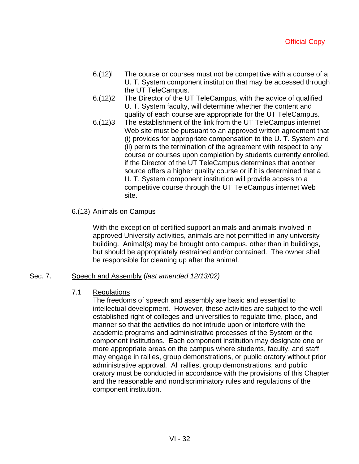- 6.(12)l The course or courses must not be competitive with a course of a U. T. System component institution that may be accessed through the UT TeleCampus.
- 6.(12)2 The Director of the UT TeleCampus, with the advice of qualified U. T. System faculty, will determine whether the content and quality of each course are appropriate for the UT TeleCampus.
- 6.(12)3 The establishment of the link from the UT TeleCampus internet Web site must be pursuant to an approved written agreement that (i) provides for appropriate compensation to the U. T. System and (ii) permits the termination of the agreement with respect to any course or courses upon completion by students currently enrolled, if the Director of the UT TeleCampus determines that another source offers a higher quality course or if it is determined that a U. T. System component institution will provide access to a competitive course through the UT TeleCampus internet Web site.

# 6.(13) Animals on Campus

With the exception of certified support animals and animals involved in approved University activities, animals are not permitted in any university building. Animal(s) may be brought onto campus, other than in buildings, but should be appropriately restrained and/or contained. The owner shall be responsible for cleaning up after the animal.

# Sec. 7. Speech and Assembly (*last amended 12/13/02)*

# 7.1 Regulations

The freedoms of speech and assembly are basic and essential to intellectual development. However, these activities are subject to the wellestablished right of colleges and universities to regulate time, place, and manner so that the activities do not intrude upon or interfere with the academic programs and administrative processes of the System or the component institutions. Each component institution may designate one or more appropriate areas on the campus where students, faculty, and staff may engage in rallies, group demonstrations, or public oratory without prior administrative approval. All rallies, group demonstrations, and public oratory must be conducted in accordance with the provisions of this Chapter and the reasonable and nondiscriminatory rules and regulations of the component institution.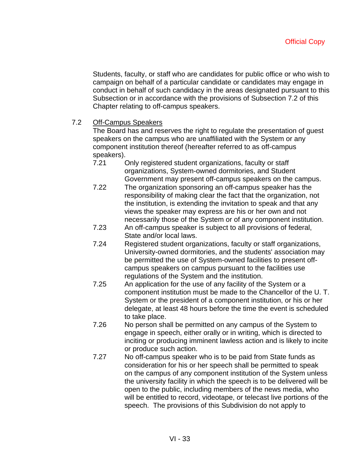Students, faculty, or staff who are candidates for public office or who wish to campaign on behalf of a particular candidate or candidates may engage in conduct in behalf of such candidacy in the areas designated pursuant to this Subsection or in accordance with the provisions of Subsection 7.2 of this Chapter relating to off-campus speakers.

7.2 Off-Campus Speakers

The Board has and reserves the right to regulate the presentation of guest speakers on the campus who are unaffiliated with the System or any component institution thereof (hereafter referred to as off-campus speakers).

- 7.21 Only registered student organizations, faculty or staff organizations, System-owned dormitories, and Student Government may present off-campus speakers on the campus.
- 7.22 The organization sponsoring an off-campus speaker has the responsibility of making clear the fact that the organization, not the institution, is extending the invitation to speak and that any views the speaker may express are his or her own and not necessarily those of the System or of any component institution.
- 7.23 An off-campus speaker is subject to all provisions of federal, State and/or local laws.
- 7.24 Registered student organizations, faculty or staff organizations, University-owned dormitories, and the students' association may be permitted the use of System-owned facilities to present offcampus speakers on campus pursuant to the facilities use regulations of the System and the institution.
- 7.25 An application for the use of any facility of the System or a component institution must be made to the Chancellor of the U. T. System or the president of a component institution, or his or her delegate, at least 48 hours before the time the event is scheduled to take place.
- 7.26 No person shall be permitted on any campus of the System to engage in speech, either orally or in writing, which is directed to inciting or producing imminent lawless action and is likely to incite or produce such action.
- 7.27 No off-campus speaker who is to be paid from State funds as consideration for his or her speech shall be permitted to speak on the campus of any component institution of the System unless the university facility in which the speech is to be delivered will be open to the public, including members of the news media, who will be entitled to record, videotape, or telecast live portions of the speech. The provisions of this Subdivision do not apply to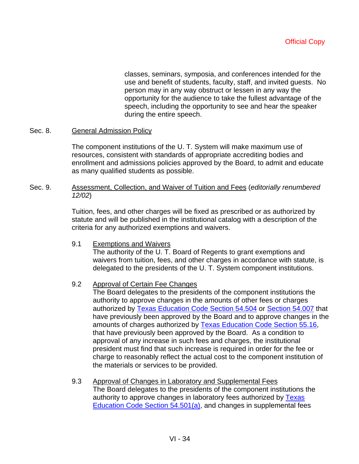classes, seminars, symposia, and conferences intended for the use and benefit of students, faculty, staff, and invited guests. No person may in any way obstruct or lessen in any way the opportunity for the audience to take the fullest advantage of the speech, including the opportunity to see and hear the speaker during the entire speech.

#### Sec. 8. General Admission Policy

The component institutions of the U. T. System will make maximum use of resources, consistent with standards of appropriate accrediting bodies and enrollment and admissions policies approved by the Board, to admit and educate as many qualified students as possible.

### Sec. 9. Assessment, Collection, and Waiver of Tuition and Fees (*editorially renumbered 12/02*)

Tuition, fees, and other charges will be fixed as prescribed or as authorized by statute and will be published in the institutional catalog with a description of the criteria for any authorized exemptions and waivers.

#### 9.1 Exemptions and Waivers

The authority of the U. T. Board of Regents to grant exemptions and waivers from tuition, fees, and other charges in accordance with statute, is delegated to the presidents of the U. T. System component institutions.

#### 9.2 Approval of Certain Fee Changes

The Board delegates to the presidents of the component institutions the authority to approve changes in the amounts of other fees or charges authorized by Texas Education Code Section 54.504 or Section 54.007 that have previously been approved by the Board and to approve changes in the amounts of charges authorized by Texas Education Code Section 55.16, that have previously been approved by the Board. As a condition to approval of any increase in such fees and charges, the institutional president must find that such increase is required in order for the fee or charge to reasonably reflect the actual cost to the component institution of the materials or services to be provided.

### 9.3 Approval of Changes in Laboratory and Supplemental Fees The Board delegates to the presidents of the component institutions the authority to approve changes in laboratory fees authorized by Texas Education Code Section 54.501(a), and changes in supplemental fees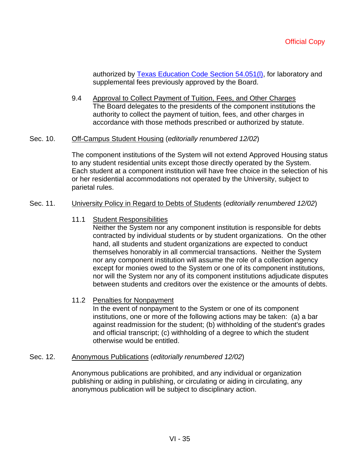authorized by Texas Education Code Section 54.051(I), for laboratory and supplemental fees previously approved by the Board.

9.4 Approval to Collect Payment of Tuition, Fees, and Other Charges The Board delegates to the presidents of the component institutions the authority to collect the payment of tuition, fees, and other charges in accordance with those methods prescribed or authorized by statute.

#### Sec. 10. Off-Campus Student Housing (*editorially renumbered 12/02*)

The component institutions of the System will not extend Approved Housing status to any student residential units except those directly operated by the System. Each student at a component institution will have free choice in the selection of his or her residential accommodations not operated by the University, subject to parietal rules.

#### Sec. 11. University Policy in Regard to Debts of Students (*editorially renumbered 12/02*)

#### 11.1 Student Responsibilities

Neither the System nor any component institution is responsible for debts contracted by individual students or by student organizations. On the other hand, all students and student organizations are expected to conduct themselves honorably in all commercial transactions. Neither the System nor any component institution will assume the role of a collection agency except for monies owed to the System or one of its component institutions, nor will the System nor any of its component institutions adjudicate disputes between students and creditors over the existence or the amounts of debts.

#### 11.2 Penalties for Nonpayment

In the event of nonpayment to the System or one of its component institutions, one or more of the following actions may be taken: (a) a bar against readmission for the student; (b) withholding of the student's grades and official transcript; (c) withholding of a degree to which the student otherwise would be entitled.

#### Sec. 12. Anonymous Publications (*editorially renumbered 12/02*)

Anonymous publications are prohibited, and any individual or organization publishing or aiding in publishing, or circulating or aiding in circulating, any anonymous publication will be subject to disciplinary action.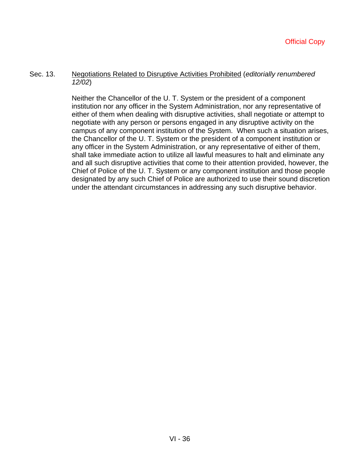# Sec. 13. Negotiations Related to Disruptive Activities Prohibited (*editorially renumbered 12/02*)

Neither the Chancellor of the U. T. System or the president of a component institution nor any officer in the System Administration, nor any representative of either of them when dealing with disruptive activities, shall negotiate or attempt to negotiate with any person or persons engaged in any disruptive activity on the campus of any component institution of the System. When such a situation arises, the Chancellor of the U. T. System or the president of a component institution or any officer in the System Administration, or any representative of either of them, shall take immediate action to utilize all lawful measures to halt and eliminate any and all such disruptive activities that come to their attention provided, however, the Chief of Police of the U. T. System or any component institution and those people designated by any such Chief of Police are authorized to use their sound discretion under the attendant circumstances in addressing any such disruptive behavior.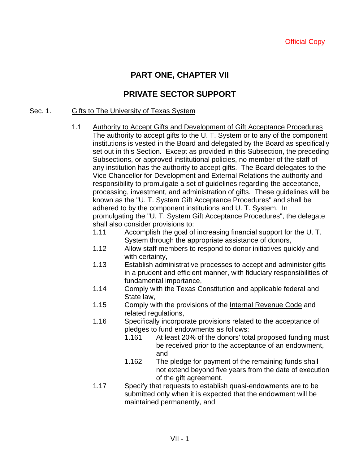# **PART ONE, CHAPTER VII**

# **PRIVATE SECTOR SUPPORT**

#### Sec. 1. Gifts to The University of Texas System

- 1.1 Authority to Accept Gifts and Development of Gift Acceptance Procedures The authority to accept gifts to the U. T. System or to any of the component institutions is vested in the Board and delegated by the Board as specifically set out in this Section. Except as provided in this Subsection, the preceding Subsections, or approved institutional policies, no member of the staff of any institution has the authority to accept gifts. The Board delegates to the Vice Chancellor for Development and External Relations the authority and responsibility to promulgate a set of guidelines regarding the acceptance, processing, investment, and administration of gifts. These guidelines will be known as the "U. T. System Gift Acceptance Procedures" and shall be adhered to by the component institutions and U. T. System. In promulgating the "U. T. System Gift Acceptance Procedures", the delegate shall also consider provisions to:
	- 1.11 Accomplish the goal of increasing financial support for the U. T. System through the appropriate assistance of donors,
	- 1.12 Allow staff members to respond to donor initiatives quickly and with certainty,
	- 1.13 Establish administrative processes to accept and administer gifts in a prudent and efficient manner, with fiduciary responsibilities of fundamental importance,
	- 1.14 Comply with the Texas Constitution and applicable federal and State law,
	- 1.15 Comply with the provisions of the Internal Revenue Code and related regulations,
	- 1.16 Specifically incorporate provisions related to the acceptance of pledges to fund endowments as follows:
		- 1.161 At least 20% of the donors' total proposed funding must be received prior to the acceptance of an endowment, and
		- 1.162 The pledge for payment of the remaining funds shall not extend beyond five years from the date of execution of the gift agreement.
	- 1.17 Specify that requests to establish quasi-endowments are to be submitted only when it is expected that the endowment will be maintained permanently, and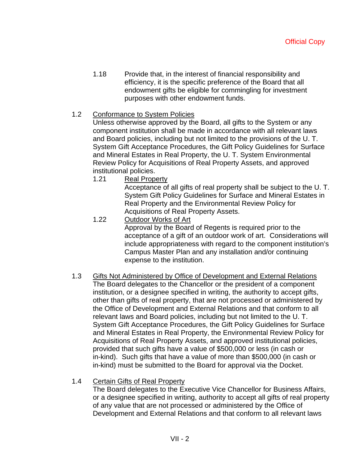1.18 Provide that, in the interest of financial responsibility and efficiency, it is the specific preference of the Board that all endowment gifts be eligible for commingling for investment purposes with other endowment funds.

# 1.2 Conformance to System Policies

Unless otherwise approved by the Board, all gifts to the System or any component institution shall be made in accordance with all relevant laws and Board policies, including but not limited to the provisions of the U. T. System Gift Acceptance Procedures, the Gift Policy Guidelines for Surface and Mineral Estates in Real Property, the U. T. System Environmental Review Policy for Acquisitions of Real Property Assets, and approved institutional policies.

1.21 Real Property

Acceptance of all gifts of real property shall be subject to the U. T. System Gift Policy Guidelines for Surface and Mineral Estates in Real Property and the Environmental Review Policy for Acquisitions of Real Property Assets.

- 1.22 Outdoor Works of Art Approval by the Board of Regents is required prior to the acceptance of a gift of an outdoor work of art. Considerations will include appropriateness with regard to the component institution's Campus Master Plan and any installation and/or continuing expense to the institution.
- 1.3 Gifts Not Administered by Office of Development and External Relations The Board delegates to the Chancellor or the president of a component institution, or a designee specified in writing, the authority to accept gifts, other than gifts of real property, that are not processed or administered by the Office of Development and External Relations and that conform to all relevant laws and Board policies, including but not limited to the U. T. System Gift Acceptance Procedures, the Gift Policy Guidelines for Surface and Mineral Estates in Real Property, the Environmental Review Policy for Acquisitions of Real Property Assets, and approved institutional policies, provided that such gifts have a value of \$500,000 or less (in cash or in-kind). Such gifts that have a value of more than \$500,000 (in cash or in-kind) must be submitted to the Board for approval via the Docket.

# 1.4 Certain Gifts of Real Property

The Board delegates to the Executive Vice Chancellor for Business Affairs, or a designee specified in writing, authority to accept all gifts of real property of any value that are not processed or administered by the Office of Development and External Relations and that conform to all relevant laws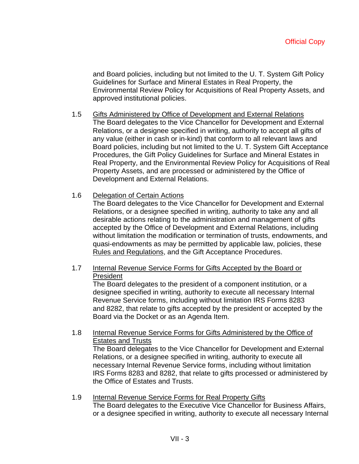and Board policies, including but not limited to the U. T. System Gift Policy Guidelines for Surface and Mineral Estates in Real Property, the Environmental Review Policy for Acquisitions of Real Property Assets, and approved institutional policies.

- 1.5 Gifts Administered by Office of Development and External Relations The Board delegates to the Vice Chancellor for Development and External Relations, or a designee specified in writing, authority to accept all gifts of any value (either in cash or in-kind) that conform to all relevant laws and Board policies, including but not limited to the U. T. System Gift Acceptance Procedures, the Gift Policy Guidelines for Surface and Mineral Estates in Real Property, and the Environmental Review Policy for Acquisitions of Real Property Assets, and are processed or administered by the Office of Development and External Relations.
- 1.6 Delegation of Certain Actions

The Board delegates to the Vice Chancellor for Development and External Relations, or a designee specified in writing, authority to take any and all desirable actions relating to the administration and management of gifts accepted by the Office of Development and External Relations, including without limitation the modification or termination of trusts, endowments, and quasi-endowments as may be permitted by applicable law, policies, these Rules and Regulations, and the Gift Acceptance Procedures.

1.7 Internal Revenue Service Forms for Gifts Accepted by the Board or President

The Board delegates to the president of a component institution, or a designee specified in writing, authority to execute all necessary Internal Revenue Service forms, including without limitation IRS Forms 8283 and 8282, that relate to gifts accepted by the president or accepted by the Board via the Docket or as an Agenda Item.

1.8 Internal Revenue Service Forms for Gifts Administered by the Office of Estates and Trusts

The Board delegates to the Vice Chancellor for Development and External Relations, or a designee specified in writing, authority to execute all necessary Internal Revenue Service forms, including without limitation IRS Forms 8283 and 8282, that relate to gifts processed or administered by the Office of Estates and Trusts.

1.9 Internal Revenue Service Forms for Real Property Gifts The Board delegates to the Executive Vice Chancellor for Business Affairs, or a designee specified in writing, authority to execute all necessary Internal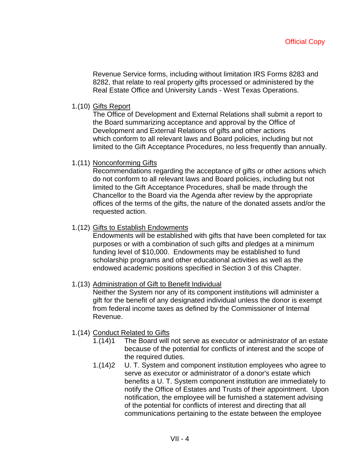Revenue Service forms, including without limitation IRS Forms 8283 and 8282, that relate to real property gifts processed or administered by the Real Estate Office and University Lands - West Texas Operations.

1.(10) Gifts Report

The Office of Development and External Relations shall submit a report to the Board summarizing acceptance and approval by the Office of Development and External Relations of gifts and other actions which conform to all relevant laws and Board policies, including but not limited to the Gift Acceptance Procedures, no less frequently than annually.

1.(11) Nonconforming Gifts

Recommendations regarding the acceptance of gifts or other actions which do not conform to all relevant laws and Board policies, including but not limited to the Gift Acceptance Procedures, shall be made through the Chancellor to the Board via the Agenda after review by the appropriate offices of the terms of the gifts, the nature of the donated assets and/or the requested action.

# 1.(12) Gifts to Establish Endowments

Endowments will be established with gifts that have been completed for tax purposes or with a combination of such gifts and pledges at a minimum funding level of \$10,000. Endowments may be established to fund scholarship programs and other educational activities as well as the endowed academic positions specified in Section 3 of this Chapter.

# 1.(13) Administration of Gift to Benefit Individual

Neither the System nor any of its component institutions will administer a gift for the benefit of any designated individual unless the donor is exempt from federal income taxes as defined by the Commissioner of Internal Revenue.

# 1.(14) Conduct Related to Gifts

- 1.(14)1 The Board will not serve as executor or administrator of an estate because of the potential for conflicts of interest and the scope of the required duties.
- 1.(14)2 U. T. System and component institution employees who agree to serve as executor or administrator of a donor's estate which benefits a U. T. System component institution are immediately to notify the Office of Estates and Trusts of their appointment. Upon notification, the employee will be furnished a statement advising of the potential for conflicts of interest and directing that all communications pertaining to the estate between the employee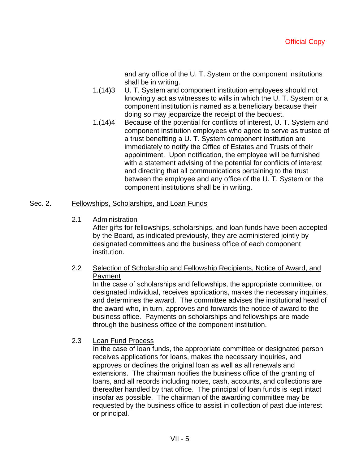and any office of the U. T. System or the component institutions shall be in writing.

- 1.(14)3 U. T. System and component institution employees should not knowingly act as witnesses to wills in which the U. T. System or a component institution is named as a beneficiary because their doing so may jeopardize the receipt of the bequest.
- 1.(14)4 Because of the potential for conflicts of interest, U. T. System and component institution employees who agree to serve as trustee of a trust benefiting a U. T. System component institution are immediately to notify the Office of Estates and Trusts of their appointment. Upon notification, the employee will be furnished with a statement advising of the potential for conflicts of interest and directing that all communications pertaining to the trust between the employee and any office of the U. T. System or the component institutions shall be in writing.

#### Sec. 2. Fellowships, Scholarships, and Loan Funds

2.1 Administration

After gifts for fellowships, scholarships, and loan funds have been accepted by the Board, as indicated previously, they are administered jointly by designated committees and the business office of each component institution.

2.2 Selection of Scholarship and Fellowship Recipients, Notice of Award, and Payment

In the case of scholarships and fellowships, the appropriate committee, or designated individual, receives applications, makes the necessary inquiries, and determines the award. The committee advises the institutional head of the award who, in turn, approves and forwards the notice of award to the business office. Payments on scholarships and fellowships are made through the business office of the component institution.

# 2.3 Loan Fund Process

In the case of loan funds, the appropriate committee or designated person receives applications for loans, makes the necessary inquiries, and approves or declines the original loan as well as all renewals and extensions. The chairman notifies the business office of the granting of loans, and all records including notes, cash, accounts, and collections are thereafter handled by that office. The principal of loan funds is kept intact insofar as possible. The chairman of the awarding committee may be requested by the business office to assist in collection of past due interest or principal.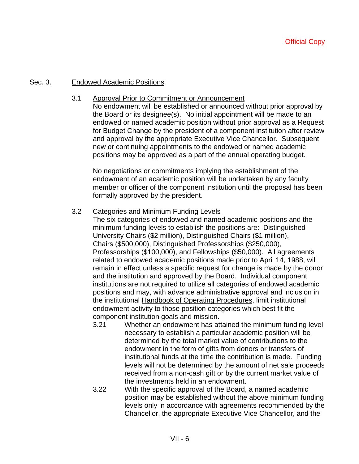# Sec. 3. Endowed Academic Positions

# 3.1 Approval Prior to Commitment or Announcement

No endowment will be established or announced without prior approval by the Board or its designee(s). No initial appointment will be made to an endowed or named academic position without prior approval as a Request for Budget Change by the president of a component institution after review and approval by the appropriate Executive Vice Chancellor. Subsequent new or continuing appointments to the endowed or named academic positions may be approved as a part of the annual operating budget.

No negotiations or commitments implying the establishment of the endowment of an academic position will be undertaken by any faculty member or officer of the component institution until the proposal has been formally approved by the president.

# 3.2 Categories and Minimum Funding Levels

The six categories of endowed and named academic positions and the minimum funding levels to establish the positions are: Distinguished University Chairs (\$2 million), Distinguished Chairs (\$1 million), Chairs (\$500,000), Distinguished Professorships (\$250,000), Professorships (\$100,000), and Fellowships (\$50,000). All agreements related to endowed academic positions made prior to April 14, 1988, will remain in effect unless a specific request for change is made by the donor and the institution and approved by the Board. Individual component institutions are not required to utilize all categories of endowed academic positions and may, with advance administrative approval and inclusion in the institutional Handbook of Operating Procedures, limit institutional endowment activity to those position categories which best fit the component institution goals and mission.

- 3.21 Whether an endowment has attained the minimum funding level necessary to establish a particular academic position will be determined by the total market value of contributions to the endowment in the form of gifts from donors or transfers of institutional funds at the time the contribution is made. Funding levels will not be determined by the amount of net sale proceeds received from a non-cash gift or by the current market value of the investments held in an endowment.
- 3.22 With the specific approval of the Board, a named academic position may be established without the above minimum funding levels only in accordance with agreements recommended by the Chancellor, the appropriate Executive Vice Chancellor, and the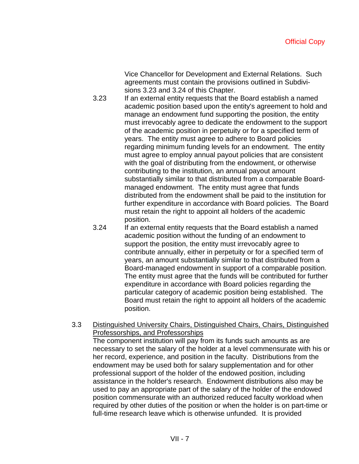Vice Chancellor for Development and External Relations. Such agreements must contain the provisions outlined in Subdivisions 3.23 and 3.24 of this Chapter.

- 3.23 If an external entity requests that the Board establish a named academic position based upon the entity's agreement to hold and manage an endowment fund supporting the position, the entity must irrevocably agree to dedicate the endowment to the support of the academic position in perpetuity or for a specified term of years. The entity must agree to adhere to Board policies regarding minimum funding levels for an endowment. The entity must agree to employ annual payout policies that are consistent with the goal of distributing from the endowment, or otherwise contributing to the institution, an annual payout amount substantially similar to that distributed from a comparable Boardmanaged endowment. The entity must agree that funds distributed from the endowment shall be paid to the institution for further expenditure in accordance with Board policies. The Board must retain the right to appoint all holders of the academic position.
- 3.24 If an external entity requests that the Board establish a named academic position without the funding of an endowment to support the position, the entity must irrevocably agree to contribute annually, either in perpetuity or for a specified term of years, an amount substantially similar to that distributed from a Board-managed endowment in support of a comparable position. The entity must agree that the funds will be contributed for further expenditure in accordance with Board policies regarding the particular category of academic position being established. The Board must retain the right to appoint all holders of the academic position.
- 3.3 Distinguished University Chairs, Distinguished Chairs, Chairs, Distinguished Professorships, and Professorships

The component institution will pay from its funds such amounts as are necessary to set the salary of the holder at a level commensurate with his or her record, experience, and position in the faculty. Distributions from the endowment may be used both for salary supplementation and for other professional support of the holder of the endowed position, including assistance in the holder's research. Endowment distributions also may be used to pay an appropriate part of the salary of the holder of the endowed position commensurate with an authorized reduced faculty workload when required by other duties of the position or when the holder is on part-time or full-time research leave which is otherwise unfunded. It is provided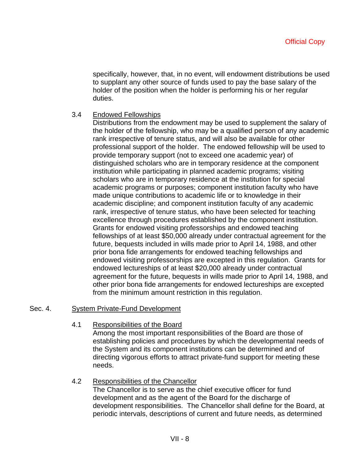specifically, however, that, in no event, will endowment distributions be used to supplant any other source of funds used to pay the base salary of the holder of the position when the holder is performing his or her regular duties.

# 3.4 Endowed Fellowships

Distributions from the endowment may be used to supplement the salary of the holder of the fellowship, who may be a qualified person of any academic rank irrespective of tenure status, and will also be available for other professional support of the holder. The endowed fellowship will be used to provide temporary support (not to exceed one academic year) of distinguished scholars who are in temporary residence at the component institution while participating in planned academic programs; visiting scholars who are in temporary residence at the institution for special academic programs or purposes; component institution faculty who have made unique contributions to academic life or to knowledge in their academic discipline; and component institution faculty of any academic rank, irrespective of tenure status, who have been selected for teaching excellence through procedures established by the component institution. Grants for endowed visiting professorships and endowed teaching fellowships of at least \$50,000 already under contractual agreement for the future, bequests included in wills made prior to April 14, 1988, and other prior bona fide arrangements for endowed teaching fellowships and endowed visiting professorships are excepted in this regulation. Grants for endowed lectureships of at least \$20,000 already under contractual agreement for the future, bequests in wills made prior to April 14, 1988, and other prior bona fide arrangements for endowed lectureships are excepted from the minimum amount restriction in this regulation.

# Sec. 4. System Private-Fund Development

#### 4.1 Responsibilities of the Board

Among the most important responsibilities of the Board are those of establishing policies and procedures by which the developmental needs of the System and its component institutions can be determined and of directing vigorous efforts to attract private-fund support for meeting these needs.

#### 4.2 Responsibilities of the Chancellor

The Chancellor is to serve as the chief executive officer for fund development and as the agent of the Board for the discharge of development responsibilities. The Chancellor shall define for the Board, at periodic intervals, descriptions of current and future needs, as determined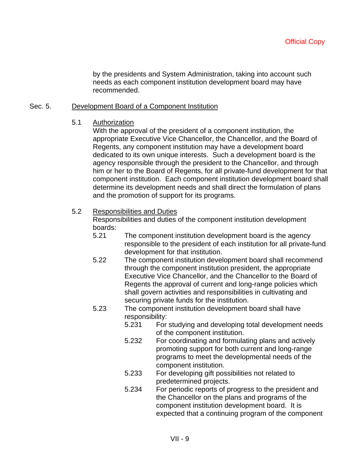by the presidents and System Administration, taking into account such needs as each component institution development board may have recommended.

#### Sec. 5. Development Board of a Component Institution

#### 5.1 Authorization

With the approval of the president of a component institution, the appropriate Executive Vice Chancellor, the Chancellor, and the Board of Regents, any component institution may have a development board dedicated to its own unique interests. Such a development board is the agency responsible through the president to the Chancellor, and through him or her to the Board of Regents, for all private-fund development for that component institution. Each component institution development board shall determine its development needs and shall direct the formulation of plans and the promotion of support for its programs.

# 5.2 Responsibilities and Duties

Responsibilities and duties of the component institution development boards:

- 5.21 The component institution development board is the agency responsible to the president of each institution for all private-fund development for that institution.
- 5.22 The component institution development board shall recommend through the component institution president, the appropriate Executive Vice Chancellor, and the Chancellor to the Board of Regents the approval of current and long-range policies which shall govern activities and responsibilities in cultivating and securing private funds for the institution.
- 5.23 The component institution development board shall have responsibility:
	- 5.231 For studying and developing total development needs of the component institution.
	- 5.232 For coordinating and formulating plans and actively promoting support for both current and long-range programs to meet the developmental needs of the component institution.
	- 5.233 For developing gift possibilities not related to predetermined projects.
	- 5.234 For periodic reports of progress to the president and the Chancellor on the plans and programs of the component institution development board. It is expected that a continuing program of the component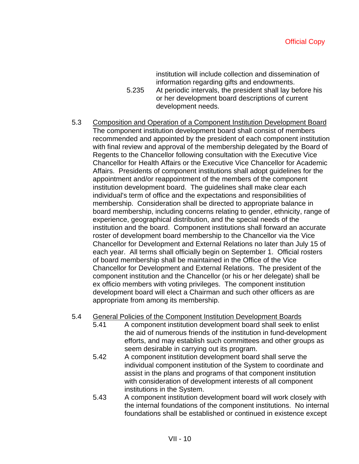institution will include collection and dissemination of information regarding gifts and endowments.

- 5.235 At periodic intervals, the president shall lay before his or her development board descriptions of current development needs.
- 5.3 Composition and Operation of a Component Institution Development Board The component institution development board shall consist of members recommended and appointed by the president of each component institution with final review and approval of the membership delegated by the Board of Regents to the Chancellor following consultation with the Executive Vice Chancellor for Health Affairs or the Executive Vice Chancellor for Academic Affairs. Presidents of component institutions shall adopt guidelines for the appointment and/or reappointment of the members of the component institution development board. The guidelines shall make clear each individual's term of office and the expectations and responsibilities of membership. Consideration shall be directed to appropriate balance in board membership, including concerns relating to gender, ethnicity, range of experience, geographical distribution, and the special needs of the institution and the board. Component institutions shall forward an accurate roster of development board membership to the Chancellor via the Vice Chancellor for Development and External Relations no later than July 15 of each year. All terms shall officially begin on September 1. Official rosters of board membership shall be maintained in the Office of the Vice Chancellor for Development and External Relations. The president of the component institution and the Chancellor (or his or her delegate) shall be ex officio members with voting privileges. The component institution development board will elect a Chairman and such other officers as are appropriate from among its membership.
- 5.4 General Policies of the Component Institution Development Boards
	- 5.41 A component institution development board shall seek to enlist the aid of numerous friends of the institution in fund-development efforts, and may establish such committees and other groups as seem desirable in carrying out its program.
	- 5.42 A component institution development board shall serve the individual component institution of the System to coordinate and assist in the plans and programs of that component institution with consideration of development interests of all component institutions in the System.
	- 5.43 A component institution development board will work closely with the internal foundations of the component institutions. No internal foundations shall be established or continued in existence except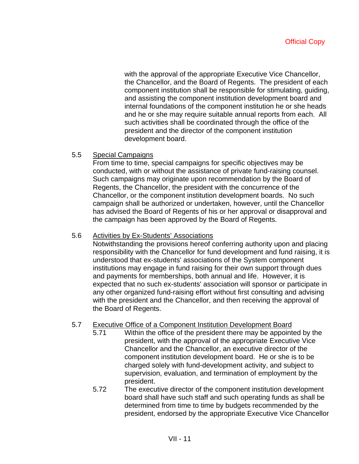with the approval of the appropriate Executive Vice Chancellor, the Chancellor, and the Board of Regents. The president of each component institution shall be responsible for stimulating, guiding, and assisting the component institution development board and internal foundations of the component institution he or she heads and he or she may require suitable annual reports from each. All such activities shall be coordinated through the office of the president and the director of the component institution development board.

5.5 Special Campaigns

From time to time, special campaigns for specific objectives may be conducted, with or without the assistance of private fund-raising counsel. Such campaigns may originate upon recommendation by the Board of Regents, the Chancellor, the president with the concurrence of the Chancellor, or the component institution development boards. No such campaign shall be authorized or undertaken, however, until the Chancellor has advised the Board of Regents of his or her approval or disapproval and the campaign has been approved by the Board of Regents.

### 5.6 Activities by Ex-Students' Associations

Notwithstanding the provisions hereof conferring authority upon and placing responsibility with the Chancellor for fund development and fund raising, it is understood that ex-students' associations of the System component institutions may engage in fund raising for their own support through dues and payments for memberships, both annual and life. However, it is expected that no such ex-students' association will sponsor or participate in any other organized fund-raising effort without first consulting and advising with the president and the Chancellor, and then receiving the approval of the Board of Regents.

#### 5.7 Executive Office of a Component Institution Development Board

- 5.71 Within the office of the president there may be appointed by the president, with the approval of the appropriate Executive Vice Chancellor and the Chancellor, an executive director of the component institution development board. He or she is to be charged solely with fund-development activity, and subject to supervision, evaluation, and termination of employment by the president.
- 5.72 The executive director of the component institution development board shall have such staff and such operating funds as shall be determined from time to time by budgets recommended by the president, endorsed by the appropriate Executive Vice Chancellor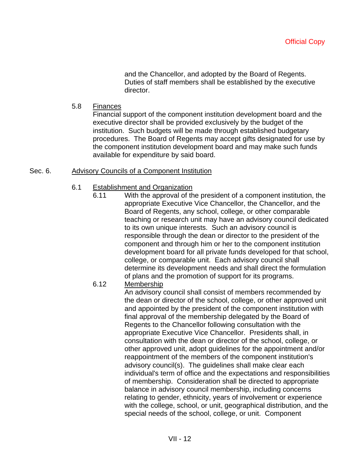and the Chancellor, and adopted by the Board of Regents. Duties of staff members shall be established by the executive director.

#### 5.8 Finances

Financial support of the component institution development board and the executive director shall be provided exclusively by the budget of the institution. Such budgets will be made through established budgetary procedures. The Board of Regents may accept gifts designated for use by the component institution development board and may make such funds available for expenditure by said board.

#### Sec. 6. Advisory Councils of a Component Institution

#### 6.1 Establishment and Organization

6.11 With the approval of the president of a component institution, the appropriate Executive Vice Chancellor, the Chancellor, and the Board of Regents, any school, college, or other comparable teaching or research unit may have an advisory council dedicated to its own unique interests. Such an advisory council is responsible through the dean or director to the president of the component and through him or her to the component institution development board for all private funds developed for that school, college, or comparable unit. Each advisory council shall determine its development needs and shall direct the formulation of plans and the promotion of support for its programs.

#### 6.12 Membership

An advisory council shall consist of members recommended by the dean or director of the school, college, or other approved unit and appointed by the president of the component institution with final approval of the membership delegated by the Board of Regents to the Chancellor following consultation with the appropriate Executive Vice Chancellor. Presidents shall, in consultation with the dean or director of the school, college, or other approved unit, adopt guidelines for the appointment and/or reappointment of the members of the component institution's advisory council(s). The guidelines shall make clear each individual's term of office and the expectations and responsibilities of membership. Consideration shall be directed to appropriate balance in advisory council membership, including concerns relating to gender, ethnicity, years of involvement or experience with the college, school, or unit, geographical distribution, and the special needs of the school, college, or unit. Component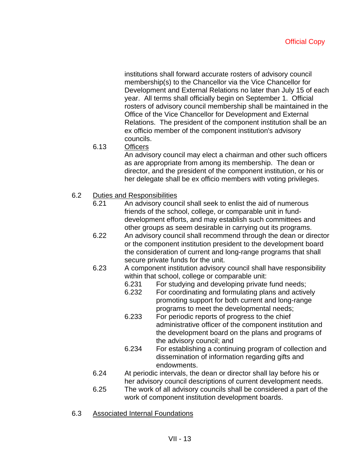institutions shall forward accurate rosters of advisory council membership(s) to the Chancellor via the Vice Chancellor for Development and External Relations no later than July 15 of each year. All terms shall officially begin on September 1. Official rosters of advisory council membership shall be maintained in the Office of the Vice Chancellor for Development and External Relations. The president of the component institution shall be an ex officio member of the component institution's advisory councils.

# 6.13 Officers

An advisory council may elect a chairman and other such officers as are appropriate from among its membership. The dean or director, and the president of the component institution, or his or her delegate shall be ex officio members with voting privileges.

# 6.2 Duties and Responsibilities

- 6.21 An advisory council shall seek to enlist the aid of numerous friends of the school, college, or comparable unit in funddevelopment efforts, and may establish such committees and other groups as seem desirable in carrying out its programs.
- 6.22 An advisory council shall recommend through the dean or director or the component institution president to the development board the consideration of current and long-range programs that shall secure private funds for the unit.
- 6.23 A component institution advisory council shall have responsibility within that school, college or comparable unit:
	- 6.231 For studying and developing private fund needs;
	- 6.232 For coordinating and formulating plans and actively promoting support for both current and long-range programs to meet the developmental needs;
	- 6.233 For periodic reports of progress to the chief administrative officer of the component institution and the development board on the plans and programs of the advisory council; and
	- 6.234 For establishing a continuing program of collection and dissemination of information regarding gifts and endowments.
- 6.24 At periodic intervals, the dean or director shall lay before his or her advisory council descriptions of current development needs.
- 6.25 The work of all advisory councils shall be considered a part of the work of component institution development boards.
- 6.3 Associated Internal Foundations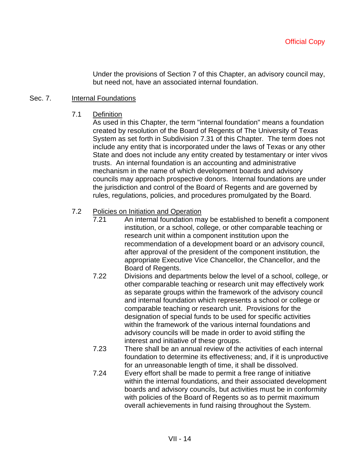Under the provisions of Section 7 of this Chapter, an advisory council may, but need not, have an associated internal foundation.

#### Sec. 7. **Internal Foundations**

### 7.1 Definition

As used in this Chapter, the term "internal foundation" means a foundation created by resolution of the Board of Regents of The University of Texas System as set forth in Subdivision 7.31 of this Chapter. The term does not include any entity that is incorporated under the laws of Texas or any other State and does not include any entity created by testamentary or inter vivos trusts. An internal foundation is an accounting and administrative mechanism in the name of which development boards and advisory councils may approach prospective donors. Internal foundations are under the jurisdiction and control of the Board of Regents and are governed by rules, regulations, policies, and procedures promulgated by the Board.

# 7.2 Policies on Initiation and Operation

- 7.21 An internal foundation may be established to benefit a component institution, or a school, college, or other comparable teaching or research unit within a component institution upon the recommendation of a development board or an advisory council, after approval of the president of the component institution, the appropriate Executive Vice Chancellor, the Chancellor, and the Board of Regents.
- 7.22 Divisions and departments below the level of a school, college, or other comparable teaching or research unit may effectively work as separate groups within the framework of the advisory council and internal foundation which represents a school or college or comparable teaching or research unit. Provisions for the designation of special funds to be used for specific activities within the framework of the various internal foundations and advisory councils will be made in order to avoid stifling the interest and initiative of these groups.
- 7.23 There shall be an annual review of the activities of each internal foundation to determine its effectiveness; and, if it is unproductive for an unreasonable length of time, it shall be dissolved.
- 7.24 Every effort shall be made to permit a free range of initiative within the internal foundations, and their associated development boards and advisory councils, but activities must be in conformity with policies of the Board of Regents so as to permit maximum overall achievements in fund raising throughout the System.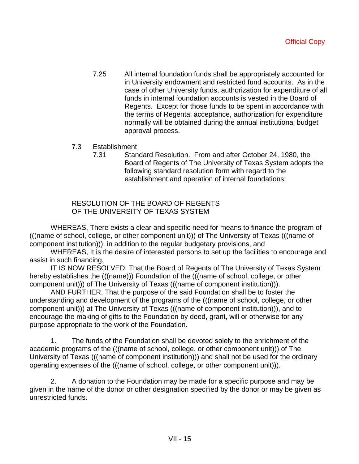- 7.25 All internal foundation funds shall be appropriately accounted for in University endowment and restricted fund accounts. As in the case of other University funds, authorization for expenditure of all funds in internal foundation accounts is vested in the Board of Regents. Except for those funds to be spent in accordance with the terms of Regental acceptance, authorization for expenditure normally will be obtained during the annual institutional budget approval process.
- 7.3 Establishment
	- 7.31 Standard Resolution. From and after October 24, 1980, the Board of Regents of The University of Texas System adopts the following standard resolution form with regard to the establishment and operation of internal foundations:

# RESOLUTION OF THE BOARD OF REGENTS OF THE UNIVERSITY OF TEXAS SYSTEM

 WHEREAS, There exists a clear and specific need for means to finance the program of (((name of school, college, or other component unit))) of The University of Texas (((name of component institution))), in addition to the regular budgetary provisions, and

 WHEREAS, It is the desire of interested persons to set up the facilities to encourage and assist in such financing,

 IT IS NOW RESOLVED, That the Board of Regents of The University of Texas System hereby establishes the (((name))) Foundation of the (((name of school, college, or other component unit))) of The University of Texas (((name of component institution))).

 AND FURTHER, That the purpose of the said Foundation shall be to foster the understanding and development of the programs of the (((name of school, college, or other component unit))) at The University of Texas (((name of component institution))), and to encourage the making of gifts to the Foundation by deed, grant, will or otherwise for any purpose appropriate to the work of the Foundation.

 1. The funds of the Foundation shall be devoted solely to the enrichment of the academic programs of the (((name of school, college, or other component unit))) of The University of Texas (((name of component institution))) and shall not be used for the ordinary operating expenses of the (((name of school, college, or other component unit))).

 2. A donation to the Foundation may be made for a specific purpose and may be given in the name of the donor or other designation specified by the donor or may be given as unrestricted funds.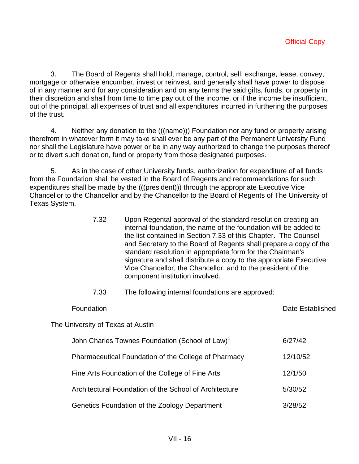3. The Board of Regents shall hold, manage, control, sell, exchange, lease, convey, mortgage or otherwise encumber, invest or reinvest, and generally shall have power to dispose of in any manner and for any consideration and on any terms the said gifts, funds, or property in their discretion and shall from time to time pay out of the income, or if the income be insufficient, out of the principal, all expenses of trust and all expenditures incurred in furthering the purposes of the trust.

 4. Neither any donation to the (((name))) Foundation nor any fund or property arising therefrom in whatever form it may take shall ever be any part of the Permanent University Fund nor shall the Legislature have power or be in any way authorized to change the purposes thereof or to divert such donation, fund or property from those designated purposes.

 5. As in the case of other University funds, authorization for expenditure of all funds from the Foundation shall be vested in the Board of Regents and recommendations for such expenditures shall be made by the (((president))) through the appropriate Executive Vice Chancellor to the Chancellor and by the Chancellor to the Board of Regents of The University of Texas System.

- 7.32 Upon Regental approval of the standard resolution creating an internal foundation, the name of the foundation will be added to the list contained in Section 7.33 of this Chapter. The Counsel and Secretary to the Board of Regents shall prepare a copy of the standard resolution in appropriate form for the Chairman's signature and shall distribute a copy to the appropriate Executive Vice Chancellor, the Chancellor, and to the president of the component institution involved.
- 7.33 The following internal foundations are approved:

#### Foundation Date Established

The University of Texas at Austin

| John Charles Townes Foundation (School of Law) <sup>1</sup> | 6/27/42  |
|-------------------------------------------------------------|----------|
| Pharmaceutical Foundation of the College of Pharmacy        | 12/10/52 |
| Fine Arts Foundation of the College of Fine Arts            | 12/1/50  |
| Architectural Foundation of the School of Architecture      | 5/30/52  |
| Genetics Foundation of the Zoology Department               | 3/28/52  |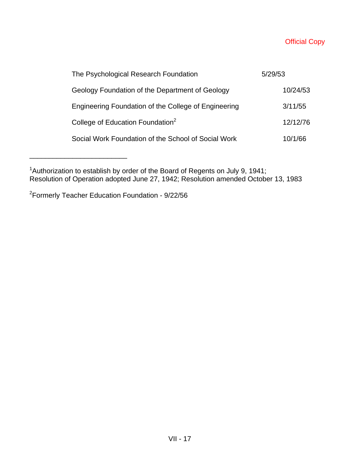## **Official Copy**

| The Psychological Research Foundation                | 5/29/53  |
|------------------------------------------------------|----------|
| Geology Foundation of the Department of Geology      | 10/24/53 |
| Engineering Foundation of the College of Engineering | 3/11/55  |
| College of Education Foundation <sup>2</sup>         | 12/12/76 |
| Social Work Foundation of the School of Social Work  | 10/1/66  |

<sup>&</sup>lt;sup>1</sup> Authorization to establish by order of the Board of Regents on July 9, 1941; Resolution of Operation adopted June 27, 1942; Resolution amended October 13, 1983

2 Formerly Teacher Education Foundation - 9/22/56

\_\_\_\_\_\_\_\_\_\_\_\_\_\_\_\_\_\_\_\_\_\_\_\_\_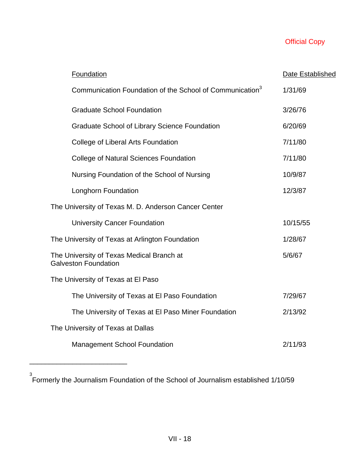# Official Copy

| <b>Foundation</b>                                                        | Date Established |
|--------------------------------------------------------------------------|------------------|
| Communication Foundation of the School of Communication <sup>3</sup>     | 1/31/69          |
| <b>Graduate School Foundation</b>                                        | 3/26/76          |
| <b>Graduate School of Library Science Foundation</b>                     | 6/20/69          |
| College of Liberal Arts Foundation                                       | 7/11/80          |
| <b>College of Natural Sciences Foundation</b>                            | 7/11/80          |
| Nursing Foundation of the School of Nursing                              | 10/9/87          |
| Longhorn Foundation                                                      | 12/3/87          |
| The University of Texas M. D. Anderson Cancer Center                     |                  |
| <b>University Cancer Foundation</b>                                      | 10/15/55         |
| The University of Texas at Arlington Foundation                          | 1/28/67          |
| The University of Texas Medical Branch at<br><b>Galveston Foundation</b> | 5/6/67           |
| The University of Texas at El Paso                                       |                  |
| The University of Texas at El Paso Foundation                            | 7/29/67          |
| The University of Texas at El Paso Miner Foundation                      | 2/13/92          |
| The University of Texas at Dallas                                        |                  |
| <b>Management School Foundation</b>                                      | 2/11/93          |

<sup>3</sup> Formerly the Journalism Foundation of the School of Journalism established 1/10/59

\_\_\_\_\_\_\_\_\_\_\_\_\_\_\_\_\_\_\_\_\_\_\_\_\_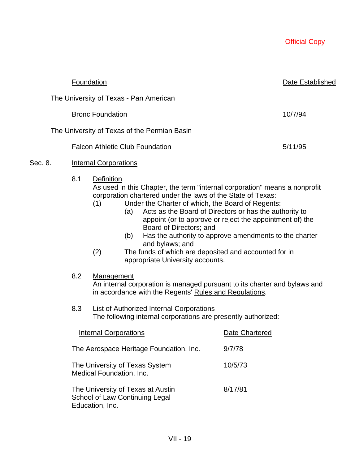| Foundation                                   | Date Established |
|----------------------------------------------|------------------|
| The University of Texas - Pan American       |                  |
| <b>Bronc Foundation</b>                      | 10/7/94          |
| The University of Texas of the Permian Basin |                  |
| <b>Falcon Athletic Club Foundation</b>       | 5/11/95          |
|                                              |                  |

### Sec. 8. Internal Corporations

8.1 Definition

As used in this Chapter, the term "internal corporation" means a nonprofit corporation chartered under the laws of the State of Texas:

- (1) Under the Charter of which, the Board of Regents:
	- (a) Acts as the Board of Directors or has the authority to appoint (or to approve or reject the appointment of) the Board of Directors; and
	- (b) Has the authority to approve amendments to the charter and bylaws; and
- (2) The funds of which are deposited and accounted for in appropriate University accounts.
- 8.2 Management

An internal corporation is managed pursuant to its charter and bylaws and in accordance with the Regents' Rules and Regulations.

8.3 List of Authorized Internal Corporations The following internal corporations are presently authorized:

| <b>Internal Corporations</b>                                                           | <b>Date Chartered</b> |
|----------------------------------------------------------------------------------------|-----------------------|
| The Aerospace Heritage Foundation, Inc.                                                | 9/7/78                |
| The University of Texas System<br>Medical Foundation, Inc.                             | 10/5/73               |
| The University of Texas at Austin<br>School of Law Continuing Legal<br>Education, Inc. | 8/17/81               |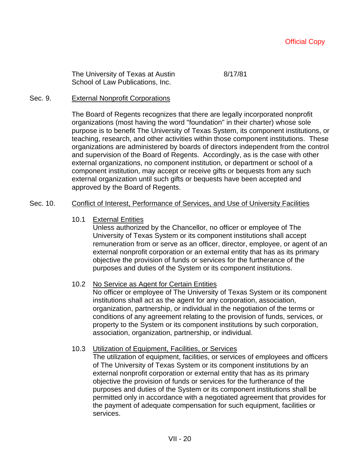The University of Texas at Austin 8/17/81 School of Law Publications, Inc.

#### Sec. 9. External Nonprofit Corporations

The Board of Regents recognizes that there are legally incorporated nonprofit organizations (most having the word "foundation" in their charter) whose sole purpose is to benefit The University of Texas System, its component institutions, or teaching, research, and other activities within those component institutions. These organizations are administered by boards of directors independent from the control and supervision of the Board of Regents. Accordingly, as is the case with other external organizations, no component institution, or department or school of a component institution, may accept or receive gifts or bequests from any such external organization until such gifts or bequests have been accepted and approved by the Board of Regents.

#### Sec. 10. Conflict of Interest, Performance of Services, and Use of University Facilities

#### 10.1 External Entities

Unless authorized by the Chancellor, no officer or employee of The University of Texas System or its component institutions shall accept remuneration from or serve as an officer, director, employee, or agent of an external nonprofit corporation or an external entity that has as its primary objective the provision of funds or services for the furtherance of the purposes and duties of the System or its component institutions.

#### 10.2 No Service as Agent for Certain Entities

No officer or employee of The University of Texas System or its component institutions shall act as the agent for any corporation, association, organization, partnership, or individual in the negotiation of the terms or conditions of any agreement relating to the provision of funds, services, or property to the System or its component institutions by such corporation, association, organization, partnership, or individual.

#### 10.3 Utilization of Equipment, Facilities, or Services

The utilization of equipment, facilities, or services of employees and officers of The University of Texas System or its component institutions by an external nonprofit corporation or external entity that has as its primary objective the provision of funds or services for the furtherance of the purposes and duties of the System or its component institutions shall be permitted only in accordance with a negotiated agreement that provides for the payment of adequate compensation for such equipment, facilities or services.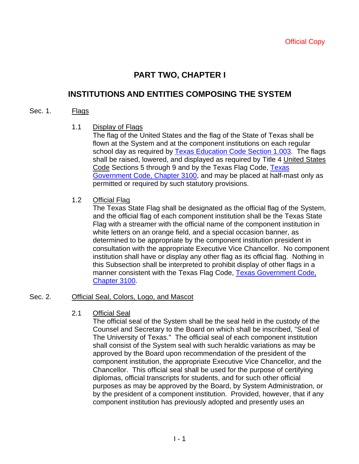# **PART TWO, CHAPTER I**

# **INSTITUTIONS AND ENTITIES COMPOSING THE SYSTEM**

#### Sec. 1. Flags

1.1 Display of Flags

The flag of the United States and the flag of the State of Texas shall be flown at the System and at the component institutions on each regular school day as required by Texas Education Code Section 1.003. The flags shall be raised, lowered, and displayed as required by Title 4 United States Code Sections 5 through 9 and by the Texas Flag Code, Texas Government Code, Chapter 3100, and may be placed at half-mast only as permitted or required by such statutory provisions.

1.2 Official Flag

The Texas State Flag shall be designated as the official flag of the System, and the official flag of each component institution shall be the Texas State Flag with a streamer with the official name of the component institution in white letters on an orange field, and a special occasion banner, as determined to be appropriate by the component institution president in consultation with the appropriate Executive Vice Chancellor. No component institution shall have or display any other flag as its official flag. Nothing in this Subsection shall be interpreted to prohibit display of other flags in a manner consistent with the Texas Flag Code, Texas Government Code, Chapter 3100.

#### Sec. 2. Official Seal, Colors, Logo, and Mascot

2.1 Official Seal

The official seal of the System shall be the seal held in the custody of the Counsel and Secretary to the Board on which shall be inscribed, "Seal of The University of Texas." The official seal of each component institution shall consist of the System seal with such heraldic variations as may be approved by the Board upon recommendation of the president of the component institution, the appropriate Executive Vice Chancellor, and the Chancellor. This official seal shall be used for the purpose of certifying diplomas, official transcripts for students, and for such other official purposes as may be approved by the Board, by System Administration, or by the president of a component institution. Provided, however, that if any component institution has previously adopted and presently uses an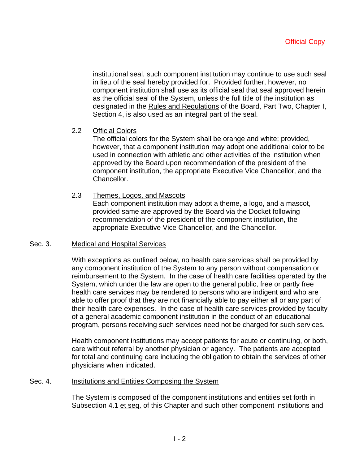institutional seal, such component institution may continue to use such seal in lieu of the seal hereby provided for. Provided further, however, no component institution shall use as its official seal that seal approved herein as the official seal of the System, unless the full title of the institution as designated in the Rules and Regulations of the Board, Part Two, Chapter I, Section 4, is also used as an integral part of the seal.

### 2.2 Official Colors

The official colors for the System shall be orange and white; provided, however, that a component institution may adopt one additional color to be used in connection with athletic and other activities of the institution when approved by the Board upon recommendation of the president of the component institution, the appropriate Executive Vice Chancellor, and the Chancellor.

### 2.3 Themes, Logos, and Mascots

Each component institution may adopt a theme, a logo, and a mascot, provided same are approved by the Board via the Docket following recommendation of the president of the component institution, the appropriate Executive Vice Chancellor, and the Chancellor.

#### Sec. 3. Medical and Hospital Services

With exceptions as outlined below, no health care services shall be provided by any component institution of the System to any person without compensation or reimbursement to the System. In the case of health care facilities operated by the System, which under the law are open to the general public, free or partly free health care services may be rendered to persons who are indigent and who are able to offer proof that they are not financially able to pay either all or any part of their health care expenses. In the case of health care services provided by faculty of a general academic component institution in the conduct of an educational program, persons receiving such services need not be charged for such services.

Health component institutions may accept patients for acute or continuing, or both, care without referral by another physician or agency. The patients are accepted for total and continuing care including the obligation to obtain the services of other physicians when indicated.

#### Sec. 4. Institutions and Entities Composing the System

The System is composed of the component institutions and entities set forth in Subsection 4.1 et seq. of this Chapter and such other component institutions and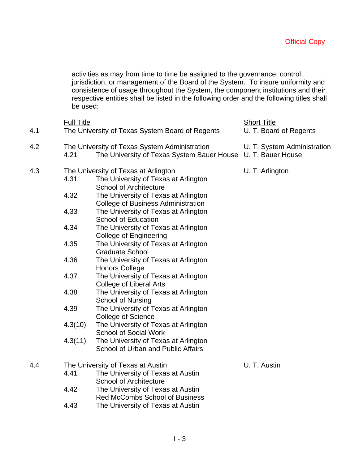activities as may from time to time be assigned to the governance, control, jurisdiction, or management of the Board of the System. To insure uniformity and consistence of usage throughout the System, the component institutions and their respective entities shall be listed in the following order and the following titles shall be used:

| 4.1 | <b>Full Title</b> | The University of Texas System Board of Regents                                                               | <b>Short Title</b><br>U. T. Board of Regents |
|-----|-------------------|---------------------------------------------------------------------------------------------------------------|----------------------------------------------|
| 4.2 | 4.21              | The University of Texas System Administration<br>The University of Texas System Bauer House U. T. Bauer House | U. T. System Administration                  |
| 4.3 | 4.31              | The University of Texas at Arlington<br>The University of Texas at Arlington<br><b>School of Architecture</b> | U. T. Arlington                              |
|     | 4.32              | The University of Texas at Arlington<br><b>College of Business Administration</b>                             |                                              |
|     | 4.33              | The University of Texas at Arlington<br><b>School of Education</b>                                            |                                              |
|     | 4.34              | The University of Texas at Arlington<br><b>College of Engineering</b>                                         |                                              |
|     | 4.35              | The University of Texas at Arlington<br><b>Graduate School</b>                                                |                                              |
|     | 4.36              | The University of Texas at Arlington<br><b>Honors College</b>                                                 |                                              |
|     | 4.37              | The University of Texas at Arlington<br><b>College of Liberal Arts</b>                                        |                                              |
|     | 4.38              | The University of Texas at Arlington<br>School of Nursing                                                     |                                              |
|     | 4.39              | The University of Texas at Arlington<br><b>College of Science</b>                                             |                                              |
|     | 4.3(10)           | The University of Texas at Arlington<br><b>School of Social Work</b>                                          |                                              |
|     | 4.3(11)           | The University of Texas at Arlington<br>School of Urban and Public Affairs                                    |                                              |
| 4.4 |                   | The University of Texas at Austin                                                                             | U. T. Austin                                 |
|     | 4.41              | The University of Texas at Austin<br><b>School of Architecture</b>                                            |                                              |
|     | 4.42              | The University of Texas at Austin<br><b>Red McCombs School of Business</b>                                    |                                              |
|     | 4.43              | The University of Texas at Austin                                                                             |                                              |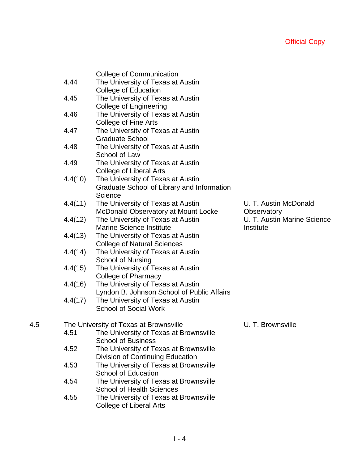|     |         | <b>College of Communication</b>            |                             |
|-----|---------|--------------------------------------------|-----------------------------|
|     | 4.44    | The University of Texas at Austin          |                             |
|     |         | <b>College of Education</b>                |                             |
|     | 4.45    | The University of Texas at Austin          |                             |
|     |         | <b>College of Engineering</b>              |                             |
|     | 4.46    | The University of Texas at Austin          |                             |
|     |         | <b>College of Fine Arts</b>                |                             |
|     | 4.47    | The University of Texas at Austin          |                             |
|     |         | <b>Graduate School</b>                     |                             |
|     | 4.48    | The University of Texas at Austin          |                             |
|     |         | School of Law                              |                             |
|     | 4.49    | The University of Texas at Austin          |                             |
|     |         | <b>College of Liberal Arts</b>             |                             |
|     | 4.4(10) | The University of Texas at Austin          |                             |
|     |         | Graduate School of Library and Information |                             |
|     |         | Science                                    |                             |
|     | 4.4(11) | The University of Texas at Austin          | U. T. Austin McDonald       |
|     |         | McDonald Observatory at Mount Locke        | Observatory                 |
|     | 4.4(12) | The University of Texas at Austin          | U. T. Austin Marine Science |
|     |         | <b>Marine Science Institute</b>            | Institute                   |
|     | 4.4(13) | The University of Texas at Austin          |                             |
|     |         | <b>College of Natural Sciences</b>         |                             |
|     | 4.4(14) | The University of Texas at Austin          |                             |
|     |         | <b>School of Nursing</b>                   |                             |
|     | 4.4(15) | The University of Texas at Austin          |                             |
|     |         | <b>College of Pharmacy</b>                 |                             |
|     | 4.4(16) | The University of Texas at Austin          |                             |
|     |         | Lyndon B. Johnson School of Public Affairs |                             |
|     | 4.4(17) | The University of Texas at Austin          |                             |
|     |         | <b>School of Social Work</b>               |                             |
| 4.5 |         | The University of Texas at Brownsville     | U. T. Brownsville           |
|     | 4.51    | The University of Texas at Brownsville     |                             |
|     |         | <b>School of Business</b>                  |                             |
|     | 4.52    | The University of Texas at Brownsville     |                             |
|     |         | Division of Continuing Education           |                             |
|     | 4.53    | The University of Texas at Brownsville     |                             |
|     |         | <b>School of Education</b>                 |                             |
|     | 4.54    | The University of Texas at Brownsville     |                             |
|     |         | <b>School of Health Sciences</b>           |                             |
|     | 4.55    | The University of Texas at Brownsville     |                             |

 4.55 College of Liberal Arts

 $4.5$ 

 $\vert$  - 4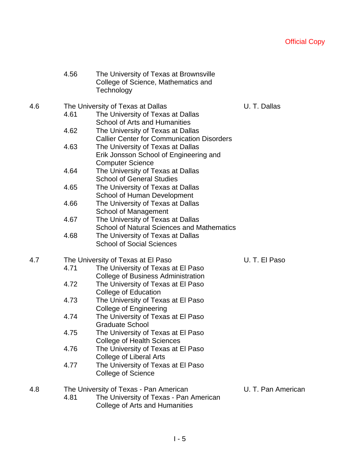|     | 4.56 | The University of Texas at Brownsville<br>College of Science, Mathematics and<br>Technology                        |                    |
|-----|------|--------------------------------------------------------------------------------------------------------------------|--------------------|
| 4.6 |      | The University of Texas at Dallas                                                                                  | U. T. Dallas       |
|     | 4.61 | The University of Texas at Dallas<br><b>School of Arts and Humanities</b>                                          |                    |
|     | 4.62 | The University of Texas at Dallas<br><b>Callier Center for Communication Disorders</b>                             |                    |
|     | 4.63 | The University of Texas at Dallas<br>Erik Jonsson School of Engineering and<br><b>Computer Science</b>             |                    |
|     | 4.64 | The University of Texas at Dallas<br><b>School of General Studies</b>                                              |                    |
|     | 4.65 | The University of Texas at Dallas<br>School of Human Development                                                   |                    |
|     | 4.66 | The University of Texas at Dallas<br><b>School of Management</b>                                                   |                    |
|     | 4.67 | The University of Texas at Dallas<br><b>School of Natural Sciences and Mathematics</b>                             |                    |
|     | 4.68 | The University of Texas at Dallas<br><b>School of Social Sciences</b>                                              |                    |
| 4.7 |      | The University of Texas at El Paso                                                                                 | U. T. El Paso      |
|     | 4.71 | The University of Texas at El Paso<br><b>College of Business Administration</b>                                    |                    |
|     | 4.72 | The University of Texas at El Paso<br>College of Education                                                         |                    |
|     | 4.73 | The University of Texas at El Paso<br><b>College of Engineering</b>                                                |                    |
|     | 4.74 | The University of Texas at El Paso<br><b>Graduate School</b>                                                       |                    |
|     | 4.75 | The University of Texas at El Paso<br><b>College of Health Sciences</b>                                            |                    |
|     | 4.76 | The University of Texas at El Paso<br><b>College of Liberal Arts</b>                                               |                    |
|     | 4.77 | The University of Texas at El Paso<br><b>College of Science</b>                                                    |                    |
| 4.8 | 4.81 | The University of Texas - Pan American<br>The University of Texas - Pan American<br>College of Arts and Humanities | U. T. Pan American |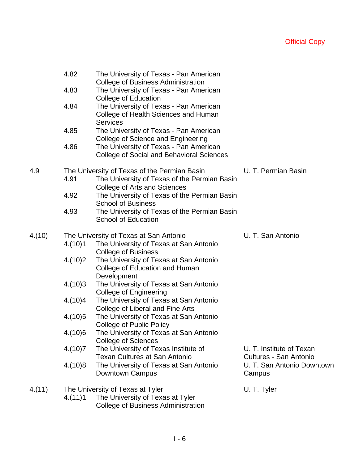|        | 4.82    | The University of Texas - Pan American<br><b>College of Business Administration</b>                                       |                                                    |  |
|--------|---------|---------------------------------------------------------------------------------------------------------------------------|----------------------------------------------------|--|
|        | 4.83    | The University of Texas - Pan American                                                                                    |                                                    |  |
|        | 4.84    | College of Education<br>The University of Texas - Pan American<br>College of Health Sciences and Human<br><b>Services</b> |                                                    |  |
|        | 4.85    | The University of Texas - Pan American<br>College of Science and Engineering                                              |                                                    |  |
|        | 4.86    | The University of Texas - Pan American<br><b>College of Social and Behavioral Sciences</b>                                |                                                    |  |
| 4.9    |         | The University of Texas of the Permian Basin                                                                              | U. T. Permian Basin                                |  |
|        | 4.91    | The University of Texas of the Permian Basin<br>College of Arts and Sciences                                              |                                                    |  |
|        | 4.92    | The University of Texas of the Permian Basin<br><b>School of Business</b>                                                 |                                                    |  |
|        | 4.93    | The University of Texas of the Permian Basin<br><b>School of Education</b>                                                |                                                    |  |
| 4.(10) |         | U. T. San Antonio<br>The University of Texas at San Antonio                                                               |                                                    |  |
|        | 4.(10)1 | The University of Texas at San Antonio<br><b>College of Business</b>                                                      |                                                    |  |
|        | 4.(10)2 | The University of Texas at San Antonio<br>College of Education and Human<br>Development                                   |                                                    |  |
|        | 4.(10)3 | The University of Texas at San Antonio<br><b>College of Engineering</b>                                                   |                                                    |  |
|        | 4.(10)4 | The University of Texas at San Antonio<br>College of Liberal and Fine Arts                                                |                                                    |  |
|        | 4.(10)5 | The University of Texas at San Antonio<br><b>College of Public Policy</b>                                                 |                                                    |  |
|        | 4.(10)6 | The University of Texas at San Antonio<br><b>College of Sciences</b>                                                      |                                                    |  |
|        | 4.(10)7 | The University of Texas Institute of<br><b>Texan Cultures at San Antonio</b>                                              | U. T. Institute of Texan<br>Cultures - San Antonio |  |
|        | 4.(10)8 | The University of Texas at San Antonio<br>Downtown Campus                                                                 | U. T. San Antonio Downtown<br>Campus               |  |
| 4.(11) | 4.(11)1 | The University of Texas at Tyler<br>The University of Texas at Tyler<br><b>College of Business Administration</b>         | U. T. Tyler                                        |  |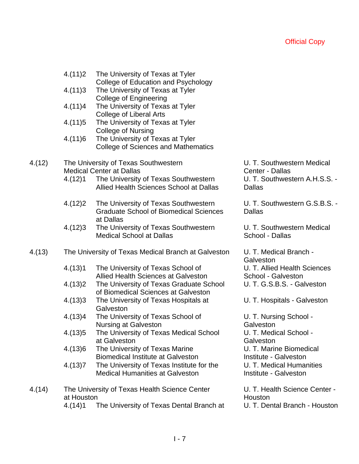|        | 4.(11)2    | The University of Texas at Tyler                                                                     |
|--------|------------|------------------------------------------------------------------------------------------------------|
|        | 4.(11)3    | College of Education and Psychology<br>The University of Texas at Tyler                              |
|        | 4.(11)4    | <b>College of Engineering</b><br>The University of Texas at Tyler                                    |
|        | 4.(11)5    | <b>College of Liberal Arts</b><br>The University of Texas at Tyler                                   |
|        | 4.(11)6    | College of Nursing<br>The University of Texas at Tyler<br><b>College of Sciences and Mathematics</b> |
| 4.(12) |            | The University of Texas Southwestern<br><b>Medical Center at Dallas</b>                              |
|        | 4.(12)1    | The University of Texas Southwestern<br>Allied Health Sciences School at Dallas                      |
|        | 4.(12)2    | The University of Texas Southwestern<br><b>Graduate School of Biomedical Sciences</b>                |
|        | 4.(12)3    | at Dallas<br>The University of Texas Southwestern<br><b>Medical School at Dallas</b>                 |
| 4.(13) |            | The University of Texas Medical Branch at Galveston                                                  |
|        | 4.(13)1    | The University of Texas School of<br><b>Allied Health Sciences at Galveston</b>                      |
|        | 4.(13)2    | The University of Texas Graduate School<br>of Biomedical Sciences at Galveston                       |
|        | 4.(13)3    | The University of Texas Hospitals at<br>Galveston                                                    |
|        | 4.(13)4    | The University of Texas School of<br><b>Nursing at Galveston</b>                                     |
|        | 4.(13)5    | The University of Texas Medical School<br>at Galveston                                               |
|        | 4.(13)6    | The University of Texas Marine<br><b>Biomedical Institute at Galveston</b>                           |
|        | 4.(13)7    | The University of Texas Institute for the<br><b>Medical Humanities at Galveston</b>                  |
| 4.(14) |            | The University of Texas Health Science Center                                                        |
|        | at Houston |                                                                                                      |

U. T. Southwestern Medical Center - Dallas U. T. Southwestern A.H.S.S. -Dallas

U. T. Southwestern G.S.B.S. -**Dallas** 

U. T. Southwestern Medical School - Dallas

U. T. Medical Branch -**Galveston** U. T. Allied Health Sciences School - Galveston U. T. G.S.B.S. - Galveston

U. T. Hospitals - Galveston

U. T. Nursing School - **Galveston** U. T. Medical School - Galveston U. T. Marine Biomedical Institute - Galveston U. T. Medical Humanities Institute - Galveston

U. T. Health Science Center - Houston<br>U. T. Dental Branch - Houston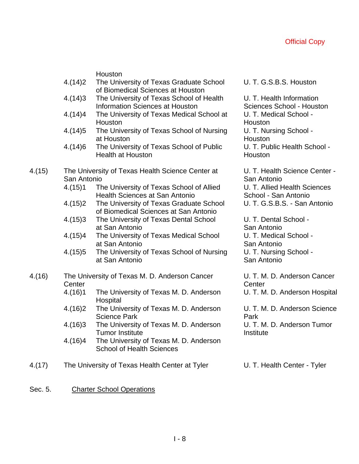**Houston** 

- 4.(14)2 The University of Texas Graduate School U. T. G.S.B.S. Houston of Biomedical Sciences at Houston
	- 4.(14)3 The University of Texas School of Health Information Sciences at Houston
	- 4.(14)4 The University of Texas Medical School at Houston
	- 4.(14)5 The University of Texas School of Nursing at Houston
	- 4.(14)6 The University of Texas School of Public Health at Houston

#### 4.(15) The University of Texas Health Science Center at San Antonio

- 4.(15)1 The University of Texas School of Allied Health Sciences at San Antonio
- 4.(15)2 The University of Texas Graduate School U. T. G.S.B.S. San Antonio of Biomedical Sciences at San Antonio
	- 4.(15)3 The University of Texas Dental School at San Antonio
	- 4.(15)4 The University of Texas Medical School at San Antonio
	- 4.(15)5 The University of Texas School of Nursing at San Antonio

### 4.(16) The University of Texas M. D. Anderson Cancer **Center**

- 4.(16)1 The University of Texas M. D. Anderson U. T. M. D. Anderson Hospital Hospital
	- 4.(16)2 The University of Texas M. D. Anderson Science Park
	- 4.(16)3 The University of Texas M. D. Anderson Tumor Institute
	- 4.(16)4 The University of Texas M. D. Anderson School of Health Sciences
- 4.(17) The University of Texas Health Center at Tyler U. T. Health Center Tyler

U. T. Health Information Sciences School - Houston U. T. Medical School - **Houston** U. T. Nursing School - **Houston** U. T. Public Health School - Houston

U. T. Health Science Center - San Antonio U. T. Allied Health Sciences School - San Antonio

U. T. Dental School - San Antonio U. T. Medical School - San Antonio U. T. Nursing School - San Antonio

U. T. M. D. Anderson Cancer **Center** 

U. T. M. D. Anderson Science Park

U. T. M. D. Anderson Tumor Institute

## Sec. 5. Charter School Operations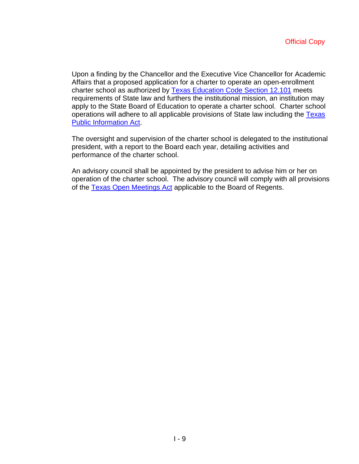Upon a finding by the Chancellor and the Executive Vice Chancellor for Academic Affairs that a proposed application for a charter to operate an open-enrollment charter school as authorized by Texas Education Code Section 12.101 meets requirements of State law and furthers the institutional mission, an institution may apply to the State Board of Education to operate a charter school. Charter school operations will adhere to all applicable provisions of State law including the Texas Public Information Act.

The oversight and supervision of the charter school is delegated to the institutional president, with a report to the Board each year, detailing activities and performance of the charter school.

An advisory council shall be appointed by the president to advise him or her on operation of the charter school. The advisory council will comply with all provisions of the Texas Open Meetings Act applicable to the Board of Regents.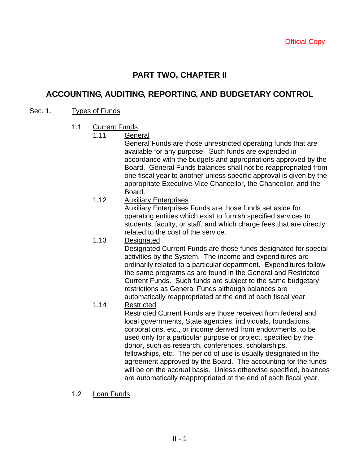# **PART TWO, CHAPTER II**

# **ACCOUNTING, AUDITING, REPORTING, AND BUDGETARY CONTROL**

### Sec. 1. Types of Funds

- 1.1 Current Funds
	- 1.11 General

General Funds are those unrestricted operating funds that are available for any purpose. Such funds are expended in accordance with the budgets and appropriations approved by the Board. General Funds balances shall not be reappropriated from one fiscal year to another unless specific approval is given by the appropriate Executive Vice Chancellor, the Chancellor, and the Board.

## 1.12 Auxiliary Enterprises

Auxiliary Enterprises Funds are those funds set aside for operating entities which exist to furnish specified services to students, faculty, or staff, and which charge fees that are directly related to the cost of the service.

1.13 Designated

Designated Current Funds are those funds designated for special activities by the System. The income and expenditures are ordinarily related to a particular department. Expenditures follow the same programs as are found in the General and Restricted Current Funds. Such funds are subject to the same budgetary restrictions as General Funds although balances are automatically reappropriated at the end of each fiscal year.

1.14 Restricted

Restricted Current Funds are those received from federal and local governments, State agencies, individuals, foundations, corporations, etc., or income derived from endowments, to be used only for a particular purpose or project, specified by the donor, such as research, conferences, scholarships, fellowships, etc. The period of use is usually designated in the agreement approved by the Board. The accounting for the funds will be on the accrual basis. Unless otherwise specified, balances are automatically reappropriated at the end of each fiscal year.

1.2 Loan Funds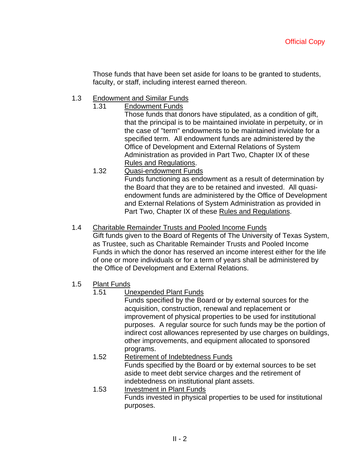Those funds that have been set aside for loans to be granted to students, faculty, or staff, including interest earned thereon.

- 1.3 Endowment and Similar Funds
	- 1.31 Endowment Funds

Those funds that donors have stipulated, as a condition of gift, that the principal is to be maintained inviolate in perpetuity, or in the case of "term" endowments to be maintained inviolate for a specified term. All endowment funds are administered by the Office of Development and External Relations of System Administration as provided in Part Two, Chapter IX of these Rules and Regulations.

- 1.32 Quasi-endowment Funds Funds functioning as endowment as a result of determination by the Board that they are to be retained and invested. All quasiendowment funds are administered by the Office of Development and External Relations of System Administration as provided in Part Two, Chapter IX of these Rules and Regulations.
- 1.4 Charitable Remainder Trusts and Pooled Income Funds Gift funds given to the Board of Regents of The University of Texas System, as Trustee, such as Charitable Remainder Trusts and Pooled Income Funds in which the donor has reserved an income interest either for the life of one or more individuals or for a term of years shall be administered by the Office of Development and External Relations.
- 1.5 Plant Funds
	- 1.51 Unexpended Plant Funds

Funds specified by the Board or by external sources for the acquisition, construction, renewal and replacement or improvement of physical properties to be used for institutional purposes. A regular source for such funds may be the portion of indirect cost allowances represented by use charges on buildings, other improvements, and equipment allocated to sponsored programs.

- 1.52 Retirement of Indebtedness Funds Funds specified by the Board or by external sources to be set aside to meet debt service charges and the retirement of indebtedness on institutional plant assets.
- 1.53 Investment in Plant Funds Funds invested in physical properties to be used for institutional purposes.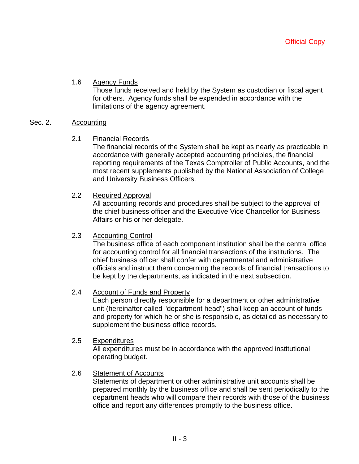## 1.6 Agency Funds

Those funds received and held by the System as custodian or fiscal agent for others. Agency funds shall be expended in accordance with the limitations of the agency agreement.

#### Sec. 2. Accounting

### 2.1 Financial Records

The financial records of the System shall be kept as nearly as practicable in accordance with generally accepted accounting principles, the financial reporting requirements of the Texas Comptroller of Public Accounts, and the most recent supplements published by the National Association of College and University Business Officers.

### 2.2 Required Approval

All accounting records and procedures shall be subject to the approval of the chief business officer and the Executive Vice Chancellor for Business Affairs or his or her delegate.

### 2.3 Accounting Control

The business office of each component institution shall be the central office for accounting control for all financial transactions of the institutions. The chief business officer shall confer with departmental and administrative officials and instruct them concerning the records of financial transactions to be kept by the departments, as indicated in the next subsection.

## 2.4 Account of Funds and Property

Each person directly responsible for a department or other administrative unit (hereinafter called "department head") shall keep an account of funds and property for which he or she is responsible, as detailed as necessary to supplement the business office records.

### 2.5 Expenditures

All expenditures must be in accordance with the approved institutional operating budget.

### 2.6 Statement of Accounts

Statements of department or other administrative unit accounts shall be prepared monthly by the business office and shall be sent periodically to the department heads who will compare their records with those of the business office and report any differences promptly to the business office.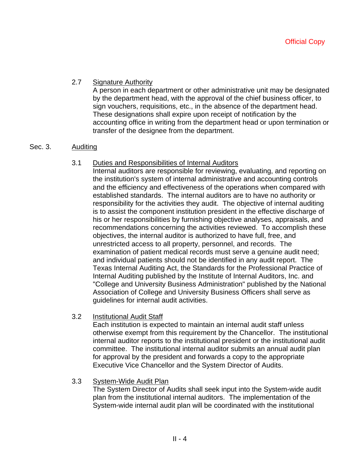## 2.7 Signature Authority

A person in each department or other administrative unit may be designated by the department head, with the approval of the chief business officer, to sign vouchers, requisitions, etc., in the absence of the department head. These designations shall expire upon receipt of notification by the accounting office in writing from the department head or upon termination or transfer of the designee from the department.

### Sec. 3. Auditing

## 3.1 Duties and Responsibilities of Internal Auditors

Internal auditors are responsible for reviewing, evaluating, and reporting on the institution's system of internal administrative and accounting controls and the efficiency and effectiveness of the operations when compared with established standards. The internal auditors are to have no authority or responsibility for the activities they audit. The objective of internal auditing is to assist the component institution president in the effective discharge of his or her responsibilities by furnishing objective analyses, appraisals, and recommendations concerning the activities reviewed. To accomplish these objectives, the internal auditor is authorized to have full, free, and unrestricted access to all property, personnel, and records. The examination of patient medical records must serve a genuine audit need; and individual patients should not be identified in any audit report. The Texas Internal Auditing Act, the Standards for the Professional Practice of Internal Auditing published by the Institute of Internal Auditors, Inc. and "College and University Business Administration" published by the National Association of College and University Business Officers shall serve as guidelines for internal audit activities.

3.2 Institutional Audit Staff

Each institution is expected to maintain an internal audit staff unless otherwise exempt from this requirement by the Chancellor. The institutional internal auditor reports to the institutional president or the institutional audit committee. The institutional internal auditor submits an annual audit plan for approval by the president and forwards a copy to the appropriate Executive Vice Chancellor and the System Director of Audits.

### 3.3 System-Wide Audit Plan

The System Director of Audits shall seek input into the System-wide audit plan from the institutional internal auditors. The implementation of the System-wide internal audit plan will be coordinated with the institutional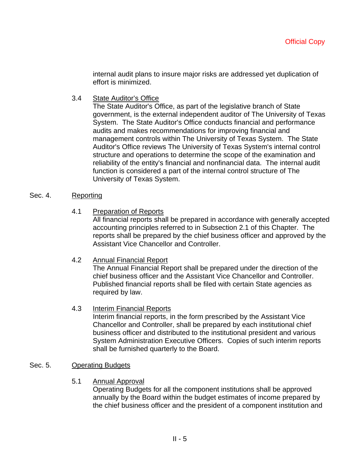internal audit plans to insure major risks are addressed yet duplication of effort is minimized.

3.4 State Auditor's Office

The State Auditor's Office, as part of the legislative branch of State government, is the external independent auditor of The University of Texas System. The State Auditor's Office conducts financial and performance audits and makes recommendations for improving financial and management controls within The University of Texas System. The State Auditor's Office reviews The University of Texas System's internal control structure and operations to determine the scope of the examination and reliability of the entity's financial and nonfinancial data. The internal audit function is considered a part of the internal control structure of The University of Texas System.

#### Sec. 4. Reporting

4.1 Preparation of Reports

All financial reports shall be prepared in accordance with generally accepted accounting principles referred to in Subsection 2.1 of this Chapter. The reports shall be prepared by the chief business officer and approved by the Assistant Vice Chancellor and Controller.

4.2 Annual Financial Report

The Annual Financial Report shall be prepared under the direction of the chief business officer and the Assistant Vice Chancellor and Controller. Published financial reports shall be filed with certain State agencies as required by law.

#### 4.3 Interim Financial Reports

Interim financial reports, in the form prescribed by the Assistant Vice Chancellor and Controller, shall be prepared by each institutional chief business officer and distributed to the institutional president and various System Administration Executive Officers. Copies of such interim reports shall be furnished quarterly to the Board.

## Sec. 5. Operating Budgets

#### 5.1 Annual Approval

Operating Budgets for all the component institutions shall be approved annually by the Board within the budget estimates of income prepared by the chief business officer and the president of a component institution and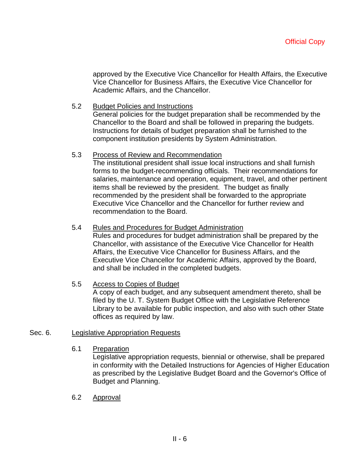approved by the Executive Vice Chancellor for Health Affairs, the Executive Vice Chancellor for Business Affairs, the Executive Vice Chancellor for Academic Affairs, and the Chancellor.

5.2 Budget Policies and Instructions

General policies for the budget preparation shall be recommended by the Chancellor to the Board and shall be followed in preparing the budgets. Instructions for details of budget preparation shall be furnished to the component institution presidents by System Administration.

### 5.3 Process of Review and Recommendation

The institutional president shall issue local instructions and shall furnish forms to the budget-recommending officials. Their recommendations for salaries, maintenance and operation, equipment, travel, and other pertinent items shall be reviewed by the president. The budget as finally recommended by the president shall be forwarded to the appropriate Executive Vice Chancellor and the Chancellor for further review and recommendation to the Board.

#### 5.4 Rules and Procedures for Budget Administration

Rules and procedures for budget administration shall be prepared by the Chancellor, with assistance of the Executive Vice Chancellor for Health Affairs, the Executive Vice Chancellor for Business Affairs, and the Executive Vice Chancellor for Academic Affairs, approved by the Board, and shall be included in the completed budgets.

### 5.5 Access to Copies of Budget

A copy of each budget, and any subsequent amendment thereto, shall be filed by the U. T. System Budget Office with the Legislative Reference Library to be available for public inspection, and also with such other State offices as required by law.

### Sec. 6. Legislative Appropriation Requests

6.1 Preparation

Legislative appropriation requests, biennial or otherwise, shall be prepared in conformity with the Detailed Instructions for Agencies of Higher Education as prescribed by the Legislative Budget Board and the Governor's Office of Budget and Planning.

6.2 Approval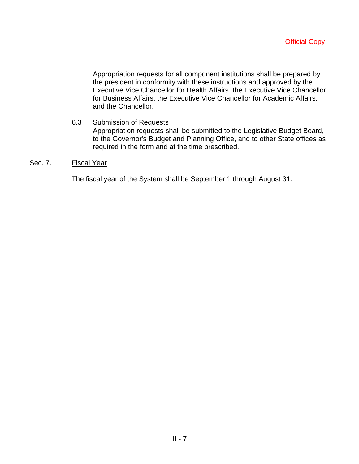Appropriation requests for all component institutions shall be prepared by the president in conformity with these instructions and approved by the Executive Vice Chancellor for Health Affairs, the Executive Vice Chancellor for Business Affairs, the Executive Vice Chancellor for Academic Affairs, and the Chancellor.

### 6.3 Submission of Requests

Appropriation requests shall be submitted to the Legislative Budget Board, to the Governor's Budget and Planning Office, and to other State offices as required in the form and at the time prescribed.

#### Sec. 7. Fiscal Year

The fiscal year of the System shall be September 1 through August 31.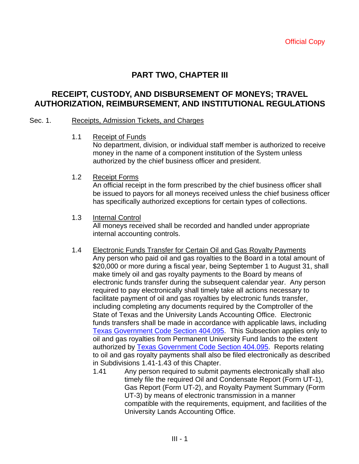# **PART TWO, CHAPTER III**

# **RECEIPT, CUSTODY, AND DISBURSEMENT OF MONEYS; TRAVEL AUTHORIZATION, REIMBURSEMENT, AND INSTITUTIONAL REGULATIONS**

#### Sec. 1. Receipts, Admission Tickets, and Charges

1.1 Receipt of Funds

No department, division, or individual staff member is authorized to receive money in the name of a component institution of the System unless authorized by the chief business officer and president.

1.2 Receipt Forms

An official receipt in the form prescribed by the chief business officer shall be issued to payors for all moneys received unless the chief business officer has specifically authorized exceptions for certain types of collections.

1.3 Internal Control

All moneys received shall be recorded and handled under appropriate internal accounting controls.

- 1.4 Electronic Funds Transfer for Certain Oil and Gas Royalty Payments
	- Any person who paid oil and gas royalties to the Board in a total amount of \$20,000 or more during a fiscal year, being September 1 to August 31, shall make timely oil and gas royalty payments to the Board by means of electronic funds transfer during the subsequent calendar year. Any person required to pay electronically shall timely take all actions necessary to facilitate payment of oil and gas royalties by electronic funds transfer, including completing any documents required by the Comptroller of the State of Texas and the University Lands Accounting Office. Electronic funds transfers shall be made in accordance with applicable laws, including Texas Government Code Section 404.095. This Subsection applies only to oil and gas royalties from Permanent University Fund lands to the extent authorized by Texas Government Code Section 404.095. Reports relating to oil and gas royalty payments shall also be filed electronically as described in Subdivisions 1.41-1.43 of this Chapter.
		- 1.41 Any person required to submit payments electronically shall also timely file the required Oil and Condensate Report (Form UT-1), Gas Report (Form UT-2), and Royalty Payment Summary (Form UT-3) by means of electronic transmission in a manner compatible with the requirements, equipment, and facilities of the University Lands Accounting Office.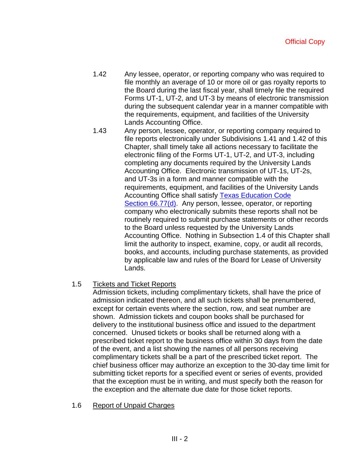- 1.42 Any lessee, operator, or reporting company who was required to file monthly an average of 10 or more oil or gas royalty reports to the Board during the last fiscal year, shall timely file the required Forms UT-1, UT-2, and UT-3 by means of electronic transmission during the subsequent calendar year in a manner compatible with the requirements, equipment, and facilities of the University Lands Accounting Office.
- 1.43 Any person, lessee, operator, or reporting company required to file reports electronically under Subdivisions 1.41 and 1.42 of this Chapter, shall timely take all actions necessary to facilitate the electronic filing of the Forms UT-1, UT-2, and UT-3, including completing any documents required by the University Lands Accounting Office. Electronic transmission of UT-1s, UT-2s, and UT-3s in a form and manner compatible with the requirements, equipment, and facilities of the University Lands Accounting Office shall satisfy **Texas Education Code** Section 66.77(d). Any person, lessee, operator, or reporting company who electronically submits these reports shall not be routinely required to submit purchase statements or other records to the Board unless requested by the University Lands Accounting Office. Nothing in Subsection 1.4 of this Chapter shall limit the authority to inspect, examine, copy, or audit all records, books, and accounts, including purchase statements, as provided by applicable law and rules of the Board for Lease of University Lands.

### 1.5 Tickets and Ticket Reports

Admission tickets, including complimentary tickets, shall have the price of admission indicated thereon, and all such tickets shall be prenumbered, except for certain events where the section, row, and seat number are shown. Admission tickets and coupon books shall be purchased for delivery to the institutional business office and issued to the department concerned. Unused tickets or books shall be returned along with a prescribed ticket report to the business office within 30 days from the date of the event, and a list showing the names of all persons receiving complimentary tickets shall be a part of the prescribed ticket report. The chief business officer may authorize an exception to the 30-day time limit for submitting ticket reports for a specified event or series of events, provided that the exception must be in writing, and must specify both the reason for the exception and the alternate due date for those ticket reports.

1.6 Report of Unpaid Charges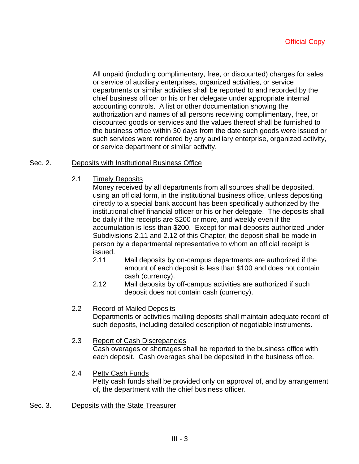All unpaid (including complimentary, free, or discounted) charges for sales or service of auxiliary enterprises, organized activities, or service departments or similar activities shall be reported to and recorded by the chief business officer or his or her delegate under appropriate internal accounting controls. A list or other documentation showing the authorization and names of all persons receiving complimentary, free, or discounted goods or services and the values thereof shall be furnished to the business office within 30 days from the date such goods were issued or such services were rendered by any auxiliary enterprise, organized activity, or service department or similar activity.

### Sec. 2. Deposits with Institutional Business Office

2.1 Timely Deposits

Money received by all departments from all sources shall be deposited, using an official form, in the institutional business office, unless depositing directly to a special bank account has been specifically authorized by the institutional chief financial officer or his or her delegate. The deposits shall be daily if the receipts are \$200 or more, and weekly even if the accumulation is less than \$200. Except for mail deposits authorized under Subdivisions 2.11 and 2.12 of this Chapter, the deposit shall be made in person by a departmental representative to whom an official receipt is issued.

- 2.11 Mail deposits by on-campus departments are authorized if the amount of each deposit is less than \$100 and does not contain cash (currency).
- 2.12 Mail deposits by off-campus activities are authorized if such deposit does not contain cash (currency).

## 2.2 Record of Mailed Deposits Departments or activities mailing deposits shall maintain adequate record of such deposits, including detailed description of negotiable instruments.

## 2.3 Report of Cash Discrepancies Cash overages or shortages shall be reported to the business office with each deposit. Cash overages shall be deposited in the business office.

- 2.4 Petty Cash Funds Petty cash funds shall be provided only on approval of, and by arrangement of, the department with the chief business officer.
- Sec. 3. Deposits with the State Treasurer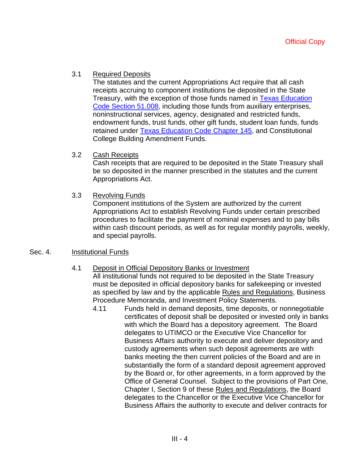## 3.1 Required Deposits

The statutes and the current Appropriations Act require that all cash receipts accruing to component institutions be deposited in the State Treasury, with the exception of those funds named in Texas Education Code Section 51.008, including those funds from auxiliary enterprises, noninstructional services, agency, designated and restricted funds, endowment funds, trust funds, other gift funds, student loan funds, funds retained under Texas Education Code Chapter 145, and Constitutional College Building Amendment Funds.

3.2 Cash Receipts

Cash receipts that are required to be deposited in the State Treasury shall be so deposited in the manner prescribed in the statutes and the current Appropriations Act.

### 3.3 Revolving Funds

Component institutions of the System are authorized by the current Appropriations Act to establish Revolving Funds under certain prescribed procedures to facilitate the payment of nominal expenses and to pay bills within cash discount periods, as well as for regular monthly payrolls, weekly, and special payrolls.

#### Sec. 4. Institutional Funds

#### 4.1 Deposit in Official Depository Banks or Investment All institutional funds not required to be deposited in the State Treasury must be deposited in official depository banks for safekeeping or invested as specified by law and by the applicable Rules and Regulations, Business Procedure Memoranda, and Investment Policy Statements.

4.11 Funds held in demand deposits, time deposits, or nonnegotiable certificates of deposit shall be deposited or invested only in banks with which the Board has a depository agreement. The Board delegates to UTIMCO or the Executive Vice Chancellor for Business Affairs authority to execute and deliver depository and custody agreements when such deposit agreements are with banks meeting the then current policies of the Board and are in substantially the form of a standard deposit agreement approved by the Board or, for other agreements, in a form approved by the Office of General Counsel. Subject to the provisions of Part One, Chapter I, Section 9 of these Rules and Regulations, the Board delegates to the Chancellor or the Executive Vice Chancellor for Business Affairs the authority to execute and deliver contracts for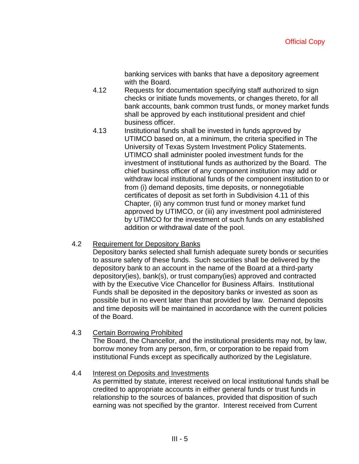banking services with banks that have a depository agreement with the Board.

- 4.12 Requests for documentation specifying staff authorized to sign checks or initiate funds movements, or changes thereto, for all bank accounts, bank common trust funds, or money market funds shall be approved by each institutional president and chief business officer.
- 4.13 Institutional funds shall be invested in funds approved by UTIMCO based on, at a minimum, the criteria specified in The University of Texas System Investment Policy Statements. UTIMCO shall administer pooled investment funds for the investment of institutional funds as authorized by the Board. The chief business officer of any component institution may add or withdraw local institutional funds of the component institution to or from (i) demand deposits, time deposits, or nonnegotiable certificates of deposit as set forth in Subdivision 4.11 of this Chapter, (ii) any common trust fund or money market fund approved by UTIMCO, or (iii) any investment pool administered by UTIMCO for the investment of such funds on any established addition or withdrawal date of the pool.

### 4.2 Requirement for Depository Banks

Depository banks selected shall furnish adequate surety bonds or securities to assure safety of these funds. Such securities shall be delivered by the depository bank to an account in the name of the Board at a third-party depository(ies), bank(s), or trust company(ies) approved and contracted with by the Executive Vice Chancellor for Business Affairs. Institutional Funds shall be deposited in the depository banks or invested as soon as possible but in no event later than that provided by law. Demand deposits and time deposits will be maintained in accordance with the current policies of the Board.

### 4.3 Certain Borrowing Prohibited

The Board, the Chancellor, and the institutional presidents may not, by law, borrow money from any person, firm, or corporation to be repaid from institutional Funds except as specifically authorized by the Legislature.

### 4.4 Interest on Deposits and Investments

As permitted by statute, interest received on local institutional funds shall be credited to appropriate accounts in either general funds or trust funds in relationship to the sources of balances, provided that disposition of such earning was not specified by the grantor. Interest received from Current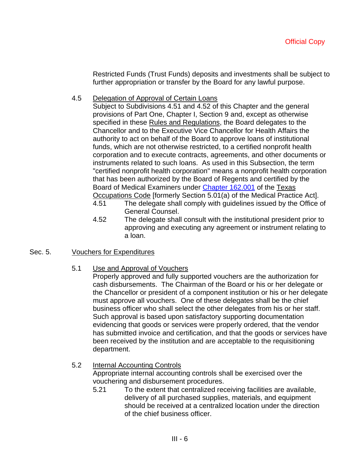Restricted Funds (Trust Funds) deposits and investments shall be subject to further appropriation or transfer by the Board for any lawful purpose.

4.5 Delegation of Approval of Certain Loans

Subject to Subdivisions 4.51 and 4.52 of this Chapter and the general provisions of Part One, Chapter I, Section 9 and, except as otherwise specified in these Rules and Regulations, the Board delegates to the Chancellor and to the Executive Vice Chancellor for Health Affairs the authority to act on behalf of the Board to approve loans of institutional funds, which are not otherwise restricted, to a certified nonprofit health corporation and to execute contracts, agreements, and other documents or instruments related to such loans. As used in this Subsection, the term "certified nonprofit health corporation" means a nonprofit health corporation that has been authorized by the Board of Regents and certified by the Board of Medical Examiners under Chapter 162.001 of the Texas Occupations Code [formerly Section 5.01(a) of the Medical Practice Act].

- 4.51 The delegate shall comply with guidelines issued by the Office of General Counsel.
- 4.52 The delegate shall consult with the institutional president prior to approving and executing any agreement or instrument relating to a loan.
- Sec. 5. Vouchers for Expenditures
	- 5.1 Use and Approval of Vouchers

Properly approved and fully supported vouchers are the authorization for cash disbursements. The Chairman of the Board or his or her delegate or the Chancellor or president of a component institution or his or her delegate must approve all vouchers. One of these delegates shall be the chief business officer who shall select the other delegates from his or her staff. Such approval is based upon satisfactory supporting documentation evidencing that goods or services were properly ordered, that the vendor has submitted invoice and certification, and that the goods or services have been received by the institution and are acceptable to the requisitioning department.

5.2 Internal Accounting Controls

Appropriate internal accounting controls shall be exercised over the vouchering and disbursement procedures.

5.21 To the extent that centralized receiving facilities are available, delivery of all purchased supplies, materials, and equipment should be received at a centralized location under the direction of the chief business officer.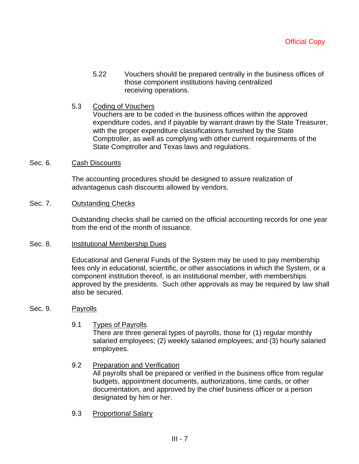- 5.22 Vouchers should be prepared centrally in the business offices of those component institutions having centralized receiving operations.
- 5.3 Coding of Vouchers

Vouchers are to be coded in the business offices within the approved expenditure codes, and if payable by warrant drawn by the State Treasurer, with the proper expenditure classifications furnished by the State Comptroller, as well as complying with other current requirements of the State Comptroller and Texas laws and regulations.

#### Sec. 6. Cash Discounts

The accounting procedures should be designed to assure realization of advantageous cash discounts allowed by vendors.

#### Sec. 7. Outstanding Checks

Outstanding checks shall be carried on the official accounting records for one year from the end of the month of issuance.

#### Sec. 8. Institutional Membership Dues

Educational and General Funds of the System may be used to pay membership fees only in educational, scientific, or other associations in which the System, or a component institution thereof, is an institutional member, with memberships approved by the presidents. Such other approvals as may be required by law shall also be secured.

#### Sec. 9. Payrolls

9.1 Types of Payrolls

There are three general types of payrolls, those for (1) regular monthly salaried employees; (2) weekly salaried employees; and (3) hourly salaried employees.

- 9.2 Preparation and Verification All payrolls shall be prepared or verified in the business office from regular budgets, appointment documents, authorizations, time cards, or other documentation, and approved by the chief business officer or a person designated by him or her.
- 9.3 Proportional Salary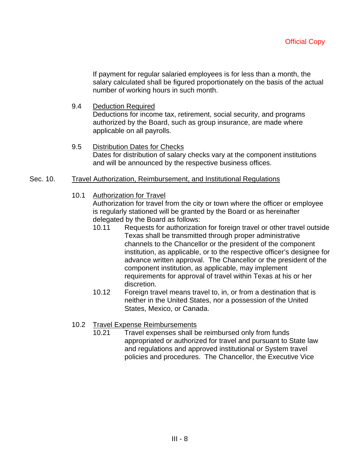If payment for regular salaried employees is for less than a month, the salary calculated shall be figured proportionately on the basis of the actual number of working hours in such month.

9.4 Deduction Required

Deductions for income tax, retirement, social security, and programs authorized by the Board, such as group insurance, are made where applicable on all payrolls.

9.5 Distribution Dates for Checks Dates for distribution of salary checks vary at the component institutions and will be announced by the respective business offices.

#### Sec. 10. Travel Authorization, Reimbursement, and Institutional Regulations

#### 10.1 Authorization for Travel

Authorization for travel from the city or town where the officer or employee is regularly stationed will be granted by the Board or as hereinafter delegated by the Board as follows:

- 10.11 Requests for authorization for foreign travel or other travel outside Texas shall be transmitted through proper administrative channels to the Chancellor or the president of the component institution, as applicable, or to the respective officer's designee for advance written approval. The Chancellor or the president of the component institution, as applicable, may implement requirements for approval of travel within Texas at his or her discretion.
- 10.12 Foreign travel means travel to, in, or from a destination that is neither in the United States, nor a possession of the United States, Mexico, or Canada.
- 10.2 Travel Expense Reimbursements
	- 10.21 Travel expenses shall be reimbursed only from funds appropriated or authorized for travel and pursuant to State law and regulations and approved institutional or System travel policies and procedures. The Chancellor, the Executive Vice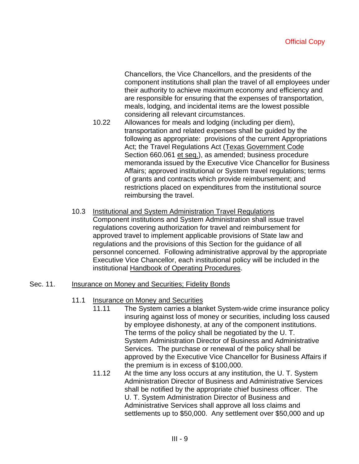Chancellors, the Vice Chancellors, and the presidents of the component institutions shall plan the travel of all employees under their authority to achieve maximum economy and efficiency and are responsible for ensuring that the expenses of transportation, meals, lodging, and incidental items are the lowest possible considering all relevant circumstances.

- 10.22 Allowances for meals and lodging (including per diem), transportation and related expenses shall be guided by the following as appropriate: provisions of the current Appropriations Act; the Travel Regulations Act (Texas Government Code Section 660.061 et seq.), as amended; business procedure memoranda issued by the Executive Vice Chancellor for Business Affairs; approved institutional or System travel regulations; terms of grants and contracts which provide reimbursement; and restrictions placed on expenditures from the institutional source reimbursing the travel.
- 10.3 Institutional and System Administration Travel Regulations Component institutions and System Administration shall issue travel regulations covering authorization for travel and reimbursement for approved travel to implement applicable provisions of State law and regulations and the provisions of this Section for the guidance of all personnel concerned. Following administrative approval by the appropriate Executive Vice Chancellor, each institutional policy will be included in the institutional Handbook of Operating Procedures.

#### Sec. 11. Insurance on Money and Securities; Fidelity Bonds

- 11.1 Insurance on Money and Securities
	- 11.11 The System carries a blanket System-wide crime insurance policy insuring against loss of money or securities, including loss caused by employee dishonesty, at any of the component institutions. The terms of the policy shall be negotiated by the U. T. System Administration Director of Business and Administrative Services. The purchase or renewal of the policy shall be approved by the Executive Vice Chancellor for Business Affairs if the premium is in excess of \$100,000.
	- 11.12 At the time any loss occurs at any institution, the U. T. System Administration Director of Business and Administrative Services shall be notified by the appropriate chief business officer. The U. T. System Administration Director of Business and Administrative Services shall approve all loss claims and settlements up to \$50,000. Any settlement over \$50,000 and up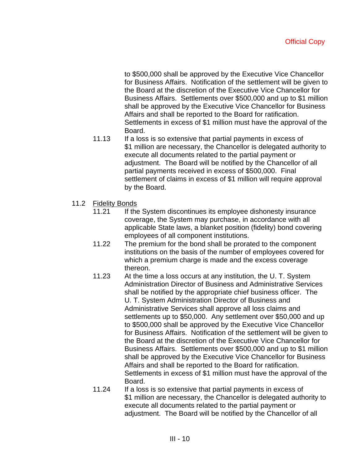to \$500,000 shall be approved by the Executive Vice Chancellor for Business Affairs. Notification of the settlement will be given to the Board at the discretion of the Executive Vice Chancellor for Business Affairs. Settlements over \$500,000 and up to \$1 million shall be approved by the Executive Vice Chancellor for Business Affairs and shall be reported to the Board for ratification. Settlements in excess of \$1 million must have the approval of the Board.

- 11.13 If a loss is so extensive that partial payments in excess of \$1 million are necessary, the Chancellor is delegated authority to execute all documents related to the partial payment or adjustment. The Board will be notified by the Chancellor of all partial payments received in excess of \$500,000. Final settlement of claims in excess of \$1 million will require approval by the Board.
- 11.2 Fidelity Bonds
	- 11.21 If the System discontinues its employee dishonesty insurance coverage, the System may purchase, in accordance with all applicable State laws, a blanket position (fidelity) bond covering employees of all component institutions.
	- 11.22 The premium for the bond shall be prorated to the component institutions on the basis of the number of employees covered for which a premium charge is made and the excess coverage thereon.
	- 11.23 At the time a loss occurs at any institution, the U. T. System Administration Director of Business and Administrative Services shall be notified by the appropriate chief business officer. The U. T. System Administration Director of Business and Administrative Services shall approve all loss claims and settlements up to \$50,000. Any settlement over \$50,000 and up to \$500,000 shall be approved by the Executive Vice Chancellor for Business Affairs. Notification of the settlement will be given to the Board at the discretion of the Executive Vice Chancellor for Business Affairs. Settlements over \$500,000 and up to \$1 million shall be approved by the Executive Vice Chancellor for Business Affairs and shall be reported to the Board for ratification. Settlements in excess of \$1 million must have the approval of the Board.
	- 11.24 If a loss is so extensive that partial payments in excess of \$1 million are necessary, the Chancellor is delegated authority to execute all documents related to the partial payment or adjustment. The Board will be notified by the Chancellor of all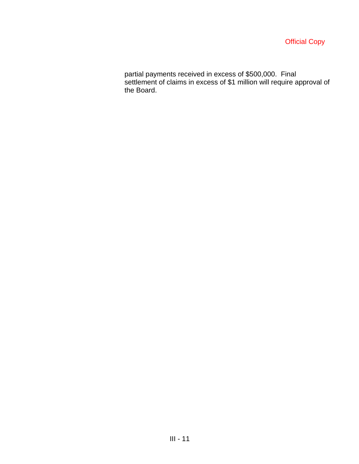partial payments received in excess of \$500,000. Final settlement of claims in excess of \$1 million will require approval of the Board.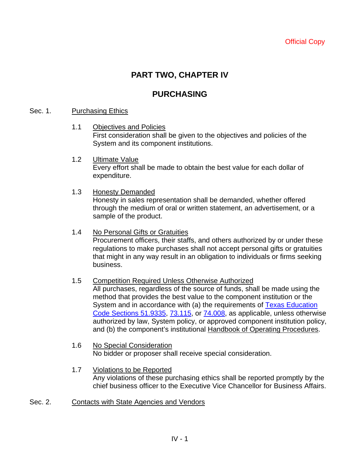# **PART TWO, CHAPTER IV**

# **PURCHASING**

## Sec. 1. Purchasing Ethics

1.1 Objectives and Policies

First consideration shall be given to the objectives and policies of the System and its component institutions.

- 1.2 Ultimate Value Every effort shall be made to obtain the best value for each dollar of expenditure.
- 1.3 Honesty Demanded

Honesty in sales representation shall be demanded, whether offered through the medium of oral or written statement, an advertisement, or a sample of the product.

# 1.4 No Personal Gifts or Gratuities

Procurement officers, their staffs, and others authorized by or under these regulations to make purchases shall not accept personal gifts or gratuities that might in any way result in an obligation to individuals or firms seeking business.

### 1.5 Competition Required Unless Otherwise Authorized

All purchases, regardless of the source of funds, shall be made using the method that provides the best value to the component institution or the System and in accordance with (a) the requirements of Texas Education Code Sections 51.9335, 73.115, or 74.008, as applicable, unless otherwise authorized by law, System policy, or approved component institution policy, and (b) the component's institutional Handbook of Operating Procedures.

- 1.6 No Special Consideration No bidder or proposer shall receive special consideration.
- 1.7 Violations to be Reported Any violations of these purchasing ethics shall be reported promptly by the chief business officer to the Executive Vice Chancellor for Business Affairs.
- Sec. 2. Contacts with State Agencies and Vendors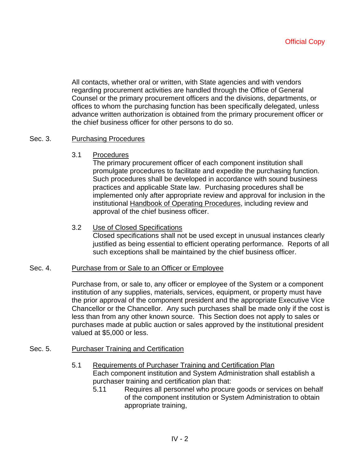All contacts, whether oral or written, with State agencies and with vendors regarding procurement activities are handled through the Office of General Counsel or the primary procurement officers and the divisions, departments, or offices to whom the purchasing function has been specifically delegated, unless advance written authorization is obtained from the primary procurement officer or the chief business officer for other persons to do so.

#### Sec. 3. Purchasing Procedures

#### 3.1 Procedures

The primary procurement officer of each component institution shall promulgate procedures to facilitate and expedite the purchasing function. Such procedures shall be developed in accordance with sound business practices and applicable State law. Purchasing procedures shall be implemented only after appropriate review and approval for inclusion in the institutional Handbook of Operating Procedures, including review and approval of the chief business officer.

#### 3.2 Use of Closed Specifications

Closed specifications shall not be used except in unusual instances clearly justified as being essential to efficient operating performance. Reports of all such exceptions shall be maintained by the chief business officer.

#### Sec. 4. Purchase from or Sale to an Officer or Employee

Purchase from, or sale to, any officer or employee of the System or a component institution of any supplies, materials, services, equipment, or property must have the prior approval of the component president and the appropriate Executive Vice Chancellor or the Chancellor. Any such purchases shall be made only if the cost is less than from any other known source. This Section does not apply to sales or purchases made at public auction or sales approved by the institutional president valued at \$5,000 or less.

#### Sec. 5. Purchaser Training and Certification

- 5.1 Requirements of Purchaser Training and Certification Plan Each component institution and System Administration shall establish a purchaser training and certification plan that:
	- 5.11 Requires all personnel who procure goods or services on behalf of the component institution or System Administration to obtain appropriate training,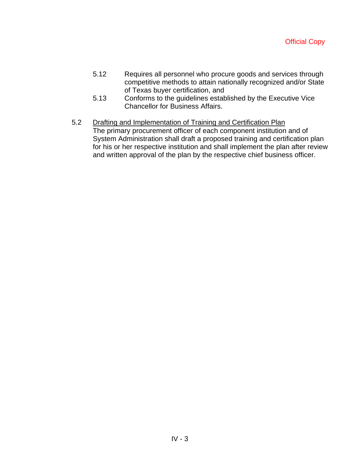- 5.12 Requires all personnel who procure goods and services through competitive methods to attain nationally recognized and/or State of Texas buyer certification, and
- 5.13 Conforms to the guidelines established by the Executive Vice Chancellor for Business Affairs.
- 5.2 Drafting and Implementation of Training and Certification Plan The primary procurement officer of each component institution and of System Administration shall draft a proposed training and certification plan for his or her respective institution and shall implement the plan after review and written approval of the plan by the respective chief business officer.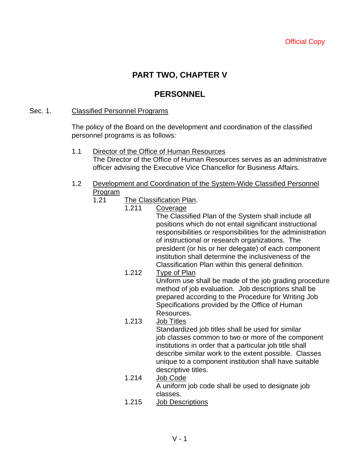# **PART TWO, CHAPTER V**

# **PERSONNEL**

#### Sec. 1. Classified Personnel Programs

The policy of the Board on the development and coordination of the classified personnel programs is as follows:

- 1.1 Director of the Office of Human Resources The Director of the Office of Human Resources serves as an administrative officer advising the Executive Vice Chancellor for Business Affairs.
- 1.2 Development and Coordination of the System-Wide Classified Personnel Program
	- 1.21 The Classification Plan.
		- 1.211 Coverage The Classified Plan of the System shall include all positions which do not entail significant instructional responsibilities or responsibilities for the administration of instructional or research organizations. The president (or his or her delegate) of each component institution shall determine the inclusiveness of the Classification Plan within this general definition. 1.212 Type of Plan

Uniform use shall be made of the job grading procedure method of job evaluation. Job descriptions shall be prepared according to the Procedure for Writing Job Specifications provided by the Office of Human Resources.

## 1.213 Job Titles

Standardized job titles shall be used for similar job classes common to two or more of the component institutions in order that a particular job title shall describe similar work to the extent possible. Classes unique to a component institution shall have suitable descriptive titles.

- 1.214 Job Code A uniform job code shall be used to designate job classes.
- 1.215 Job Descriptions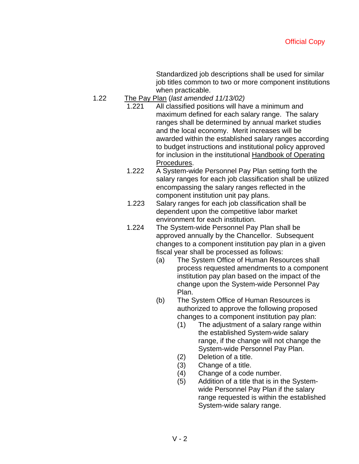Standardized job descriptions shall be used for similar job titles common to two or more component institutions when practicable.

#### 1.22 The Pay Plan (*last amended 11/13/02)*

- 1.221 All classified positions will have a minimum and maximum defined for each salary range. The salary ranges shall be determined by annual market studies and the local economy. Merit increases will be awarded within the established salary ranges according to budget instructions and institutional policy approved for inclusion in the institutional Handbook of Operating Procedures.
- 1.222 A System-wide Personnel Pay Plan setting forth the salary ranges for each job classification shall be utilized encompassing the salary ranges reflected in the component institution unit pay plans.
- 1.223 Salary ranges for each job classification shall be dependent upon the competitive labor market environment for each institution.
- 1.224 The System-wide Personnel Pay Plan shall be approved annually by the Chancellor. Subsequent changes to a component institution pay plan in a given fiscal year shall be processed as follows:
	- (a) The System Office of Human Resources shall process requested amendments to a component institution pay plan based on the impact of the change upon the System-wide Personnel Pay Plan.
	- (b) The System Office of Human Resources is authorized to approve the following proposed changes to a component institution pay plan:
		- (1) The adjustment of a salary range within the established System-wide salary range, if the change will not change the System-wide Personnel Pay Plan.
		- (2) Deletion of a title.
		- (3) Change of a title.
		- (4) Change of a code number.
		- (5) Addition of a title that is in the Systemwide Personnel Pay Plan if the salary range requested is within the established System-wide salary range.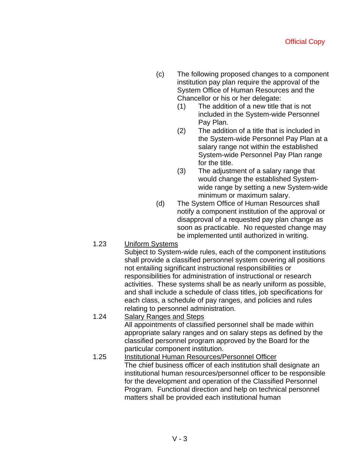- (c) The following proposed changes to a component institution pay plan require the approval of the System Office of Human Resources and the Chancellor or his or her delegate:
	- (1) The addition of a new title that is not included in the System-wide Personnel Pay Plan.
	- (2) The addition of a title that is included in the System-wide Personnel Pay Plan at a salary range not within the established System-wide Personnel Pay Plan range for the title.
	- (3) The adjustment of a salary range that would change the established Systemwide range by setting a new System-wide minimum or maximum salary.
- (d) The System Office of Human Resources shall notify a component institution of the approval or disapproval of a requested pay plan change as soon as practicable. No requested change may be implemented until authorized in writing.
- 1.23 Uniform Systems

Subject to System-wide rules, each of the component institutions shall provide a classified personnel system covering all positions not entailing significant instructional responsibilities or responsibilities for administration of instructional or research activities. These systems shall be as nearly uniform as possible, and shall include a schedule of class titles, job specifications for each class, a schedule of pay ranges, and policies and rules relating to personnel administration.

1.24 Salary Ranges and Steps All appointments of classified personnel shall be made within appropriate salary ranges and on salary steps as defined by the classified personnel program approved by the Board for the particular component institution.

1.25 Institutional Human Resources/Personnel Officer The chief business officer of each institution shall designate an institutional human resources/personnel officer to be responsible for the development and operation of the Classified Personnel Program. Functional direction and help on technical personnel matters shall be provided each institutional human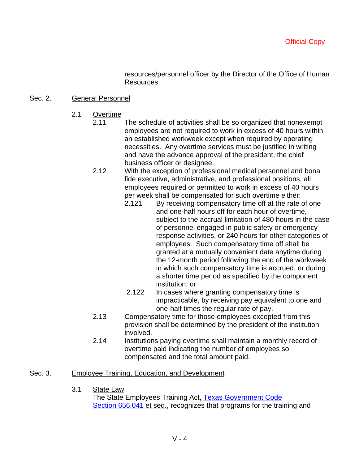resources/personnel officer by the Director of the Office of Human Resources.

### Sec. 2. General Personnel

- 2.1 Overtime
	- 2.11 The schedule of activities shall be so organized that nonexempt employees are not required to work in excess of 40 hours within an established workweek except when required by operating necessities. Any overtime services must be justified in writing and have the advance approval of the president, the chief business officer or designee.
	- 2.12 With the exception of professional medical personnel and bona fide executive, administrative, and professional positions, all employees required or permitted to work in excess of 40 hours per week shall be compensated for such overtime either:
		- 2.121 By receiving compensatory time off at the rate of one and one-half hours off for each hour of overtime, subject to the accrual limitation of 480 hours in the case of personnel engaged in public safety or emergency response activities, or 240 hours for other categories of employees. Such compensatory time off shall be granted at a mutually convenient date anytime during the 12-month period following the end of the workweek in which such compensatory time is accrued, or during a shorter time period as specified by the component institution; or
		- 2.122 In cases where granting compensatory time is impracticable, by receiving pay equivalent to one and one-half times the regular rate of pay.
	- 2.13 Compensatory time for those employees excepted from this provision shall be determined by the president of the institution involved.
	- 2.14 Institutions paying overtime shall maintain a monthly record of overtime paid indicating the number of employees so compensated and the total amount paid.

### Sec. 3. Employee Training, Education, and Development

3.1 State Law

The State Employees Training Act, Texas Government Code Section 656.041 et seq., recognizes that programs for the training and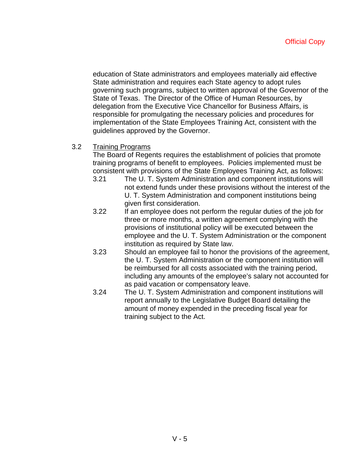education of State administrators and employees materially aid effective State administration and requires each State agency to adopt rules governing such programs, subject to written approval of the Governor of the State of Texas. The Director of the Office of Human Resources, by delegation from the Executive Vice Chancellor for Business Affairs, is responsible for promulgating the necessary policies and procedures for implementation of the State Employees Training Act, consistent with the guidelines approved by the Governor.

3.2 Training Programs

The Board of Regents requires the establishment of policies that promote training programs of benefit to employees. Policies implemented must be consistent with provisions of the State Employees Training Act, as follows:

- 3.21 The U. T. System Administration and component institutions will not extend funds under these provisions without the interest of the U. T. System Administration and component institutions being given first consideration.
- 3.22 If an employee does not perform the regular duties of the job for three or more months, a written agreement complying with the provisions of institutional policy will be executed between the employee and the U. T. System Administration or the component institution as required by State law.
- 3.23 Should an employee fail to honor the provisions of the agreement, the U. T. System Administration or the component institution will be reimbursed for all costs associated with the training period, including any amounts of the employee's salary not accounted for as paid vacation or compensatory leave.
- 3.24 The U. T. System Administration and component institutions will report annually to the Legislative Budget Board detailing the amount of money expended in the preceding fiscal year for training subject to the Act.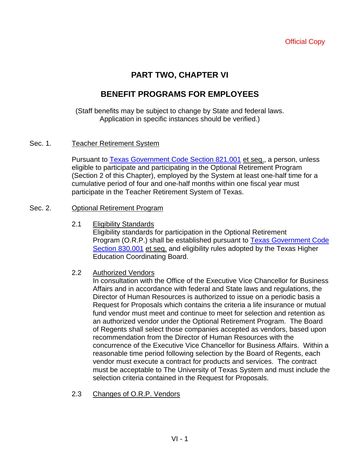# **PART TWO, CHAPTER VI**

# **BENEFIT PROGRAMS FOR EMPLOYEES**

(Staff benefits may be subject to change by State and federal laws. Application in specific instances should be verified.)

### Sec. 1. Teacher Retirement System

Pursuant to Texas Government Code Section 821.001 et seq., a person, unless eligible to participate and participating in the Optional Retirement Program (Section 2 of this Chapter), employed by the System at least one-half time for a cumulative period of four and one-half months within one fiscal year must participate in the Teacher Retirement System of Texas.

### Sec. 2. Optional Retirement Program

2.1 Eligibility Standards Eligibility standards for participation in the Optional Retirement Program (O.R.P.) shall be established pursuant to Texas Government Code Section 830.001 et seq. and eligibility rules adopted by the Texas Higher Education Coordinating Board.

## 2.2 Authorized Vendors

In consultation with the Office of the Executive Vice Chancellor for Business Affairs and in accordance with federal and State laws and regulations, the Director of Human Resources is authorized to issue on a periodic basis a Request for Proposals which contains the criteria a life insurance or mutual fund vendor must meet and continue to meet for selection and retention as an authorized vendor under the Optional Retirement Program. The Board of Regents shall select those companies accepted as vendors, based upon recommendation from the Director of Human Resources with the concurrence of the Executive Vice Chancellor for Business Affairs. Within a reasonable time period following selection by the Board of Regents, each vendor must execute a contract for products and services. The contract must be acceptable to The University of Texas System and must include the selection criteria contained in the Request for Proposals.

2.3 Changes of O.R.P. Vendors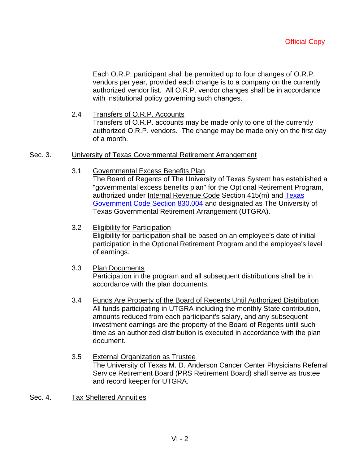Each O.R.P. participant shall be permitted up to four changes of O.R.P. vendors per year, provided each change is to a company on the currently authorized vendor list. All O.R.P. vendor changes shall be in accordance with institutional policy governing such changes.

2.4 Transfers of O.R.P. Accounts Transfers of O.R.P. accounts may be made only to one of the currently authorized O.R.P. vendors. The change may be made only on the first day of a month.

### Sec. 3. University of Texas Governmental Retirement Arrangement

- 3.1 Governmental Excess Benefits Plan The Board of Regents of The University of Texas System has established a "governmental excess benefits plan" for the Optional Retirement Program, authorized under Internal Revenue Code Section 415(m) and Texas Government Code Section 830.004 and designated as The University of Texas Governmental Retirement Arrangement (UTGRA).
- 3.2 Eligibility for Participation Eligibility for participation shall be based on an employee's date of initial participation in the Optional Retirement Program and the employee's level of earnings.
- 3.3 Plan Documents Participation in the program and all subsequent distributions shall be in accordance with the plan documents.
- 3.4 Funds Are Property of the Board of Regents Until Authorized Distribution All funds participating in UTGRA including the monthly State contribution, amounts reduced from each participant's salary, and any subsequent investment earnings are the property of the Board of Regents until such time as an authorized distribution is executed in accordance with the plan document.
- 3.5 External Organization as Trustee The University of Texas M. D. Anderson Cancer Center Physicians Referral Service Retirement Board (PRS Retirement Board) shall serve as trustee and record keeper for UTGRA.
- Sec. 4. Tax Sheltered Annuities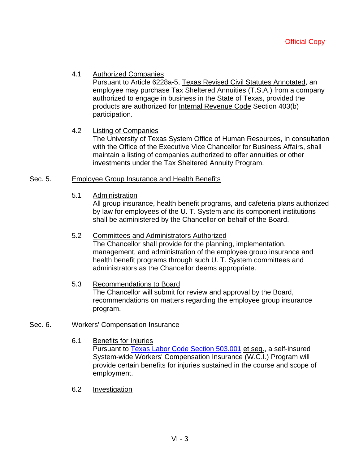# 4.1 Authorized Companies

Pursuant to Article 6228a-5, Texas Revised Civil Statutes Annotated, an employee may purchase Tax Sheltered Annuities (T.S.A.) from a company authorized to engage in business in the State of Texas, provided the products are authorized for Internal Revenue Code Section 403(b) participation.

### 4.2 Listing of Companies

The University of Texas System Office of Human Resources, in consultation with the Office of the Executive Vice Chancellor for Business Affairs, shall maintain a listing of companies authorized to offer annuities or other investments under the Tax Sheltered Annuity Program.

### Sec. 5. Employee Group Insurance and Health Benefits

### 5.1 Administration

All group insurance, health benefit programs, and cafeteria plans authorized by law for employees of the U. T. System and its component institutions shall be administered by the Chancellor on behalf of the Board.

## 5.2 Committees and Administrators Authorized

The Chancellor shall provide for the planning, implementation, management, and administration of the employee group insurance and health benefit programs through such U. T. System committees and administrators as the Chancellor deems appropriate.

# 5.3 Recommendations to Board The Chancellor will submit for review and approval by the Board, recommendations on matters regarding the employee group insurance program.

### Sec. 6. Workers' Compensation Insurance

- 6.1 Benefits for Injuries Pursuant to Texas Labor Code Section 503.001 et seq., a self-insured System-wide Workers' Compensation Insurance (W.C.I.) Program will provide certain benefits for injuries sustained in the course and scope of employment.
- 6.2 Investigation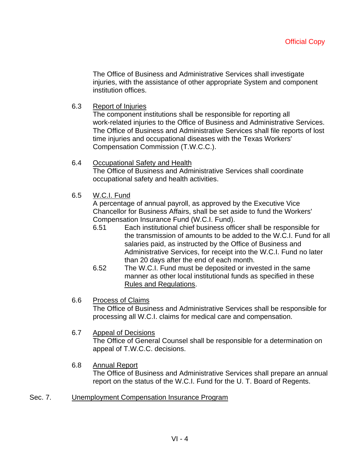The Office of Business and Administrative Services shall investigate injuries, with the assistance of other appropriate System and component institution offices.

6.3 Report of Injuries

The component institutions shall be responsible for reporting all work-related injuries to the Office of Business and Administrative Services. The Office of Business and Administrative Services shall file reports of lost time injuries and occupational diseases with the Texas Workers' Compensation Commission (T.W.C.C.).

6.4 Occupational Safety and Health

The Office of Business and Administrative Services shall coordinate occupational safety and health activities.

6.5 W.C.I. Fund

A percentage of annual payroll, as approved by the Executive Vice Chancellor for Business Affairs, shall be set aside to fund the Workers' Compensation Insurance Fund (W.C.I. Fund).

- 6.51 Each institutional chief business officer shall be responsible for the transmission of amounts to be added to the W.C.I. Fund for all salaries paid, as instructed by the Office of Business and Administrative Services, for receipt into the W.C.I. Fund no later than 20 days after the end of each month.
- 6.52 The W.C.I. Fund must be deposited or invested in the same manner as other local institutional funds as specified in these Rules and Regulations.

## 6.6 Process of Claims

The Office of Business and Administrative Services shall be responsible for processing all W.C.I. claims for medical care and compensation.

## 6.7 Appeal of Decisions

The Office of General Counsel shall be responsible for a determination on appeal of T.W.C.C. decisions.

- 6.8 Annual Report The Office of Business and Administrative Services shall prepare an annual report on the status of the W.C.I. Fund for the U. T. Board of Regents.
- Sec. 7. Unemployment Compensation Insurance Program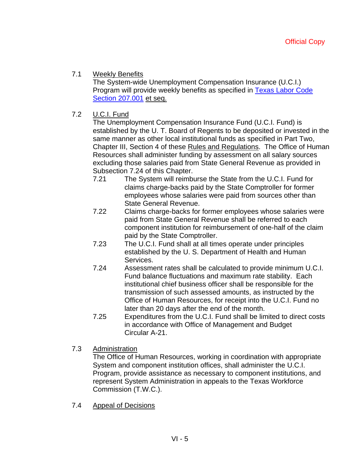# 7.1 Weekly Benefits

The System-wide Unemployment Compensation Insurance (U.C.I.) Program will provide weekly benefits as specified in Texas Labor Code Section 207.001 et seq.

# 7.2 U.C.I. Fund

The Unemployment Compensation Insurance Fund (U.C.I. Fund) is established by the U. T. Board of Regents to be deposited or invested in the same manner as other local institutional funds as specified in Part Two, Chapter III, Section 4 of these Rules and Regulations. The Office of Human Resources shall administer funding by assessment on all salary sources excluding those salaries paid from State General Revenue as provided in Subsection 7.24 of this Chapter.

- 7.21 The System will reimburse the State from the U.C.I. Fund for claims charge-backs paid by the State Comptroller for former employees whose salaries were paid from sources other than State General Revenue.
- 7.22 Claims charge-backs for former employees whose salaries were paid from State General Revenue shall be referred to each component institution for reimbursement of one-half of the claim paid by the State Comptroller.
- 7.23 The U.C.I. Fund shall at all times operate under principles established by the U. S. Department of Health and Human Services.
- 7.24 Assessment rates shall be calculated to provide minimum U.C.I. Fund balance fluctuations and maximum rate stability. Each institutional chief business officer shall be responsible for the transmission of such assessed amounts, as instructed by the Office of Human Resources, for receipt into the U.C.I. Fund no later than 20 days after the end of the month.
- 7.25 Expenditures from the U.C.I. Fund shall be limited to direct costs in accordance with Office of Management and Budget Circular A-21.
- 7.3 Administration

The Office of Human Resources, working in coordination with appropriate System and component institution offices, shall administer the U.C.I. Program, provide assistance as necessary to component institutions, and represent System Administration in appeals to the Texas Workforce Commission (T.W.C.).

7.4 Appeal of Decisions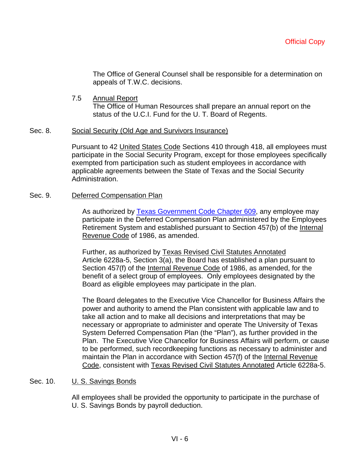The Office of General Counsel shall be responsible for a determination on appeals of T.W.C. decisions.

7.5 Annual Report The Office of Human Resources shall prepare an annual report on the status of the U.C.I. Fund for the U. T. Board of Regents.

### Sec. 8. Social Security (Old Age and Survivors Insurance)

Pursuant to 42 United States Code Sections 410 through 418, all employees must participate in the Social Security Program, except for those employees specifically exempted from participation such as student employees in accordance with applicable agreements between the State of Texas and the Social Security Administration.

### Sec. 9. Deferred Compensation Plan

As authorized by Texas Government Code Chapter 609, any employee may participate in the Deferred Compensation Plan administered by the Employees Retirement System and established pursuant to Section 457(b) of the Internal Revenue Code of 1986, as amended.

Further, as authorized by Texas Revised Civil Statutes Annotated Article 6228a-5, Section 3(a), the Board has established a plan pursuant to Section 457(f) of the Internal Revenue Code of 1986, as amended, for the benefit of a select group of employees. Only employees designated by the Board as eligible employees may participate in the plan.

The Board delegates to the Executive Vice Chancellor for Business Affairs the power and authority to amend the Plan consistent with applicable law and to take all action and to make all decisions and interpretations that may be necessary or appropriate to administer and operate The University of Texas System Deferred Compensation Plan (the "Plan"), as further provided in the Plan. The Executive Vice Chancellor for Business Affairs will perform, or cause to be performed, such recordkeeping functions as necessary to administer and maintain the Plan in accordance with Section 457(f) of the Internal Revenue Code, consistent with Texas Revised Civil Statutes Annotated Article 6228a-5.

### Sec. 10. U. S. Savings Bonds

All employees shall be provided the opportunity to participate in the purchase of U. S. Savings Bonds by payroll deduction.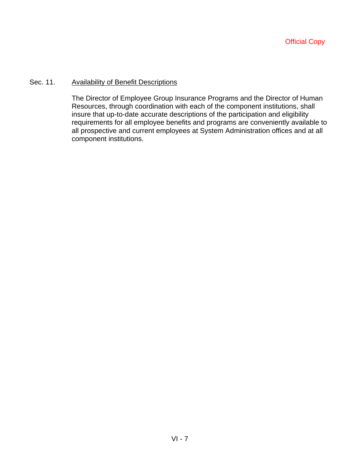# Sec. 11. Availability of Benefit Descriptions

The Director of Employee Group Insurance Programs and the Director of Human Resources, through coordination with each of the component institutions, shall insure that up-to-date accurate descriptions of the participation and eligibility requirements for all employee benefits and programs are conveniently available to all prospective and current employees at System Administration offices and at all component institutions.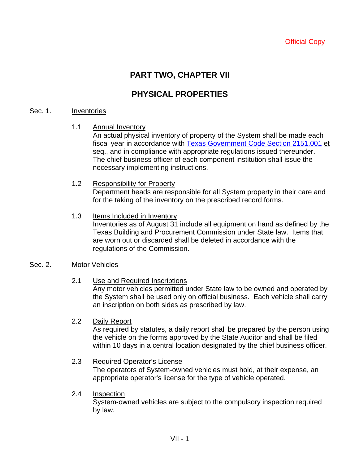# **PART TWO, CHAPTER VII**

# **PHYSICAL PROPERTIES**

### Sec. 1. Inventories

1.1 Annual Inventory

An actual physical inventory of property of the System shall be made each fiscal year in accordance with Texas Government Code Section 2151.001 et seq., and in compliance with appropriate regulations issued thereunder. The chief business officer of each component institution shall issue the necessary implementing instructions.

- 1.2 Responsibility for Property Department heads are responsible for all System property in their care and for the taking of the inventory on the prescribed record forms.
- 1.3 Items Included in Inventory Inventories as of August 31 include all equipment on hand as defined by the Texas Building and Procurement Commission under State law. Items that are worn out or discarded shall be deleted in accordance with the regulations of the Commission.

## Sec. 2. Motor Vehicles

2.1 Use and Required Inscriptions

Any motor vehicles permitted under State law to be owned and operated by the System shall be used only on official business. Each vehicle shall carry an inscription on both sides as prescribed by law.

2.2 Daily Report

As required by statutes, a daily report shall be prepared by the person using the vehicle on the forms approved by the State Auditor and shall be filed within 10 days in a central location designated by the chief business officer.

2.3 Required Operator's License

The operators of System-owned vehicles must hold, at their expense, an appropriate operator's license for the type of vehicle operated.

2.4 Inspection

System-owned vehicles are subject to the compulsory inspection required by law.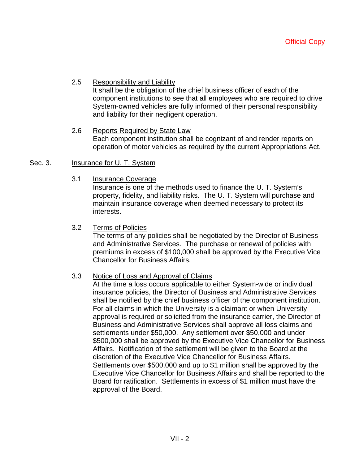# 2.5 Responsibility and Liability

It shall be the obligation of the chief business officer of each of the component institutions to see that all employees who are required to drive System-owned vehicles are fully informed of their personal responsibility and liability for their negligent operation.

## 2.6 Reports Required by State Law Each component institution shall be cognizant of and render reports on operation of motor vehicles as required by the current Appropriations Act.

### Sec. 3. Insurance for U. T. System

3.1 Insurance Coverage

Insurance is one of the methods used to finance the U. T. System's property, fidelity, and liability risks. The U. T. System will purchase and maintain insurance coverage when deemed necessary to protect its interests.

### 3.2 Terms of Policies

The terms of any policies shall be negotiated by the Director of Business and Administrative Services. The purchase or renewal of policies with premiums in excess of \$100,000 shall be approved by the Executive Vice Chancellor for Business Affairs.

## 3.3 Notice of Loss and Approval of Claims

At the time a loss occurs applicable to either System-wide or individual insurance policies, the Director of Business and Administrative Services shall be notified by the chief business officer of the component institution. For all claims in which the University is a claimant or when University approval is required or solicited from the insurance carrier, the Director of Business and Administrative Services shall approve all loss claims and settlements under \$50,000. Any settlement over \$50,000 and under \$500,000 shall be approved by the Executive Vice Chancellor for Business Affairs. Notification of the settlement will be given to the Board at the discretion of the Executive Vice Chancellor for Business Affairs. Settlements over \$500,000 and up to \$1 million shall be approved by the Executive Vice Chancellor for Business Affairs and shall be reported to the Board for ratification. Settlements in excess of \$1 million must have the approval of the Board.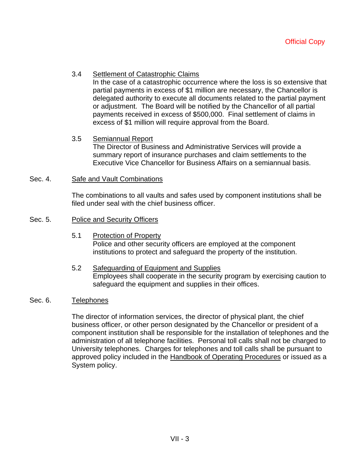## 3.4 Settlement of Catastrophic Claims

In the case of a catastrophic occurrence where the loss is so extensive that partial payments in excess of \$1 million are necessary, the Chancellor is delegated authority to execute all documents related to the partial payment or adjustment. The Board will be notified by the Chancellor of all partial payments received in excess of \$500,000. Final settlement of claims in excess of \$1 million will require approval from the Board.

### 3.5 Semiannual Report

The Director of Business and Administrative Services will provide a summary report of insurance purchases and claim settlements to the Executive Vice Chancellor for Business Affairs on a semiannual basis.

### Sec. 4. Safe and Vault Combinations

The combinations to all vaults and safes used by component institutions shall be filed under seal with the chief business officer.

### Sec. 5. Police and Security Officers

- 5.1 Protection of Property Police and other security officers are employed at the component institutions to protect and safeguard the property of the institution.
- 5.2 Safeguarding of Equipment and Supplies Employees shall cooperate in the security program by exercising caution to safeguard the equipment and supplies in their offices.

## Sec. 6. Telephones

The director of information services, the director of physical plant, the chief business officer, or other person designated by the Chancellor or president of a component institution shall be responsible for the installation of telephones and the administration of all telephone facilities. Personal toll calls shall not be charged to University telephones. Charges for telephones and toll calls shall be pursuant to approved policy included in the Handbook of Operating Procedures or issued as a System policy.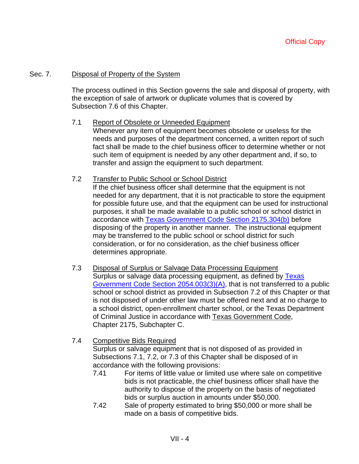### Sec. 7. Disposal of Property of the System

The process outlined in this Section governs the sale and disposal of property, with the exception of sale of artwork or duplicate volumes that is covered by Subsection 7.6 of this Chapter.

### 7.1 Report of Obsolete or Unneeded Equipment

Whenever any item of equipment becomes obsolete or useless for the needs and purposes of the department concerned, a written report of such fact shall be made to the chief business officer to determine whether or not such item of equipment is needed by any other department and, if so, to transfer and assign the equipment to such department.

### 7.2 Transfer to Public School or School District

If the chief business officer shall determine that the equipment is not needed for any department, that it is not practicable to store the equipment for possible future use, and that the equipment can be used for instructional purposes, it shall be made available to a public school or school district in accordance with Texas Government Code Section 2175.304(b) before disposing of the property in another manner. The instructional equipment may be transferred to the public school or school district for such consideration, or for no consideration, as the chief business officer determines appropriate.

7.3 Disposal of Surplus or Salvage Data Processing Equipment Surplus or salvage data processing equipment, as defined by Texas Government Code Section 2054.003(3)(A), that is not transferred to a public school or school district as provided in Subsection 7.2 of this Chapter or that is not disposed of under other law must be offered next and at no charge to a school district, open-enrollment charter school, or the Texas Department of Criminal Justice in accordance with Texas Government Code, Chapter 2175, Subchapter C.

## 7.4 Competitive Bids Required

Surplus or salvage equipment that is not disposed of as provided in Subsections 7.1, 7.2, or 7.3 of this Chapter shall be disposed of in accordance with the following provisions:

- 7.41 For items of little value or limited use where sale on competitive bids is not practicable, the chief business officer shall have the authority to dispose of the property on the basis of negotiated bids or surplus auction in amounts under \$50,000.
- 7.42 Sale of property estimated to bring \$50,000 or more shall be made on a basis of competitive bids.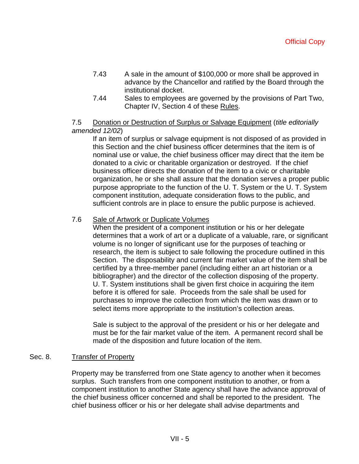- 7.43 A sale in the amount of \$100,000 or more shall be approved in advance by the Chancellor and ratified by the Board through the institutional docket.
- 7.44 Sales to employees are governed by the provisions of Part Two, Chapter IV, Section 4 of these Rules.

# 7.5 Donation or Destruction of Surplus or Salvage Equipment (*title editorially amended 12/02*)

If an item of surplus or salvage equipment is not disposed of as provided in this Section and the chief business officer determines that the item is of nominal use or value, the chief business officer may direct that the item be donated to a civic or charitable organization or destroyed. If the chief business officer directs the donation of the item to a civic or charitable organization, he or she shall assure that the donation serves a proper public purpose appropriate to the function of the U. T. System or the U. T. System component institution, adequate consideration flows to the public, and sufficient controls are in place to ensure the public purpose is achieved.

# 7.6 Sale of Artwork or Duplicate Volumes

When the president of a component institution or his or her delegate determines that a work of art or a duplicate of a valuable, rare, or significant volume is no longer of significant use for the purposes of teaching or research, the item is subject to sale following the procedure outlined in this Section. The disposability and current fair market value of the item shall be certified by a three-member panel (including either an art historian or a bibliographer) and the director of the collection disposing of the property. U. T. System institutions shall be given first choice in acquiring the item before it is offered for sale. Proceeds from the sale shall be used for purchases to improve the collection from which the item was drawn or to select items more appropriate to the institution's collection areas.

Sale is subject to the approval of the president or his or her delegate and must be for the fair market value of the item. A permanent record shall be made of the disposition and future location of the item.

## Sec. 8. Transfer of Property

Property may be transferred from one State agency to another when it becomes surplus. Such transfers from one component institution to another, or from a component institution to another State agency shall have the advance approval of the chief business officer concerned and shall be reported to the president. The chief business officer or his or her delegate shall advise departments and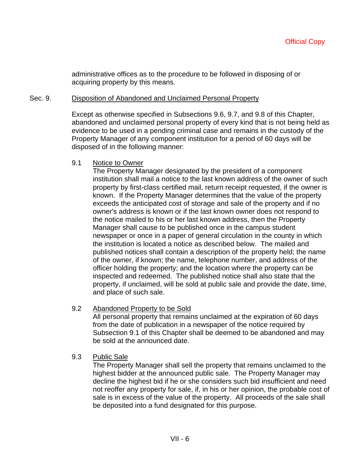administrative offices as to the procedure to be followed in disposing of or acquiring property by this means.

### Sec. 9. Disposition of Abandoned and Unclaimed Personal Property

Except as otherwise specified in Subsections 9.6, 9.7, and 9.8 of this Chapter, abandoned and unclaimed personal property of every kind that is not being held as evidence to be used in a pending criminal case and remains in the custody of the Property Manager of any component institution for a period of 60 days will be disposed of in the following manner:

9.1 Notice to Owner

The Property Manager designated by the president of a component institution shall mail a notice to the last known address of the owner of such property by first-class certified mail, return receipt requested, if the owner is known. If the Property Manager determines that the value of the property exceeds the anticipated cost of storage and sale of the property and if no owner's address is known or if the last known owner does not respond to the notice mailed to his or her last known address, then the Property Manager shall cause to be published once in the campus student newspaper or once in a paper of general circulation in the county in which the institution is located a notice as described below. The mailed and published notices shall contain a description of the property held; the name of the owner, if known; the name, telephone number, and address of the officer holding the property; and the location where the property can be inspected and redeemed. The published notice shall also state that the property, if unclaimed, will be sold at public sale and provide the date, time, and place of such sale.

9.2 Abandoned Property to be Sold

All personal property that remains unclaimed at the expiration of 60 days from the date of publication in a newspaper of the notice required by Subsection 9.1 of this Chapter shall be deemed to be abandoned and may be sold at the announced date.

9.3 Public Sale

The Property Manager shall sell the property that remains unclaimed to the highest bidder at the announced public sale. The Property Manager may decline the highest bid if he or she considers such bid insufficient and need not reoffer any property for sale, if, in his or her opinion, the probable cost of sale is in excess of the value of the property. All proceeds of the sale shall be deposited into a fund designated for this purpose.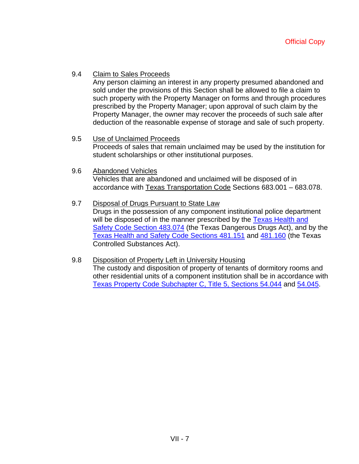# 9.4 Claim to Sales Proceeds

Any person claiming an interest in any property presumed abandoned and sold under the provisions of this Section shall be allowed to file a claim to such property with the Property Manager on forms and through procedures prescribed by the Property Manager; upon approval of such claim by the Property Manager, the owner may recover the proceeds of such sale after deduction of the reasonable expense of storage and sale of such property.

## 9.5 Use of Unclaimed Proceeds

Proceeds of sales that remain unclaimed may be used by the institution for student scholarships or other institutional purposes.

### 9.6 Abandoned Vehicles

Vehicles that are abandoned and unclaimed will be disposed of in accordance with Texas Transportation Code Sections 683.001 – 683.078.

## 9.7 Disposal of Drugs Pursuant to State Law

Drugs in the possession of any component institutional police department will be disposed of in the manner prescribed by the Texas Health and Safety Code Section 483.074 (the Texas Dangerous Drugs Act), and by the Texas Health and Safety Code Sections 481.151 and 481.160 (the Texas Controlled Substances Act).

### 9.8 Disposition of Property Left in University Housing The custody and disposition of property of tenants of dormitory rooms and other residential units of a component institution shall be in accordance with Texas Property Code Subchapter C, Title 5, Sections 54.044 and 54.045.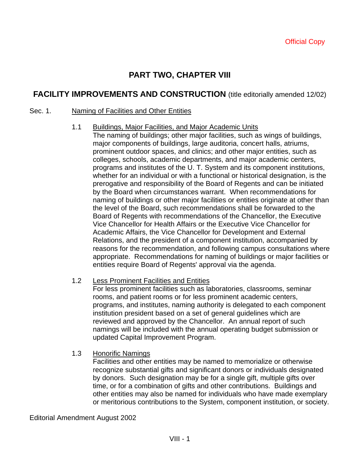# **PART TWO, CHAPTER VIII**

# **FACILITY IMPROVEMENTS AND CONSTRUCTION** (title editorially amended 12/02)

## Sec. 1. Naming of Facilities and Other Entities

1.1 Buildings, Major Facilities, and Major Academic Units The naming of buildings; other major facilities, such as wings of buildings, major components of buildings, large auditoria, concert halls, atriums, prominent outdoor spaces, and clinics; and other major entities, such as colleges, schools, academic departments, and major academic centers, programs and institutes of the U. T. System and its component institutions, whether for an individual or with a functional or historical designation, is the prerogative and responsibility of the Board of Regents and can be initiated by the Board when circumstances warrant. When recommendations for naming of buildings or other major facilities or entities originate at other than the level of the Board, such recommendations shall be forwarded to the Board of Regents with recommendations of the Chancellor, the Executive Vice Chancellor for Health Affairs or the Executive Vice Chancellor for Academic Affairs, the Vice Chancellor for Development and External Relations, and the president of a component institution, accompanied by reasons for the recommendation, and following campus consultations where appropriate. Recommendations for naming of buildings or major facilities or entities require Board of Regents' approval via the agenda.

## 1.2 Less Prominent Facilities and Entities

For less prominent facilities such as laboratories, classrooms, seminar rooms, and patient rooms or for less prominent academic centers, programs, and institutes, naming authority is delegated to each component institution president based on a set of general guidelines which are reviewed and approved by the Chancellor. An annual report of such namings will be included with the annual operating budget submission or updated Capital Improvement Program.

## 1.3 Honorific Namings

Facilities and other entities may be named to memorialize or otherwise recognize substantial gifts and significant donors or individuals designated by donors. Such designation may be for a single gift, multiple gifts over time, or for a combination of gifts and other contributions. Buildings and other entities may also be named for individuals who have made exemplary or meritorious contributions to the System, component institution, or society.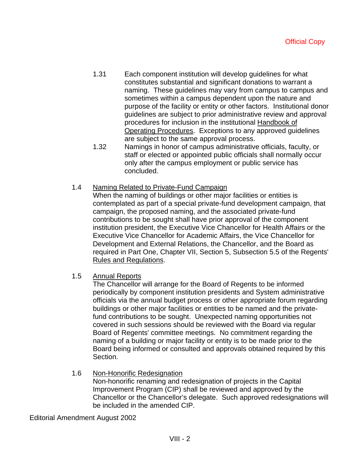- 1.31 Each component institution will develop guidelines for what constitutes substantial and significant donations to warrant a naming. These guidelines may vary from campus to campus and sometimes within a campus dependent upon the nature and purpose of the facility or entity or other factors. Institutional donor guidelines are subject to prior administrative review and approval procedures for inclusion in the institutional Handbook of Operating Procedures. Exceptions to any approved guidelines are subject to the same approval process.
- 1.32 Namings in honor of campus administrative officials, faculty, or staff or elected or appointed public officials shall normally occur only after the campus employment or public service has concluded.
- 1.4 Naming Related to Private-Fund Campaign

When the naming of buildings or other major facilities or entities is contemplated as part of a special private-fund development campaign, that campaign, the proposed naming, and the associated private-fund contributions to be sought shall have prior approval of the component institution president, the Executive Vice Chancellor for Health Affairs or the Executive Vice Chancellor for Academic Affairs, the Vice Chancellor for Development and External Relations, the Chancellor, and the Board as required in Part One, Chapter VII, Section 5, Subsection 5.5 of the Regents' Rules and Regulations.

1.5 Annual Reports

The Chancellor will arrange for the Board of Regents to be informed periodically by component institution presidents and System administrative officials via the annual budget process or other appropriate forum regarding buildings or other major facilities or entities to be named and the privatefund contributions to be sought. Unexpected naming opportunities not covered in such sessions should be reviewed with the Board via regular Board of Regents' committee meetings. No commitment regarding the naming of a building or major facility or entity is to be made prior to the Board being informed or consulted and approvals obtained required by this Section.

### 1.6 Non-Honorific Redesignation

Non-honorific renaming and redesignation of projects in the Capital Improvement Program (CIP) shall be reviewed and approved by the Chancellor or the Chancellor's delegate. Such approved redesignations will be included in the amended CIP.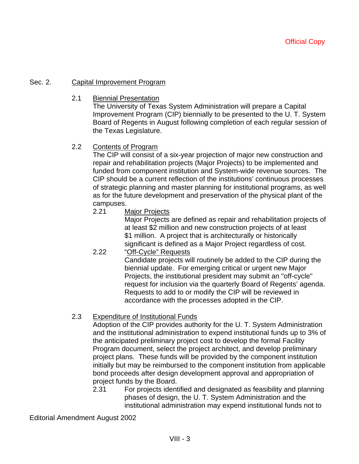# Sec. 2. Capital Improvement Program

2.1 Biennial Presentation

The University of Texas System Administration will prepare a Capital Improvement Program (CIP) biennially to be presented to the U. T. System Board of Regents in August following completion of each regular session of the Texas Legislature.

# 2.2 Contents of Program

The CIP will consist of a six-year projection of major new construction and repair and rehabilitation projects (Major Projects) to be implemented and funded from component institution and System-wide revenue sources. The CIP should be a current reflection of the institutions' continuous processes of strategic planning and master planning for institutional programs, as well as for the future development and preservation of the physical plant of the campuses.

2.21 Major Projects

Major Projects are defined as repair and rehabilitation projects of at least \$2 million and new construction projects of at least \$1 million. A project that is architecturally or historically significant is defined as a Major Project regardless of cost.

- 2.22 "Off-Cycle" Requests Candidate projects will routinely be added to the CIP during the biennial update. For emerging critical or urgent new Major Projects, the institutional president may submit an "off-cycle" request for inclusion via the quarterly Board of Regents' agenda. Requests to add to or modify the CIP will be reviewed in accordance with the processes adopted in the CIP.
- 2.3 Expenditure of Institutional Funds

Adoption of the CIP provides authority for the U. T. System Administration and the institutional administration to expend institutional funds up to 3% of the anticipated preliminary project cost to develop the formal Facility Program document, select the project architect, and develop preliminary project plans. These funds will be provided by the component institution initially but may be reimbursed to the component institution from applicable bond proceeds after design development approval and appropriation of project funds by the Board.

2.31 For projects identified and designated as feasibility and planning phases of design, the U. T. System Administration and the institutional administration may expend institutional funds not to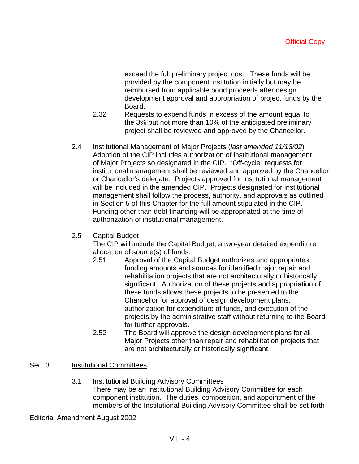exceed the full preliminary project cost. These funds will be provided by the component institution initially but may be reimbursed from applicable bond proceeds after design development approval and appropriation of project funds by the Board.

- 2.32 Requests to expend funds in excess of the amount equal to the 3% but not more than 10% of the anticipated preliminary project shall be reviewed and approved by the Chancellor.
- 2.4 Institutional Management of Major Projects (*last amended 11/13/02*) Adoption of the CIP includes authorization of institutional management of Major Projects so designated in the CIP. "Off-cycle" requests for institutional management shall be reviewed and approved by the Chancellor or Chancellor's delegate. Projects approved for institutional management will be included in the amended CIP. Projects designated for institutional management shall follow the process, authority, and approvals as outlined in Section 5 of this Chapter for the full amount stipulated in the CIP. Funding other than debt financing will be appropriated at the time of authorization of institutional management.
- 2.5 Capital Budget

The CIP will include the Capital Budget, a two-year detailed expenditure allocation of source(s) of funds.

- 2.51 Approval of the Capital Budget authorizes and appropriates funding amounts and sources for identified major repair and rehabilitation projects that are not architecturally or historically significant. Authorization of these projects and appropriation of these funds allows these projects to be presented to the Chancellor for approval of design development plans, authorization for expenditure of funds, and execution of the projects by the administrative staff without returning to the Board for further approvals.
- 2.52 The Board will approve the design development plans for all Major Projects other than repair and rehabilitation projects that are not architecturally or historically significant.

# Sec. 3. Institutional Committees

3.1 Institutional Building Advisory Committees

There may be an Institutional Building Advisory Committee for each component institution. The duties, composition, and appointment of the members of the Institutional Building Advisory Committee shall be set forth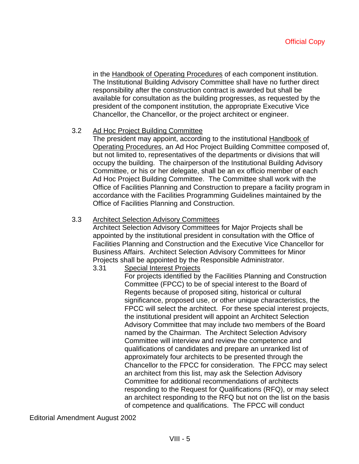in the Handbook of Operating Procedures of each component institution. The Institutional Building Advisory Committee shall have no further direct responsibility after the construction contract is awarded but shall be available for consultation as the building progresses, as requested by the president of the component institution, the appropriate Executive Vice Chancellor, the Chancellor, or the project architect or engineer.

## 3.2 Ad Hoc Project Building Committee

The president may appoint, according to the institutional Handbook of Operating Procedures, an Ad Hoc Project Building Committee composed of, but not limited to, representatives of the departments or divisions that will occupy the building. The chairperson of the Institutional Building Advisory Committee, or his or her delegate, shall be an ex officio member of each Ad Hoc Project Building Committee. The Committee shall work with the Office of Facilities Planning and Construction to prepare a facility program in accordance with the Facilities Programming Guidelines maintained by the Office of Facilities Planning and Construction.

## 3.3 Architect Selection Advisory Committees

Architect Selection Advisory Committees for Major Projects shall be appointed by the institutional president in consultation with the Office of Facilities Planning and Construction and the Executive Vice Chancellor for Business Affairs. Architect Selection Advisory Committees for Minor Projects shall be appointed by the Responsible Administrator.

3.31 Special Interest Projects

For projects identified by the Facilities Planning and Construction Committee (FPCC) to be of special interest to the Board of Regents because of proposed siting, historical or cultural significance, proposed use, or other unique characteristics, the FPCC will select the architect. For these special interest projects, the institutional president will appoint an Architect Selection Advisory Committee that may include two members of the Board named by the Chairman. The Architect Selection Advisory Committee will interview and review the competence and qualifications of candidates and prepare an unranked list of approximately four architects to be presented through the Chancellor to the FPCC for consideration. The FPCC may select an architect from this list, may ask the Selection Advisory Committee for additional recommendations of architects responding to the Request for Qualifications (RFQ), or may select an architect responding to the RFQ but not on the list on the basis of competence and qualifications. The FPCC will conduct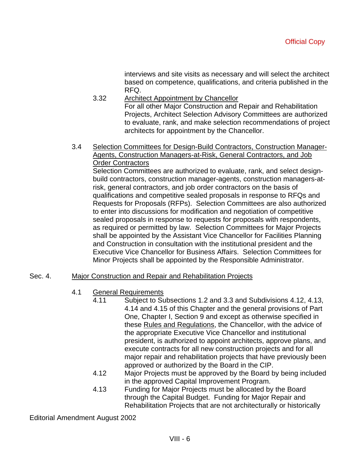interviews and site visits as necessary and will select the architect based on competence, qualifications, and criteria published in the RFQ.

- 3.32 Architect Appointment by Chancellor For all other Major Construction and Repair and Rehabilitation Projects, Architect Selection Advisory Committees are authorized to evaluate, rank, and make selection recommendations of project architects for appointment by the Chancellor.
- 3.4 Selection Committees for Design-Build Contractors, Construction Manager-Agents, Construction Managers-at-Risk, General Contractors, and Job **Order Contractors**

Selection Committees are authorized to evaluate, rank, and select designbuild contractors, construction manager-agents, construction managers-atrisk, general contractors, and job order contractors on the basis of qualifications and competitive sealed proposals in response to RFQs and Requests for Proposals (RFPs). Selection Committees are also authorized to enter into discussions for modification and negotiation of competitive sealed proposals in response to requests for proposals with respondents, as required or permitted by law. Selection Committees for Major Projects shall be appointed by the Assistant Vice Chancellor for Facilities Planning and Construction in consultation with the institutional president and the Executive Vice Chancellor for Business Affairs. Selection Committees for Minor Projects shall be appointed by the Responsible Administrator.

### Sec. 4. Major Construction and Repair and Rehabilitation Projects

- 4.1 General Requirements
	- 4.11 Subject to Subsections 1.2 and 3.3 and Subdivisions 4.12, 4.13, 4.14 and 4.15 of this Chapter and the general provisions of Part One, Chapter I, Section 9 and except as otherwise specified in these Rules and Regulations, the Chancellor, with the advice of the appropriate Executive Vice Chancellor and institutional president, is authorized to appoint architects, approve plans, and execute contracts for all new construction projects and for all major repair and rehabilitation projects that have previously been approved or authorized by the Board in the CIP.
	- 4.12 Major Projects must be approved by the Board by being included in the approved Capital Improvement Program.
	- 4.13 Funding for Major Projects must be allocated by the Board through the Capital Budget. Funding for Major Repair and Rehabilitation Projects that are not architecturally or historically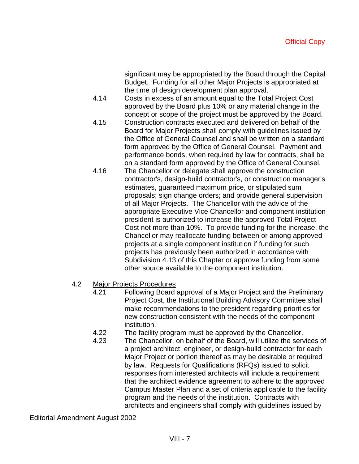significant may be appropriated by the Board through the Capital Budget. Funding for all other Major Projects is appropriated at the time of design development plan approval.

- 4.14 Costs in excess of an amount equal to the Total Project Cost approved by the Board plus 10% or any material change in the concept or scope of the project must be approved by the Board.
- 4.15 Construction contracts executed and delivered on behalf of the Board for Major Projects shall comply with guidelines issued by the Office of General Counsel and shall be written on a standard form approved by the Office of General Counsel. Payment and performance bonds, when required by law for contracts, shall be on a standard form approved by the Office of General Counsel.
- 4.16 The Chancellor or delegate shall approve the construction contractor's, design-build contractor's, or construction manager's estimates, guaranteed maximum price, or stipulated sum proposals; sign change orders; and provide general supervision of all Major Projects. The Chancellor with the advice of the appropriate Executive Vice Chancellor and component institution president is authorized to increase the approved Total Project Cost not more than 10%. To provide funding for the increase, the Chancellor may reallocate funding between or among approved projects at a single component institution if funding for such projects has previously been authorized in accordance with Subdivision 4.13 of this Chapter or approve funding from some other source available to the component institution.
- 4.2 Major Projects Procedures
	- 4.21 Following Board approval of a Major Project and the Preliminary Project Cost, the Institutional Building Advisory Committee shall make recommendations to the president regarding priorities for new construction consistent with the needs of the component institution.
	- 4.22 The facility program must be approved by the Chancellor.
	- 4.23 The Chancellor, on behalf of the Board, will utilize the services of a project architect, engineer, or design-build contractor for each Major Project or portion thereof as may be desirable or required by law. Requests for Qualifications (RFQs) issued to solicit responses from interested architects will include a requirement that the architect evidence agreement to adhere to the approved Campus Master Plan and a set of criteria applicable to the facility program and the needs of the institution. Contracts with architects and engineers shall comply with guidelines issued by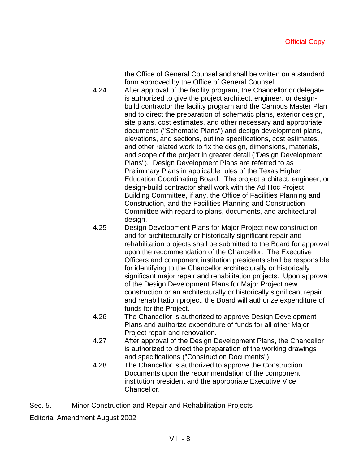the Office of General Counsel and shall be written on a standard form approved by the Office of General Counsel.

4.24 After approval of the facility program, the Chancellor or delegate is authorized to give the project architect, engineer, or designbuild contractor the facility program and the Campus Master Plan and to direct the preparation of schematic plans, exterior design, site plans, cost estimates, and other necessary and appropriate documents ("Schematic Plans") and design development plans, elevations, and sections, outline specifications, cost estimates, and other related work to fix the design, dimensions, materials, and scope of the project in greater detail ("Design Development Plans"). Design Development Plans are referred to as Preliminary Plans in applicable rules of the Texas Higher Education Coordinating Board. The project architect, engineer, or design-build contractor shall work with the Ad Hoc Project Building Committee, if any, the Office of Facilities Planning and Construction, and the Facilities Planning and Construction Committee with regard to plans, documents, and architectural design.

- 4.25 Design Development Plans for Major Project new construction and for architecturally or historically significant repair and rehabilitation projects shall be submitted to the Board for approval upon the recommendation of the Chancellor. The Executive Officers and component institution presidents shall be responsible for identifying to the Chancellor architecturally or historically significant major repair and rehabilitation projects. Upon approval of the Design Development Plans for Major Project new construction or an architecturally or historically significant repair and rehabilitation project, the Board will authorize expenditure of funds for the Project.
- 4.26 The Chancellor is authorized to approve Design Development Plans and authorize expenditure of funds for all other Major Project repair and renovation.
- 4.27 After approval of the Design Development Plans, the Chancellor is authorized to direct the preparation of the working drawings and specifications ("Construction Documents").
- 4.28 The Chancellor is authorized to approve the Construction Documents upon the recommendation of the component institution president and the appropriate Executive Vice Chancellor.

## Sec. 5. Minor Construction and Repair and Rehabilitation Projects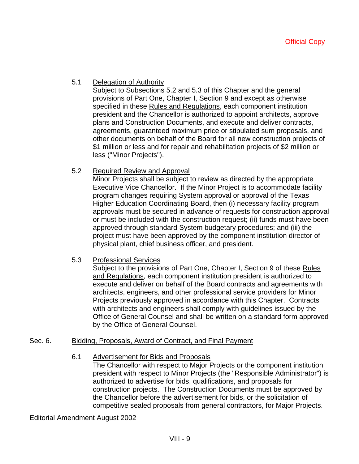# 5.1 Delegation of Authority

Subject to Subsections 5.2 and 5.3 of this Chapter and the general provisions of Part One, Chapter I, Section 9 and except as otherwise specified in these Rules and Regulations, each component institution president and the Chancellor is authorized to appoint architects, approve plans and Construction Documents, and execute and deliver contracts, agreements, guaranteed maximum price or stipulated sum proposals, and other documents on behalf of the Board for all new construction projects of \$1 million or less and for repair and rehabilitation projects of \$2 million or less ("Minor Projects").

# 5.2 Required Review and Approval

Minor Projects shall be subject to review as directed by the appropriate Executive Vice Chancellor. If the Minor Project is to accommodate facility program changes requiring System approval or approval of the Texas Higher Education Coordinating Board, then (i) necessary facility program approvals must be secured in advance of requests for construction approval or must be included with the construction request; (ii) funds must have been approved through standard System budgetary procedures; and (iii) the project must have been approved by the component institution director of physical plant, chief business officer, and president.

## 5.3 Professional Services

Subject to the provisions of Part One, Chapter I, Section 9 of these Rules and Regulations, each component institution president is authorized to execute and deliver on behalf of the Board contracts and agreements with architects, engineers, and other professional service providers for Minor Projects previously approved in accordance with this Chapter. Contracts with architects and engineers shall comply with guidelines issued by the Office of General Counsel and shall be written on a standard form approved by the Office of General Counsel.

# Sec. 6. Bidding, Proposals, Award of Contract, and Final Payment

# 6.1 Advertisement for Bids and Proposals

The Chancellor with respect to Major Projects or the component institution president with respect to Minor Projects (the "Responsible Administrator") is authorized to advertise for bids, qualifications, and proposals for construction projects. The Construction Documents must be approved by the Chancellor before the advertisement for bids, or the solicitation of competitive sealed proposals from general contractors, for Major Projects.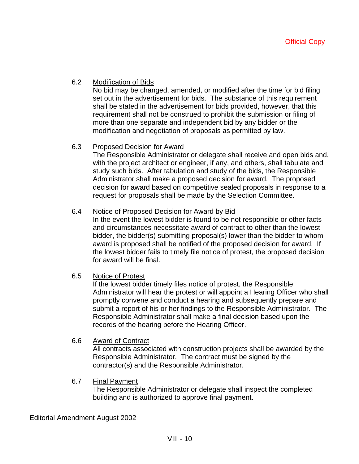# 6.2 Modification of Bids

No bid may be changed, amended, or modified after the time for bid filing set out in the advertisement for bids. The substance of this requirement shall be stated in the advertisement for bids provided, however, that this requirement shall not be construed to prohibit the submission or filing of more than one separate and independent bid by any bidder or the modification and negotiation of proposals as permitted by law.

# 6.3 Proposed Decision for Award

The Responsible Administrator or delegate shall receive and open bids and, with the project architect or engineer, if any, and others, shall tabulate and study such bids. After tabulation and study of the bids, the Responsible Administrator shall make a proposed decision for award. The proposed decision for award based on competitive sealed proposals in response to a request for proposals shall be made by the Selection Committee.

## 6.4 Notice of Proposed Decision for Award by Bid

In the event the lowest bidder is found to be not responsible or other facts and circumstances necessitate award of contract to other than the lowest bidder, the bidder(s) submitting proposal(s) lower than the bidder to whom award is proposed shall be notified of the proposed decision for award. If the lowest bidder fails to timely file notice of protest, the proposed decision for award will be final.

## 6.5 Notice of Protest

If the lowest bidder timely files notice of protest, the Responsible Administrator will hear the protest or will appoint a Hearing Officer who shall promptly convene and conduct a hearing and subsequently prepare and submit a report of his or her findings to the Responsible Administrator. The Responsible Administrator shall make a final decision based upon the records of the hearing before the Hearing Officer.

## 6.6 Award of Contract

All contracts associated with construction projects shall be awarded by the Responsible Administrator. The contract must be signed by the contractor(s) and the Responsible Administrator.

## 6.7 Final Payment

The Responsible Administrator or delegate shall inspect the completed building and is authorized to approve final payment.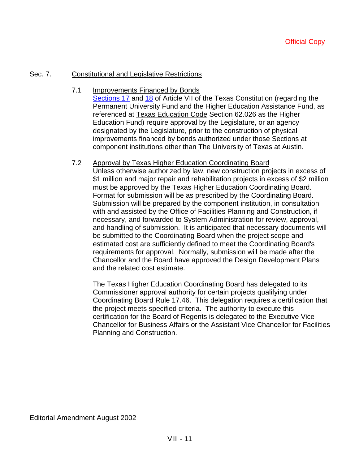# Sec. 7. Constitutional and Legislative Restrictions

7.1 Improvements Financed by Bonds

Sections 17 and 18 of Article VII of the Texas Constitution (regarding the Permanent University Fund and the Higher Education Assistance Fund, as referenced at Texas Education Code Section 62.026 as the Higher Education Fund) require approval by the Legislature, or an agency designated by the Legislature, prior to the construction of physical improvements financed by bonds authorized under those Sections at component institutions other than The University of Texas at Austin.

# 7.2 Approval by Texas Higher Education Coordinating Board

Unless otherwise authorized by law, new construction projects in excess of \$1 million and major repair and rehabilitation projects in excess of \$2 million must be approved by the Texas Higher Education Coordinating Board. Format for submission will be as prescribed by the Coordinating Board. Submission will be prepared by the component institution, in consultation with and assisted by the Office of Facilities Planning and Construction, if necessary, and forwarded to System Administration for review, approval, and handling of submission. It is anticipated that necessary documents will be submitted to the Coordinating Board when the project scope and estimated cost are sufficiently defined to meet the Coordinating Board's requirements for approval. Normally, submission will be made after the Chancellor and the Board have approved the Design Development Plans and the related cost estimate.

The Texas Higher Education Coordinating Board has delegated to its Commissioner approval authority for certain projects qualifying under Coordinating Board Rule 17.46. This delegation requires a certification that the project meets specified criteria. The authority to execute this certification for the Board of Regents is delegated to the Executive Vice Chancellor for Business Affairs or the Assistant Vice Chancellor for Facilities Planning and Construction.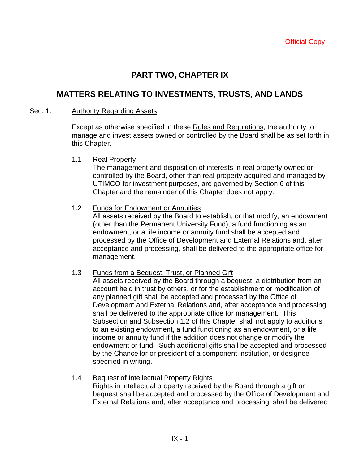# **PART TWO, CHAPTER IX**

# **MATTERS RELATING TO INVESTMENTS, TRUSTS, AND LANDS**

### Sec. 1. Authority Regarding Assets

Except as otherwise specified in these Rules and Regulations, the authority to manage and invest assets owned or controlled by the Board shall be as set forth in this Chapter.

1.1 Real Property

The management and disposition of interests in real property owned or controlled by the Board, other than real property acquired and managed by UTIMCO for investment purposes, are governed by Section 6 of this Chapter and the remainder of this Chapter does not apply.

1.2 Funds for Endowment or Annuities

All assets received by the Board to establish, or that modify, an endowment (other than the Permanent University Fund), a fund functioning as an endowment, or a life income or annuity fund shall be accepted and processed by the Office of Development and External Relations and, after acceptance and processing, shall be delivered to the appropriate office for management.

## 1.3 Funds from a Bequest, Trust, or Planned Gift

All assets received by the Board through a bequest, a distribution from an account held in trust by others, or for the establishment or modification of any planned gift shall be accepted and processed by the Office of Development and External Relations and, after acceptance and processing, shall be delivered to the appropriate office for management. This Subsection and Subsection 1.2 of this Chapter shall not apply to additions to an existing endowment, a fund functioning as an endowment, or a life income or annuity fund if the addition does not change or modify the endowment or fund. Such additional gifts shall be accepted and processed by the Chancellor or president of a component institution, or designee specified in writing.

1.4 Bequest of Intellectual Property Rights Rights in intellectual property received by the Board through a gift or bequest shall be accepted and processed by the Office of Development and External Relations and, after acceptance and processing, shall be delivered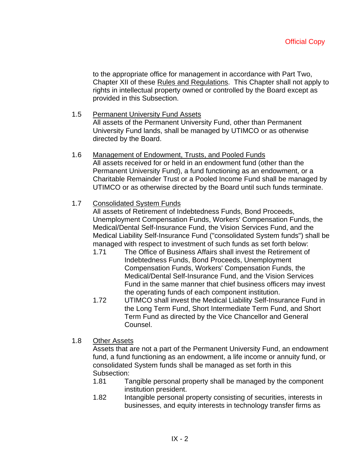to the appropriate office for management in accordance with Part Two, Chapter XII of these Rules and Regulations. This Chapter shall not apply to rights in intellectual property owned or controlled by the Board except as provided in this Subsection.

- 1.5 Permanent University Fund Assets All assets of the Permanent University Fund, other than Permanent University Fund lands, shall be managed by UTIMCO or as otherwise directed by the Board.
- 1.6 Management of Endowment, Trusts, and Pooled Funds All assets received for or held in an endowment fund (other than the Permanent University Fund), a fund functioning as an endowment, or a Charitable Remainder Trust or a Pooled Income Fund shall be managed by UTIMCO or as otherwise directed by the Board until such funds terminate.

# 1.7 Consolidated System Funds

All assets of Retirement of Indebtedness Funds, Bond Proceeds, Unemployment Compensation Funds, Workers' Compensation Funds, the Medical/Dental Self-Insurance Fund, the Vision Services Fund, and the Medical Liability Self-Insurance Fund ("consolidated System funds") shall be managed with respect to investment of such funds as set forth below:

- 1.71 The Office of Business Affairs shall invest the Retirement of Indebtedness Funds, Bond Proceeds, Unemployment Compensation Funds, Workers' Compensation Funds, the Medical/Dental Self-Insurance Fund, and the Vision Services Fund in the same manner that chief business officers may invest the operating funds of each component institution.
- 1.72 UTIMCO shall invest the Medical Liability Self-Insurance Fund in the Long Term Fund, Short Intermediate Term Fund, and Short Term Fund as directed by the Vice Chancellor and General Counsel.
- 1.8 Other Assets

Assets that are not a part of the Permanent University Fund, an endowment fund, a fund functioning as an endowment, a life income or annuity fund, or consolidated System funds shall be managed as set forth in this Subsection:

- 1.81 Tangible personal property shall be managed by the component institution president.
- 1.82 Intangible personal property consisting of securities, interests in businesses, and equity interests in technology transfer firms as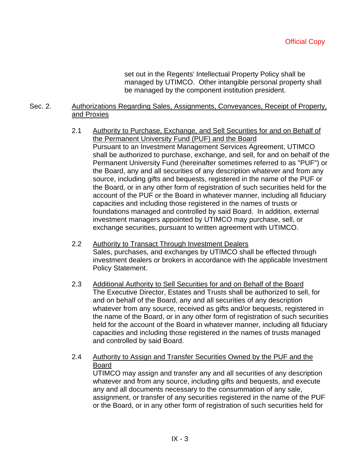set out in the Regents' Intellectual Property Policy shall be managed by UTIMCO. Other intangible personal property shall be managed by the component institution president.

## Sec. 2. Authorizations Regarding Sales, Assignments, Conveyances, Receipt of Property, and Proxies

- 2.1 Authority to Purchase, Exchange, and Sell Securities for and on Behalf of the Permanent University Fund (PUF) and the Board Pursuant to an Investment Management Services Agreement, UTIMCO shall be authorized to purchase, exchange, and sell, for and on behalf of the Permanent University Fund (hereinafter sometimes referred to as "PUF") or the Board, any and all securities of any description whatever and from any source, including gifts and bequests, registered in the name of the PUF or the Board, or in any other form of registration of such securities held for the account of the PUF or the Board in whatever manner, including all fiduciary capacities and including those registered in the names of trusts or foundations managed and controlled by said Board. In addition, external investment managers appointed by UTIMCO may purchase, sell, or exchange securities, pursuant to written agreement with UTIMCO.
- 2.2 Authority to Transact Through Investment Dealers Sales, purchases, and exchanges by UTIMCO shall be effected through investment dealers or brokers in accordance with the applicable Investment Policy Statement.
- 2.3 Additional Authority to Sell Securities for and on Behalf of the Board The Executive Director, Estates and Trusts shall be authorized to sell, for and on behalf of the Board, any and all securities of any description whatever from any source, received as gifts and/or bequests, registered in the name of the Board, or in any other form of registration of such securities held for the account of the Board in whatever manner, including all fiduciary capacities and including those registered in the names of trusts managed and controlled by said Board.
- 2.4 Authority to Assign and Transfer Securities Owned by the PUF and the Board

UTIMCO may assign and transfer any and all securities of any description whatever and from any source, including gifts and bequests, and execute any and all documents necessary to the consummation of any sale, assignment, or transfer of any securities registered in the name of the PUF or the Board, or in any other form of registration of such securities held for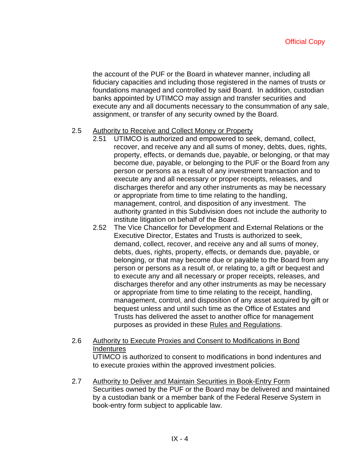the account of the PUF or the Board in whatever manner, including all fiduciary capacities and including those registered in the names of trusts or foundations managed and controlled by said Board. In addition, custodian banks appointed by UTIMCO may assign and transfer securities and execute any and all documents necessary to the consummation of any sale, assignment, or transfer of any security owned by the Board.

### 2.5 Authority to Receive and Collect Money or Property

- 2.51 UTIMCO is authorized and empowered to seek, demand, collect, recover, and receive any and all sums of money, debts, dues, rights, property, effects, or demands due, payable, or belonging, or that may become due, payable, or belonging to the PUF or the Board from any person or persons as a result of any investment transaction and to execute any and all necessary or proper receipts, releases, and discharges therefor and any other instruments as may be necessary or appropriate from time to time relating to the handling, management, control, and disposition of any investment. The authority granted in this Subdivision does not include the authority to institute litigation on behalf of the Board.
- 2.52 The Vice Chancellor for Development and External Relations or the Executive Director, Estates and Trusts is authorized to seek, demand, collect, recover, and receive any and all sums of money, debts, dues, rights, property, effects, or demands due, payable, or belonging, or that may become due or payable to the Board from any person or persons as a result of, or relating to, a gift or bequest and to execute any and all necessary or proper receipts, releases, and discharges therefor and any other instruments as may be necessary or appropriate from time to time relating to the receipt, handling, management, control, and disposition of any asset acquired by gift or bequest unless and until such time as the Office of Estates and Trusts has delivered the asset to another office for management purposes as provided in these Rules and Regulations.
- 2.6 Authority to Execute Proxies and Consent to Modifications in Bond Indentures UTIMCO is authorized to consent to modifications in bond indentures and to execute proxies within the approved investment policies.
- 2.7 Authority to Deliver and Maintain Securities in Book-Entry Form Securities owned by the PUF or the Board may be delivered and maintained by a custodian bank or a member bank of the Federal Reserve System in book-entry form subject to applicable law.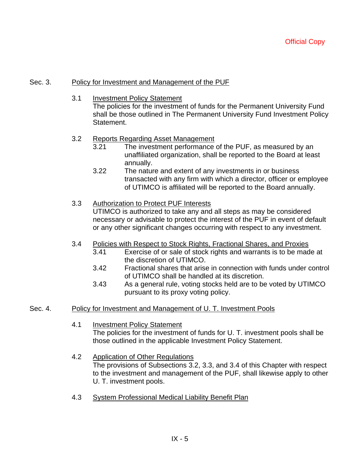# Sec. 3. Policy for Investment and Management of the PUF

3.1 Investment Policy Statement

The policies for the investment of funds for the Permanent University Fund shall be those outlined in The Permanent University Fund Investment Policy Statement.

- 3.2 Reports Regarding Asset Management
	- 3.21 The investment performance of the PUF, as measured by an unaffiliated organization, shall be reported to the Board at least annually.
	- 3.22 The nature and extent of any investments in or business transacted with any firm with which a director, officer or employee of UTIMCO is affiliated will be reported to the Board annually.
- 3.3 Authorization to Protect PUF Interests UTIMCO is authorized to take any and all steps as may be considered necessary or advisable to protect the interest of the PUF in event of default or any other significant changes occurring with respect to any investment.
- 3.4 Policies with Respect to Stock Rights, Fractional Shares, and Proxies
	- 3.41 Exercise of or sale of stock rights and warrants is to be made at the discretion of UTIMCO.
	- 3.42 Fractional shares that arise in connection with funds under control of UTIMCO shall be handled at its discretion.
	- 3.43 As a general rule, voting stocks held are to be voted by UTIMCO pursuant to its proxy voting policy.

# Sec. 4. Policy for Investment and Management of U. T. Investment Pools

- 4.1 Investment Policy Statement The policies for the investment of funds for U. T. investment pools shall be those outlined in the applicable Investment Policy Statement.
- 4.2 Application of Other Regulations The provisions of Subsections 3.2, 3.3, and 3.4 of this Chapter with respect to the investment and management of the PUF, shall likewise apply to other U. T. investment pools.
- 4.3 System Professional Medical Liability Benefit Plan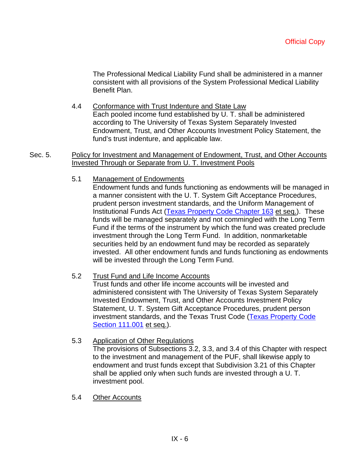The Professional Medical Liability Fund shall be administered in a manner consistent with all provisions of the System Professional Medical Liability Benefit Plan.

4.4 Conformance with Trust Indenture and State Law Each pooled income fund established by U. T. shall be administered according to The University of Texas System Separately Invested Endowment, Trust, and Other Accounts Investment Policy Statement, the fund's trust indenture, and applicable law.

### Sec. 5. Policy for Investment and Management of Endowment, Trust, and Other Accounts Invested Through or Separate from U. T. Investment Pools

# 5.1 Management of Endowments

Endowment funds and funds functioning as endowments will be managed in a manner consistent with the U. T. System Gift Acceptance Procedures, prudent person investment standards, and the Uniform Management of Institutional Funds Act (Texas Property Code Chapter 163 et seq.). These funds will be managed separately and not commingled with the Long Term Fund if the terms of the instrument by which the fund was created preclude investment through the Long Term Fund. In addition, nonmarketable securities held by an endowment fund may be recorded as separately invested. All other endowment funds and funds functioning as endowments will be invested through the Long Term Fund.

## 5.2 Trust Fund and Life Income Accounts

Trust funds and other life income accounts will be invested and administered consistent with The University of Texas System Separately Invested Endowment, Trust, and Other Accounts Investment Policy Statement, U. T. System Gift Acceptance Procedures, prudent person investment standards, and the Texas Trust Code (Texas Property Code Section 111.001 et seq.).

## 5.3 Application of Other Regulations

The provisions of Subsections 3.2, 3.3, and 3.4 of this Chapter with respect to the investment and management of the PUF, shall likewise apply to endowment and trust funds except that Subdivision 3.21 of this Chapter shall be applied only when such funds are invested through a U. T. investment pool.

5.4 Other Accounts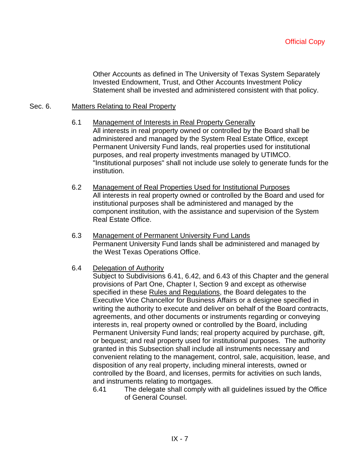Other Accounts as defined in The University of Texas System Separately Invested Endowment, Trust, and Other Accounts Investment Policy Statement shall be invested and administered consistent with that policy.

### Sec. 6. Matters Relating to Real Property

### 6.1 Management of Interests in Real Property Generally

All interests in real property owned or controlled by the Board shall be administered and managed by the System Real Estate Office, except Permanent University Fund lands, real properties used for institutional purposes, and real property investments managed by UTIMCO. "Institutional purposes" shall not include use solely to generate funds for the institution.

- 6.2 Management of Real Properties Used for Institutional Purposes All interests in real property owned or controlled by the Board and used for institutional purposes shall be administered and managed by the component institution, with the assistance and supervision of the System Real Estate Office.
- 6.3 Management of Permanent University Fund Lands Permanent University Fund lands shall be administered and managed by the West Texas Operations Office.
- 6.4 Delegation of Authority

Subject to Subdivisions 6.41, 6.42, and 6.43 of this Chapter and the general provisions of Part One, Chapter I, Section 9 and except as otherwise specified in these Rules and Regulations, the Board delegates to the Executive Vice Chancellor for Business Affairs or a designee specified in writing the authority to execute and deliver on behalf of the Board contracts, agreements, and other documents or instruments regarding or conveying interests in, real property owned or controlled by the Board, including Permanent University Fund lands; real property acquired by purchase, gift, or bequest; and real property used for institutional purposes. The authority granted in this Subsection shall include all instruments necessary and convenient relating to the management, control, sale, acquisition, lease, and disposition of any real property, including mineral interests, owned or controlled by the Board, and licenses, permits for activities on such lands, and instruments relating to mortgages.

6.41 The delegate shall comply with all guidelines issued by the Office of General Counsel.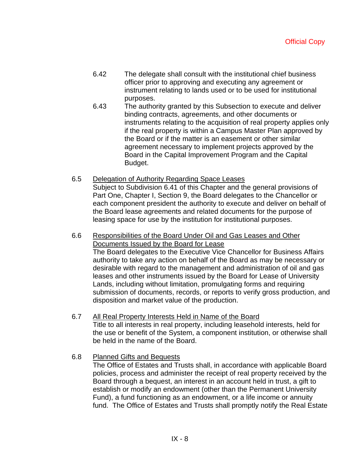- 6.42 The delegate shall consult with the institutional chief business officer prior to approving and executing any agreement or instrument relating to lands used or to be used for institutional purposes.
- 6.43 The authority granted by this Subsection to execute and deliver binding contracts, agreements, and other documents or instruments relating to the acquisition of real property applies only if the real property is within a Campus Master Plan approved by the Board or if the matter is an easement or other similar agreement necessary to implement projects approved by the Board in the Capital Improvement Program and the Capital Budget.
- 6.5 Delegation of Authority Regarding Space Leases Subject to Subdivision 6.41 of this Chapter and the general provisions of Part One, Chapter I, Section 9, the Board delegates to the Chancellor or each component president the authority to execute and deliver on behalf of the Board lease agreements and related documents for the purpose of leasing space for use by the institution for institutional purposes.
- 6.6 Responsibilities of the Board Under Oil and Gas Leases and Other Documents Issued by the Board for Lease The Board delegates to the Executive Vice Chancellor for Business Affairs authority to take any action on behalf of the Board as may be necessary or desirable with regard to the management and administration of oil and gas leases and other instruments issued by the Board for Lease of University Lands, including without limitation, promulgating forms and requiring submission of documents, records, or reports to verify gross production, and disposition and market value of the production.
- 6.7 All Real Property Interests Held in Name of the Board Title to all interests in real property, including leasehold interests, held for the use or benefit of the System, a component institution, or otherwise shall be held in the name of the Board.
- 6.8 Planned Gifts and Bequests The Office of Estates and Trusts shall, in accordance with applicable Board policies, process and administer the receipt of real property received by the Board through a bequest, an interest in an account held in trust, a gift to establish or modify an endowment (other than the Permanent University Fund), a fund functioning as an endowment, or a life income or annuity fund. The Office of Estates and Trusts shall promptly notify the Real Estate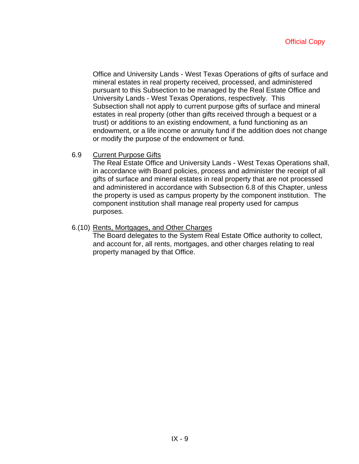Office and University Lands - West Texas Operations of gifts of surface and mineral estates in real property received, processed, and administered pursuant to this Subsection to be managed by the Real Estate Office and University Lands - West Texas Operations, respectively. This Subsection shall not apply to current purpose gifts of surface and mineral estates in real property (other than gifts received through a bequest or a trust) or additions to an existing endowment, a fund functioning as an endowment, or a life income or annuity fund if the addition does not change or modify the purpose of the endowment or fund.

6.9 Current Purpose Gifts

The Real Estate Office and University Lands - West Texas Operations shall, in accordance with Board policies, process and administer the receipt of all gifts of surface and mineral estates in real property that are not processed and administered in accordance with Subsection 6.8 of this Chapter, unless the property is used as campus property by the component institution. The component institution shall manage real property used for campus purposes.

## 6.(10) Rents, Mortgages, and Other Charges

The Board delegates to the System Real Estate Office authority to collect, and account for, all rents, mortgages, and other charges relating to real property managed by that Office.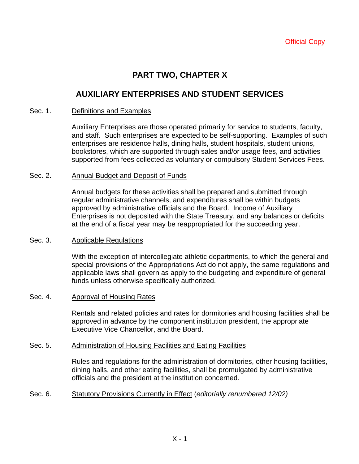# **PART TWO, CHAPTER X**

# **AUXILIARY ENTERPRISES AND STUDENT SERVICES**

#### Sec. 1. Definitions and Examples

Auxiliary Enterprises are those operated primarily for service to students, faculty, and staff. Such enterprises are expected to be self-supporting. Examples of such enterprises are residence halls, dining halls, student hospitals, student unions, bookstores, which are supported through sales and/or usage fees, and activities supported from fees collected as voluntary or compulsory Student Services Fees.

## Sec. 2. Annual Budget and Deposit of Funds

Annual budgets for these activities shall be prepared and submitted through regular administrative channels, and expenditures shall be within budgets approved by administrative officials and the Board. Income of Auxiliary Enterprises is not deposited with the State Treasury, and any balances or deficits at the end of a fiscal year may be reappropriated for the succeeding year.

#### Sec. 3. Applicable Regulations

With the exception of intercollegiate athletic departments, to which the general and special provisions of the Appropriations Act do not apply, the same regulations and applicable laws shall govern as apply to the budgeting and expenditure of general funds unless otherwise specifically authorized.

#### Sec. 4. Approval of Housing Rates

Rentals and related policies and rates for dormitories and housing facilities shall be approved in advance by the component institution president, the appropriate Executive Vice Chancellor, and the Board.

#### Sec. 5. Administration of Housing Facilities and Eating Facilities

Rules and regulations for the administration of dormitories, other housing facilities, dining halls, and other eating facilities, shall be promulgated by administrative officials and the president at the institution concerned.

Sec. 6. Statutory Provisions Currently in Effect (*editorially renumbered 12/02)*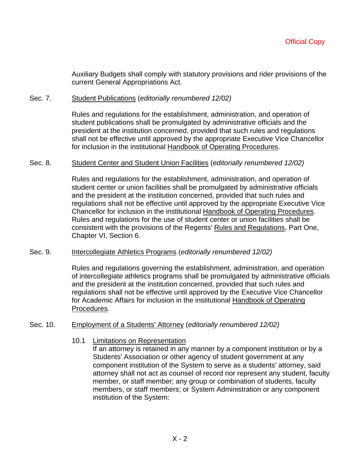Auxiliary Budgets shall comply with statutory provisions and rider provisions of the current General Appropriations Act.

## Sec. 7. Student Publications (*editorially renumbered 12/02)*

Rules and regulations for the establishment, administration, and operation of student publications shall be promulgated by administrative officials and the president at the institution concerned, provided that such rules and regulations shall not be effective until approved by the appropriate Executive Vice Chancellor for inclusion in the institutional Handbook of Operating Procedures.

#### Sec. 8. Student Center and Student Union Facilities (*editorially renumbered 12/02)*

Rules and regulations for the establishment, administration, and operation of student center or union facilities shall be promulgated by administrative officials and the president at the institution concerned, provided that such rules and regulations shall not be effective until approved by the appropriate Executive Vice Chancellor for inclusion in the institutional Handbook of Operating Procedures. Rules and regulations for the use of student center or union facilities shall be consistent with the provisions of the Regents' Rules and Regulations, Part One, Chapter VI, Section 6.

#### Sec. 9. Intercollegiate Athletics Programs (*editorially renumbered 12/02)*

Rules and regulations governing the establishment, administration, and operation of intercollegiate athletics programs shall be promulgated by administrative officials and the president at the institution concerned, provided that such rules and regulations shall not be effective until approved by the Executive Vice Chancellor for Academic Affairs for inclusion in the institutional Handbook of Operating Procedures.

# Sec. 10. Employment of a Students' Attorney (*editorially renumbered 12/02)*

10.1 Limitations on Representation

If an attorney is retained in any manner by a component institution or by a Students' Association or other agency of student government at any component institution of the System to serve as a students' attorney, said attorney shall not act as counsel of record nor represent any student, faculty member, or staff member; any group or combination of students, faculty members, or staff members; or System Administration or any component institution of the System: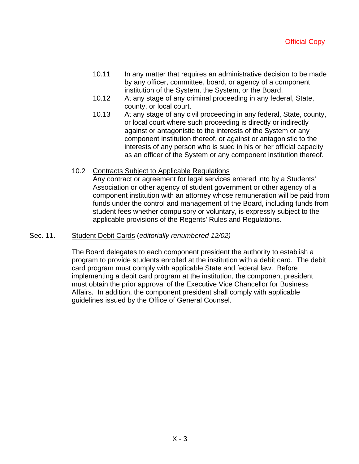- 10.11 In any matter that requires an administrative decision to be made by any officer, committee, board, or agency of a component institution of the System, the System, or the Board.
- 10.12 At any stage of any criminal proceeding in any federal, State, county, or local court.
- 10.13 At any stage of any civil proceeding in any federal, State, county, or local court where such proceeding is directly or indirectly against or antagonistic to the interests of the System or any component institution thereof, or against or antagonistic to the interests of any person who is sued in his or her official capacity as an officer of the System or any component institution thereof.

# 10.2 Contracts Subject to Applicable Regulations

Any contract or agreement for legal services entered into by a Students' Association or other agency of student government or other agency of a component institution with an attorney whose remuneration will be paid from funds under the control and management of the Board, including funds from student fees whether compulsory or voluntary, is expressly subject to the applicable provisions of the Regents' Rules and Regulations.

## Sec. 11. Student Debit Cards (*editorially renumbered 12/02)*

The Board delegates to each component president the authority to establish a program to provide students enrolled at the institution with a debit card. The debit card program must comply with applicable State and federal law. Before implementing a debit card program at the institution, the component president must obtain the prior approval of the Executive Vice Chancellor for Business Affairs. In addition, the component president shall comply with applicable guidelines issued by the Office of General Counsel.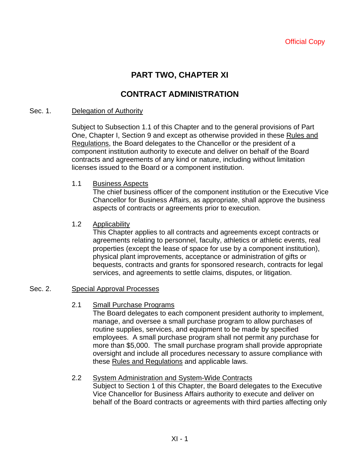# **PART TWO, CHAPTER XI**

# **CONTRACT ADMINISTRATION**

#### Sec. 1. Delegation of Authority

Subject to Subsection 1.1 of this Chapter and to the general provisions of Part One, Chapter I, Section 9 and except as otherwise provided in these Rules and Regulations, the Board delegates to the Chancellor or the president of a component institution authority to execute and deliver on behalf of the Board contracts and agreements of any kind or nature, including without limitation licenses issued to the Board or a component institution.

## 1.1 Business Aspects

The chief business officer of the component institution or the Executive Vice Chancellor for Business Affairs, as appropriate, shall approve the business aspects of contracts or agreements prior to execution.

## 1.2 Applicability

This Chapter applies to all contracts and agreements except contracts or agreements relating to personnel, faculty, athletics or athletic events, real properties (except the lease of space for use by a component institution), physical plant improvements, acceptance or administration of gifts or bequests, contracts and grants for sponsored research, contracts for legal services, and agreements to settle claims, disputes, or litigation.

#### Sec. 2. Special Approval Processes

# 2.1 Small Purchase Programs

The Board delegates to each component president authority to implement, manage, and oversee a small purchase program to allow purchases of routine supplies, services, and equipment to be made by specified employees. A small purchase program shall not permit any purchase for more than \$5,000. The small purchase program shall provide appropriate oversight and include all procedures necessary to assure compliance with these Rules and Regulations and applicable laws.

# 2.2 System Administration and System-Wide Contracts

Subject to Section 1 of this Chapter, the Board delegates to the Executive Vice Chancellor for Business Affairs authority to execute and deliver on behalf of the Board contracts or agreements with third parties affecting only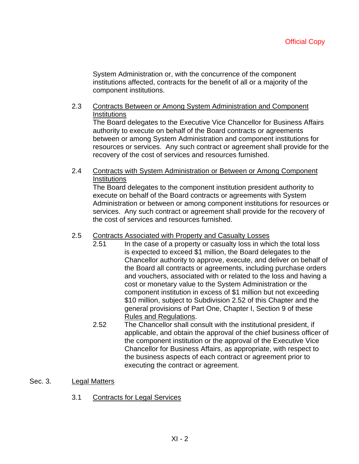System Administration or, with the concurrence of the component institutions affected, contracts for the benefit of all or a majority of the component institutions.

# 2.3 Contracts Between or Among System Administration and Component **Institutions**

The Board delegates to the Executive Vice Chancellor for Business Affairs authority to execute on behalf of the Board contracts or agreements between or among System Administration and component institutions for resources or services. Any such contract or agreement shall provide for the recovery of the cost of services and resources furnished.

# 2.4 Contracts with System Administration or Between or Among Component **Institutions**

The Board delegates to the component institution president authority to execute on behalf of the Board contracts or agreements with System Administration or between or among component institutions for resources or services. Any such contract or agreement shall provide for the recovery of the cost of services and resources furnished.

# 2.5 Contracts Associated with Property and Casualty Losses

- 2.51 In the case of a property or casualty loss in which the total loss is expected to exceed \$1 million, the Board delegates to the Chancellor authority to approve, execute, and deliver on behalf of the Board all contracts or agreements, including purchase orders and vouchers, associated with or related to the loss and having a cost or monetary value to the System Administration or the component institution in excess of \$1 million but not exceeding \$10 million, subject to Subdivision 2.52 of this Chapter and the general provisions of Part One, Chapter I, Section 9 of these Rules and Regulations.
- 2.52 The Chancellor shall consult with the institutional president, if applicable, and obtain the approval of the chief business officer of the component institution or the approval of the Executive Vice Chancellor for Business Affairs, as appropriate, with respect to the business aspects of each contract or agreement prior to executing the contract or agreement.

# Sec. 3. Legal Matters

3.1 Contracts for Legal Services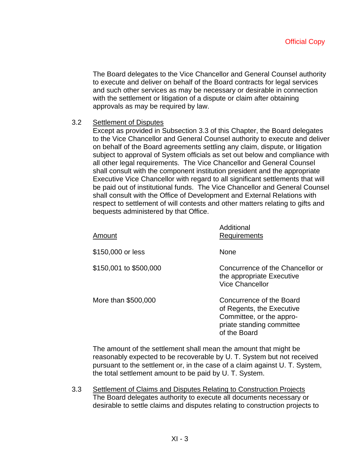The Board delegates to the Vice Chancellor and General Counsel authority to execute and deliver on behalf of the Board contracts for legal services and such other services as may be necessary or desirable in connection with the settlement or litigation of a dispute or claim after obtaining approvals as may be required by law.

## 3.2 Settlement of Disputes

Except as provided in Subsection 3.3 of this Chapter, the Board delegates to the Vice Chancellor and General Counsel authority to execute and deliver on behalf of the Board agreements settling any claim, dispute, or litigation subject to approval of System officials as set out below and compliance with all other legal requirements. The Vice Chancellor and General Counsel shall consult with the component institution president and the appropriate Executive Vice Chancellor with regard to all significant settlements that will be paid out of institutional funds. The Vice Chancellor and General Counsel shall consult with the Office of Development and External Relations with respect to settlement of will contests and other matters relating to gifts and bequests administered by that Office.

Additional

| Amount                 | <b>Auditional</b><br>Requirements                                                                                              |
|------------------------|--------------------------------------------------------------------------------------------------------------------------------|
| \$150,000 or less      | None                                                                                                                           |
| \$150,001 to \$500,000 | Concurrence of the Chancellor or<br>the appropriate Executive<br><b>Vice Chancellor</b>                                        |
| More than \$500,000    | Concurrence of the Board<br>of Regents, the Executive<br>Committee, or the appro-<br>priate standing committee<br>of the Board |

The amount of the settlement shall mean the amount that might be reasonably expected to be recoverable by U. T. System but not received pursuant to the settlement or, in the case of a claim against U. T. System, the total settlement amount to be paid by U. T. System.

3.3 Settlement of Claims and Disputes Relating to Construction Projects The Board delegates authority to execute all documents necessary or desirable to settle claims and disputes relating to construction projects to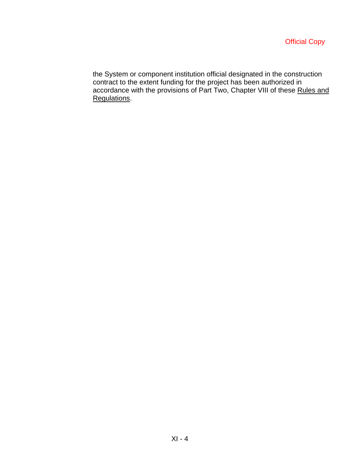the System or component institution official designated in the construction contract to the extent funding for the project has been authorized in accordance with the provisions of Part Two, Chapter VIII of these Rules and Regulations.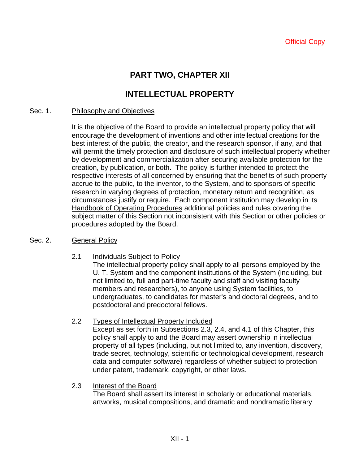# **PART TWO, CHAPTER XII**

# **INTELLECTUAL PROPERTY**

## Sec. 1. Philosophy and Objectives

It is the objective of the Board to provide an intellectual property policy that will encourage the development of inventions and other intellectual creations for the best interest of the public, the creator, and the research sponsor, if any, and that will permit the timely protection and disclosure of such intellectual property whether by development and commercialization after securing available protection for the creation, by publication, or both. The policy is further intended to protect the respective interests of all concerned by ensuring that the benefits of such property accrue to the public, to the inventor, to the System, and to sponsors of specific research in varying degrees of protection, monetary return and recognition, as circumstances justify or require. Each component institution may develop in its Handbook of Operating Procedures additional policies and rules covering the subject matter of this Section not inconsistent with this Section or other policies or procedures adopted by the Board.

# Sec. 2. General Policy

2.1 Individuals Subject to Policy

The intellectual property policy shall apply to all persons employed by the U. T. System and the component institutions of the System (including, but not limited to, full and part-time faculty and staff and visiting faculty members and researchers), to anyone using System facilities, to undergraduates, to candidates for master's and doctoral degrees, and to postdoctoral and predoctoral fellows.

2.2 Types of Intellectual Property Included

Except as set forth in Subsections 2.3, 2.4, and 4.1 of this Chapter, this policy shall apply to and the Board may assert ownership in intellectual property of all types (including, but not limited to, any invention, discovery, trade secret, technology, scientific or technological development, research data and computer software) regardless of whether subject to protection under patent, trademark, copyright, or other laws.

2.3 Interest of the Board The Board shall assert its interest in scholarly or educational materials, artworks, musical compositions, and dramatic and nondramatic literary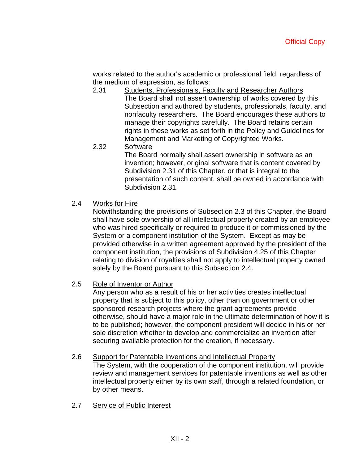works related to the author's academic or professional field, regardless of the medium of expression, as follows:

- 2.31 Students, Professionals, Faculty and Researcher Authors The Board shall not assert ownership of works covered by this Subsection and authored by students, professionals, faculty, and nonfaculty researchers. The Board encourages these authors to manage their copyrights carefully. The Board retains certain rights in these works as set forth in the Policy and Guidelines for Management and Marketing of Copyrighted Works.
- 2.32 Software

The Board normally shall assert ownership in software as an invention; however, original software that is content covered by Subdivision 2.31 of this Chapter, or that is integral to the presentation of such content, shall be owned in accordance with Subdivision 2.31.

2.4 Works for Hire

Notwithstanding the provisions of Subsection 2.3 of this Chapter, the Board shall have sole ownership of all intellectual property created by an employee who was hired specifically or required to produce it or commissioned by the System or a component institution of the System. Except as may be provided otherwise in a written agreement approved by the president of the component institution, the provisions of Subdivision 4.25 of this Chapter relating to division of royalties shall not apply to intellectual property owned solely by the Board pursuant to this Subsection 2.4.

# 2.5 Role of Inventor or Author

Any person who as a result of his or her activities creates intellectual property that is subject to this policy, other than on government or other sponsored research projects where the grant agreements provide otherwise, should have a major role in the ultimate determination of how it is to be published; however, the component president will decide in his or her sole discretion whether to develop and commercialize an invention after securing available protection for the creation, if necessary.

#### 2.6 Support for Patentable Inventions and Intellectual Property

The System, with the cooperation of the component institution, will provide review and management services for patentable inventions as well as other intellectual property either by its own staff, through a related foundation, or by other means.

2.7 Service of Public Interest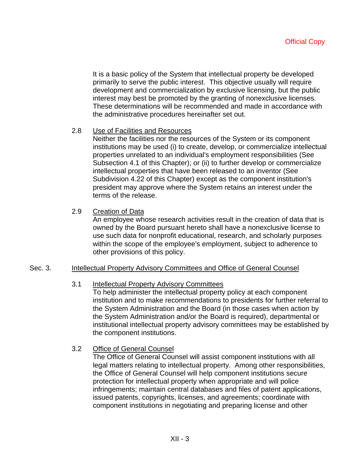It is a basic policy of the System that intellectual property be developed primarily to serve the public interest. This objective usually will require development and commercialization by exclusive licensing, but the public interest may best be promoted by the granting of nonexclusive licenses. These determinations will be recommended and made in accordance with the administrative procedures hereinafter set out.

## 2.8 Use of Facilities and Resources

Neither the facilities nor the resources of the System or its component institutions may be used (i) to create, develop, or commercialize intellectual properties unrelated to an individual's employment responsibilities (See Subsection 4.1 of this Chapter); or (ii) to further develop or commercialize intellectual properties that have been released to an inventor (See Subdivision 4.22 of this Chapter) except as the component institution's president may approve where the System retains an interest under the terms of the release.

# 2.9 Creation of Data

An employee whose research activities result in the creation of data that is owned by the Board pursuant hereto shall have a nonexclusive license to use such data for nonprofit educational, research, and scholarly purposes within the scope of the employee's employment, subject to adherence to other provisions of this policy.

# Sec. 3. Intellectual Property Advisory Committees and Office of General Counsel

#### 3.1 Intellectual Property Advisory Committees

To help administer the intellectual property policy at each component institution and to make recommendations to presidents for further referral to the System Administration and the Board (in those cases when action by the System Administration and/or the Board is required), departmental or institutional intellectual property advisory committees may be established by the component institutions.

#### 3.2 Office of General Counsel

The Office of General Counsel will assist component institutions with all legal matters relating to intellectual property. Among other responsibilities, the Office of General Counsel will help component institutions secure protection for intellectual property when appropriate and will police infringements; maintain central databases and files of patent applications, issued patents, copyrights, licenses, and agreements; coordinate with component institutions in negotiating and preparing license and other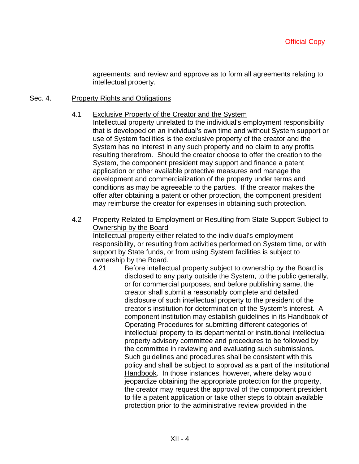agreements; and review and approve as to form all agreements relating to intellectual property.

#### Sec. 4. Property Rights and Obligations

## 4.1 Exclusive Property of the Creator and the System

Intellectual property unrelated to the individual's employment responsibility that is developed on an individual's own time and without System support or use of System facilities is the exclusive property of the creator and the System has no interest in any such property and no claim to any profits resulting therefrom. Should the creator choose to offer the creation to the System, the component president may support and finance a patent application or other available protective measures and manage the development and commercialization of the property under terms and conditions as may be agreeable to the parties. If the creator makes the offer after obtaining a patent or other protection, the component president may reimburse the creator for expenses in obtaining such protection.

# 4.2 Property Related to Employment or Resulting from State Support Subject to Ownership by the Board

Intellectual property either related to the individual's employment responsibility, or resulting from activities performed on System time, or with support by State funds, or from using System facilities is subject to ownership by the Board.

4.21 Before intellectual property subject to ownership by the Board is disclosed to any party outside the System, to the public generally, or for commercial purposes, and before publishing same, the creator shall submit a reasonably complete and detailed disclosure of such intellectual property to the president of the creator's institution for determination of the System's interest. A component institution may establish guidelines in its Handbook of Operating Procedures for submitting different categories of intellectual property to its departmental or institutional intellectual property advisory committee and procedures to be followed by the committee in reviewing and evaluating such submissions. Such guidelines and procedures shall be consistent with this policy and shall be subject to approval as a part of the institutional Handbook. In those instances, however, where delay would jeopardize obtaining the appropriate protection for the property, the creator may request the approval of the component president to file a patent application or take other steps to obtain available protection prior to the administrative review provided in the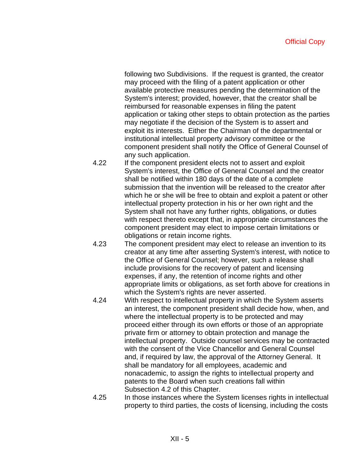following two Subdivisions. If the request is granted, the creator may proceed with the filing of a patent application or other available protective measures pending the determination of the System's interest; provided, however, that the creator shall be reimbursed for reasonable expenses in filing the patent application or taking other steps to obtain protection as the parties may negotiate if the decision of the System is to assert and exploit its interests. Either the Chairman of the departmental or institutional intellectual property advisory committee or the component president shall notify the Office of General Counsel of any such application.

- 4.22 If the component president elects not to assert and exploit System's interest, the Office of General Counsel and the creator shall be notified within 180 days of the date of a complete submission that the invention will be released to the creator after which he or she will be free to obtain and exploit a patent or other intellectual property protection in his or her own right and the System shall not have any further rights, obligations, or duties with respect thereto except that, in appropriate circumstances the component president may elect to impose certain limitations or obligations or retain income rights.
- 4.23 The component president may elect to release an invention to its creator at any time after asserting System's interest, with notice to the Office of General Counsel; however, such a release shall include provisions for the recovery of patent and licensing expenses, if any, the retention of income rights and other appropriate limits or obligations, as set forth above for creations in which the System's rights are never asserted.
- 4.24 With respect to intellectual property in which the System asserts an interest, the component president shall decide how, when, and where the intellectual property is to be protected and may proceed either through its own efforts or those of an appropriate private firm or attorney to obtain protection and manage the intellectual property. Outside counsel services may be contracted with the consent of the Vice Chancellor and General Counsel and, if required by law, the approval of the Attorney General. It shall be mandatory for all employees, academic and nonacademic, to assign the rights to intellectual property and patents to the Board when such creations fall within Subsection 4.2 of this Chapter.
- 4.25 In those instances where the System licenses rights in intellectual property to third parties, the costs of licensing, including the costs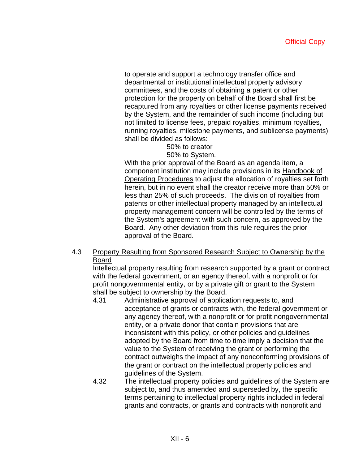to operate and support a technology transfer office and departmental or institutional intellectual property advisory committees, and the costs of obtaining a patent or other protection for the property on behalf of the Board shall first be recaptured from any royalties or other license payments received by the System, and the remainder of such income (including but not limited to license fees, prepaid royalties, minimum royalties, running royalties, milestone payments, and sublicense payments) shall be divided as follows:

> 50% to creator 50% to System.

 With the prior approval of the Board as an agenda item, a component institution may include provisions in its Handbook of Operating Procedures to adjust the allocation of royalties set forth herein, but in no event shall the creator receive more than 50% or less than 25% of such proceeds. The division of royalties from patents or other intellectual property managed by an intellectual property management concern will be controlled by the terms of the System's agreement with such concern, as approved by the Board. Any other deviation from this rule requires the prior approval of the Board.

4.3 Property Resulting from Sponsored Research Subject to Ownership by the Board

Intellectual property resulting from research supported by a grant or contract with the federal government, or an agency thereof, with a nonprofit or for profit nongovernmental entity, or by a private gift or grant to the System shall be subject to ownership by the Board.

- 4.31 Administrative approval of application requests to, and acceptance of grants or contracts with, the federal government or any agency thereof, with a nonprofit or for profit nongovernmental entity, or a private donor that contain provisions that are inconsistent with this policy, or other policies and guidelines adopted by the Board from time to time imply a decision that the value to the System of receiving the grant or performing the contract outweighs the impact of any nonconforming provisions of the grant or contract on the intellectual property policies and guidelines of the System.
- 4.32 The intellectual property policies and guidelines of the System are subject to, and thus amended and superseded by, the specific terms pertaining to intellectual property rights included in federal grants and contracts, or grants and contracts with nonprofit and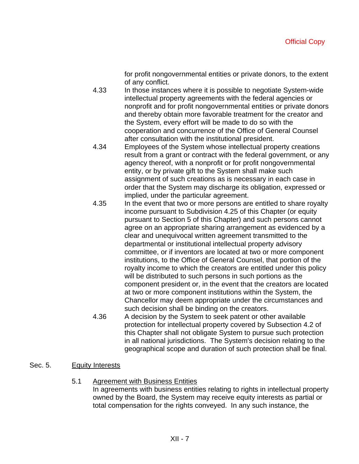for profit nongovernmental entities or private donors, to the extent of any conflict.

- 4.33 In those instances where it is possible to negotiate System-wide intellectual property agreements with the federal agencies or nonprofit and for profit nongovernmental entities or private donors and thereby obtain more favorable treatment for the creator and the System, every effort will be made to do so with the cooperation and concurrence of the Office of General Counsel after consultation with the institutional president.
- 4.34 Employees of the System whose intellectual property creations result from a grant or contract with the federal government, or any agency thereof, with a nonprofit or for profit nongovernmental entity, or by private gift to the System shall make such assignment of such creations as is necessary in each case in order that the System may discharge its obligation, expressed or implied, under the particular agreement.
- 4.35 In the event that two or more persons are entitled to share royalty income pursuant to Subdivision 4.25 of this Chapter (or equity pursuant to Section 5 of this Chapter) and such persons cannot agree on an appropriate sharing arrangement as evidenced by a clear and unequivocal written agreement transmitted to the departmental or institutional intellectual property advisory committee, or if inventors are located at two or more component institutions, to the Office of General Counsel, that portion of the royalty income to which the creators are entitled under this policy will be distributed to such persons in such portions as the component president or, in the event that the creators are located at two or more component institutions within the System, the Chancellor may deem appropriate under the circumstances and such decision shall be binding on the creators.
- 4.36 A decision by the System to seek patent or other available protection for intellectual property covered by Subsection 4.2 of this Chapter shall not obligate System to pursue such protection in all national jurisdictions. The System's decision relating to the geographical scope and duration of such protection shall be final.

# Sec. 5. Equity Interests

# 5.1 Agreement with Business Entities

In agreements with business entities relating to rights in intellectual property owned by the Board, the System may receive equity interests as partial or total compensation for the rights conveyed. In any such instance, the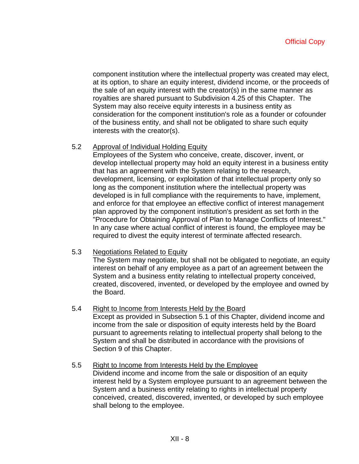component institution where the intellectual property was created may elect, at its option, to share an equity interest, dividend income, or the proceeds of the sale of an equity interest with the creator(s) in the same manner as royalties are shared pursuant to Subdivision 4.25 of this Chapter. The System may also receive equity interests in a business entity as consideration for the component institution's role as a founder or cofounder of the business entity, and shall not be obligated to share such equity interests with the creator(s).

# 5.2 Approval of Individual Holding Equity

Employees of the System who conceive, create, discover, invent, or develop intellectual property may hold an equity interest in a business entity that has an agreement with the System relating to the research, development, licensing, or exploitation of that intellectual property only so long as the component institution where the intellectual property was developed is in full compliance with the requirements to have, implement, and enforce for that employee an effective conflict of interest management plan approved by the component institution's president as set forth in the "Procedure for Obtaining Approval of Plan to Manage Conflicts of Interest." In any case where actual conflict of interest is found, the employee may be required to divest the equity interest of terminate affected research.

# 5.3 Negotiations Related to Equity

The System may negotiate, but shall not be obligated to negotiate, an equity interest on behalf of any employee as a part of an agreement between the System and a business entity relating to intellectual property conceived, created, discovered, invented, or developed by the employee and owned by the Board.

# 5.4 Right to Income from Interests Held by the Board

Except as provided in Subsection 5.1 of this Chapter, dividend income and income from the sale or disposition of equity interests held by the Board pursuant to agreements relating to intellectual property shall belong to the System and shall be distributed in accordance with the provisions of Section 9 of this Chapter.

# 5.5 Right to Income from Interests Held by the Employee

Dividend income and income from the sale or disposition of an equity interest held by a System employee pursuant to an agreement between the System and a business entity relating to rights in intellectual property conceived, created, discovered, invented, or developed by such employee shall belong to the employee.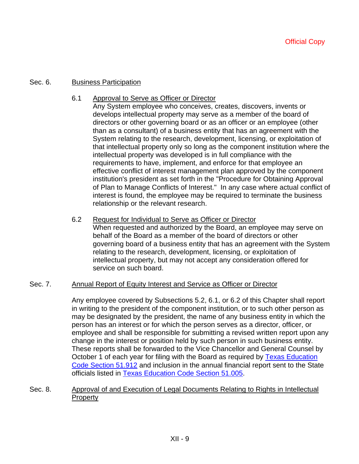# Sec. 6. Business Participation

# 6.1 Approval to Serve as Officer or Director

Any System employee who conceives, creates, discovers, invents or develops intellectual property may serve as a member of the board of directors or other governing board or as an officer or an employee (other than as a consultant) of a business entity that has an agreement with the System relating to the research, development, licensing, or exploitation of that intellectual property only so long as the component institution where the intellectual property was developed is in full compliance with the requirements to have, implement, and enforce for that employee an effective conflict of interest management plan approved by the component institution's president as set forth in the "Procedure for Obtaining Approval of Plan to Manage Conflicts of Interest." In any case where actual conflict of interest is found, the employee may be required to terminate the business relationship or the relevant research.

# 6.2 Request for Individual to Serve as Officer or Director

When requested and authorized by the Board, an employee may serve on behalf of the Board as a member of the board of directors or other governing board of a business entity that has an agreement with the System relating to the research, development, licensing, or exploitation of intellectual property, but may not accept any consideration offered for service on such board.

# Sec. 7. Annual Report of Equity Interest and Service as Officer or Director

Any employee covered by Subsections 5.2, 6.1, or 6.2 of this Chapter shall report in writing to the president of the component institution, or to such other person as may be designated by the president, the name of any business entity in which the person has an interest or for which the person serves as a director, officer, or employee and shall be responsible for submitting a revised written report upon any change in the interest or position held by such person in such business entity. These reports shall be forwarded to the Vice Chancellor and General Counsel by October 1 of each year for filing with the Board as required by Texas Education Code Section 51.912 and inclusion in the annual financial report sent to the State officials listed in Texas Education Code Section 51.005.

## Sec. 8. Approval of and Execution of Legal Documents Relating to Rights in Intellectual **Property**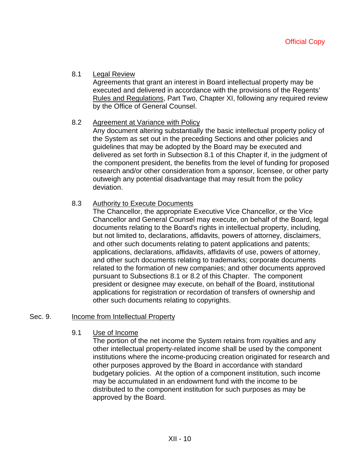# 8.1 Legal Review

Agreements that grant an interest in Board intellectual property may be executed and delivered in accordance with the provisions of the Regents' Rules and Regulations, Part Two, Chapter XI, following any required review by the Office of General Counsel.

# 8.2 Agreement at Variance with Policy

Any document altering substantially the basic intellectual property policy of the System as set out in the preceding Sections and other policies and guidelines that may be adopted by the Board may be executed and delivered as set forth in Subsection 8.1 of this Chapter if, in the judgment of the component president, the benefits from the level of funding for proposed research and/or other consideration from a sponsor, licensee, or other party outweigh any potential disadvantage that may result from the policy deviation.

# 8.3 Authority to Execute Documents

The Chancellor, the appropriate Executive Vice Chancellor, or the Vice Chancellor and General Counsel may execute, on behalf of the Board, legal documents relating to the Board's rights in intellectual property, including, but not limited to, declarations, affidavits, powers of attorney, disclaimers, and other such documents relating to patent applications and patents; applications, declarations, affidavits, affidavits of use, powers of attorney, and other such documents relating to trademarks; corporate documents related to the formation of new companies; and other documents approved pursuant to Subsections 8.1 or 8.2 of this Chapter. The component president or designee may execute, on behalf of the Board, institutional applications for registration or recordation of transfers of ownership and other such documents relating to copyrights.

# Sec. 9. Income from Intellectual Property

# 9.1 Use of Income

The portion of the net income the System retains from royalties and any other intellectual property-related income shall be used by the component institutions where the income-producing creation originated for research and other purposes approved by the Board in accordance with standard budgetary policies. At the option of a component institution, such income may be accumulated in an endowment fund with the income to be distributed to the component institution for such purposes as may be approved by the Board.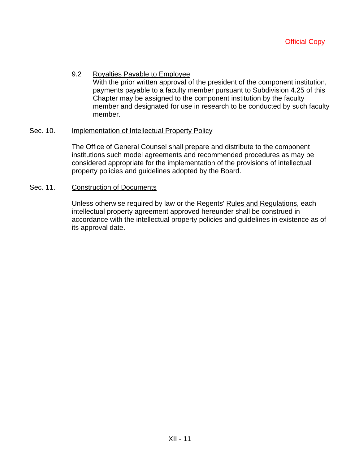# 9.2 Royalties Payable to Employee

With the prior written approval of the president of the component institution, payments payable to a faculty member pursuant to Subdivision 4.25 of this Chapter may be assigned to the component institution by the faculty member and designated for use in research to be conducted by such faculty member.

#### Sec. 10. Implementation of Intellectual Property Policy

The Office of General Counsel shall prepare and distribute to the component institutions such model agreements and recommended procedures as may be considered appropriate for the implementation of the provisions of intellectual property policies and guidelines adopted by the Board.

#### Sec. 11. Construction of Documents

Unless otherwise required by law or the Regents' Rules and Regulations, each intellectual property agreement approved hereunder shall be construed in accordance with the intellectual property policies and guidelines in existence as of its approval date.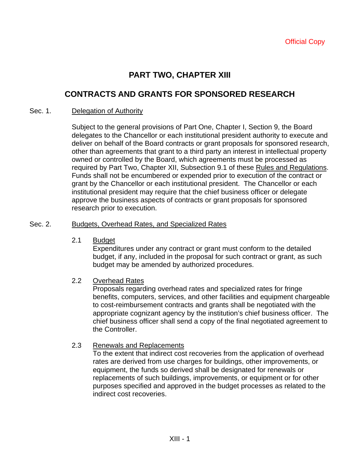# **PART TWO, CHAPTER XIII**

# **CONTRACTS AND GRANTS FOR SPONSORED RESEARCH**

#### Sec. 1. Delegation of Authority

Subject to the general provisions of Part One, Chapter I, Section 9, the Board delegates to the Chancellor or each institutional president authority to execute and deliver on behalf of the Board contracts or grant proposals for sponsored research, other than agreements that grant to a third party an interest in intellectual property owned or controlled by the Board, which agreements must be processed as required by Part Two, Chapter XII, Subsection 9.1 of these Rules and Regulations. Funds shall not be encumbered or expended prior to execution of the contract or grant by the Chancellor or each institutional president. The Chancellor or each institutional president may require that the chief business officer or delegate approve the business aspects of contracts or grant proposals for sponsored research prior to execution.

## Sec. 2. Budgets, Overhead Rates, and Specialized Rates

2.1 Budget

Expenditures under any contract or grant must conform to the detailed budget, if any, included in the proposal for such contract or grant, as such budget may be amended by authorized procedures.

#### 2.2 Overhead Rates

Proposals regarding overhead rates and specialized rates for fringe benefits, computers, services, and other facilities and equipment chargeable to cost-reimbursement contracts and grants shall be negotiated with the appropriate cognizant agency by the institution's chief business officer. The chief business officer shall send a copy of the final negotiated agreement to the Controller.

# 2.3 Renewals and Replacements

To the extent that indirect cost recoveries from the application of overhead rates are derived from use charges for buildings, other improvements, or equipment, the funds so derived shall be designated for renewals or replacements of such buildings, improvements, or equipment or for other purposes specified and approved in the budget processes as related to the indirect cost recoveries.